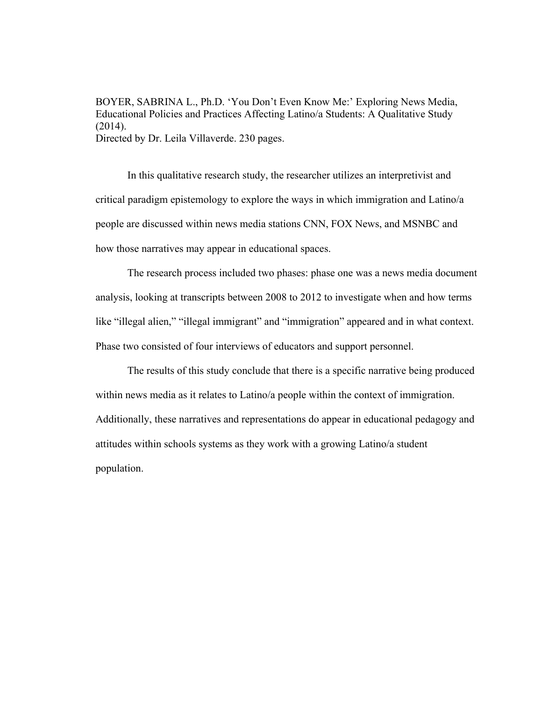BOYER, SABRINA L., Ph.D. 'You Don't Even Know Me:' Exploring News Media, Educational Policies and Practices Affecting Latino/a Students: A Qualitative Study (2014). Directed by Dr. Leila Villaverde. 230 pages.

 In this qualitative research study, the researcher utilizes an interpretivist and critical paradigm epistemology to explore the ways in which immigration and Latino/a people are discussed within news media stations CNN, FOX News, and MSNBC and how those narratives may appear in educational spaces.

 The research process included two phases: phase one was a news media document analysis, looking at transcripts between 2008 to 2012 to investigate when and how terms like "illegal alien," "illegal immigrant" and "immigration" appeared and in what context. Phase two consisted of four interviews of educators and support personnel.

 The results of this study conclude that there is a specific narrative being produced within news media as it relates to Latino/a people within the context of immigration. Additionally, these narratives and representations do appear in educational pedagogy and attitudes within schools systems as they work with a growing Latino/a student population.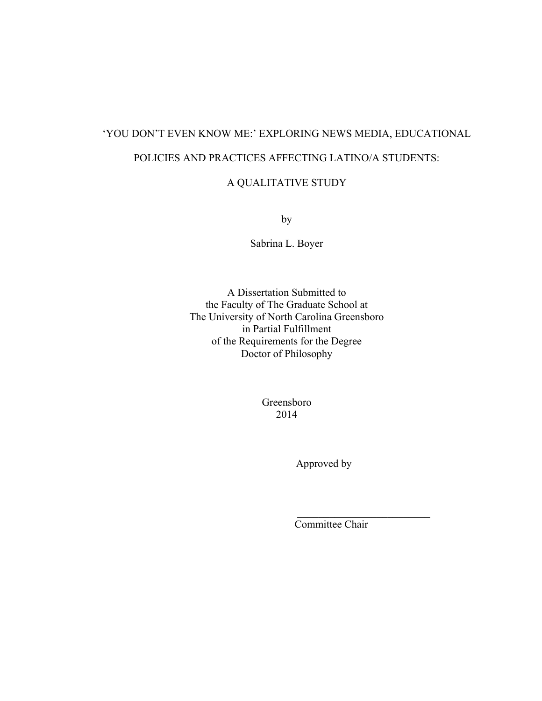# 'YOU DON'T EVEN KNOW ME:' EXPLORING NEWS MEDIA, EDUCATIONAL POLICIES AND PRACTICES AFFECTING LATINO/A STUDENTS:

# A QUALITATIVE STUDY

by

Sabrina L. Boyer

A Dissertation Submitted to the Faculty of The Graduate School at The University of North Carolina Greensboro in Partial Fulfillment of the Requirements for the Degree Doctor of Philosophy

> Greensboro 2014

> > Approved by

Committee Chair

 $\mathcal{L}_\text{max} = \frac{1}{2} \sum_{i=1}^{n} \frac{1}{2} \sum_{i=1}^{n} \frac{1}{2} \sum_{i=1}^{n} \frac{1}{2} \sum_{i=1}^{n} \frac{1}{2} \sum_{i=1}^{n} \frac{1}{2} \sum_{i=1}^{n} \frac{1}{2} \sum_{i=1}^{n} \frac{1}{2} \sum_{i=1}^{n} \frac{1}{2} \sum_{i=1}^{n} \frac{1}{2} \sum_{i=1}^{n} \frac{1}{2} \sum_{i=1}^{n} \frac{1}{2} \sum_{i=1}^{n} \frac{1$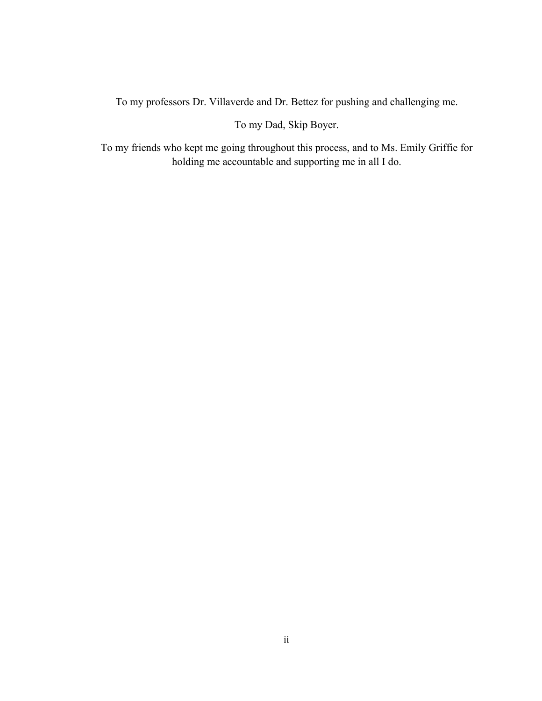To my professors Dr. Villaverde and Dr. Bettez for pushing and challenging me.

To my Dad, Skip Boyer.

To my friends who kept me going throughout this process, and to Ms. Emily Griffie for holding me accountable and supporting me in all I do.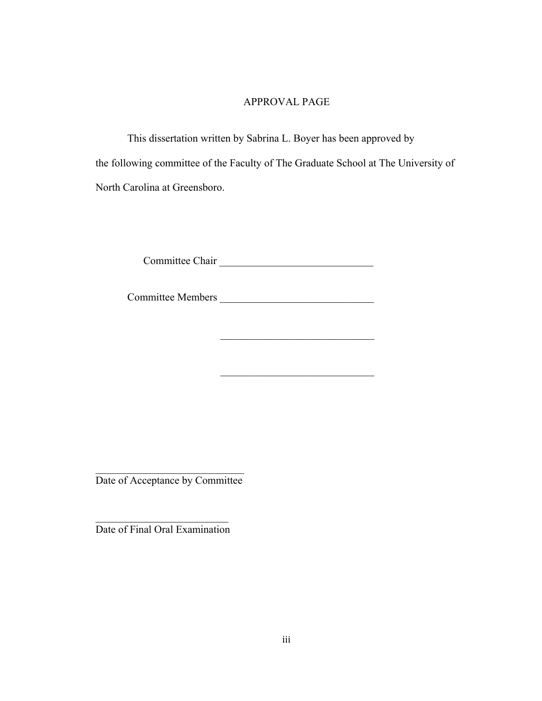# APPROVAL PAGE

This dissertation written by Sabrina L. Boyer has been approved by the following committee of the Faculty of The Graduate School at The University of North Carolina at Greensboro.

Committee Chair \_\_\_\_\_\_\_\_\_\_\_\_\_\_\_\_\_\_\_\_\_\_\_\_\_\_\_\_\_

Committee Members \_\_\_\_\_\_\_\_\_\_\_\_\_\_\_\_\_\_\_\_\_\_\_\_\_\_\_\_\_

 $\mathcal{L}_\text{max}$  and  $\mathcal{L}_\text{max}$  and  $\mathcal{L}_\text{max}$  and  $\mathcal{L}_\text{max}$  and  $\mathcal{L}_\text{max}$ 

 $\overline{\phantom{a}}$  , and the set of the set of the set of the set of the set of the set of the set of the set of the set of the set of the set of the set of the set of the set of the set of the set of the set of the set of the s

 $\mathcal{L}_\text{max}$  , where  $\mathcal{L}_\text{max}$  and  $\mathcal{L}_\text{max}$ Date of Acceptance by Committee

 $\mathcal{L}_\text{max}$  , where  $\mathcal{L}_\text{max}$  , we have the set of  $\mathcal{L}_\text{max}$ Date of Final Oral Examination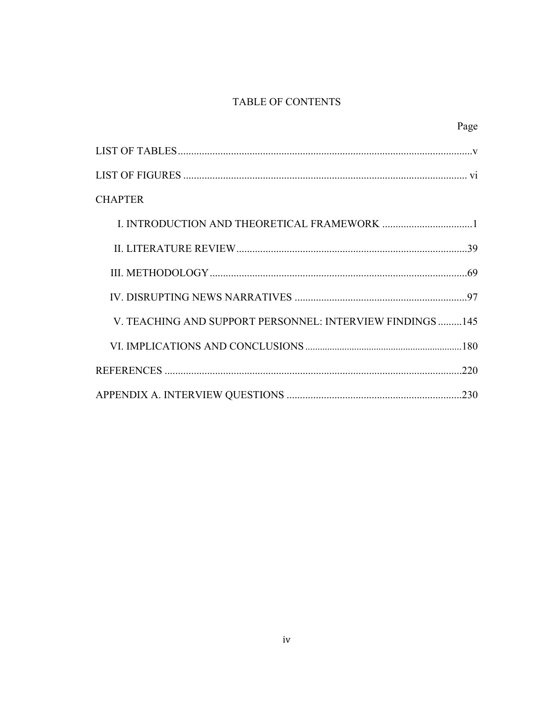# TABLE OF CONTENTS

|                                                          | Page |
|----------------------------------------------------------|------|
|                                                          |      |
|                                                          |      |
| <b>CHAPTER</b>                                           |      |
|                                                          |      |
|                                                          |      |
|                                                          |      |
|                                                          |      |
| V. TEACHING AND SUPPORT PERSONNEL: INTERVIEW FINDINGS145 |      |
|                                                          |      |
|                                                          |      |
|                                                          |      |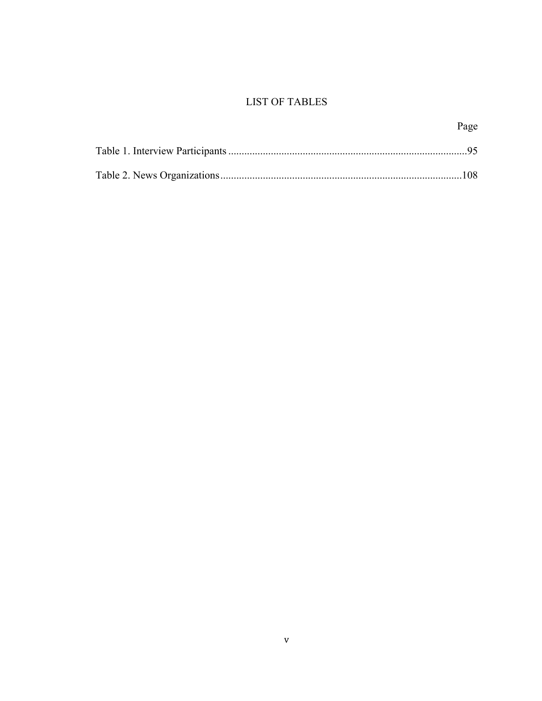# **LIST OF TABLES**

| Page |
|------|
|      |
|      |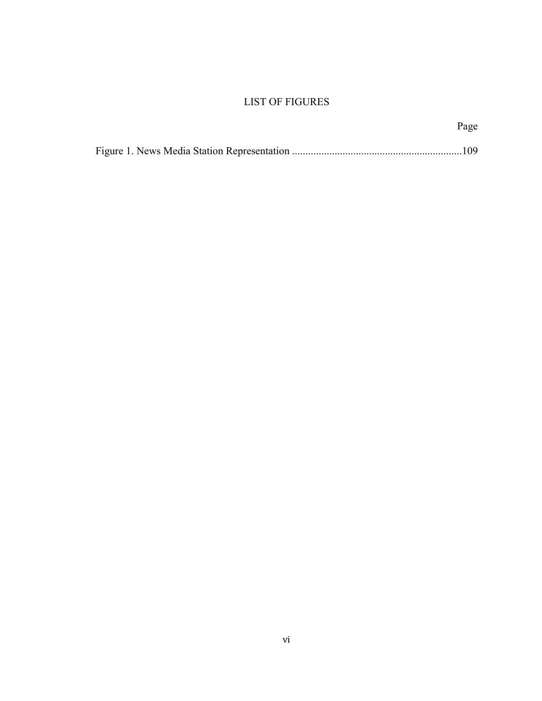# LIST OF FIGURES

| Page |
|------|
|      |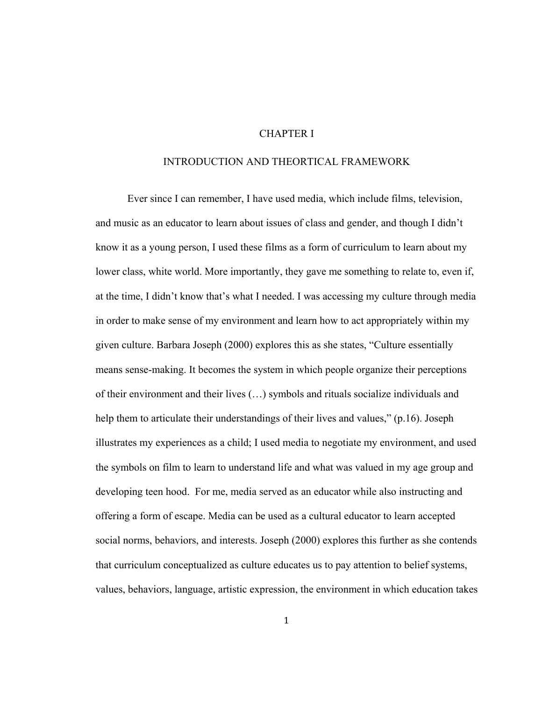## CHAPTER I

## INTRODUCTION AND THEORTICAL FRAMEWORK

 Ever since I can remember, I have used media, which include films, television, and music as an educator to learn about issues of class and gender, and though I didn't know it as a young person, I used these films as a form of curriculum to learn about my lower class, white world. More importantly, they gave me something to relate to, even if, at the time, I didn't know that's what I needed. I was accessing my culture through media in order to make sense of my environment and learn how to act appropriately within my given culture. Barbara Joseph (2000) explores this as she states, "Culture essentially means sense-making. It becomes the system in which people organize their perceptions of their environment and their lives (…) symbols and rituals socialize individuals and help them to articulate their understandings of their lives and values," (p.16). Joseph illustrates my experiences as a child; I used media to negotiate my environment, and used the symbols on film to learn to understand life and what was valued in my age group and developing teen hood. For me, media served as an educator while also instructing and offering a form of escape. Media can be used as a cultural educator to learn accepted social norms, behaviors, and interests. Joseph (2000) explores this further as she contends that curriculum conceptualized as culture educates us to pay attention to belief systems, values, behaviors, language, artistic expression, the environment in which education takes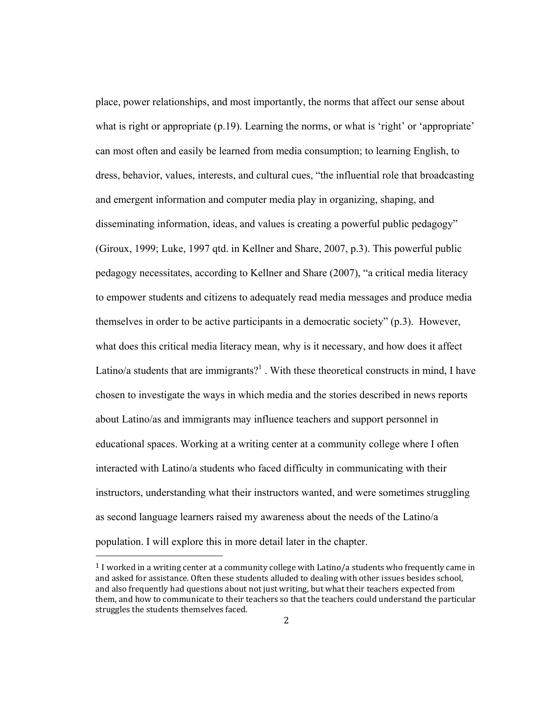place, power relationships, and most importantly, the norms that affect our sense about what is right or appropriate (p.19). Learning the norms, or what is 'right' or 'appropriate' can most often and easily be learned from media consumption; to learning English, to dress, behavior, values, interests, and cultural cues, "the influential role that broadcasting and emergent information and computer media play in organizing, shaping, and disseminating information, ideas, and values is creating a powerful public pedagogy" (Giroux, 1999; Luke, 1997 qtd. in Kellner and Share, 2007, p.3). This powerful public pedagogy necessitates, according to Kellner and Share (2007), "a critical media literacy to empower students and citizens to adequately read media messages and produce media themselves in order to be active participants in a democratic society" (p.3). However, what does this critical media literacy mean, why is it necessary, and how does it affect Latino/a students that are immigrants?<sup>1</sup>. With these theoretical constructs in mind, I have chosen to investigate the ways in which media and the stories described in news reports about Latino/as and immigrants may influence teachers and support personnel in educational spaces. Working at a writing center at a community college where I often interacted with Latino/a students who faced difficulty in communicating with their instructors, understanding what their instructors wanted, and were sometimes struggling as second language learners raised my awareness about the needs of the Latino/a population. I will explore this in more detail later in the chapter.

<u> 1989 - Johann Stein, fransk politik (d. 1989)</u>

<sup>&</sup>lt;sup>1</sup> I worked in a writing center at a community college with Latino/a students who frequently came in and asked for assistance. Often these students alluded to dealing with other issues besides school, and also frequently had questions about not just writing, but what their teachers expected from them, and how to communicate to their teachers so that the teachers could understand the particular struggles the students themselves faced.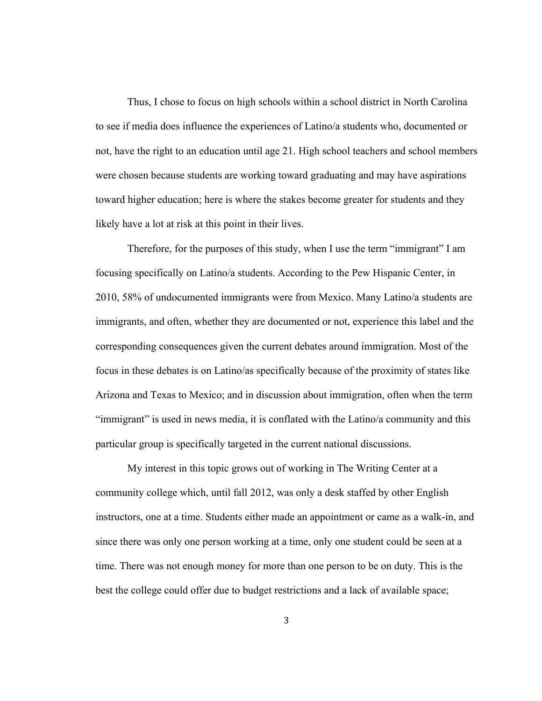Thus, I chose to focus on high schools within a school district in North Carolina to see if media does influence the experiences of Latino/a students who, documented or not, have the right to an education until age 21. High school teachers and school members were chosen because students are working toward graduating and may have aspirations toward higher education; here is where the stakes become greater for students and they likely have a lot at risk at this point in their lives.

 Therefore, for the purposes of this study, when I use the term "immigrant" I am focusing specifically on Latino/a students. According to the Pew Hispanic Center, in 2010, 58% of undocumented immigrants were from Mexico. Many Latino/a students are immigrants, and often, whether they are documented or not, experience this label and the corresponding consequences given the current debates around immigration. Most of the focus in these debates is on Latino/as specifically because of the proximity of states like Arizona and Texas to Mexico; and in discussion about immigration, often when the term "immigrant" is used in news media, it is conflated with the Latino/a community and this particular group is specifically targeted in the current national discussions.

My interest in this topic grows out of working in The Writing Center at a community college which, until fall 2012, was only a desk staffed by other English instructors, one at a time. Students either made an appointment or came as a walk-in, and since there was only one person working at a time, only one student could be seen at a time. There was not enough money for more than one person to be on duty. This is the best the college could offer due to budget restrictions and a lack of available space;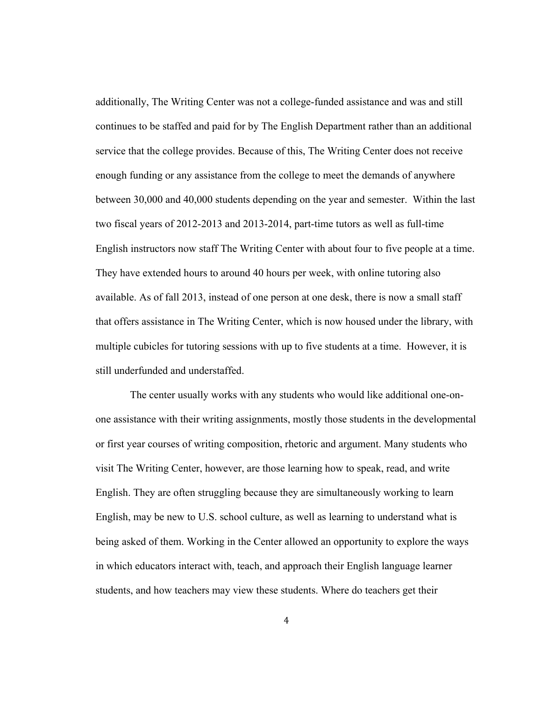additionally, The Writing Center was not a college-funded assistance and was and still continues to be staffed and paid for by The English Department rather than an additional service that the college provides. Because of this, The Writing Center does not receive enough funding or any assistance from the college to meet the demands of anywhere between 30,000 and 40,000 students depending on the year and semester. Within the last two fiscal years of 2012-2013 and 2013-2014, part-time tutors as well as full-time English instructors now staff The Writing Center with about four to five people at a time. They have extended hours to around 40 hours per week, with online tutoring also available. As of fall 2013, instead of one person at one desk, there is now a small staff that offers assistance in The Writing Center, which is now housed under the library, with multiple cubicles for tutoring sessions with up to five students at a time. However, it is still underfunded and understaffed.

 The center usually works with any students who would like additional one-onone assistance with their writing assignments, mostly those students in the developmental or first year courses of writing composition, rhetoric and argument. Many students who visit The Writing Center, however, are those learning how to speak, read, and write English. They are often struggling because they are simultaneously working to learn English, may be new to U.S. school culture, as well as learning to understand what is being asked of them. Working in the Center allowed an opportunity to explore the ways in which educators interact with, teach, and approach their English language learner students, and how teachers may view these students. Where do teachers get their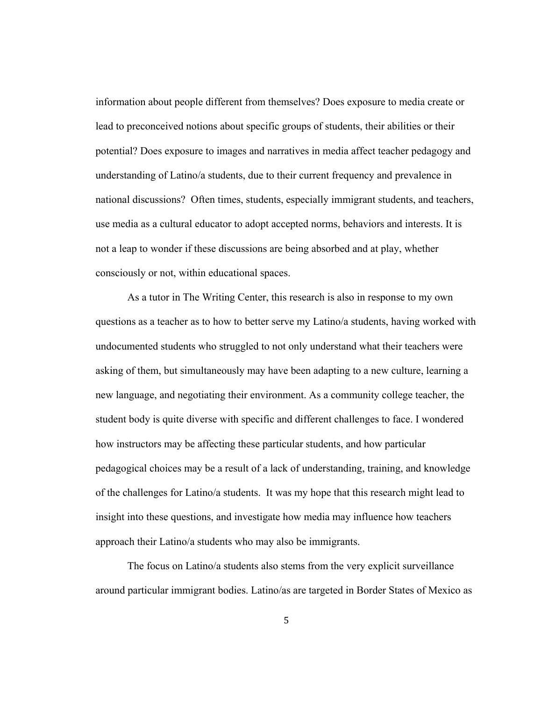information about people different from themselves? Does exposure to media create or lead to preconceived notions about specific groups of students, their abilities or their potential? Does exposure to images and narratives in media affect teacher pedagogy and understanding of Latino/a students, due to their current frequency and prevalence in national discussions? Often times, students, especially immigrant students, and teachers, use media as a cultural educator to adopt accepted norms, behaviors and interests. It is not a leap to wonder if these discussions are being absorbed and at play, whether consciously or not, within educational spaces.

As a tutor in The Writing Center, this research is also in response to my own questions as a teacher as to how to better serve my Latino/a students, having worked with undocumented students who struggled to not only understand what their teachers were asking of them, but simultaneously may have been adapting to a new culture, learning a new language, and negotiating their environment. As a community college teacher, the student body is quite diverse with specific and different challenges to face. I wondered how instructors may be affecting these particular students, and how particular pedagogical choices may be a result of a lack of understanding, training, and knowledge of the challenges for Latino/a students. It was my hope that this research might lead to insight into these questions, and investigate how media may influence how teachers approach their Latino/a students who may also be immigrants.

The focus on Latino/a students also stems from the very explicit surveillance around particular immigrant bodies. Latino/as are targeted in Border States of Mexico as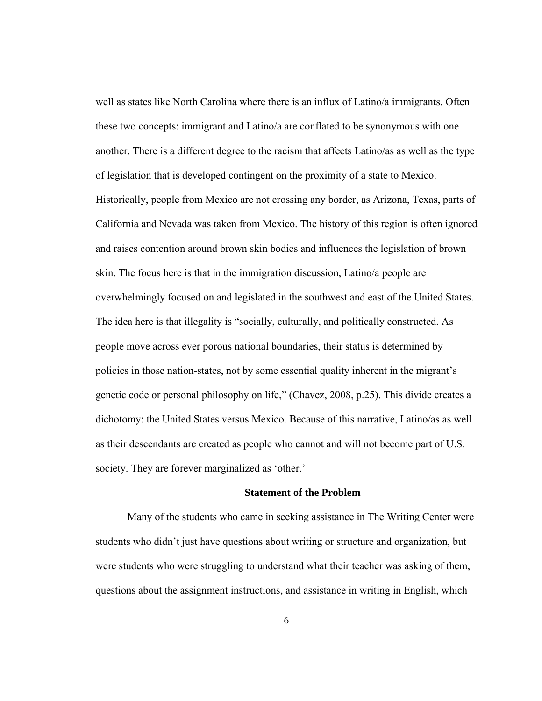well as states like North Carolina where there is an influx of Latino/a immigrants. Often these two concepts: immigrant and Latino/a are conflated to be synonymous with one another. There is a different degree to the racism that affects Latino/as as well as the type of legislation that is developed contingent on the proximity of a state to Mexico. Historically, people from Mexico are not crossing any border, as Arizona, Texas, parts of California and Nevada was taken from Mexico. The history of this region is often ignored and raises contention around brown skin bodies and influences the legislation of brown skin. The focus here is that in the immigration discussion, Latino/a people are overwhelmingly focused on and legislated in the southwest and east of the United States. The idea here is that illegality is "socially, culturally, and politically constructed. As people move across ever porous national boundaries, their status is determined by policies in those nation-states, not by some essential quality inherent in the migrant's genetic code or personal philosophy on life," (Chavez, 2008, p.25). This divide creates a dichotomy: the United States versus Mexico. Because of this narrative, Latino/as as well as their descendants are created as people who cannot and will not become part of U.S. society. They are forever marginalized as 'other.'

#### **Statement of the Problem**

Many of the students who came in seeking assistance in The Writing Center were students who didn't just have questions about writing or structure and organization, but were students who were struggling to understand what their teacher was asking of them, questions about the assignment instructions, and assistance in writing in English, which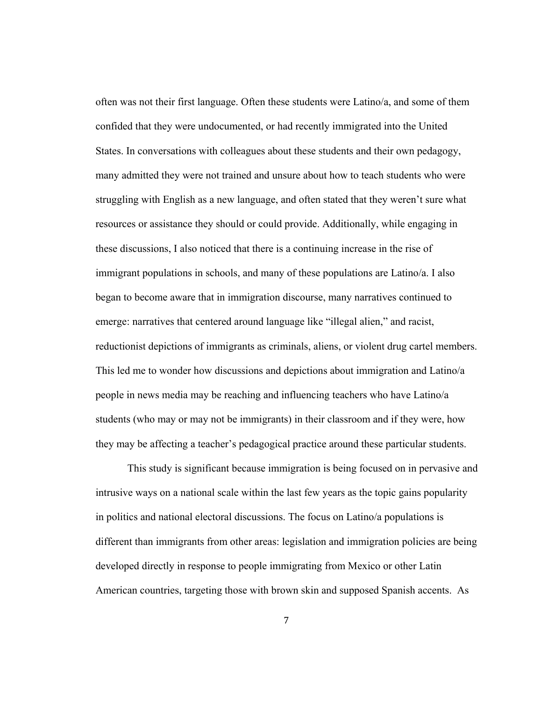often was not their first language. Often these students were Latino/a, and some of them confided that they were undocumented, or had recently immigrated into the United States. In conversations with colleagues about these students and their own pedagogy, many admitted they were not trained and unsure about how to teach students who were struggling with English as a new language, and often stated that they weren't sure what resources or assistance they should or could provide. Additionally, while engaging in these discussions, I also noticed that there is a continuing increase in the rise of immigrant populations in schools, and many of these populations are Latino/a. I also began to become aware that in immigration discourse, many narratives continued to emerge: narratives that centered around language like "illegal alien," and racist, reductionist depictions of immigrants as criminals, aliens, or violent drug cartel members. This led me to wonder how discussions and depictions about immigration and Latino/a people in news media may be reaching and influencing teachers who have Latino/a students (who may or may not be immigrants) in their classroom and if they were, how they may be affecting a teacher's pedagogical practice around these particular students.

This study is significant because immigration is being focused on in pervasive and intrusive ways on a national scale within the last few years as the topic gains popularity in politics and national electoral discussions. The focus on Latino/a populations is different than immigrants from other areas: legislation and immigration policies are being developed directly in response to people immigrating from Mexico or other Latin American countries, targeting those with brown skin and supposed Spanish accents. As

7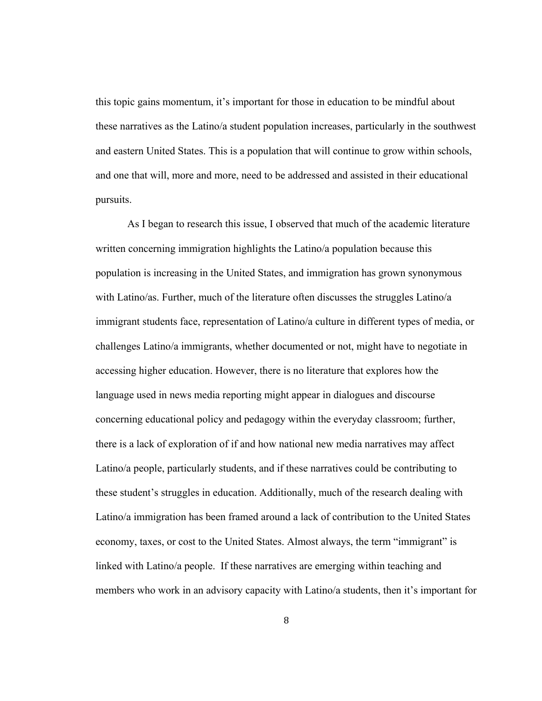this topic gains momentum, it's important for those in education to be mindful about these narratives as the Latino/a student population increases, particularly in the southwest and eastern United States. This is a population that will continue to grow within schools, and one that will, more and more, need to be addressed and assisted in their educational pursuits.

As I began to research this issue, I observed that much of the academic literature written concerning immigration highlights the Latino/a population because this population is increasing in the United States, and immigration has grown synonymous with Latino/as. Further, much of the literature often discusses the struggles Latino/a immigrant students face, representation of Latino/a culture in different types of media, or challenges Latino/a immigrants, whether documented or not, might have to negotiate in accessing higher education. However, there is no literature that explores how the language used in news media reporting might appear in dialogues and discourse concerning educational policy and pedagogy within the everyday classroom; further, there is a lack of exploration of if and how national new media narratives may affect Latino/a people, particularly students, and if these narratives could be contributing to these student's struggles in education. Additionally, much of the research dealing with Latino/a immigration has been framed around a lack of contribution to the United States economy, taxes, or cost to the United States. Almost always, the term "immigrant" is linked with Latino/a people. If these narratives are emerging within teaching and members who work in an advisory capacity with Latino/a students, then it's important for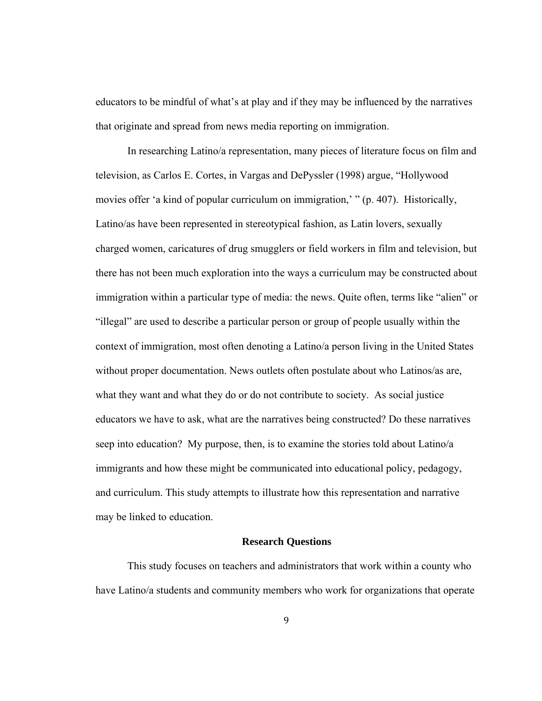educators to be mindful of what's at play and if they may be influenced by the narratives that originate and spread from news media reporting on immigration.

In researching Latino/a representation, many pieces of literature focus on film and television, as Carlos E. Cortes, in Vargas and DePyssler (1998) argue, "Hollywood movies offer 'a kind of popular curriculum on immigration,' " (p. 407). Historically, Latino/as have been represented in stereotypical fashion, as Latin lovers, sexually charged women, caricatures of drug smugglers or field workers in film and television, but there has not been much exploration into the ways a curriculum may be constructed about immigration within a particular type of media: the news. Quite often, terms like "alien" or "illegal" are used to describe a particular person or group of people usually within the context of immigration, most often denoting a Latino/a person living in the United States without proper documentation. News outlets often postulate about who Latinos/as are, what they want and what they do or do not contribute to society. As social justice educators we have to ask, what are the narratives being constructed? Do these narratives seep into education? My purpose, then, is to examine the stories told about Latino/a immigrants and how these might be communicated into educational policy, pedagogy, and curriculum. This study attempts to illustrate how this representation and narrative may be linked to education.

#### **Research Questions**

This study focuses on teachers and administrators that work within a county who have Latino/a students and community members who work for organizations that operate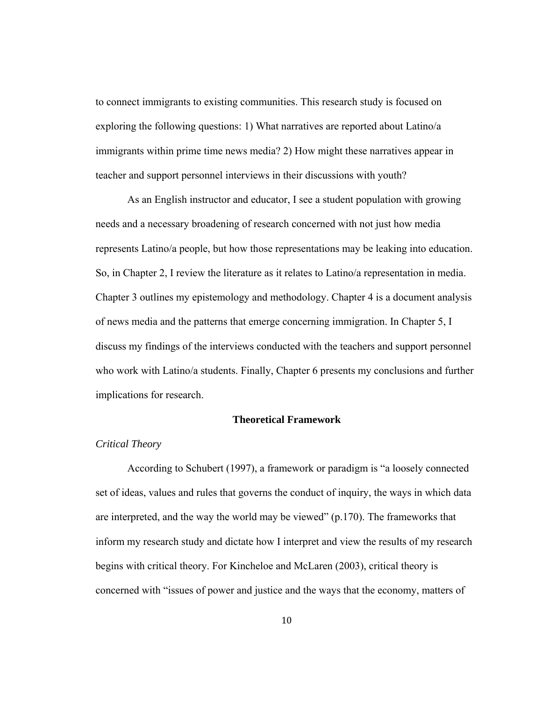to connect immigrants to existing communities. This research study is focused on exploring the following questions: 1) What narratives are reported about Latino/a immigrants within prime time news media? 2) How might these narratives appear in teacher and support personnel interviews in their discussions with youth?

As an English instructor and educator, I see a student population with growing needs and a necessary broadening of research concerned with not just how media represents Latino/a people, but how those representations may be leaking into education. So, in Chapter 2, I review the literature as it relates to Latino/a representation in media. Chapter 3 outlines my epistemology and methodology. Chapter 4 is a document analysis of news media and the patterns that emerge concerning immigration. In Chapter 5, I discuss my findings of the interviews conducted with the teachers and support personnel who work with Latino/a students. Finally, Chapter 6 presents my conclusions and further implications for research.

## **Theoretical Framework**

#### *Critical Theory*

 According to Schubert (1997), a framework or paradigm is "a loosely connected set of ideas, values and rules that governs the conduct of inquiry, the ways in which data are interpreted, and the way the world may be viewed" (p.170). The frameworks that inform my research study and dictate how I interpret and view the results of my research begins with critical theory. For Kincheloe and McLaren (2003), critical theory is concerned with "issues of power and justice and the ways that the economy, matters of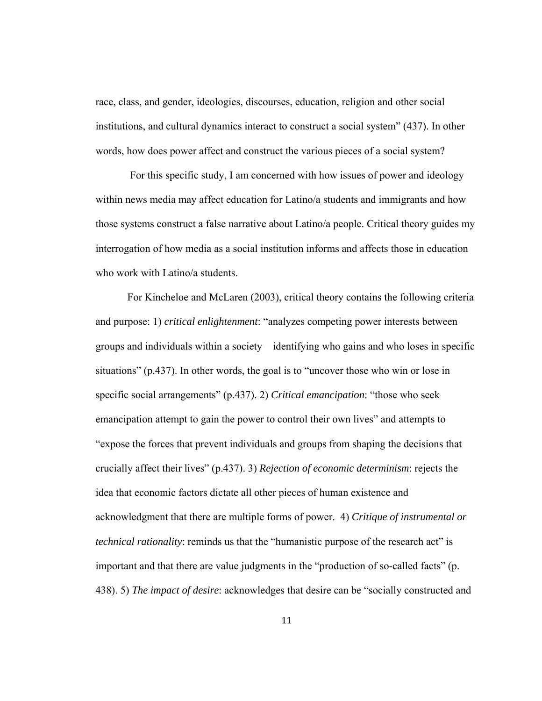race, class, and gender, ideologies, discourses, education, religion and other social institutions, and cultural dynamics interact to construct a social system" (437). In other words, how does power affect and construct the various pieces of a social system?

 For this specific study, I am concerned with how issues of power and ideology within news media may affect education for Latino/a students and immigrants and how those systems construct a false narrative about Latino/a people. Critical theory guides my interrogation of how media as a social institution informs and affects those in education who work with Latino/a students.

 For Kincheloe and McLaren (2003), critical theory contains the following criteria and purpose: 1) *critical enlightenment*: "analyzes competing power interests between groups and individuals within a society—identifying who gains and who loses in specific situations" (p.437). In other words, the goal is to "uncover those who win or lose in specific social arrangements" (p.437). 2) *Critical emancipation*: "those who seek emancipation attempt to gain the power to control their own lives" and attempts to "expose the forces that prevent individuals and groups from shaping the decisions that crucially affect their lives" (p.437). 3) *Rejection of economic determinism*: rejects the idea that economic factors dictate all other pieces of human existence and acknowledgment that there are multiple forms of power. 4) *Critique of instrumental or technical rationality*: reminds us that the "humanistic purpose of the research act" is important and that there are value judgments in the "production of so-called facts" (p. 438). 5) *The impact of desire*: acknowledges that desire can be "socially constructed and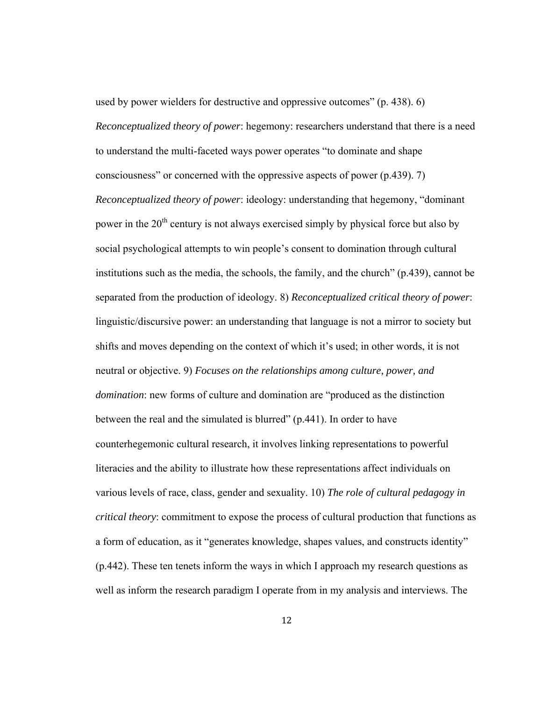used by power wielders for destructive and oppressive outcomes" (p. 438). 6) *Reconceptualized theory of power*: hegemony: researchers understand that there is a need to understand the multi-faceted ways power operates "to dominate and shape consciousness" or concerned with the oppressive aspects of power (p.439). 7) *Reconceptualized theory of power*: ideology: understanding that hegemony, "dominant power in the  $20<sup>th</sup>$  century is not always exercised simply by physical force but also by social psychological attempts to win people's consent to domination through cultural institutions such as the media, the schools, the family, and the church" (p.439), cannot be separated from the production of ideology. 8) *Reconceptualized critical theory of power*: linguistic/discursive power: an understanding that language is not a mirror to society but shifts and moves depending on the context of which it's used; in other words, it is not neutral or objective. 9) *Focuses on the relationships among culture, power, and domination*: new forms of culture and domination are "produced as the distinction between the real and the simulated is blurred" (p.441). In order to have counterhegemonic cultural research, it involves linking representations to powerful literacies and the ability to illustrate how these representations affect individuals on various levels of race, class, gender and sexuality. 10) *The role of cultural pedagogy in critical theory*: commitment to expose the process of cultural production that functions as a form of education, as it "generates knowledge, shapes values, and constructs identity" (p.442). These ten tenets inform the ways in which I approach my research questions as well as inform the research paradigm I operate from in my analysis and interviews. The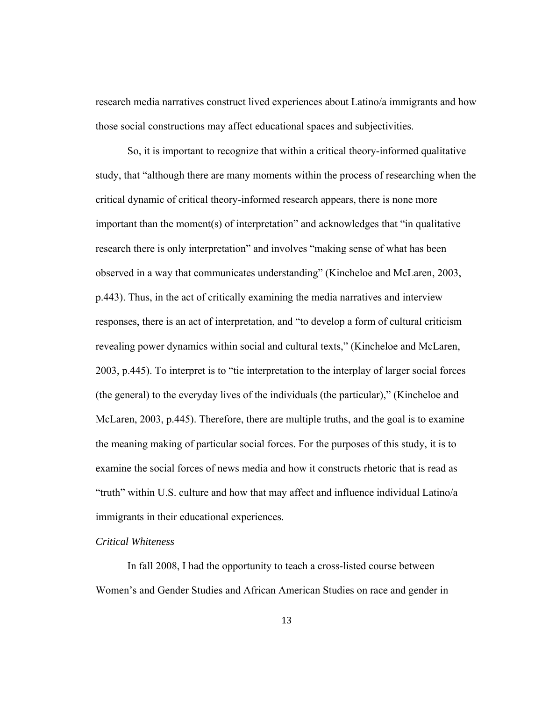research media narratives construct lived experiences about Latino/a immigrants and how those social constructions may affect educational spaces and subjectivities.

 So, it is important to recognize that within a critical theory-informed qualitative study, that "although there are many moments within the process of researching when the critical dynamic of critical theory-informed research appears, there is none more important than the moment(s) of interpretation" and acknowledges that "in qualitative research there is only interpretation" and involves "making sense of what has been observed in a way that communicates understanding" (Kincheloe and McLaren, 2003, p.443). Thus, in the act of critically examining the media narratives and interview responses, there is an act of interpretation, and "to develop a form of cultural criticism revealing power dynamics within social and cultural texts," (Kincheloe and McLaren, 2003, p.445). To interpret is to "tie interpretation to the interplay of larger social forces (the general) to the everyday lives of the individuals (the particular)," (Kincheloe and McLaren, 2003, p.445). Therefore, there are multiple truths, and the goal is to examine the meaning making of particular social forces. For the purposes of this study, it is to examine the social forces of news media and how it constructs rhetoric that is read as "truth" within U.S. culture and how that may affect and influence individual Latino/a immigrants in their educational experiences.

# *Critical Whiteness*

 In fall 2008, I had the opportunity to teach a cross-listed course between Women's and Gender Studies and African American Studies on race and gender in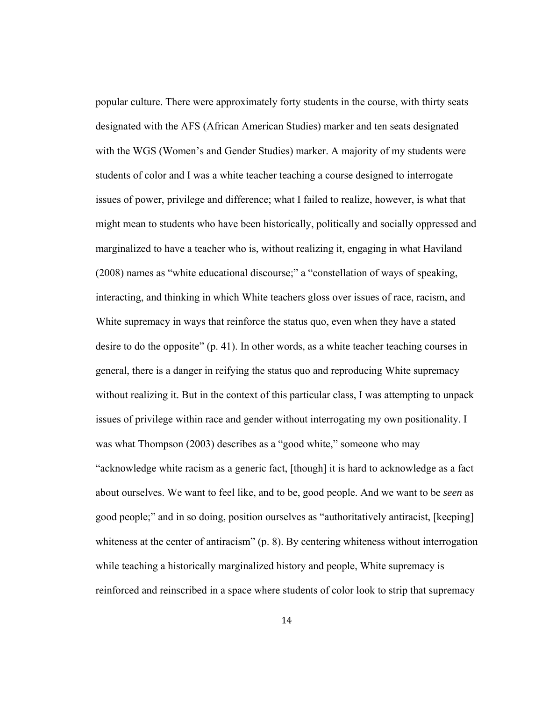popular culture. There were approximately forty students in the course, with thirty seats designated with the AFS (African American Studies) marker and ten seats designated with the WGS (Women's and Gender Studies) marker. A majority of my students were students of color and I was a white teacher teaching a course designed to interrogate issues of power, privilege and difference; what I failed to realize, however, is what that might mean to students who have been historically, politically and socially oppressed and marginalized to have a teacher who is, without realizing it, engaging in what Haviland (2008) names as "white educational discourse;" a "constellation of ways of speaking, interacting, and thinking in which White teachers gloss over issues of race, racism, and White supremacy in ways that reinforce the status quo, even when they have a stated desire to do the opposite" (p. 41). In other words, as a white teacher teaching courses in general, there is a danger in reifying the status quo and reproducing White supremacy without realizing it. But in the context of this particular class, I was attempting to unpack issues of privilege within race and gender without interrogating my own positionality. I was what Thompson (2003) describes as a "good white," someone who may "acknowledge white racism as a generic fact, [though] it is hard to acknowledge as a fact about ourselves. We want to feel like, and to be, good people. And we want to be *seen* as good people;" and in so doing, position ourselves as "authoritatively antiracist, [keeping] whiteness at the center of antiracism" (p. 8). By centering whiteness without interrogation while teaching a historically marginalized history and people, White supremacy is reinforced and reinscribed in a space where students of color look to strip that supremacy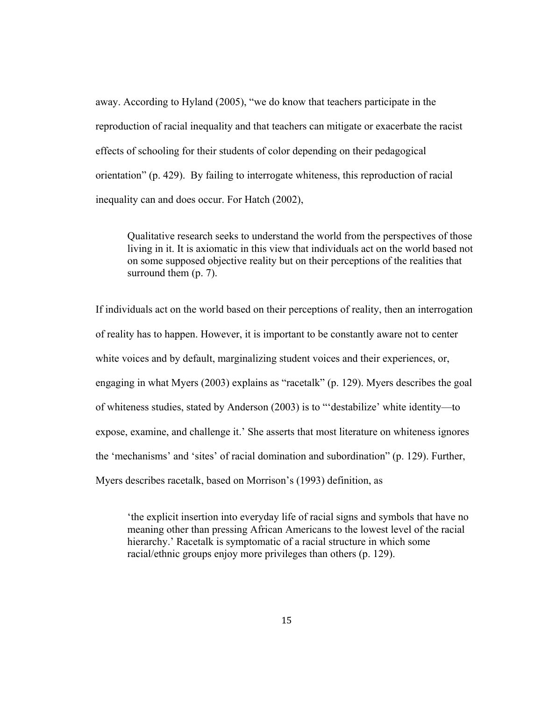away. According to Hyland (2005), "we do know that teachers participate in the reproduction of racial inequality and that teachers can mitigate or exacerbate the racist effects of schooling for their students of color depending on their pedagogical orientation" (p. 429). By failing to interrogate whiteness, this reproduction of racial inequality can and does occur. For Hatch (2002),

Qualitative research seeks to understand the world from the perspectives of those living in it. It is axiomatic in this view that individuals act on the world based not on some supposed objective reality but on their perceptions of the realities that surround them  $(p, 7)$ .

If individuals act on the world based on their perceptions of reality, then an interrogation of reality has to happen. However, it is important to be constantly aware not to center white voices and by default, marginalizing student voices and their experiences, or, engaging in what Myers (2003) explains as "racetalk" (p. 129). Myers describes the goal of whiteness studies, stated by Anderson (2003) is to "'destabilize' white identity—to expose, examine, and challenge it.' She asserts that most literature on whiteness ignores the 'mechanisms' and 'sites' of racial domination and subordination" (p. 129). Further, Myers describes racetalk, based on Morrison's (1993) definition, as

'the explicit insertion into everyday life of racial signs and symbols that have no meaning other than pressing African Americans to the lowest level of the racial hierarchy.' Racetalk is symptomatic of a racial structure in which some racial/ethnic groups enjoy more privileges than others (p. 129).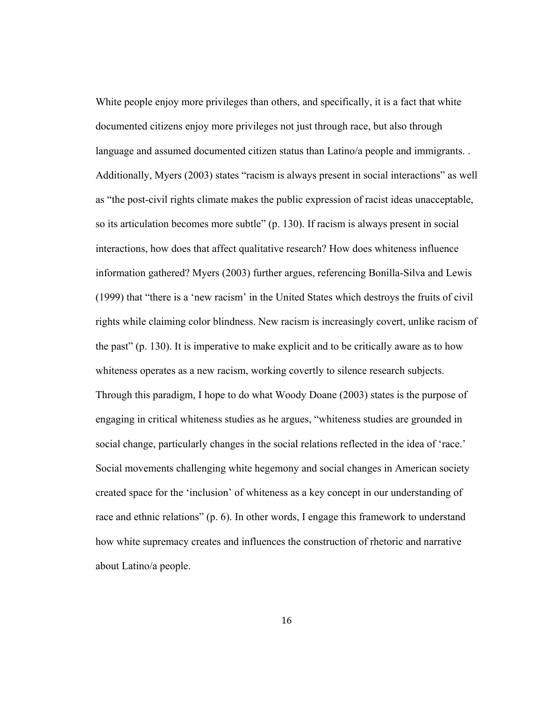White people enjoy more privileges than others, and specifically, it is a fact that white documented citizens enjoy more privileges not just through race, but also through language and assumed documented citizen status than Latino/a people and immigrants. . Additionally, Myers (2003) states "racism is always present in social interactions" as well as "the post-civil rights climate makes the public expression of racist ideas unacceptable, so its articulation becomes more subtle" (p. 130). If racism is always present in social interactions, how does that affect qualitative research? How does whiteness influence information gathered? Myers (2003) further argues, referencing Bonilla-Silva and Lewis (1999) that "there is a 'new racism' in the United States which destroys the fruits of civil rights while claiming color blindness. New racism is increasingly covert, unlike racism of the past" (p. 130). It is imperative to make explicit and to be critically aware as to how whiteness operates as a new racism, working covertly to silence research subjects. Through this paradigm, I hope to do what Woody Doane (2003) states is the purpose of engaging in critical whiteness studies as he argues, "whiteness studies are grounded in social change, particularly changes in the social relations reflected in the idea of 'race.' Social movements challenging white hegemony and social changes in American society created space for the 'inclusion' of whiteness as a key concept in our understanding of race and ethnic relations" (p. 6). In other words, I engage this framework to understand how white supremacy creates and influences the construction of rhetoric and narrative about Latino/a people.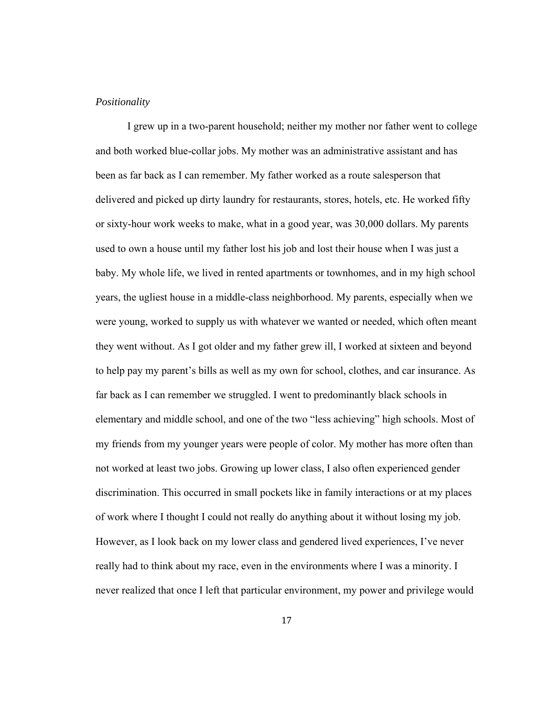#### *Positionality*

I grew up in a two-parent household; neither my mother nor father went to college and both worked blue-collar jobs. My mother was an administrative assistant and has been as far back as I can remember. My father worked as a route salesperson that delivered and picked up dirty laundry for restaurants, stores, hotels, etc. He worked fifty or sixty-hour work weeks to make, what in a good year, was 30,000 dollars. My parents used to own a house until my father lost his job and lost their house when I was just a baby. My whole life, we lived in rented apartments or townhomes, and in my high school years, the ugliest house in a middle-class neighborhood. My parents, especially when we were young, worked to supply us with whatever we wanted or needed, which often meant they went without. As I got older and my father grew ill, I worked at sixteen and beyond to help pay my parent's bills as well as my own for school, clothes, and car insurance. As far back as I can remember we struggled. I went to predominantly black schools in elementary and middle school, and one of the two "less achieving" high schools. Most of my friends from my younger years were people of color. My mother has more often than not worked at least two jobs. Growing up lower class, I also often experienced gender discrimination. This occurred in small pockets like in family interactions or at my places of work where I thought I could not really do anything about it without losing my job. However, as I look back on my lower class and gendered lived experiences, I've never really had to think about my race, even in the environments where I was a minority. I never realized that once I left that particular environment, my power and privilege would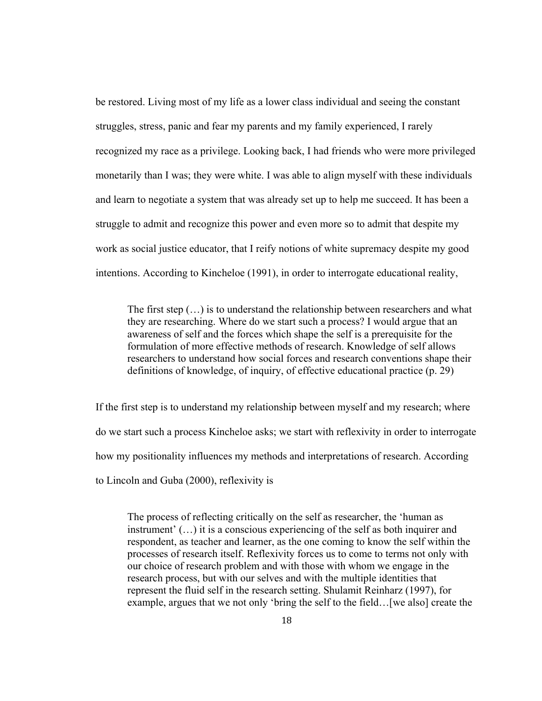be restored. Living most of my life as a lower class individual and seeing the constant struggles, stress, panic and fear my parents and my family experienced, I rarely recognized my race as a privilege. Looking back, I had friends who were more privileged monetarily than I was; they were white. I was able to align myself with these individuals and learn to negotiate a system that was already set up to help me succeed. It has been a struggle to admit and recognize this power and even more so to admit that despite my work as social justice educator, that I reify notions of white supremacy despite my good intentions. According to Kincheloe (1991), in order to interrogate educational reality,

The first step (…) is to understand the relationship between researchers and what they are researching. Where do we start such a process? I would argue that an awareness of self and the forces which shape the self is a prerequisite for the formulation of more effective methods of research. Knowledge of self allows researchers to understand how social forces and research conventions shape their definitions of knowledge, of inquiry, of effective educational practice (p. 29)

If the first step is to understand my relationship between myself and my research; where do we start such a process Kincheloe asks; we start with reflexivity in order to interrogate how my positionality influences my methods and interpretations of research. According to Lincoln and Guba (2000), reflexivity is

The process of reflecting critically on the self as researcher, the 'human as instrument' (…) it is a conscious experiencing of the self as both inquirer and respondent, as teacher and learner, as the one coming to know the self within the processes of research itself. Reflexivity forces us to come to terms not only with our choice of research problem and with those with whom we engage in the research process, but with our selves and with the multiple identities that represent the fluid self in the research setting. Shulamit Reinharz (1997), for example, argues that we not only 'bring the self to the field…[we also] create the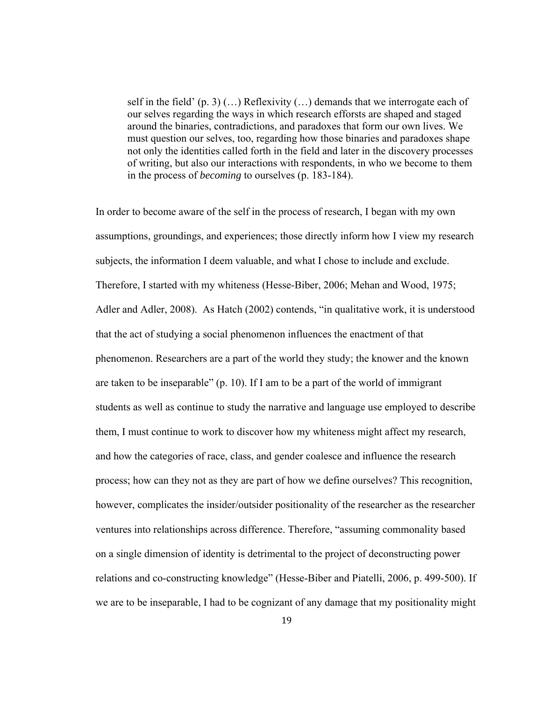self in the field'  $(p, 3)$   $(...)$  Reflexivity  $(...)$  demands that we interrogate each of our selves regarding the ways in which research efforsts are shaped and staged around the binaries, contradictions, and paradoxes that form our own lives. We must question our selves, too, regarding how those binaries and paradoxes shape not only the identities called forth in the field and later in the discovery processes of writing, but also our interactions with respondents, in who we become to them in the process of *becoming* to ourselves (p. 183-184).

In order to become aware of the self in the process of research, I began with my own assumptions, groundings, and experiences; those directly inform how I view my research subjects, the information I deem valuable, and what I chose to include and exclude. Therefore, I started with my whiteness (Hesse-Biber, 2006; Mehan and Wood, 1975; Adler and Adler, 2008). As Hatch (2002) contends, "in qualitative work, it is understood that the act of studying a social phenomenon influences the enactment of that phenomenon. Researchers are a part of the world they study; the knower and the known are taken to be inseparable" (p. 10). If I am to be a part of the world of immigrant students as well as continue to study the narrative and language use employed to describe them, I must continue to work to discover how my whiteness might affect my research, and how the categories of race, class, and gender coalesce and influence the research process; how can they not as they are part of how we define ourselves? This recognition, however, complicates the insider/outsider positionality of the researcher as the researcher ventures into relationships across difference. Therefore, "assuming commonality based on a single dimension of identity is detrimental to the project of deconstructing power relations and co-constructing knowledge" (Hesse-Biber and Piatelli, 2006, p. 499-500). If we are to be inseparable, I had to be cognizant of any damage that my positionality might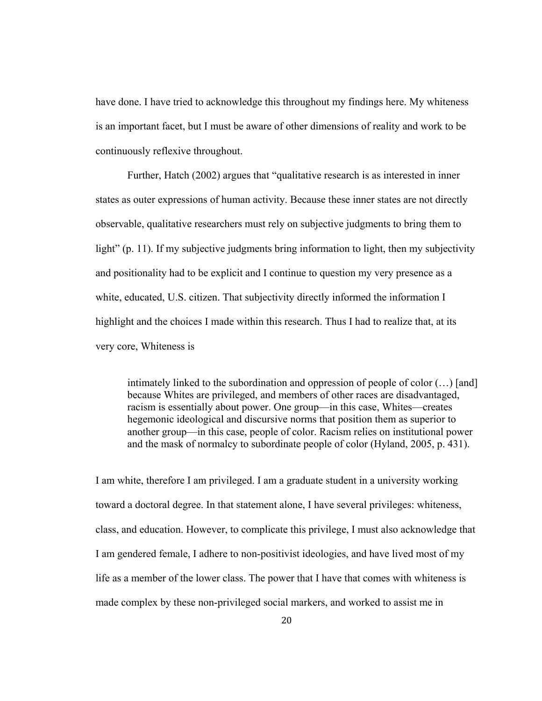have done. I have tried to acknowledge this throughout my findings here. My whiteness is an important facet, but I must be aware of other dimensions of reality and work to be continuously reflexive throughout.

Further, Hatch (2002) argues that "qualitative research is as interested in inner states as outer expressions of human activity. Because these inner states are not directly observable, qualitative researchers must rely on subjective judgments to bring them to light" (p. 11). If my subjective judgments bring information to light, then my subjectivity and positionality had to be explicit and I continue to question my very presence as a white, educated, U.S. citizen. That subjectivity directly informed the information I highlight and the choices I made within this research. Thus I had to realize that, at its very core, Whiteness is

intimately linked to the subordination and oppression of people of color (…) [and] because Whites are privileged, and members of other races are disadvantaged, racism is essentially about power. One group—in this case, Whites—creates hegemonic ideological and discursive norms that position them as superior to another group—in this case, people of color. Racism relies on institutional power and the mask of normalcy to subordinate people of color (Hyland, 2005, p. 431).

I am white, therefore I am privileged. I am a graduate student in a university working toward a doctoral degree. In that statement alone, I have several privileges: whiteness, class, and education. However, to complicate this privilege, I must also acknowledge that I am gendered female, I adhere to non-positivist ideologies, and have lived most of my life as a member of the lower class. The power that I have that comes with whiteness is made complex by these non-privileged social markers, and worked to assist me in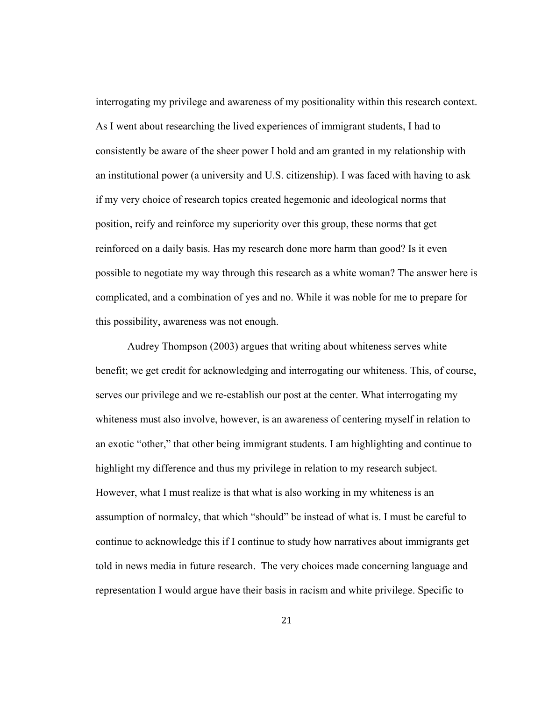interrogating my privilege and awareness of my positionality within this research context. As I went about researching the lived experiences of immigrant students, I had to consistently be aware of the sheer power I hold and am granted in my relationship with an institutional power (a university and U.S. citizenship). I was faced with having to ask if my very choice of research topics created hegemonic and ideological norms that position, reify and reinforce my superiority over this group, these norms that get reinforced on a daily basis. Has my research done more harm than good? Is it even possible to negotiate my way through this research as a white woman? The answer here is complicated, and a combination of yes and no. While it was noble for me to prepare for this possibility, awareness was not enough.

Audrey Thompson (2003) argues that writing about whiteness serves white benefit; we get credit for acknowledging and interrogating our whiteness. This, of course, serves our privilege and we re-establish our post at the center. What interrogating my whiteness must also involve, however, is an awareness of centering myself in relation to an exotic "other," that other being immigrant students. I am highlighting and continue to highlight my difference and thus my privilege in relation to my research subject. However, what I must realize is that what is also working in my whiteness is an assumption of normalcy, that which "should" be instead of what is. I must be careful to continue to acknowledge this if I continue to study how narratives about immigrants get told in news media in future research. The very choices made concerning language and representation I would argue have their basis in racism and white privilege. Specific to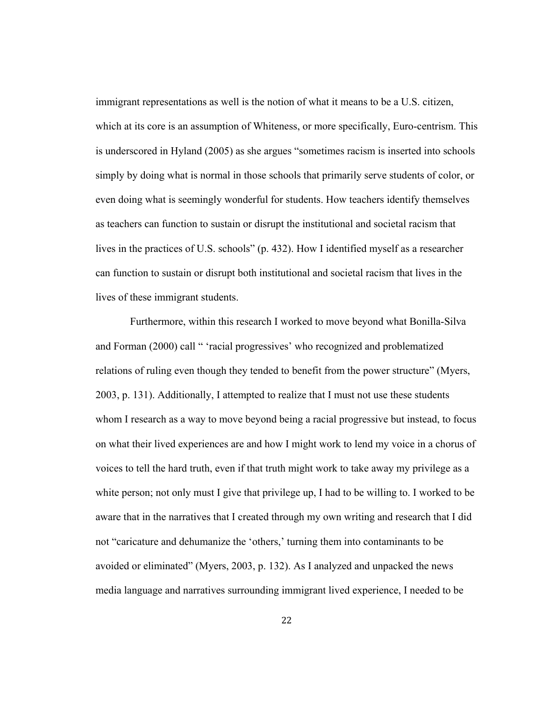immigrant representations as well is the notion of what it means to be a U.S. citizen, which at its core is an assumption of Whiteness, or more specifically, Euro-centrism. This is underscored in Hyland (2005) as she argues "sometimes racism is inserted into schools simply by doing what is normal in those schools that primarily serve students of color, or even doing what is seemingly wonderful for students. How teachers identify themselves as teachers can function to sustain or disrupt the institutional and societal racism that lives in the practices of U.S. schools" (p. 432). How I identified myself as a researcher can function to sustain or disrupt both institutional and societal racism that lives in the lives of these immigrant students.

 Furthermore, within this research I worked to move beyond what Bonilla-Silva and Forman (2000) call " 'racial progressives' who recognized and problematized relations of ruling even though they tended to benefit from the power structure" (Myers, 2003, p. 131). Additionally, I attempted to realize that I must not use these students whom I research as a way to move beyond being a racial progressive but instead, to focus on what their lived experiences are and how I might work to lend my voice in a chorus of voices to tell the hard truth, even if that truth might work to take away my privilege as a white person; not only must I give that privilege up, I had to be willing to. I worked to be aware that in the narratives that I created through my own writing and research that I did not "caricature and dehumanize the 'others,' turning them into contaminants to be avoided or eliminated" (Myers, 2003, p. 132). As I analyzed and unpacked the news media language and narratives surrounding immigrant lived experience, I needed to be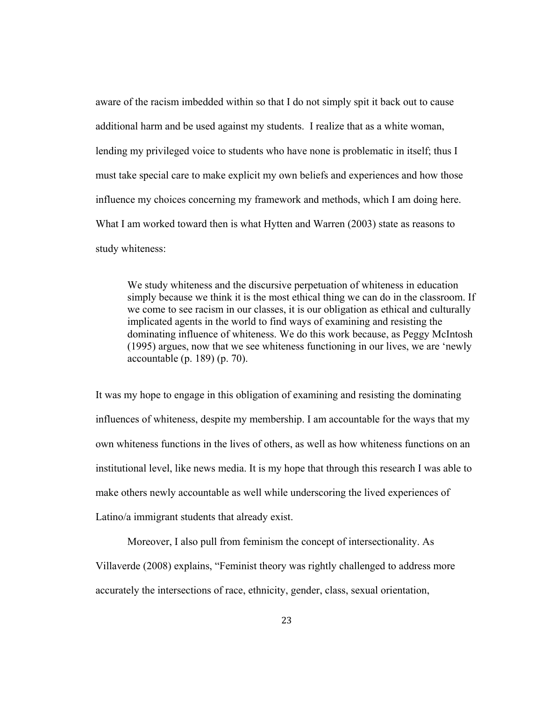aware of the racism imbedded within so that I do not simply spit it back out to cause additional harm and be used against my students. I realize that as a white woman, lending my privileged voice to students who have none is problematic in itself; thus I must take special care to make explicit my own beliefs and experiences and how those influence my choices concerning my framework and methods, which I am doing here. What I am worked toward then is what Hytten and Warren (2003) state as reasons to study whiteness:

We study whiteness and the discursive perpetuation of whiteness in education simply because we think it is the most ethical thing we can do in the classroom. If we come to see racism in our classes, it is our obligation as ethical and culturally implicated agents in the world to find ways of examining and resisting the dominating influence of whiteness. We do this work because, as Peggy McIntosh (1995) argues, now that we see whiteness functioning in our lives, we are 'newly accountable (p. 189) (p. 70).

It was my hope to engage in this obligation of examining and resisting the dominating influences of whiteness, despite my membership. I am accountable for the ways that my own whiteness functions in the lives of others, as well as how whiteness functions on an institutional level, like news media. It is my hope that through this research I was able to make others newly accountable as well while underscoring the lived experiences of Latino/a immigrant students that already exist.

Moreover, I also pull from feminism the concept of intersectionality. As

Villaverde (2008) explains, "Feminist theory was rightly challenged to address more

accurately the intersections of race, ethnicity, gender, class, sexual orientation,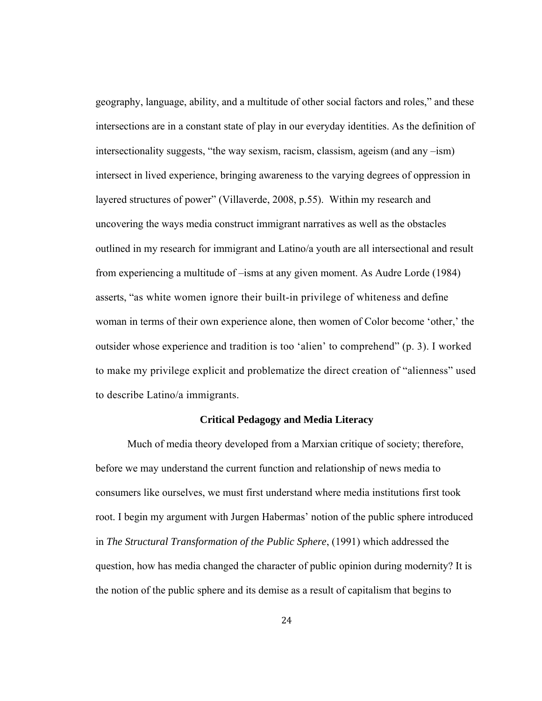geography, language, ability, and a multitude of other social factors and roles," and these intersections are in a constant state of play in our everyday identities. As the definition of intersectionality suggests, "the way sexism, racism, classism, ageism (and any –ism) intersect in lived experience, bringing awareness to the varying degrees of oppression in layered structures of power" (Villaverde, 2008, p.55). Within my research and uncovering the ways media construct immigrant narratives as well as the obstacles outlined in my research for immigrant and Latino/a youth are all intersectional and result from experiencing a multitude of –isms at any given moment. As Audre Lorde (1984) asserts, "as white women ignore their built-in privilege of whiteness and define woman in terms of their own experience alone, then women of Color become 'other,' the outsider whose experience and tradition is too 'alien' to comprehend" (p. 3). I worked to make my privilege explicit and problematize the direct creation of "alienness" used to describe Latino/a immigrants.

#### **Critical Pedagogy and Media Literacy**

Much of media theory developed from a Marxian critique of society; therefore, before we may understand the current function and relationship of news media to consumers like ourselves, we must first understand where media institutions first took root. I begin my argument with Jurgen Habermas' notion of the public sphere introduced in *The Structural Transformation of the Public Sphere*, (1991) which addressed the question, how has media changed the character of public opinion during modernity? It is the notion of the public sphere and its demise as a result of capitalism that begins to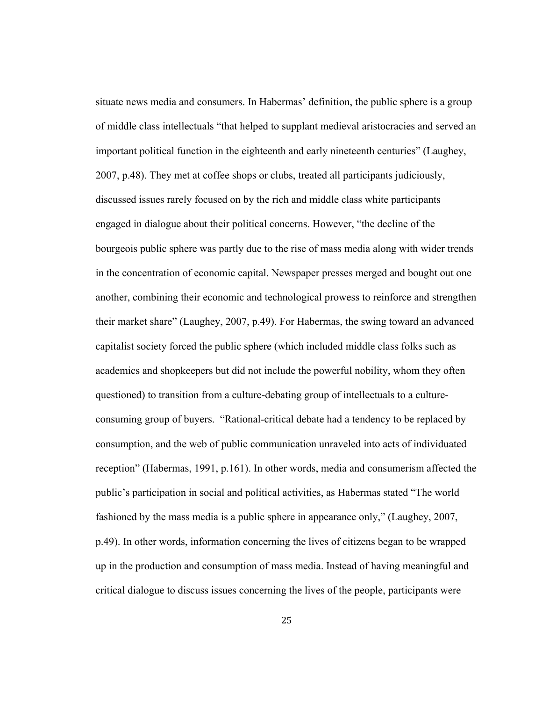situate news media and consumers. In Habermas' definition, the public sphere is a group of middle class intellectuals "that helped to supplant medieval aristocracies and served an important political function in the eighteenth and early nineteenth centuries" (Laughey, 2007, p.48). They met at coffee shops or clubs, treated all participants judiciously, discussed issues rarely focused on by the rich and middle class white participants engaged in dialogue about their political concerns. However, "the decline of the bourgeois public sphere was partly due to the rise of mass media along with wider trends in the concentration of economic capital. Newspaper presses merged and bought out one another, combining their economic and technological prowess to reinforce and strengthen their market share" (Laughey, 2007, p.49). For Habermas, the swing toward an advanced capitalist society forced the public sphere (which included middle class folks such as academics and shopkeepers but did not include the powerful nobility, whom they often questioned) to transition from a culture-debating group of intellectuals to a cultureconsuming group of buyers. "Rational-critical debate had a tendency to be replaced by consumption, and the web of public communication unraveled into acts of individuated reception" (Habermas, 1991, p.161). In other words, media and consumerism affected the public's participation in social and political activities, as Habermas stated "The world fashioned by the mass media is a public sphere in appearance only," (Laughey, 2007, p.49). In other words, information concerning the lives of citizens began to be wrapped up in the production and consumption of mass media. Instead of having meaningful and critical dialogue to discuss issues concerning the lives of the people, participants were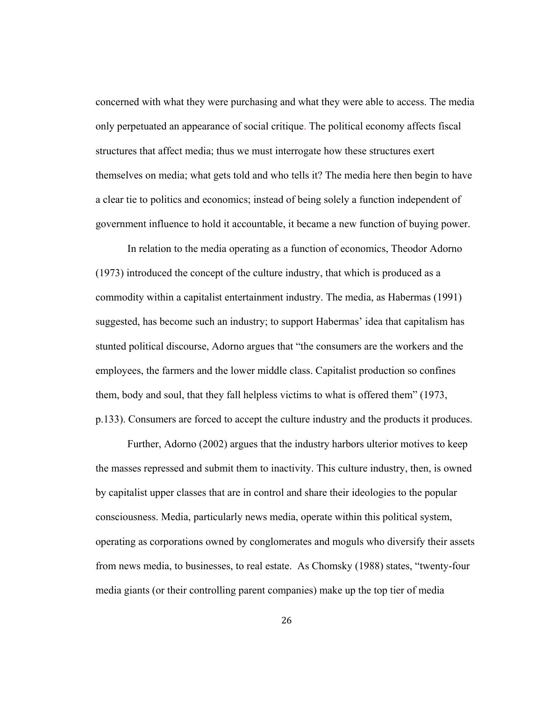concerned with what they were purchasing and what they were able to access. The media only perpetuated an appearance of social critique. The political economy affects fiscal structures that affect media; thus we must interrogate how these structures exert themselves on media; what gets told and who tells it? The media here then begin to have a clear tie to politics and economics; instead of being solely a function independent of government influence to hold it accountable, it became a new function of buying power.

In relation to the media operating as a function of economics, Theodor Adorno (1973) introduced the concept of the culture industry, that which is produced as a commodity within a capitalist entertainment industry. The media, as Habermas (1991) suggested, has become such an industry; to support Habermas' idea that capitalism has stunted political discourse, Adorno argues that "the consumers are the workers and the employees, the farmers and the lower middle class. Capitalist production so confines them, body and soul, that they fall helpless victims to what is offered them" (1973, p.133). Consumers are forced to accept the culture industry and the products it produces.

Further, Adorno (2002) argues that the industry harbors ulterior motives to keep the masses repressed and submit them to inactivity. This culture industry, then, is owned by capitalist upper classes that are in control and share their ideologies to the popular consciousness. Media, particularly news media, operate within this political system, operating as corporations owned by conglomerates and moguls who diversify their assets from news media, to businesses, to real estate. As Chomsky (1988) states, "twenty-four media giants (or their controlling parent companies) make up the top tier of media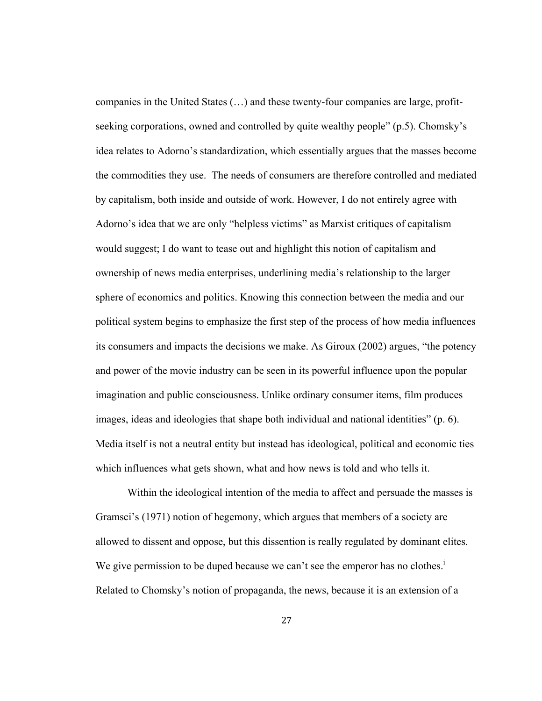companies in the United States (…) and these twenty-four companies are large, profitseeking corporations, owned and controlled by quite wealthy people" (p.5). Chomsky's idea relates to Adorno's standardization, which essentially argues that the masses become the commodities they use. The needs of consumers are therefore controlled and mediated by capitalism, both inside and outside of work. However, I do not entirely agree with Adorno's idea that we are only "helpless victims" as Marxist critiques of capitalism would suggest; I do want to tease out and highlight this notion of capitalism and ownership of news media enterprises, underlining media's relationship to the larger sphere of economics and politics. Knowing this connection between the media and our political system begins to emphasize the first step of the process of how media influences its consumers and impacts the decisions we make. As Giroux (2002) argues, "the potency and power of the movie industry can be seen in its powerful influence upon the popular imagination and public consciousness. Unlike ordinary consumer items, film produces images, ideas and ideologies that shape both individual and national identities" (p. 6). Media itself is not a neutral entity but instead has ideological, political and economic ties which influences what gets shown, what and how news is told and who tells it.

Within the ideological intention of the media to affect and persuade the masses is Gramsci's (1971) notion of hegemony, which argues that members of a society are allowed to dissent and oppose, but this dissention is really regulated by dominant elites. We give permission to be duped because we can't see the emperor has no clothes.<sup>i</sup> Related to Chomsky's notion of propaganda, the news, because it is an extension of a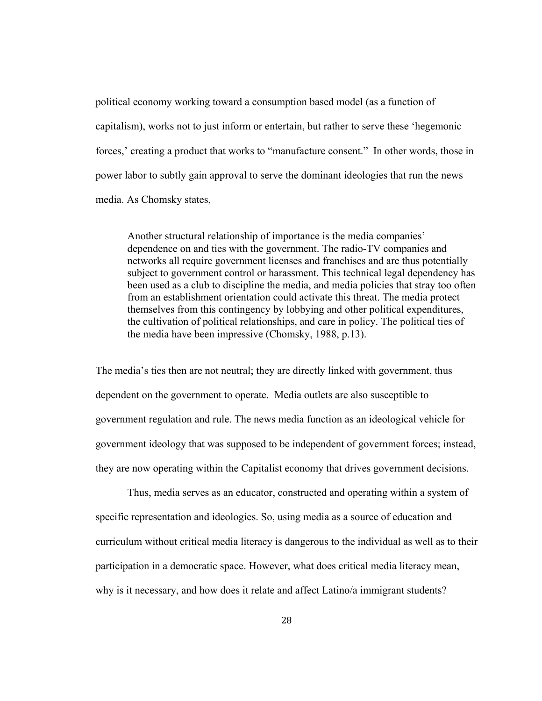political economy working toward a consumption based model (as a function of capitalism), works not to just inform or entertain, but rather to serve these 'hegemonic forces,' creating a product that works to "manufacture consent." In other words, those in power labor to subtly gain approval to serve the dominant ideologies that run the news media. As Chomsky states,

Another structural relationship of importance is the media companies' dependence on and ties with the government. The radio-TV companies and networks all require government licenses and franchises and are thus potentially subject to government control or harassment. This technical legal dependency has been used as a club to discipline the media, and media policies that stray too often from an establishment orientation could activate this threat. The media protect themselves from this contingency by lobbying and other political expenditures, the cultivation of political relationships, and care in policy. The political ties of the media have been impressive (Chomsky, 1988, p.13).

The media's ties then are not neutral; they are directly linked with government, thus dependent on the government to operate. Media outlets are also susceptible to government regulation and rule. The news media function as an ideological vehicle for government ideology that was supposed to be independent of government forces; instead, they are now operating within the Capitalist economy that drives government decisions.

 Thus, media serves as an educator, constructed and operating within a system of specific representation and ideologies. So, using media as a source of education and curriculum without critical media literacy is dangerous to the individual as well as to their participation in a democratic space. However, what does critical media literacy mean, why is it necessary, and how does it relate and affect Latino/a immigrant students?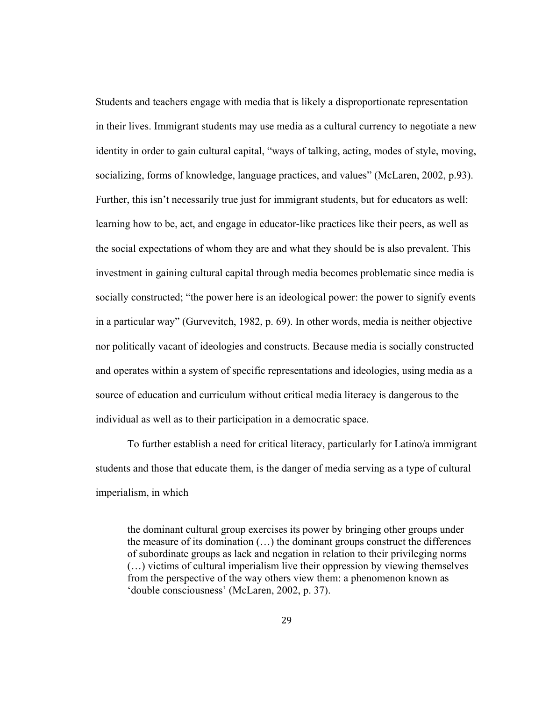Students and teachers engage with media that is likely a disproportionate representation in their lives. Immigrant students may use media as a cultural currency to negotiate a new identity in order to gain cultural capital, "ways of talking, acting, modes of style, moving, socializing, forms of knowledge, language practices, and values" (McLaren, 2002, p.93). Further, this isn't necessarily true just for immigrant students, but for educators as well: learning how to be, act, and engage in educator-like practices like their peers, as well as the social expectations of whom they are and what they should be is also prevalent. This investment in gaining cultural capital through media becomes problematic since media is socially constructed; "the power here is an ideological power: the power to signify events in a particular way" (Gurvevitch, 1982, p. 69). In other words, media is neither objective nor politically vacant of ideologies and constructs. Because media is socially constructed and operates within a system of specific representations and ideologies, using media as a source of education and curriculum without critical media literacy is dangerous to the individual as well as to their participation in a democratic space.

 To further establish a need for critical literacy, particularly for Latino/a immigrant students and those that educate them, is the danger of media serving as a type of cultural imperialism, in which

the dominant cultural group exercises its power by bringing other groups under the measure of its domination (…) the dominant groups construct the differences of subordinate groups as lack and negation in relation to their privileging norms (…) victims of cultural imperialism live their oppression by viewing themselves from the perspective of the way others view them: a phenomenon known as 'double consciousness' (McLaren, 2002, p. 37).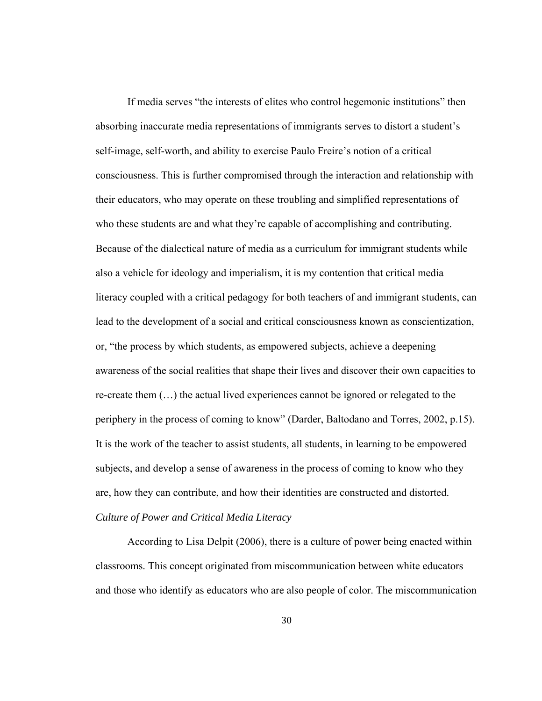If media serves "the interests of elites who control hegemonic institutions" then absorbing inaccurate media representations of immigrants serves to distort a student's self-image, self-worth, and ability to exercise Paulo Freire's notion of a critical consciousness. This is further compromised through the interaction and relationship with their educators, who may operate on these troubling and simplified representations of who these students are and what they're capable of accomplishing and contributing. Because of the dialectical nature of media as a curriculum for immigrant students while also a vehicle for ideology and imperialism, it is my contention that critical media literacy coupled with a critical pedagogy for both teachers of and immigrant students, can lead to the development of a social and critical consciousness known as conscientization, or, "the process by which students, as empowered subjects, achieve a deepening awareness of the social realities that shape their lives and discover their own capacities to re-create them (…) the actual lived experiences cannot be ignored or relegated to the periphery in the process of coming to know" (Darder, Baltodano and Torres, 2002, p.15). It is the work of the teacher to assist students, all students, in learning to be empowered subjects, and develop a sense of awareness in the process of coming to know who they are, how they can contribute, and how their identities are constructed and distorted. *Culture of Power and Critical Media Literacy*

According to Lisa Delpit (2006), there is a culture of power being enacted within classrooms. This concept originated from miscommunication between white educators and those who identify as educators who are also people of color. The miscommunication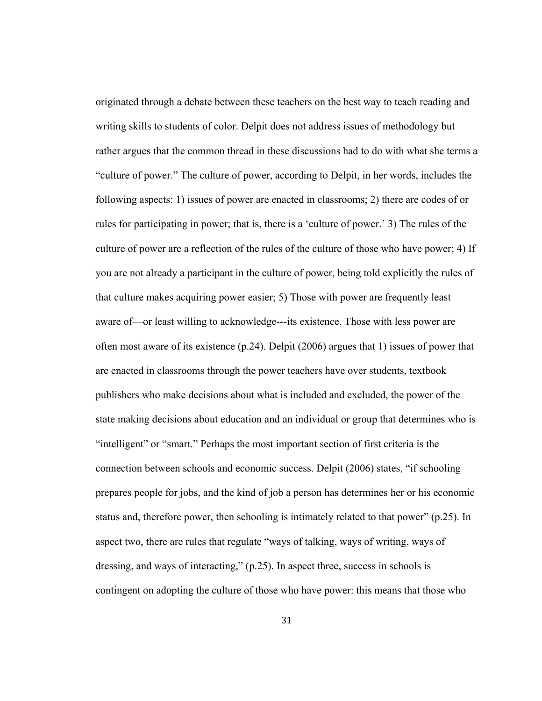originated through a debate between these teachers on the best way to teach reading and writing skills to students of color. Delpit does not address issues of methodology but rather argues that the common thread in these discussions had to do with what she terms a "culture of power." The culture of power, according to Delpit, in her words, includes the following aspects: 1) issues of power are enacted in classrooms; 2) there are codes of or rules for participating in power; that is, there is a 'culture of power.' 3) The rules of the culture of power are a reflection of the rules of the culture of those who have power; 4) If you are not already a participant in the culture of power, being told explicitly the rules of that culture makes acquiring power easier; 5) Those with power are frequently least aware of—or least willing to acknowledge---its existence. Those with less power are often most aware of its existence (p.24). Delpit (2006) argues that 1) issues of power that are enacted in classrooms through the power teachers have over students, textbook publishers who make decisions about what is included and excluded, the power of the state making decisions about education and an individual or group that determines who is "intelligent" or "smart." Perhaps the most important section of first criteria is the connection between schools and economic success. Delpit (2006) states, "if schooling prepares people for jobs, and the kind of job a person has determines her or his economic status and, therefore power, then schooling is intimately related to that power" (p.25). In aspect two, there are rules that regulate "ways of talking, ways of writing, ways of dressing, and ways of interacting," (p.25). In aspect three, success in schools is contingent on adopting the culture of those who have power: this means that those who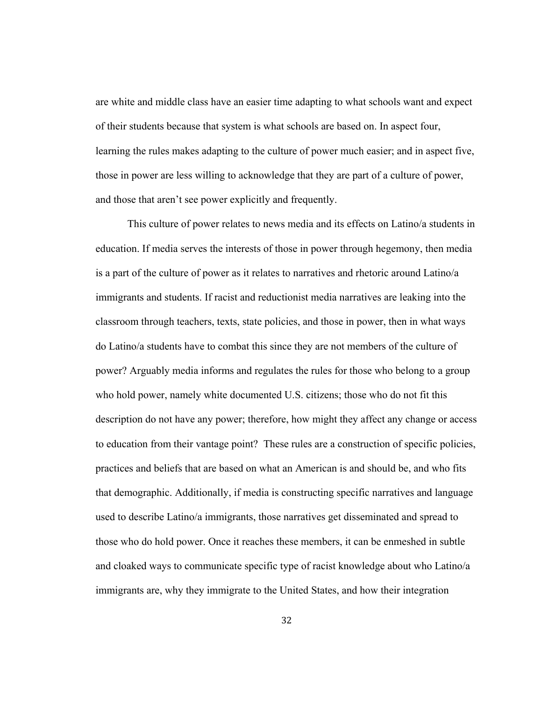are white and middle class have an easier time adapting to what schools want and expect of their students because that system is what schools are based on. In aspect four, learning the rules makes adapting to the culture of power much easier; and in aspect five, those in power are less willing to acknowledge that they are part of a culture of power, and those that aren't see power explicitly and frequently.

This culture of power relates to news media and its effects on Latino/a students in education. If media serves the interests of those in power through hegemony, then media is a part of the culture of power as it relates to narratives and rhetoric around Latino/a immigrants and students. If racist and reductionist media narratives are leaking into the classroom through teachers, texts, state policies, and those in power, then in what ways do Latino/a students have to combat this since they are not members of the culture of power? Arguably media informs and regulates the rules for those who belong to a group who hold power, namely white documented U.S. citizens; those who do not fit this description do not have any power; therefore, how might they affect any change or access to education from their vantage point? These rules are a construction of specific policies, practices and beliefs that are based on what an American is and should be, and who fits that demographic. Additionally, if media is constructing specific narratives and language used to describe Latino/a immigrants, those narratives get disseminated and spread to those who do hold power. Once it reaches these members, it can be enmeshed in subtle and cloaked ways to communicate specific type of racist knowledge about who Latino/a immigrants are, why they immigrate to the United States, and how their integration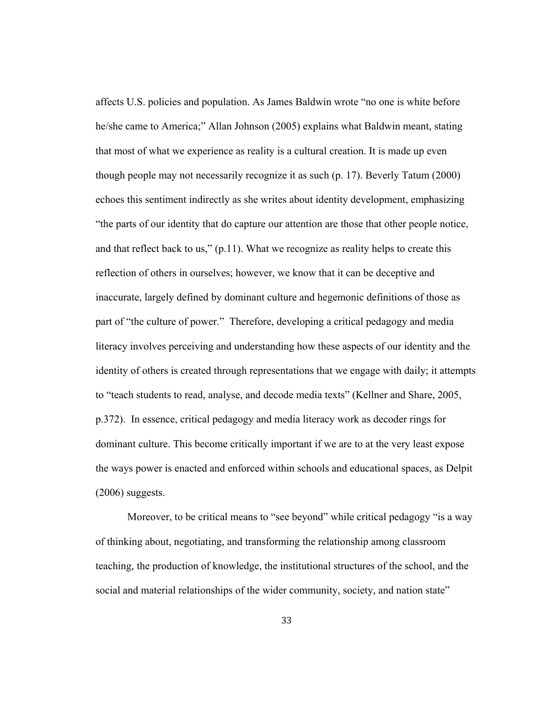affects U.S. policies and population. As James Baldwin wrote "no one is white before he/she came to America;" Allan Johnson (2005) explains what Baldwin meant, stating that most of what we experience as reality is a cultural creation. It is made up even though people may not necessarily recognize it as such (p. 17). Beverly Tatum (2000) echoes this sentiment indirectly as she writes about identity development, emphasizing "the parts of our identity that do capture our attention are those that other people notice, and that reflect back to us," (p.11). What we recognize as reality helps to create this reflection of others in ourselves; however, we know that it can be deceptive and inaccurate, largely defined by dominant culture and hegemonic definitions of those as part of "the culture of power." Therefore, developing a critical pedagogy and media literacy involves perceiving and understanding how these aspects of our identity and the identity of others is created through representations that we engage with daily; it attempts to "teach students to read, analyse, and decode media texts" (Kellner and Share, 2005, p.372). In essence, critical pedagogy and media literacy work as decoder rings for dominant culture. This become critically important if we are to at the very least expose the ways power is enacted and enforced within schools and educational spaces, as Delpit (2006) suggests.

 Moreover, to be critical means to "see beyond" while critical pedagogy "is a way of thinking about, negotiating, and transforming the relationship among classroom teaching, the production of knowledge, the institutional structures of the school, and the social and material relationships of the wider community, society, and nation state"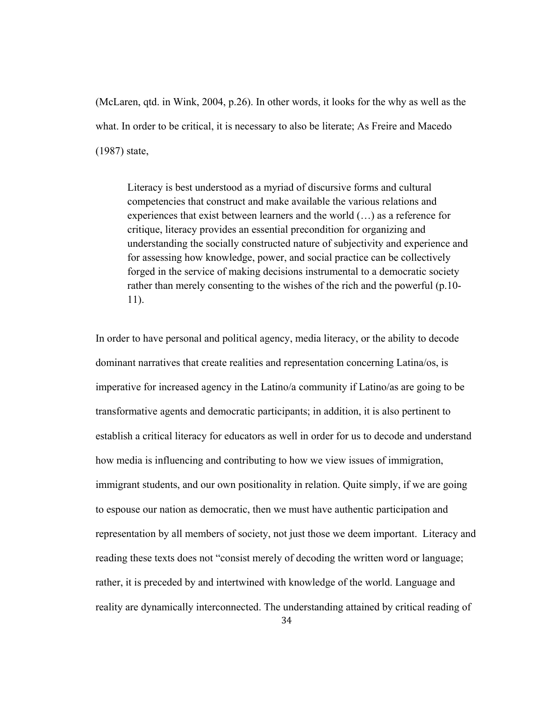(McLaren, qtd. in Wink, 2004, p.26). In other words, it looks for the why as well as the what. In order to be critical, it is necessary to also be literate; As Freire and Macedo (1987) state,

Literacy is best understood as a myriad of discursive forms and cultural competencies that construct and make available the various relations and experiences that exist between learners and the world (…) as a reference for critique, literacy provides an essential precondition for organizing and understanding the socially constructed nature of subjectivity and experience and for assessing how knowledge, power, and social practice can be collectively forged in the service of making decisions instrumental to a democratic society rather than merely consenting to the wishes of the rich and the powerful (p.10- 11).

In order to have personal and political agency, media literacy, or the ability to decode dominant narratives that create realities and representation concerning Latina/os, is imperative for increased agency in the Latino/a community if Latino/as are going to be transformative agents and democratic participants; in addition, it is also pertinent to establish a critical literacy for educators as well in order for us to decode and understand how media is influencing and contributing to how we view issues of immigration, immigrant students, and our own positionality in relation. Quite simply, if we are going to espouse our nation as democratic, then we must have authentic participation and representation by all members of society, not just those we deem important. Literacy and reading these texts does not "consist merely of decoding the written word or language; rather, it is preceded by and intertwined with knowledge of the world. Language and reality are dynamically interconnected. The understanding attained by critical reading of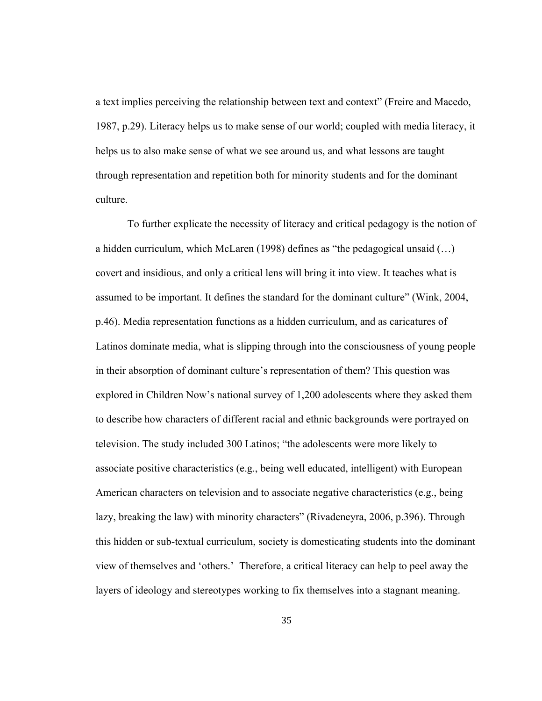a text implies perceiving the relationship between text and context" (Freire and Macedo, 1987, p.29). Literacy helps us to make sense of our world; coupled with media literacy, it helps us to also make sense of what we see around us, and what lessons are taught through representation and repetition both for minority students and for the dominant culture.

 To further explicate the necessity of literacy and critical pedagogy is the notion of a hidden curriculum, which McLaren (1998) defines as "the pedagogical unsaid (…) covert and insidious, and only a critical lens will bring it into view. It teaches what is assumed to be important. It defines the standard for the dominant culture" (Wink, 2004, p.46). Media representation functions as a hidden curriculum, and as caricatures of Latinos dominate media, what is slipping through into the consciousness of young people in their absorption of dominant culture's representation of them? This question was explored in Children Now's national survey of 1,200 adolescents where they asked them to describe how characters of different racial and ethnic backgrounds were portrayed on television. The study included 300 Latinos; "the adolescents were more likely to associate positive characteristics (e.g., being well educated, intelligent) with European American characters on television and to associate negative characteristics (e.g., being lazy, breaking the law) with minority characters" (Rivadeneyra, 2006, p.396). Through this hidden or sub-textual curriculum, society is domesticating students into the dominant view of themselves and 'others.' Therefore, a critical literacy can help to peel away the layers of ideology and stereotypes working to fix themselves into a stagnant meaning.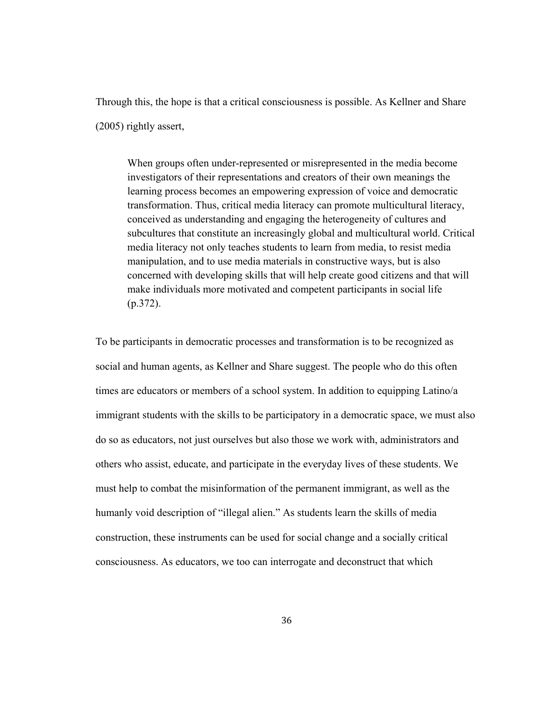Through this, the hope is that a critical consciousness is possible. As Kellner and Share (2005) rightly assert,

When groups often under-represented or misrepresented in the media become investigators of their representations and creators of their own meanings the learning process becomes an empowering expression of voice and democratic transformation. Thus, critical media literacy can promote multicultural literacy, conceived as understanding and engaging the heterogeneity of cultures and subcultures that constitute an increasingly global and multicultural world. Critical media literacy not only teaches students to learn from media, to resist media manipulation, and to use media materials in constructive ways, but is also concerned with developing skills that will help create good citizens and that will make individuals more motivated and competent participants in social life  $(p.372)$ .

To be participants in democratic processes and transformation is to be recognized as social and human agents, as Kellner and Share suggest. The people who do this often times are educators or members of a school system. In addition to equipping Latino/a immigrant students with the skills to be participatory in a democratic space, we must also do so as educators, not just ourselves but also those we work with, administrators and others who assist, educate, and participate in the everyday lives of these students. We must help to combat the misinformation of the permanent immigrant, as well as the humanly void description of "illegal alien." As students learn the skills of media construction, these instruments can be used for social change and a socially critical consciousness. As educators, we too can interrogate and deconstruct that which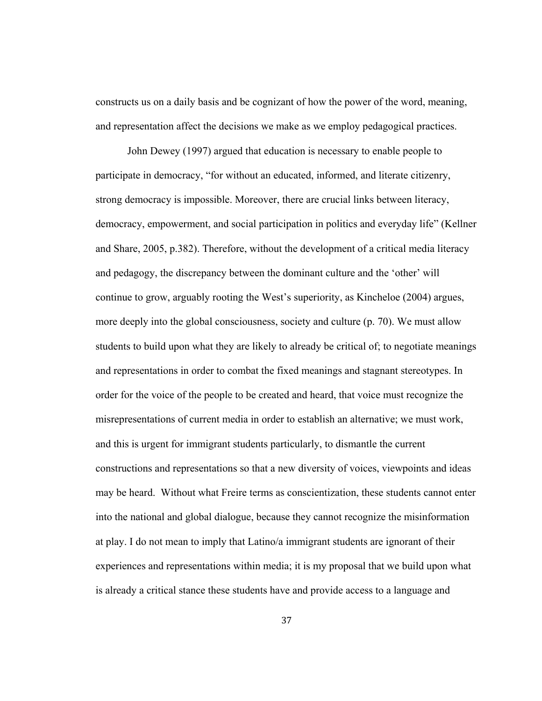constructs us on a daily basis and be cognizant of how the power of the word, meaning, and representation affect the decisions we make as we employ pedagogical practices.

 John Dewey (1997) argued that education is necessary to enable people to participate in democracy, "for without an educated, informed, and literate citizenry, strong democracy is impossible. Moreover, there are crucial links between literacy, democracy, empowerment, and social participation in politics and everyday life" (Kellner and Share, 2005, p.382). Therefore, without the development of a critical media literacy and pedagogy, the discrepancy between the dominant culture and the 'other' will continue to grow, arguably rooting the West's superiority, as Kincheloe (2004) argues, more deeply into the global consciousness, society and culture (p. 70). We must allow students to build upon what they are likely to already be critical of; to negotiate meanings and representations in order to combat the fixed meanings and stagnant stereotypes. In order for the voice of the people to be created and heard, that voice must recognize the misrepresentations of current media in order to establish an alternative; we must work, and this is urgent for immigrant students particularly, to dismantle the current constructions and representations so that a new diversity of voices, viewpoints and ideas may be heard. Without what Freire terms as conscientization, these students cannot enter into the national and global dialogue, because they cannot recognize the misinformation at play. I do not mean to imply that Latino/a immigrant students are ignorant of their experiences and representations within media; it is my proposal that we build upon what is already a critical stance these students have and provide access to a language and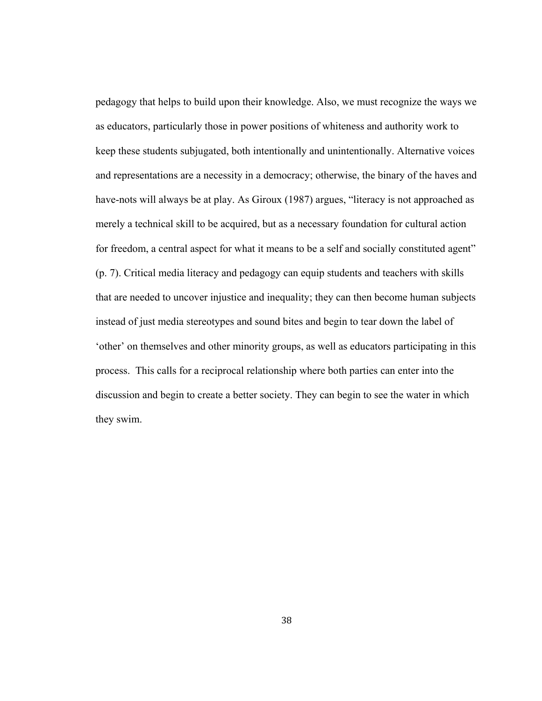pedagogy that helps to build upon their knowledge. Also, we must recognize the ways we as educators, particularly those in power positions of whiteness and authority work to keep these students subjugated, both intentionally and unintentionally. Alternative voices and representations are a necessity in a democracy; otherwise, the binary of the haves and have-nots will always be at play. As Giroux (1987) argues, "literacy is not approached as merely a technical skill to be acquired, but as a necessary foundation for cultural action for freedom, a central aspect for what it means to be a self and socially constituted agent" (p. 7). Critical media literacy and pedagogy can equip students and teachers with skills that are needed to uncover injustice and inequality; they can then become human subjects instead of just media stereotypes and sound bites and begin to tear down the label of 'other' on themselves and other minority groups, as well as educators participating in this process. This calls for a reciprocal relationship where both parties can enter into the discussion and begin to create a better society. They can begin to see the water in which they swim.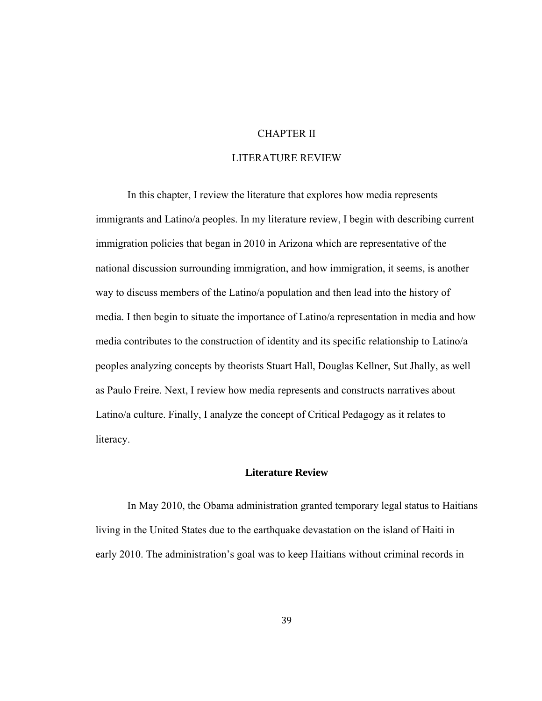## CHAPTER II

## LITERATURE REVIEW

 In this chapter, I review the literature that explores how media represents immigrants and Latino/a peoples. In my literature review, I begin with describing current immigration policies that began in 2010 in Arizona which are representative of the national discussion surrounding immigration, and how immigration, it seems, is another way to discuss members of the Latino/a population and then lead into the history of media. I then begin to situate the importance of Latino/a representation in media and how media contributes to the construction of identity and its specific relationship to Latino/a peoples analyzing concepts by theorists Stuart Hall, Douglas Kellner, Sut Jhally, as well as Paulo Freire. Next, I review how media represents and constructs narratives about Latino/a culture. Finally, I analyze the concept of Critical Pedagogy as it relates to literacy.

## **Literature Review**

In May 2010, the Obama administration granted temporary legal status to Haitians living in the United States due to the earthquake devastation on the island of Haiti in early 2010. The administration's goal was to keep Haitians without criminal records in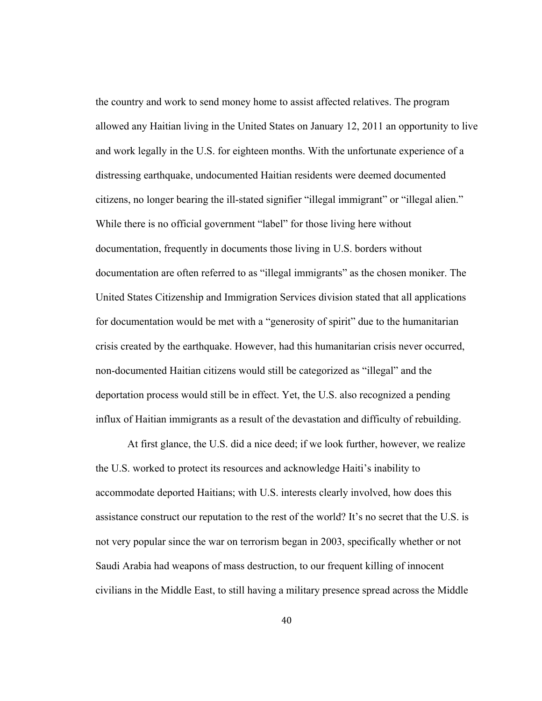the country and work to send money home to assist affected relatives. The program allowed any Haitian living in the United States on January 12, 2011 an opportunity to live and work legally in the U.S. for eighteen months. With the unfortunate experience of a distressing earthquake, undocumented Haitian residents were deemed documented citizens, no longer bearing the ill-stated signifier "illegal immigrant" or "illegal alien." While there is no official government "label" for those living here without documentation, frequently in documents those living in U.S. borders without documentation are often referred to as "illegal immigrants" as the chosen moniker. The United States Citizenship and Immigration Services division stated that all applications for documentation would be met with a "generosity of spirit" due to the humanitarian crisis created by the earthquake. However, had this humanitarian crisis never occurred, non-documented Haitian citizens would still be categorized as "illegal" and the deportation process would still be in effect. Yet, the U.S. also recognized a pending influx of Haitian immigrants as a result of the devastation and difficulty of rebuilding.

 At first glance, the U.S. did a nice deed; if we look further, however, we realize the U.S. worked to protect its resources and acknowledge Haiti's inability to accommodate deported Haitians; with U.S. interests clearly involved, how does this assistance construct our reputation to the rest of the world? It's no secret that the U.S. is not very popular since the war on terrorism began in 2003, specifically whether or not Saudi Arabia had weapons of mass destruction, to our frequent killing of innocent civilians in the Middle East, to still having a military presence spread across the Middle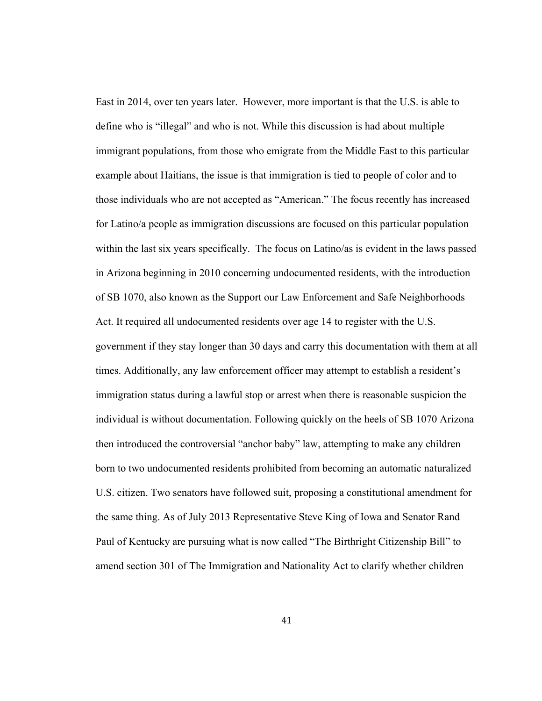East in 2014, over ten years later. However, more important is that the U.S. is able to define who is "illegal" and who is not. While this discussion is had about multiple immigrant populations, from those who emigrate from the Middle East to this particular example about Haitians, the issue is that immigration is tied to people of color and to those individuals who are not accepted as "American." The focus recently has increased for Latino/a people as immigration discussions are focused on this particular population within the last six years specifically. The focus on Latino/as is evident in the laws passed in Arizona beginning in 2010 concerning undocumented residents, with the introduction of SB 1070, also known as the Support our Law Enforcement and Safe Neighborhoods Act. It required all undocumented residents over age 14 to register with the U.S. government if they stay longer than 30 days and carry this documentation with them at all times. Additionally, any law enforcement officer may attempt to establish a resident's immigration status during a lawful stop or arrest when there is reasonable suspicion the individual is without documentation. Following quickly on the heels of SB 1070 Arizona then introduced the controversial "anchor baby" law, attempting to make any children born to two undocumented residents prohibited from becoming an automatic naturalized U.S. citizen. Two senators have followed suit, proposing a constitutional amendment for the same thing. As of July 2013 Representative Steve King of Iowa and Senator Rand Paul of Kentucky are pursuing what is now called "The Birthright Citizenship Bill" to amend section 301 of The Immigration and Nationality Act to clarify whether children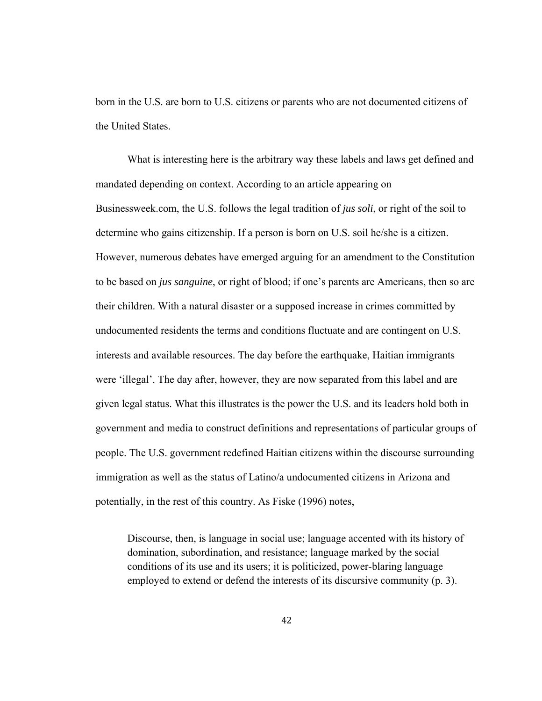born in the U.S. are born to U.S. citizens or parents who are not documented citizens of the United States.

 What is interesting here is the arbitrary way these labels and laws get defined and mandated depending on context. According to an article appearing on Businessweek.com, the U.S. follows the legal tradition of *jus soli*, or right of the soil to determine who gains citizenship. If a person is born on U.S. soil he/she is a citizen. However, numerous debates have emerged arguing for an amendment to the Constitution to be based on *jus sanguine*, or right of blood; if one's parents are Americans, then so are their children. With a natural disaster or a supposed increase in crimes committed by undocumented residents the terms and conditions fluctuate and are contingent on U.S. interests and available resources. The day before the earthquake, Haitian immigrants were 'illegal'. The day after, however, they are now separated from this label and are given legal status. What this illustrates is the power the U.S. and its leaders hold both in government and media to construct definitions and representations of particular groups of people. The U.S. government redefined Haitian citizens within the discourse surrounding immigration as well as the status of Latino/a undocumented citizens in Arizona and potentially, in the rest of this country. As Fiske (1996) notes,

Discourse, then, is language in social use; language accented with its history of domination, subordination, and resistance; language marked by the social conditions of its use and its users; it is politicized, power-blaring language employed to extend or defend the interests of its discursive community (p. 3).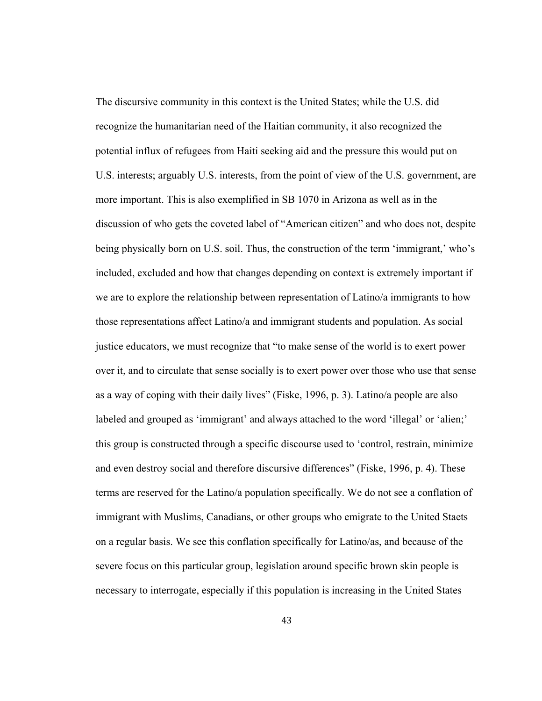The discursive community in this context is the United States; while the U.S. did recognize the humanitarian need of the Haitian community, it also recognized the potential influx of refugees from Haiti seeking aid and the pressure this would put on U.S. interests; arguably U.S. interests, from the point of view of the U.S. government, are more important. This is also exemplified in SB 1070 in Arizona as well as in the discussion of who gets the coveted label of "American citizen" and who does not, despite being physically born on U.S. soil. Thus, the construction of the term 'immigrant,' who's included, excluded and how that changes depending on context is extremely important if we are to explore the relationship between representation of Latino/a immigrants to how those representations affect Latino/a and immigrant students and population. As social justice educators, we must recognize that "to make sense of the world is to exert power over it, and to circulate that sense socially is to exert power over those who use that sense as a way of coping with their daily lives" (Fiske, 1996, p. 3). Latino/a people are also labeled and grouped as 'immigrant' and always attached to the word 'illegal' or 'alien;' this group is constructed through a specific discourse used to 'control, restrain, minimize and even destroy social and therefore discursive differences" (Fiske, 1996, p. 4). These terms are reserved for the Latino/a population specifically. We do not see a conflation of immigrant with Muslims, Canadians, or other groups who emigrate to the United Staets on a regular basis. We see this conflation specifically for Latino/as, and because of the severe focus on this particular group, legislation around specific brown skin people is necessary to interrogate, especially if this population is increasing in the United States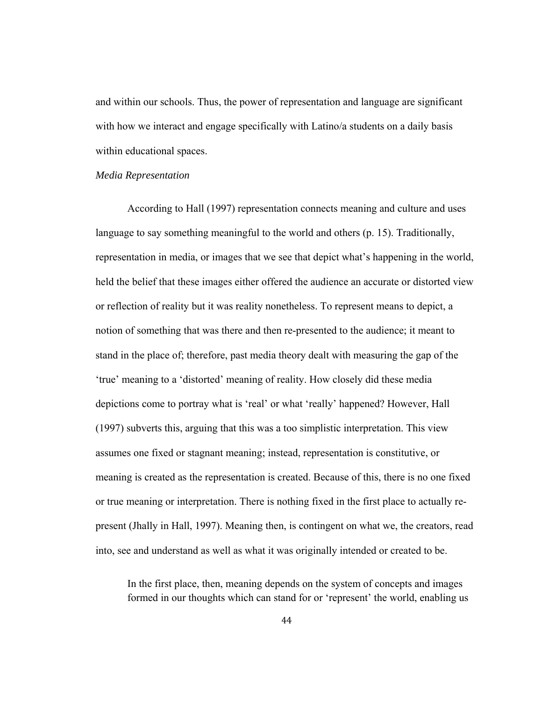and within our schools. Thus, the power of representation and language are significant with how we interact and engage specifically with Latino/a students on a daily basis within educational spaces.

## *Media Representation*

According to Hall (1997) representation connects meaning and culture and uses language to say something meaningful to the world and others (p. 15). Traditionally, representation in media, or images that we see that depict what's happening in the world, held the belief that these images either offered the audience an accurate or distorted view or reflection of reality but it was reality nonetheless. To represent means to depict, a notion of something that was there and then re-presented to the audience; it meant to stand in the place of; therefore, past media theory dealt with measuring the gap of the 'true' meaning to a 'distorted' meaning of reality. How closely did these media depictions come to portray what is 'real' or what 'really' happened? However, Hall (1997) subverts this, arguing that this was a too simplistic interpretation. This view assumes one fixed or stagnant meaning; instead, representation is constitutive, or meaning is created as the representation is created. Because of this, there is no one fixed or true meaning or interpretation. There is nothing fixed in the first place to actually represent (Jhally in Hall, 1997). Meaning then, is contingent on what we, the creators, read into, see and understand as well as what it was originally intended or created to be.

In the first place, then, meaning depends on the system of concepts and images formed in our thoughts which can stand for or 'represent' the world, enabling us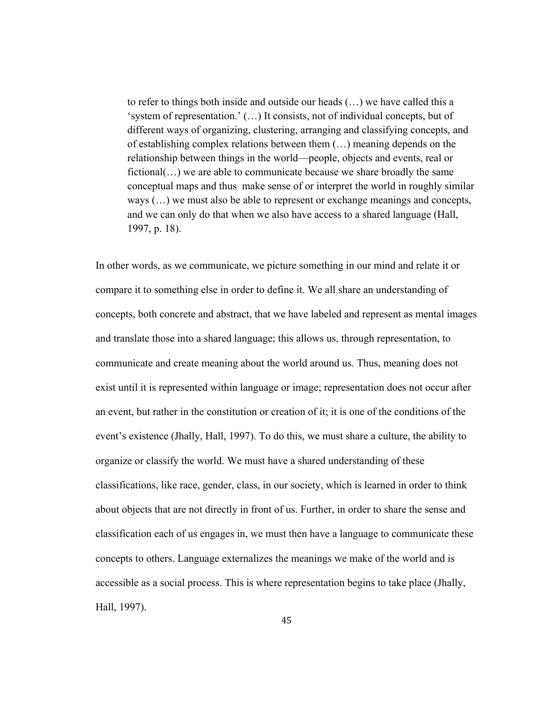to refer to things both inside and outside our heads (…) we have called this a 'system of representation.' (…) It consists, not of individual concepts, but of different ways of organizing, clustering, arranging and classifying concepts, and of establishing complex relations between them (…) meaning depends on the relationship between things in the world—people, objects and events, real or fictional(…) we are able to communicate because we share broadly the same conceptual maps and thus make sense of or interpret the world in roughly similar ways (…) we must also be able to represent or exchange meanings and concepts, and we can only do that when we also have access to a shared language (Hall, 1997, p. 18).

In other words, as we communicate, we picture something in our mind and relate it or compare it to something else in order to define it. We all share an understanding of concepts, both concrete and abstract, that we have labeled and represent as mental images and translate those into a shared language; this allows us, through representation, to communicate and create meaning about the world around us. Thus, meaning does not exist until it is represented within language or image; representation does not occur after an event, but rather in the constitution or creation of it; it is one of the conditions of the event's existence (Jhally, Hall, 1997). To do this, we must share a culture, the ability to organize or classify the world. We must have a shared understanding of these classifications, like race, gender, class, in our society, which is learned in order to think about objects that are not directly in front of us. Further, in order to share the sense and classification each of us engages in, we must then have a language to communicate these concepts to others. Language externalizes the meanings we make of the world and is accessible as a social process. This is where representation begins to take place (Jhally, Hall, 1997).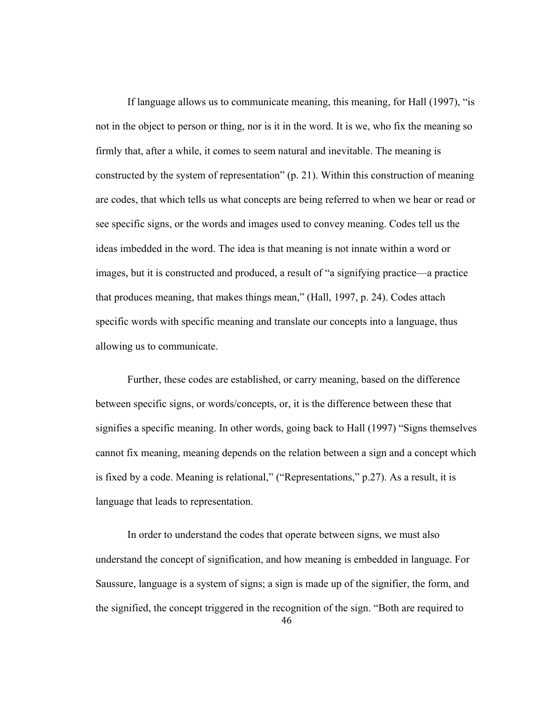If language allows us to communicate meaning, this meaning, for Hall (1997), "is not in the object to person or thing, nor is it in the word. It is we, who fix the meaning so firmly that, after a while, it comes to seem natural and inevitable. The meaning is constructed by the system of representation" (p. 21). Within this construction of meaning are codes, that which tells us what concepts are being referred to when we hear or read or see specific signs, or the words and images used to convey meaning. Codes tell us the ideas imbedded in the word. The idea is that meaning is not innate within a word or images, but it is constructed and produced, a result of "a signifying practice—a practice that produces meaning, that makes things mean," (Hall, 1997, p. 24). Codes attach specific words with specific meaning and translate our concepts into a language, thus allowing us to communicate.

Further, these codes are established, or carry meaning, based on the difference between specific signs, or words/concepts, or, it is the difference between these that signifies a specific meaning. In other words, going back to Hall (1997) "Signs themselves cannot fix meaning, meaning depends on the relation between a sign and a concept which is fixed by a code. Meaning is relational," ("Representations," p.27). As a result, it is language that leads to representation.

 In order to understand the codes that operate between signs, we must also understand the concept of signification, and how meaning is embedded in language. For Saussure, language is a system of signs; a sign is made up of the signifier, the form, and the signified, the concept triggered in the recognition of the sign. "Both are required to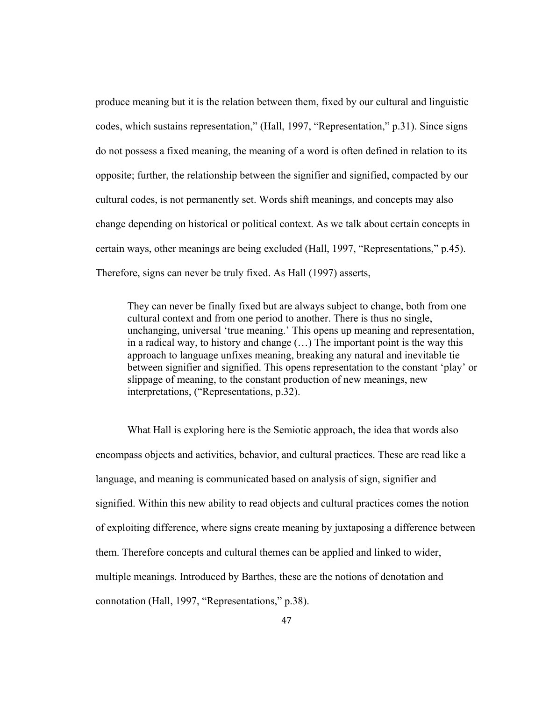produce meaning but it is the relation between them, fixed by our cultural and linguistic codes, which sustains representation," (Hall, 1997, "Representation," p.31). Since signs do not possess a fixed meaning, the meaning of a word is often defined in relation to its opposite; further, the relationship between the signifier and signified, compacted by our cultural codes, is not permanently set. Words shift meanings, and concepts may also change depending on historical or political context. As we talk about certain concepts in certain ways, other meanings are being excluded (Hall, 1997, "Representations," p.45). Therefore, signs can never be truly fixed. As Hall (1997) asserts,

They can never be finally fixed but are always subject to change, both from one cultural context and from one period to another. There is thus no single, unchanging, universal 'true meaning.' This opens up meaning and representation, in a radical way, to history and change (…) The important point is the way this approach to language unfixes meaning, breaking any natural and inevitable tie between signifier and signified. This opens representation to the constant 'play' or slippage of meaning, to the constant production of new meanings, new interpretations, ("Representations, p.32).

What Hall is exploring here is the Semiotic approach, the idea that words also encompass objects and activities, behavior, and cultural practices. These are read like a language, and meaning is communicated based on analysis of sign, signifier and signified. Within this new ability to read objects and cultural practices comes the notion of exploiting difference, where signs create meaning by juxtaposing a difference between them. Therefore concepts and cultural themes can be applied and linked to wider, multiple meanings. Introduced by Barthes, these are the notions of denotation and connotation (Hall, 1997, "Representations," p.38).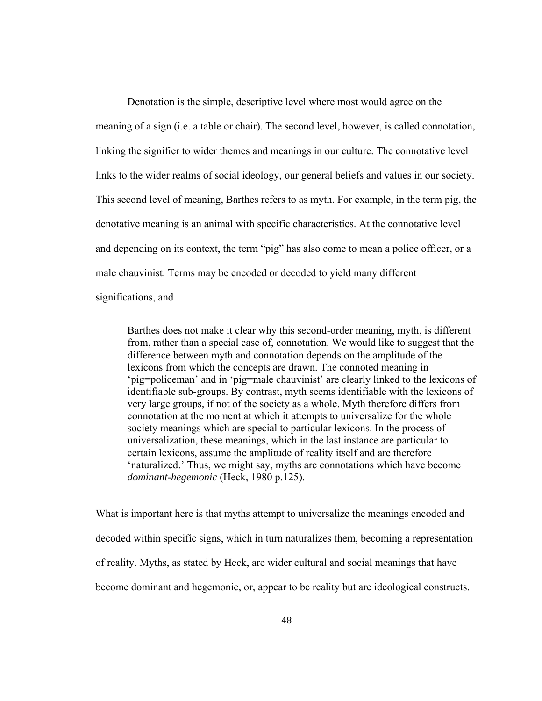Denotation is the simple, descriptive level where most would agree on the meaning of a sign (i.e. a table or chair). The second level, however, is called connotation, linking the signifier to wider themes and meanings in our culture. The connotative level links to the wider realms of social ideology, our general beliefs and values in our society. This second level of meaning, Barthes refers to as myth. For example, in the term pig, the denotative meaning is an animal with specific characteristics. At the connotative level and depending on its context, the term "pig" has also come to mean a police officer, or a male chauvinist. Terms may be encoded or decoded to yield many different significations, and

Barthes does not make it clear why this second-order meaning, myth, is different from, rather than a special case of, connotation. We would like to suggest that the difference between myth and connotation depends on the amplitude of the lexicons from which the concepts are drawn. The connoted meaning in 'pig=policeman' and in 'pig=male chauvinist' are clearly linked to the lexicons of identifiable sub-groups. By contrast, myth seems identifiable with the lexicons of very large groups, if not of the society as a whole. Myth therefore differs from connotation at the moment at which it attempts to universalize for the whole society meanings which are special to particular lexicons. In the process of universalization, these meanings, which in the last instance are particular to certain lexicons, assume the amplitude of reality itself and are therefore 'naturalized.' Thus, we might say, myths are connotations which have become *dominant-hegemonic* (Heck, 1980 p.125).

What is important here is that myths attempt to universalize the meanings encoded and decoded within specific signs, which in turn naturalizes them, becoming a representation of reality. Myths, as stated by Heck, are wider cultural and social meanings that have become dominant and hegemonic, or, appear to be reality but are ideological constructs.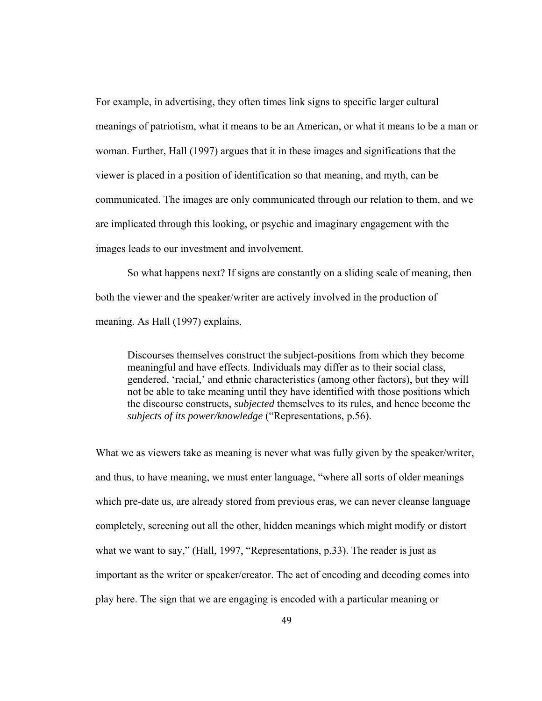For example, in advertising, they often times link signs to specific larger cultural meanings of patriotism, what it means to be an American, or what it means to be a man or woman. Further, Hall (1997) argues that it in these images and significations that the viewer is placed in a position of identification so that meaning, and myth, can be communicated. The images are only communicated through our relation to them, and we are implicated through this looking, or psychic and imaginary engagement with the images leads to our investment and involvement.

So what happens next? If signs are constantly on a sliding scale of meaning, then both the viewer and the speaker/writer are actively involved in the production of meaning. As Hall (1997) explains,

Discourses themselves construct the subject-positions from which they become meaningful and have effects. Individuals may differ as to their social class, gendered, 'racial,' and ethnic characteristics (among other factors), but they will not be able to take meaning until they have identified with those positions which the discourse constructs, *subjected* themselves to its rules, and hence become the *subjects of its power/knowledge* ("Representations, p.56).

What we as viewers take as meaning is never what was fully given by the speaker/writer, and thus, to have meaning, we must enter language, "where all sorts of older meanings which pre-date us, are already stored from previous eras, we can never cleanse language completely, screening out all the other, hidden meanings which might modify or distort what we want to say," (Hall, 1997, "Representations, p.33). The reader is just as important as the writer or speaker/creator. The act of encoding and decoding comes into play here. The sign that we are engaging is encoded with a particular meaning or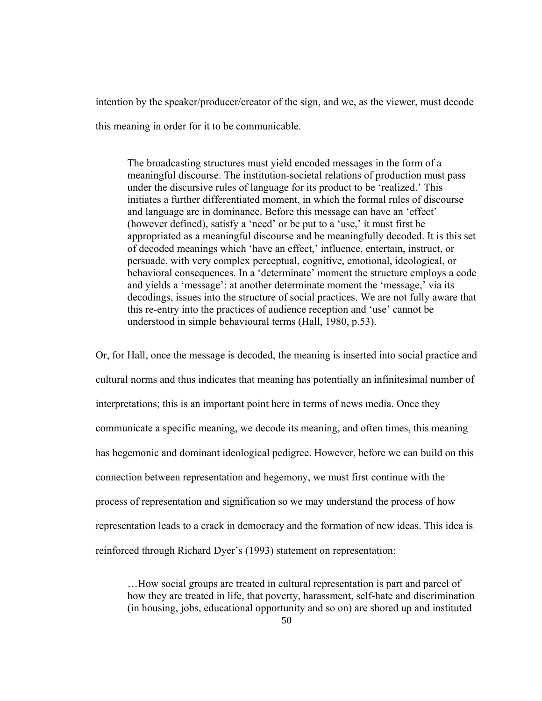intention by the speaker/producer/creator of the sign, and we, as the viewer, must decode

this meaning in order for it to be communicable.

The broadcasting structures must yield encoded messages in the form of a meaningful discourse. The institution-societal relations of production must pass under the discursive rules of language for its product to be 'realized.' This initiates a further differentiated moment, in which the formal rules of discourse and language are in dominance. Before this message can have an 'effect' (however defined), satisfy a 'need' or be put to a 'use,' it must first be appropriated as a meaningful discourse and be meaningfully decoded. It is this set of decoded meanings which 'have an effect,' influence, entertain, instruct, or persuade, with very complex perceptual, cognitive, emotional, ideological, or behavioral consequences. In a 'determinate' moment the structure employs a code and yields a 'message': at another determinate moment the 'message,' via its decodings, issues into the structure of social practices. We are not fully aware that this re-entry into the practices of audience reception and 'use' cannot be understood in simple behavioural terms (Hall, 1980, p.53).

Or, for Hall, once the message is decoded, the meaning is inserted into social practice and cultural norms and thus indicates that meaning has potentially an infinitesimal number of interpretations; this is an important point here in terms of news media. Once they communicate a specific meaning, we decode its meaning, and often times, this meaning has hegemonic and dominant ideological pedigree. However, before we can build on this connection between representation and hegemony, we must first continue with the process of representation and signification so we may understand the process of how representation leads to a crack in democracy and the formation of new ideas. This idea is reinforced through Richard Dyer's (1993) statement on representation:

…How social groups are treated in cultural representation is part and parcel of how they are treated in life, that poverty, harassment, self-hate and discrimination (in housing, jobs, educational opportunity and so on) are shored up and instituted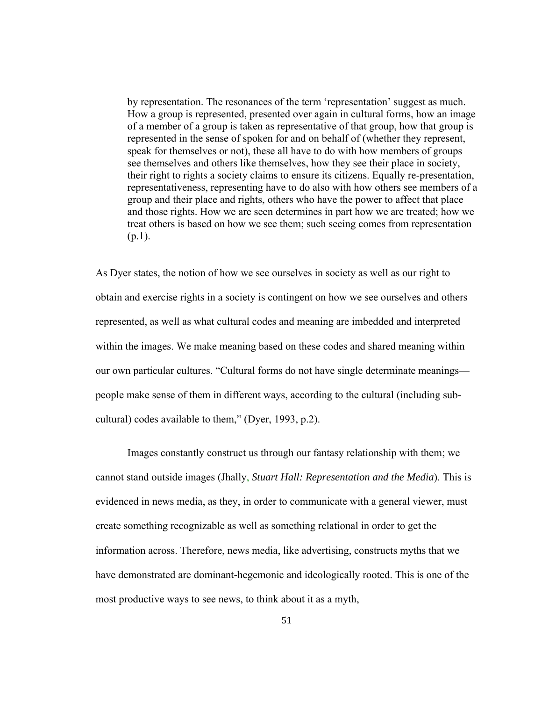by representation. The resonances of the term 'representation' suggest as much. How a group is represented, presented over again in cultural forms, how an image of a member of a group is taken as representative of that group, how that group is represented in the sense of spoken for and on behalf of (whether they represent, speak for themselves or not), these all have to do with how members of groups see themselves and others like themselves, how they see their place in society, their right to rights a society claims to ensure its citizens. Equally re-presentation, representativeness, representing have to do also with how others see members of a group and their place and rights, others who have the power to affect that place and those rights. How we are seen determines in part how we are treated; how we treat others is based on how we see them; such seeing comes from representation  $(p.1)$ .

As Dyer states, the notion of how we see ourselves in society as well as our right to obtain and exercise rights in a society is contingent on how we see ourselves and others represented, as well as what cultural codes and meaning are imbedded and interpreted within the images. We make meaning based on these codes and shared meaning within our own particular cultures. "Cultural forms do not have single determinate meanings people make sense of them in different ways, according to the cultural (including subcultural) codes available to them," (Dyer, 1993, p.2).

Images constantly construct us through our fantasy relationship with them; we cannot stand outside images (Jhally, *Stuart Hall: Representation and the Media*). This is evidenced in news media, as they, in order to communicate with a general viewer, must create something recognizable as well as something relational in order to get the information across. Therefore, news media, like advertising, constructs myths that we have demonstrated are dominant-hegemonic and ideologically rooted. This is one of the most productive ways to see news, to think about it as a myth,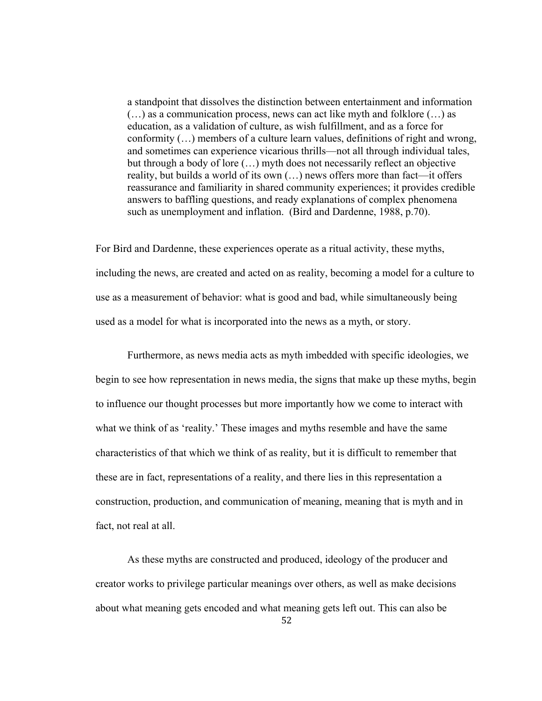a standpoint that dissolves the distinction between entertainment and information (…) as a communication process, news can act like myth and folklore (…) as education, as a validation of culture, as wish fulfillment, and as a force for conformity (…) members of a culture learn values, definitions of right and wrong, and sometimes can experience vicarious thrills—not all through individual tales, but through a body of lore (…) myth does not necessarily reflect an objective reality, but builds a world of its own (…) news offers more than fact—it offers reassurance and familiarity in shared community experiences; it provides credible answers to baffling questions, and ready explanations of complex phenomena such as unemployment and inflation. (Bird and Dardenne, 1988, p.70).

For Bird and Dardenne, these experiences operate as a ritual activity, these myths, including the news, are created and acted on as reality, becoming a model for a culture to use as a measurement of behavior: what is good and bad, while simultaneously being used as a model for what is incorporated into the news as a myth, or story.

Furthermore, as news media acts as myth imbedded with specific ideologies, we begin to see how representation in news media, the signs that make up these myths, begin to influence our thought processes but more importantly how we come to interact with what we think of as 'reality.' These images and myths resemble and have the same characteristics of that which we think of as reality, but it is difficult to remember that these are in fact, representations of a reality, and there lies in this representation a construction, production, and communication of meaning, meaning that is myth and in fact, not real at all.

52 As these myths are constructed and produced, ideology of the producer and creator works to privilege particular meanings over others, as well as make decisions about what meaning gets encoded and what meaning gets left out. This can also be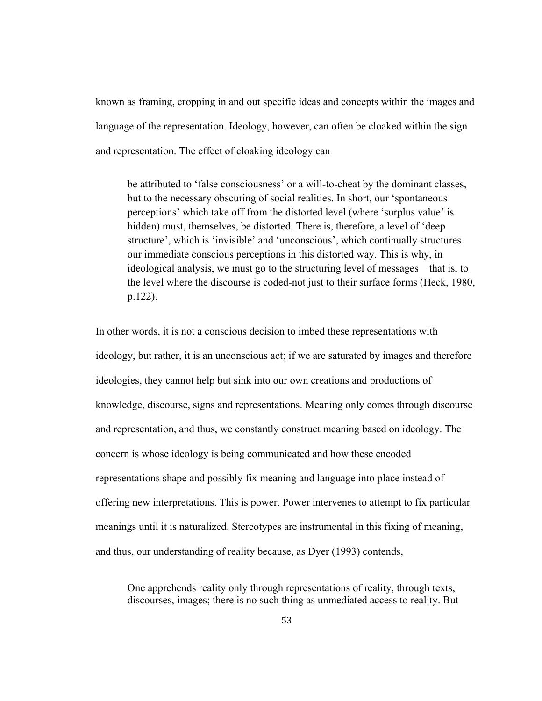known as framing, cropping in and out specific ideas and concepts within the images and language of the representation. Ideology, however, can often be cloaked within the sign and representation. The effect of cloaking ideology can

be attributed to 'false consciousness' or a will-to-cheat by the dominant classes, but to the necessary obscuring of social realities. In short, our 'spontaneous perceptions' which take off from the distorted level (where 'surplus value' is hidden) must, themselves, be distorted. There is, therefore, a level of 'deep structure', which is 'invisible' and 'unconscious', which continually structures our immediate conscious perceptions in this distorted way. This is why, in ideological analysis, we must go to the structuring level of messages—that is, to the level where the discourse is coded-not just to their surface forms (Heck, 1980, p.122).

In other words, it is not a conscious decision to imbed these representations with ideology, but rather, it is an unconscious act; if we are saturated by images and therefore ideologies, they cannot help but sink into our own creations and productions of knowledge, discourse, signs and representations. Meaning only comes through discourse and representation, and thus, we constantly construct meaning based on ideology. The concern is whose ideology is being communicated and how these encoded representations shape and possibly fix meaning and language into place instead of offering new interpretations. This is power. Power intervenes to attempt to fix particular meanings until it is naturalized. Stereotypes are instrumental in this fixing of meaning, and thus, our understanding of reality because, as Dyer (1993) contends,

One apprehends reality only through representations of reality, through texts, discourses, images; there is no such thing as unmediated access to reality. But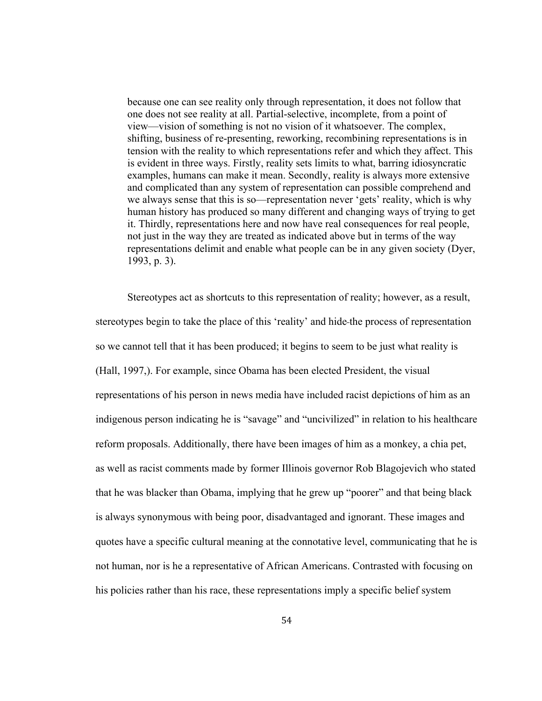because one can see reality only through representation, it does not follow that one does not see reality at all. Partial-selective, incomplete, from a point of view—vision of something is not no vision of it whatsoever. The complex, shifting, business of re-presenting, reworking, recombining representations is in tension with the reality to which representations refer and which they affect. This is evident in three ways. Firstly, reality sets limits to what, barring idiosyncratic examples, humans can make it mean. Secondly, reality is always more extensive and complicated than any system of representation can possible comprehend and we always sense that this is so—representation never 'gets' reality, which is why human history has produced so many different and changing ways of trying to get it. Thirdly, representations here and now have real consequences for real people, not just in the way they are treated as indicated above but in terms of the way representations delimit and enable what people can be in any given society (Dyer, 1993, p. 3).

Stereotypes act as shortcuts to this representation of reality; however, as a result, stereotypes begin to take the place of this 'reality' and hide the process of representation so we cannot tell that it has been produced; it begins to seem to be just what reality is (Hall, 1997,). For example, since Obama has been elected President, the visual representations of his person in news media have included racist depictions of him as an indigenous person indicating he is "savage" and "uncivilized" in relation to his healthcare reform proposals. Additionally, there have been images of him as a monkey, a chia pet, as well as racist comments made by former Illinois governor Rob Blagojevich who stated that he was blacker than Obama, implying that he grew up "poorer" and that being black is always synonymous with being poor, disadvantaged and ignorant. These images and quotes have a specific cultural meaning at the connotative level, communicating that he is not human, nor is he a representative of African Americans. Contrasted with focusing on his policies rather than his race, these representations imply a specific belief system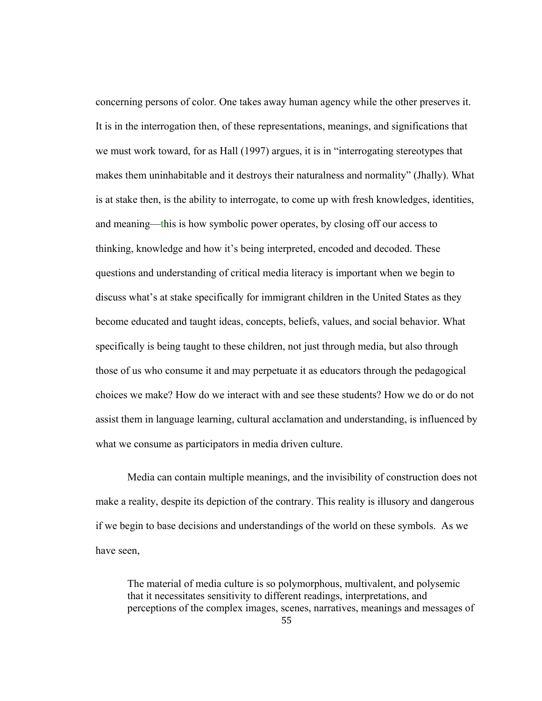concerning persons of color. One takes away human agency while the other preserves it. It is in the interrogation then, of these representations, meanings, and significations that we must work toward, for as Hall (1997) argues, it is in "interrogating stereotypes that makes them uninhabitable and it destroys their naturalness and normality" (Jhally). What is at stake then, is the ability to interrogate, to come up with fresh knowledges, identities, and meaning—this is how symbolic power operates, by closing off our access to thinking, knowledge and how it's being interpreted, encoded and decoded. These questions and understanding of critical media literacy is important when we begin to discuss what's at stake specifically for immigrant children in the United States as they become educated and taught ideas, concepts, beliefs, values, and social behavior. What specifically is being taught to these children, not just through media, but also through those of us who consume it and may perpetuate it as educators through the pedagogical choices we make? How do we interact with and see these students? How we do or do not assist them in language learning, cultural acclamation and understanding, is influenced by what we consume as participators in media driven culture.

Media can contain multiple meanings, and the invisibility of construction does not make a reality, despite its depiction of the contrary. This reality is illusory and dangerous if we begin to base decisions and understandings of the world on these symbols. As we have seen,

The material of media culture is so polymorphous, multivalent, and polysemic that it necessitates sensitivity to different readings, interpretations, and perceptions of the complex images, scenes, narratives, meanings and messages of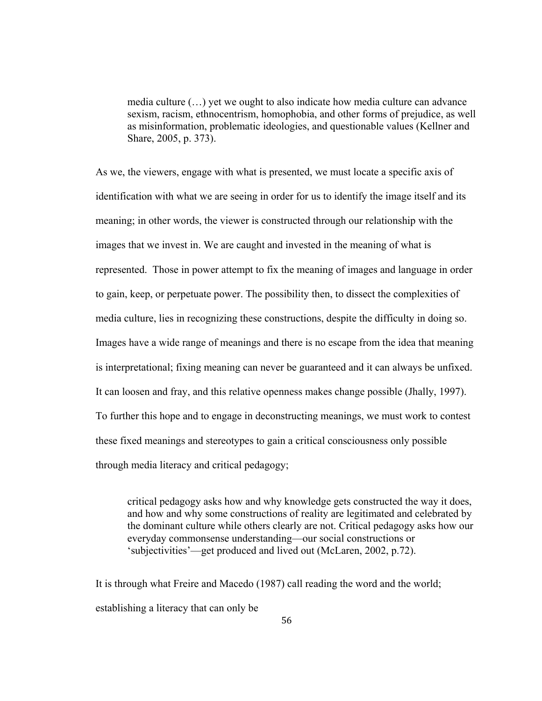media culture (…) yet we ought to also indicate how media culture can advance sexism, racism, ethnocentrism, homophobia, and other forms of prejudice, as well as misinformation, problematic ideologies, and questionable values (Kellner and Share, 2005, p. 373).

As we, the viewers, engage with what is presented, we must locate a specific axis of identification with what we are seeing in order for us to identify the image itself and its meaning; in other words, the viewer is constructed through our relationship with the images that we invest in. We are caught and invested in the meaning of what is represented. Those in power attempt to fix the meaning of images and language in order to gain, keep, or perpetuate power. The possibility then, to dissect the complexities of media culture, lies in recognizing these constructions, despite the difficulty in doing so. Images have a wide range of meanings and there is no escape from the idea that meaning is interpretational; fixing meaning can never be guaranteed and it can always be unfixed. It can loosen and fray, and this relative openness makes change possible (Jhally, 1997). To further this hope and to engage in deconstructing meanings, we must work to contest these fixed meanings and stereotypes to gain a critical consciousness only possible through media literacy and critical pedagogy;

 critical pedagogy asks how and why knowledge gets constructed the way it does, and how and why some constructions of reality are legitimated and celebrated by the dominant culture while others clearly are not. Critical pedagogy asks how our everyday commonsense understanding—our social constructions or 'subjectivities'—get produced and lived out (McLaren, 2002, p.72).

It is through what Freire and Macedo (1987) call reading the word and the world; establishing a literacy that can only be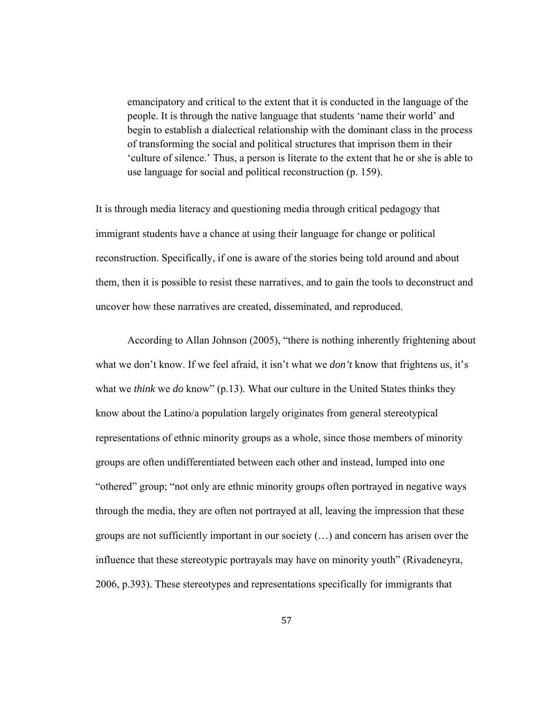emancipatory and critical to the extent that it is conducted in the language of the people. It is through the native language that students 'name their world' and begin to establish a dialectical relationship with the dominant class in the process of transforming the social and political structures that imprison them in their 'culture of silence.' Thus, a person is literate to the extent that he or she is able to use language for social and political reconstruction (p. 159).

It is through media literacy and questioning media through critical pedagogy that immigrant students have a chance at using their language for change or political reconstruction. Specifically, if one is aware of the stories being told around and about them, then it is possible to resist these narratives, and to gain the tools to deconstruct and uncover how these narratives are created, disseminated, and reproduced.

 According to Allan Johnson (2005), "there is nothing inherently frightening about what we don't know. If we feel afraid, it isn't what we *don't* know that frightens us, it's what we *think* we *do* know" (p.13). What our culture in the United States thinks they know about the Latino/a population largely originates from general stereotypical representations of ethnic minority groups as a whole, since those members of minority groups are often undifferentiated between each other and instead, lumped into one "othered" group; "not only are ethnic minority groups often portrayed in negative ways through the media, they are often not portrayed at all, leaving the impression that these groups are not sufficiently important in our society (…) and concern has arisen over the influence that these stereotypic portrayals may have on minority youth" (Rivadeneyra, 2006, p.393). These stereotypes and representations specifically for immigrants that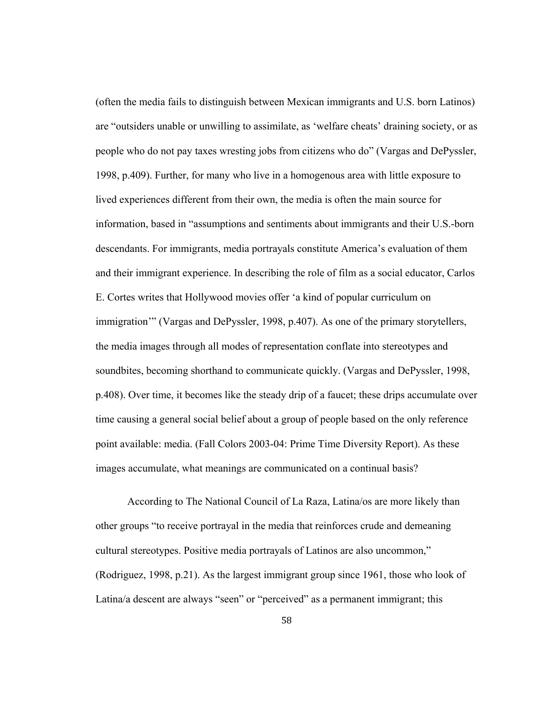(often the media fails to distinguish between Mexican immigrants and U.S. born Latinos) are "outsiders unable or unwilling to assimilate, as 'welfare cheats' draining society, or as people who do not pay taxes wresting jobs from citizens who do" (Vargas and DePyssler, 1998, p.409). Further, for many who live in a homogenous area with little exposure to lived experiences different from their own, the media is often the main source for information, based in "assumptions and sentiments about immigrants and their U.S.-born descendants. For immigrants, media portrayals constitute America's evaluation of them and their immigrant experience. In describing the role of film as a social educator, Carlos E. Cortes writes that Hollywood movies offer 'a kind of popular curriculum on immigration'" (Vargas and DePyssler, 1998, p.407). As one of the primary storytellers, the media images through all modes of representation conflate into stereotypes and soundbites, becoming shorthand to communicate quickly. (Vargas and DePyssler, 1998, p.408). Over time, it becomes like the steady drip of a faucet; these drips accumulate over time causing a general social belief about a group of people based on the only reference point available: media. (Fall Colors 2003-04: Prime Time Diversity Report). As these images accumulate, what meanings are communicated on a continual basis?

According to The National Council of La Raza, Latina/os are more likely than other groups "to receive portrayal in the media that reinforces crude and demeaning cultural stereotypes. Positive media portrayals of Latinos are also uncommon," (Rodriguez, 1998, p.21). As the largest immigrant group since 1961, those who look of Latina/a descent are always "seen" or "perceived" as a permanent immigrant; this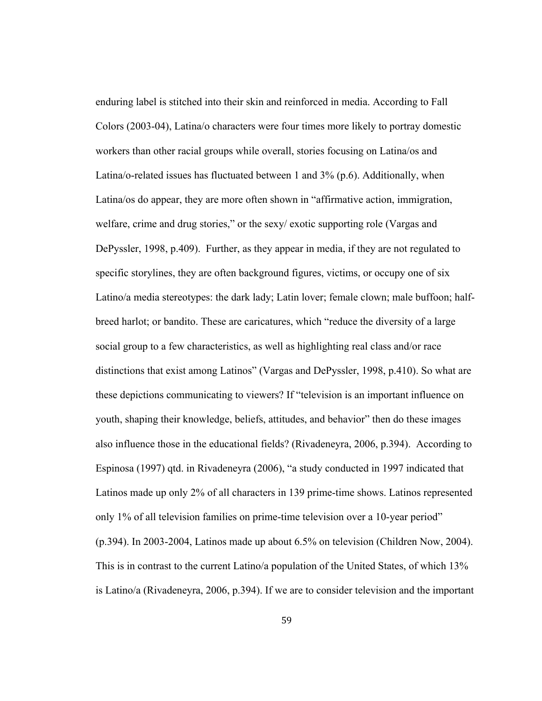enduring label is stitched into their skin and reinforced in media. According to Fall Colors (2003-04), Latina/o characters were four times more likely to portray domestic workers than other racial groups while overall, stories focusing on Latina/os and Latina/o-related issues has fluctuated between 1 and 3% (p.6). Additionally, when Latina/os do appear, they are more often shown in "affirmative action, immigration, welfare, crime and drug stories," or the sexy/ exotic supporting role (Vargas and DePyssler, 1998, p.409). Further, as they appear in media, if they are not regulated to specific storylines, they are often background figures, victims, or occupy one of six Latino/a media stereotypes: the dark lady; Latin lover; female clown; male buffoon; halfbreed harlot; or bandito. These are caricatures, which "reduce the diversity of a large social group to a few characteristics, as well as highlighting real class and/or race distinctions that exist among Latinos" (Vargas and DePyssler, 1998, p.410). So what are these depictions communicating to viewers? If "television is an important influence on youth, shaping their knowledge, beliefs, attitudes, and behavior" then do these images also influence those in the educational fields? (Rivadeneyra, 2006, p.394). According to Espinosa (1997) qtd. in Rivadeneyra (2006), "a study conducted in 1997 indicated that Latinos made up only 2% of all characters in 139 prime-time shows. Latinos represented only 1% of all television families on prime-time television over a 10-year period" (p.394). In 2003-2004, Latinos made up about 6.5% on television (Children Now, 2004). This is in contrast to the current Latino/a population of the United States, of which 13% is Latino/a (Rivadeneyra, 2006, p.394). If we are to consider television and the important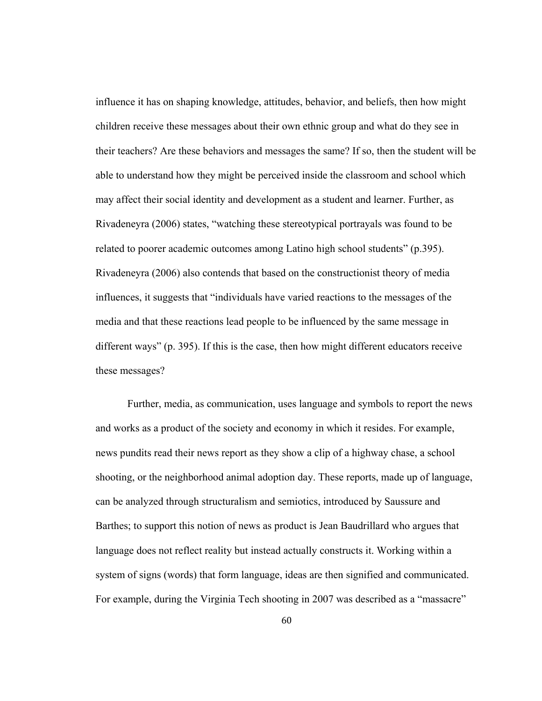influence it has on shaping knowledge, attitudes, behavior, and beliefs, then how might children receive these messages about their own ethnic group and what do they see in their teachers? Are these behaviors and messages the same? If so, then the student will be able to understand how they might be perceived inside the classroom and school which may affect their social identity and development as a student and learner. Further, as Rivadeneyra (2006) states, "watching these stereotypical portrayals was found to be related to poorer academic outcomes among Latino high school students" (p.395). Rivadeneyra (2006) also contends that based on the constructionist theory of media influences, it suggests that "individuals have varied reactions to the messages of the media and that these reactions lead people to be influenced by the same message in different ways" (p. 395). If this is the case, then how might different educators receive these messages?

Further, media, as communication, uses language and symbols to report the news and works as a product of the society and economy in which it resides. For example, news pundits read their news report as they show a clip of a highway chase, a school shooting, or the neighborhood animal adoption day. These reports, made up of language, can be analyzed through structuralism and semiotics, introduced by Saussure and Barthes; to support this notion of news as product is Jean Baudrillard who argues that language does not reflect reality but instead actually constructs it. Working within a system of signs (words) that form language, ideas are then signified and communicated. For example, during the Virginia Tech shooting in 2007 was described as a "massacre"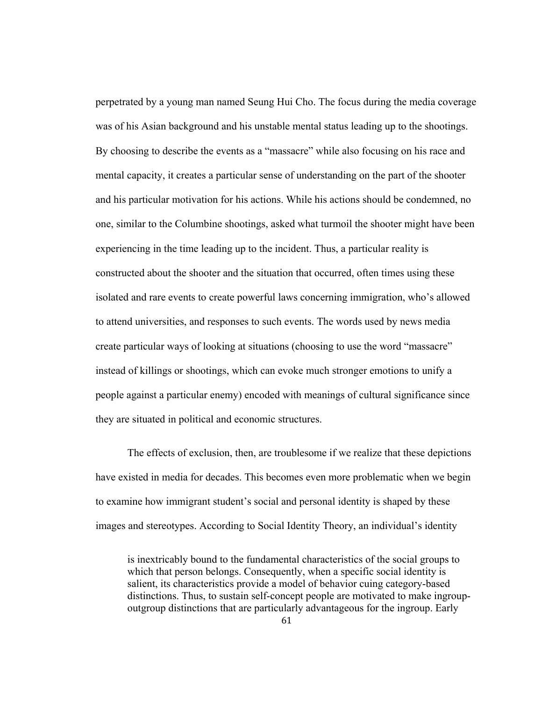perpetrated by a young man named Seung Hui Cho. The focus during the media coverage was of his Asian background and his unstable mental status leading up to the shootings. By choosing to describe the events as a "massacre" while also focusing on his race and mental capacity, it creates a particular sense of understanding on the part of the shooter and his particular motivation for his actions. While his actions should be condemned, no one, similar to the Columbine shootings, asked what turmoil the shooter might have been experiencing in the time leading up to the incident. Thus, a particular reality is constructed about the shooter and the situation that occurred, often times using these isolated and rare events to create powerful laws concerning immigration, who's allowed to attend universities, and responses to such events. The words used by news media create particular ways of looking at situations (choosing to use the word "massacre" instead of killings or shootings, which can evoke much stronger emotions to unify a people against a particular enemy) encoded with meanings of cultural significance since they are situated in political and economic structures.

 The effects of exclusion, then, are troublesome if we realize that these depictions have existed in media for decades. This becomes even more problematic when we begin to examine how immigrant student's social and personal identity is shaped by these images and stereotypes. According to Social Identity Theory, an individual's identity

is inextricably bound to the fundamental characteristics of the social groups to which that person belongs. Consequently, when a specific social identity is salient, its characteristics provide a model of behavior cuing category-based distinctions. Thus, to sustain self-concept people are motivated to make ingroupoutgroup distinctions that are particularly advantageous for the ingroup. Early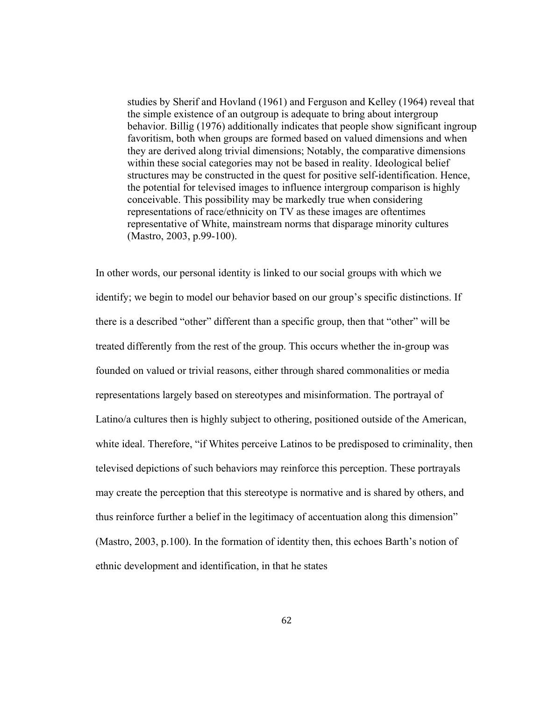studies by Sherif and Hovland (1961) and Ferguson and Kelley (1964) reveal that the simple existence of an outgroup is adequate to bring about intergroup behavior. Billig (1976) additionally indicates that people show significant ingroup favoritism, both when groups are formed based on valued dimensions and when they are derived along trivial dimensions; Notably, the comparative dimensions within these social categories may not be based in reality. Ideological belief structures may be constructed in the quest for positive self-identification. Hence, the potential for televised images to influence intergroup comparison is highly conceivable. This possibility may be markedly true when considering representations of race/ethnicity on TV as these images are oftentimes representative of White, mainstream norms that disparage minority cultures (Mastro, 2003, p.99-100).

In other words, our personal identity is linked to our social groups with which we identify; we begin to model our behavior based on our group's specific distinctions. If there is a described "other" different than a specific group, then that "other" will be treated differently from the rest of the group. This occurs whether the in-group was founded on valued or trivial reasons, either through shared commonalities or media representations largely based on stereotypes and misinformation. The portrayal of Latino/a cultures then is highly subject to othering, positioned outside of the American, white ideal. Therefore, "if Whites perceive Latinos to be predisposed to criminality, then televised depictions of such behaviors may reinforce this perception. These portrayals may create the perception that this stereotype is normative and is shared by others, and thus reinforce further a belief in the legitimacy of accentuation along this dimension" (Mastro, 2003, p.100). In the formation of identity then, this echoes Barth's notion of ethnic development and identification, in that he states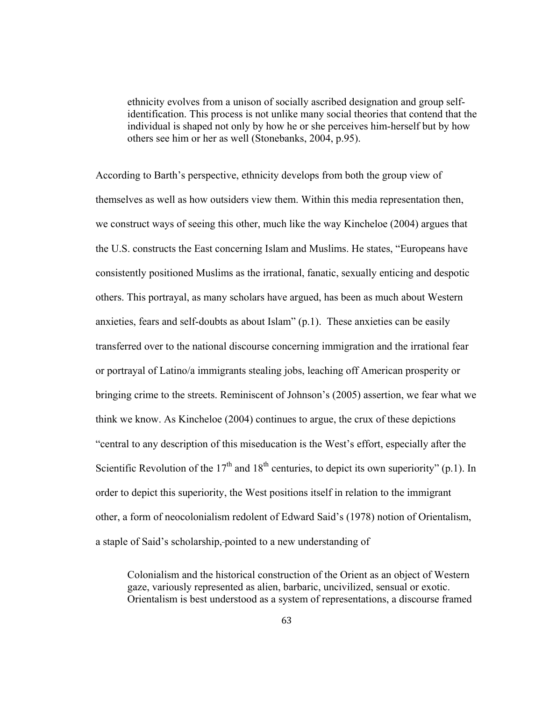ethnicity evolves from a unison of socially ascribed designation and group selfidentification. This process is not unlike many social theories that contend that the individual is shaped not only by how he or she perceives him-herself but by how others see him or her as well (Stonebanks, 2004, p.95).

According to Barth's perspective, ethnicity develops from both the group view of themselves as well as how outsiders view them. Within this media representation then, we construct ways of seeing this other, much like the way Kincheloe (2004) argues that the U.S. constructs the East concerning Islam and Muslims. He states, "Europeans have consistently positioned Muslims as the irrational, fanatic, sexually enticing and despotic others. This portrayal, as many scholars have argued, has been as much about Western anxieties, fears and self-doubts as about Islam" (p.1). These anxieties can be easily transferred over to the national discourse concerning immigration and the irrational fear or portrayal of Latino/a immigrants stealing jobs, leaching off American prosperity or bringing crime to the streets. Reminiscent of Johnson's (2005) assertion, we fear what we think we know. As Kincheloe (2004) continues to argue, the crux of these depictions "central to any description of this miseducation is the West's effort, especially after the Scientific Revolution of the  $17<sup>th</sup>$  and  $18<sup>th</sup>$  centuries, to depict its own superiority" (p.1). In order to depict this superiority, the West positions itself in relation to the immigrant other, a form of neocolonialism redolent of Edward Said's (1978) notion of Orientalism, a staple of Said's scholarship, pointed to a new understanding of

Colonialism and the historical construction of the Orient as an object of Western gaze, variously represented as alien, barbaric, uncivilized, sensual or exotic. Orientalism is best understood as a system of representations, a discourse framed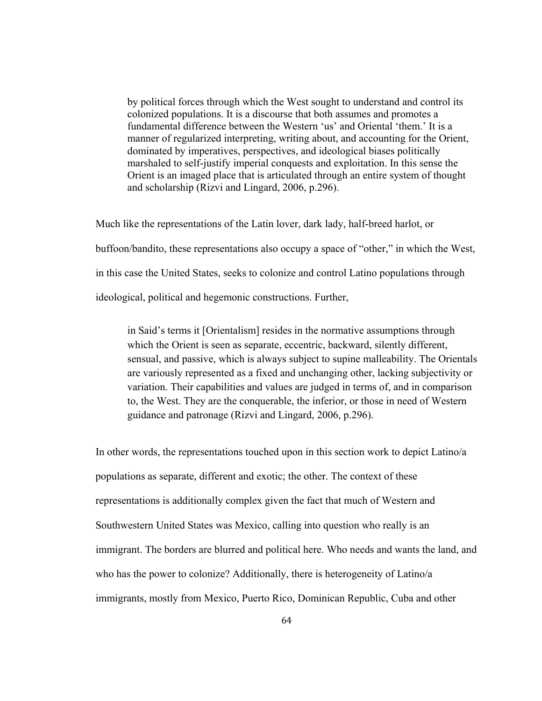by political forces through which the West sought to understand and control its colonized populations. It is a discourse that both assumes and promotes a fundamental difference between the Western 'us' and Oriental 'them.' It is a manner of regularized interpreting, writing about, and accounting for the Orient, dominated by imperatives, perspectives, and ideological biases politically marshaled to self-justify imperial conquests and exploitation. In this sense the Orient is an imaged place that is articulated through an entire system of thought and scholarship (Rizvi and Lingard, 2006, p.296).

Much like the representations of the Latin lover, dark lady, half-breed harlot, or buffoon/bandito, these representations also occupy a space of "other," in which the West, in this case the United States, seeks to colonize and control Latino populations through ideological, political and hegemonic constructions. Further,

in Said's terms it [Orientalism] resides in the normative assumptions through which the Orient is seen as separate, eccentric, backward, silently different, sensual, and passive, which is always subject to supine malleability. The Orientals are variously represented as a fixed and unchanging other, lacking subjectivity or variation. Their capabilities and values are judged in terms of, and in comparison to, the West. They are the conquerable, the inferior, or those in need of Western guidance and patronage (Rizvi and Lingard, 2006, p.296).

In other words, the representations touched upon in this section work to depict Latino/a populations as separate, different and exotic; the other. The context of these representations is additionally complex given the fact that much of Western and Southwestern United States was Mexico, calling into question who really is an immigrant. The borders are blurred and political here. Who needs and wants the land, and who has the power to colonize? Additionally, there is heterogeneity of Latino/a immigrants, mostly from Mexico, Puerto Rico, Dominican Republic, Cuba and other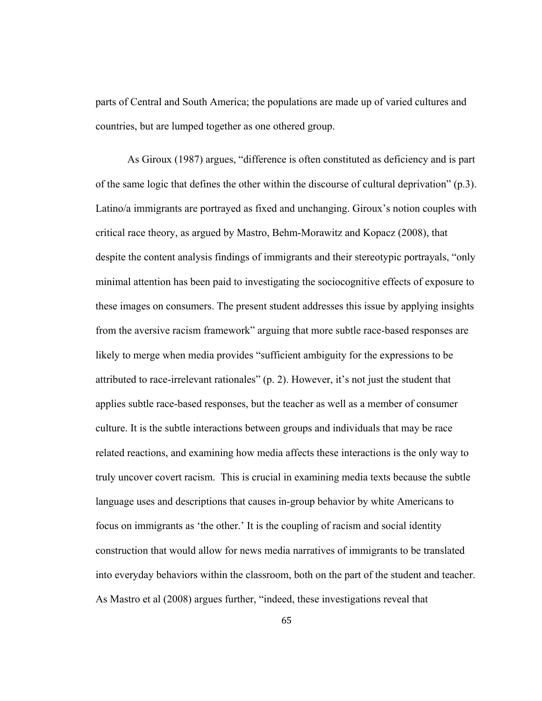parts of Central and South America; the populations are made up of varied cultures and countries, but are lumped together as one othered group.

As Giroux (1987) argues, "difference is often constituted as deficiency and is part of the same logic that defines the other within the discourse of cultural deprivation" (p.3). Latino/a immigrants are portrayed as fixed and unchanging. Giroux's notion couples with critical race theory, as argued by Mastro, Behm-Morawitz and Kopacz (2008), that despite the content analysis findings of immigrants and their stereotypic portrayals, "only minimal attention has been paid to investigating the sociocognitive effects of exposure to these images on consumers. The present student addresses this issue by applying insights from the aversive racism framework" arguing that more subtle race-based responses are likely to merge when media provides "sufficient ambiguity for the expressions to be attributed to race-irrelevant rationales" (p. 2). However, it's not just the student that applies subtle race-based responses, but the teacher as well as a member of consumer culture. It is the subtle interactions between groups and individuals that may be race related reactions, and examining how media affects these interactions is the only way to truly uncover covert racism. This is crucial in examining media texts because the subtle language uses and descriptions that causes in-group behavior by white Americans to focus on immigrants as 'the other.' It is the coupling of racism and social identity construction that would allow for news media narratives of immigrants to be translated into everyday behaviors within the classroom, both on the part of the student and teacher. As Mastro et al (2008) argues further, "indeed, these investigations reveal that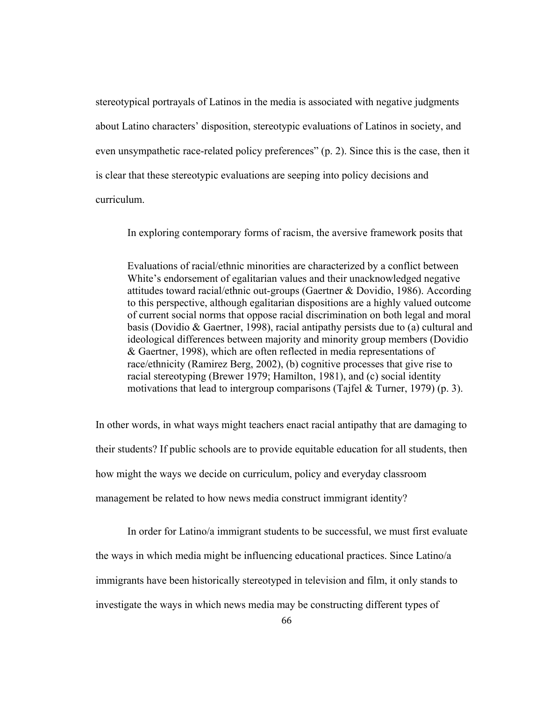stereotypical portrayals of Latinos in the media is associated with negative judgments about Latino characters' disposition, stereotypic evaluations of Latinos in society, and even unsympathetic race-related policy preferences" (p. 2). Since this is the case, then it is clear that these stereotypic evaluations are seeping into policy decisions and curriculum.

In exploring contemporary forms of racism, the aversive framework posits that

Evaluations of racial/ethnic minorities are characterized by a conflict between White's endorsement of egalitarian values and their unacknowledged negative attitudes toward racial/ethnic out-groups (Gaertner & Dovidio, 1986). According to this perspective, although egalitarian dispositions are a highly valued outcome of current social norms that oppose racial discrimination on both legal and moral basis (Dovidio & Gaertner, 1998), racial antipathy persists due to (a) cultural and ideological differences between majority and minority group members (Dovidio & Gaertner, 1998), which are often reflected in media representations of race/ethnicity (Ramirez Berg, 2002), (b) cognitive processes that give rise to racial stereotyping (Brewer 1979; Hamilton, 1981), and (c) social identity motivations that lead to intergroup comparisons (Tajfel & Turner, 1979) (p. 3).

In other words, in what ways might teachers enact racial antipathy that are damaging to their students? If public schools are to provide equitable education for all students, then how might the ways we decide on curriculum, policy and everyday classroom management be related to how news media construct immigrant identity?

 In order for Latino/a immigrant students to be successful, we must first evaluate the ways in which media might be influencing educational practices. Since Latino/a immigrants have been historically stereotyped in television and film, it only stands to investigate the ways in which news media may be constructing different types of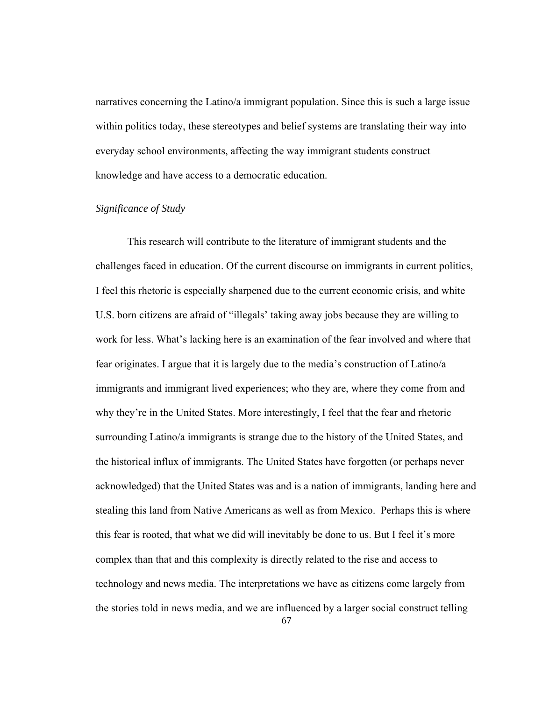narratives concerning the Latino/a immigrant population. Since this is such a large issue within politics today, these stereotypes and belief systems are translating their way into everyday school environments, affecting the way immigrant students construct knowledge and have access to a democratic education.

#### *Significance of Study*

This research will contribute to the literature of immigrant students and the challenges faced in education. Of the current discourse on immigrants in current politics, I feel this rhetoric is especially sharpened due to the current economic crisis, and white U.S. born citizens are afraid of "illegals' taking away jobs because they are willing to work for less. What's lacking here is an examination of the fear involved and where that fear originates. I argue that it is largely due to the media's construction of Latino/a immigrants and immigrant lived experiences; who they are, where they come from and why they're in the United States. More interestingly, I feel that the fear and rhetoric surrounding Latino/a immigrants is strange due to the history of the United States, and the historical influx of immigrants. The United States have forgotten (or perhaps never acknowledged) that the United States was and is a nation of immigrants, landing here and stealing this land from Native Americans as well as from Mexico. Perhaps this is where this fear is rooted, that what we did will inevitably be done to us. But I feel it's more complex than that and this complexity is directly related to the rise and access to technology and news media. The interpretations we have as citizens come largely from the stories told in news media, and we are influenced by a larger social construct telling

67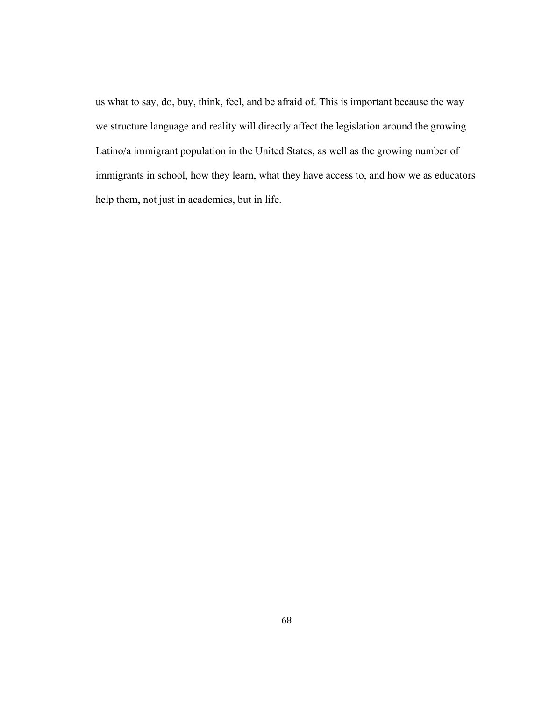us what to say, do, buy, think, feel, and be afraid of. This is important because the way we structure language and reality will directly affect the legislation around the growing Latino/a immigrant population in the United States, as well as the growing number of immigrants in school, how they learn, what they have access to, and how we as educators help them, not just in academics, but in life.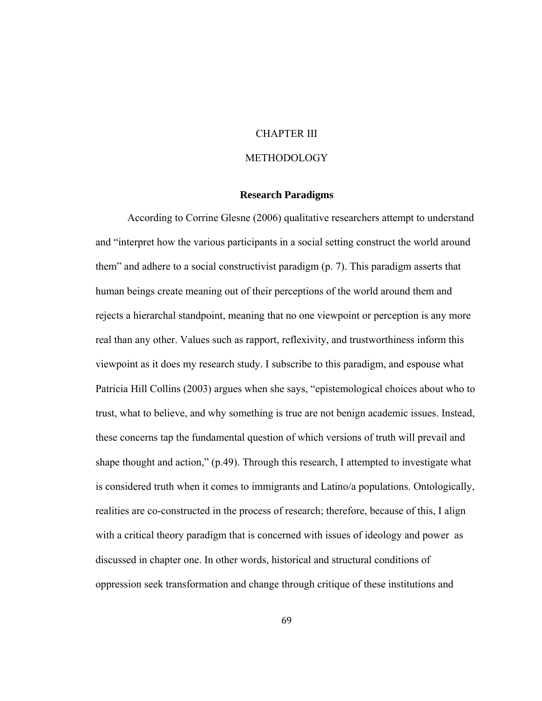# CHAPTER III

### **METHODOLOGY**

# **Research Paradigms**

According to Corrine Glesne (2006) qualitative researchers attempt to understand and "interpret how the various participants in a social setting construct the world around them" and adhere to a social constructivist paradigm (p. 7). This paradigm asserts that human beings create meaning out of their perceptions of the world around them and rejects a hierarchal standpoint, meaning that no one viewpoint or perception is any more real than any other. Values such as rapport, reflexivity, and trustworthiness inform this viewpoint as it does my research study. I subscribe to this paradigm, and espouse what Patricia Hill Collins (2003) argues when she says, "epistemological choices about who to trust, what to believe, and why something is true are not benign academic issues. Instead, these concerns tap the fundamental question of which versions of truth will prevail and shape thought and action," (p.49). Through this research, I attempted to investigate what is considered truth when it comes to immigrants and Latino/a populations. Ontologically, realities are co-constructed in the process of research; therefore, because of this, I align with a critical theory paradigm that is concerned with issues of ideology and power as discussed in chapter one. In other words, historical and structural conditions of oppression seek transformation and change through critique of these institutions and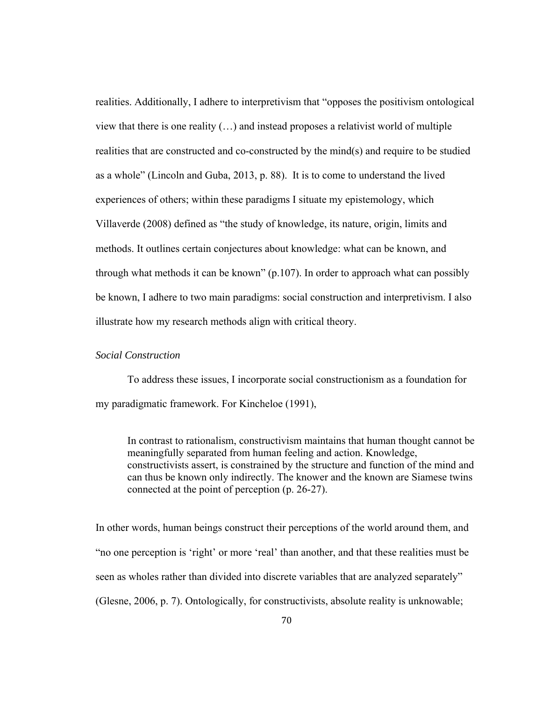realities. Additionally, I adhere to interpretivism that "opposes the positivism ontological view that there is one reality (…) and instead proposes a relativist world of multiple realities that are constructed and co-constructed by the mind(s) and require to be studied as a whole" (Lincoln and Guba, 2013, p. 88). It is to come to understand the lived experiences of others; within these paradigms I situate my epistemology, which Villaverde (2008) defined as "the study of knowledge, its nature, origin, limits and methods. It outlines certain conjectures about knowledge: what can be known, and through what methods it can be known" (p.107). In order to approach what can possibly be known, I adhere to two main paradigms: social construction and interpretivism. I also illustrate how my research methods align with critical theory.

## *Social Construction*

 To address these issues, I incorporate social constructionism as a foundation for my paradigmatic framework. For Kincheloe (1991),

In contrast to rationalism, constructivism maintains that human thought cannot be meaningfully separated from human feeling and action. Knowledge, constructivists assert, is constrained by the structure and function of the mind and can thus be known only indirectly. The knower and the known are Siamese twins connected at the point of perception (p. 26-27).

In other words, human beings construct their perceptions of the world around them, and "no one perception is 'right' or more 'real' than another, and that these realities must be seen as wholes rather than divided into discrete variables that are analyzed separately" (Glesne, 2006, p. 7). Ontologically, for constructivists, absolute reality is unknowable;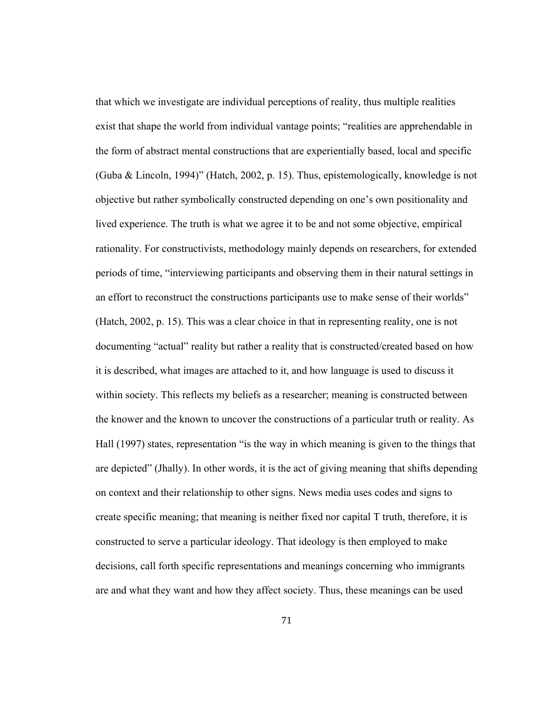that which we investigate are individual perceptions of reality, thus multiple realities exist that shape the world from individual vantage points; "realities are apprehendable in the form of abstract mental constructions that are experientially based, local and specific (Guba & Lincoln, 1994)" (Hatch, 2002, p. 15). Thus, epistemologically, knowledge is not objective but rather symbolically constructed depending on one's own positionality and lived experience. The truth is what we agree it to be and not some objective, empirical rationality. For constructivists, methodology mainly depends on researchers, for extended periods of time, "interviewing participants and observing them in their natural settings in an effort to reconstruct the constructions participants use to make sense of their worlds" (Hatch, 2002, p. 15). This was a clear choice in that in representing reality, one is not documenting "actual" reality but rather a reality that is constructed/created based on how it is described, what images are attached to it, and how language is used to discuss it within society. This reflects my beliefs as a researcher; meaning is constructed between the knower and the known to uncover the constructions of a particular truth or reality. As Hall (1997) states, representation "is the way in which meaning is given to the things that are depicted" (Jhally). In other words, it is the act of giving meaning that shifts depending on context and their relationship to other signs. News media uses codes and signs to create specific meaning; that meaning is neither fixed nor capital T truth, therefore, it is constructed to serve a particular ideology. That ideology is then employed to make decisions, call forth specific representations and meanings concerning who immigrants are and what they want and how they affect society. Thus, these meanings can be used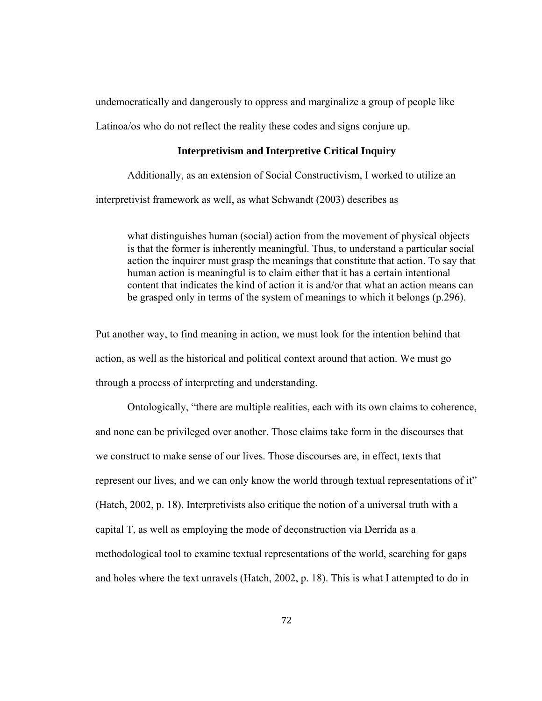undemocratically and dangerously to oppress and marginalize a group of people like

Latinoa/os who do not reflect the reality these codes and signs conjure up.

### **Interpretivism and Interpretive Critical Inquiry**

Additionally, as an extension of Social Constructivism, I worked to utilize an interpretivist framework as well, as what Schwandt (2003) describes as

 what distinguishes human (social) action from the movement of physical objects is that the former is inherently meaningful. Thus, to understand a particular social action the inquirer must grasp the meanings that constitute that action. To say that human action is meaningful is to claim either that it has a certain intentional content that indicates the kind of action it is and/or that what an action means can be grasped only in terms of the system of meanings to which it belongs (p.296).

Put another way, to find meaning in action, we must look for the intention behind that action, as well as the historical and political context around that action. We must go through a process of interpreting and understanding.

 Ontologically, "there are multiple realities, each with its own claims to coherence, and none can be privileged over another. Those claims take form in the discourses that we construct to make sense of our lives. Those discourses are, in effect, texts that represent our lives, and we can only know the world through textual representations of it" (Hatch, 2002, p. 18). Interpretivists also critique the notion of a universal truth with a capital T, as well as employing the mode of deconstruction via Derrida as a methodological tool to examine textual representations of the world, searching for gaps and holes where the text unravels (Hatch, 2002, p. 18). This is what I attempted to do in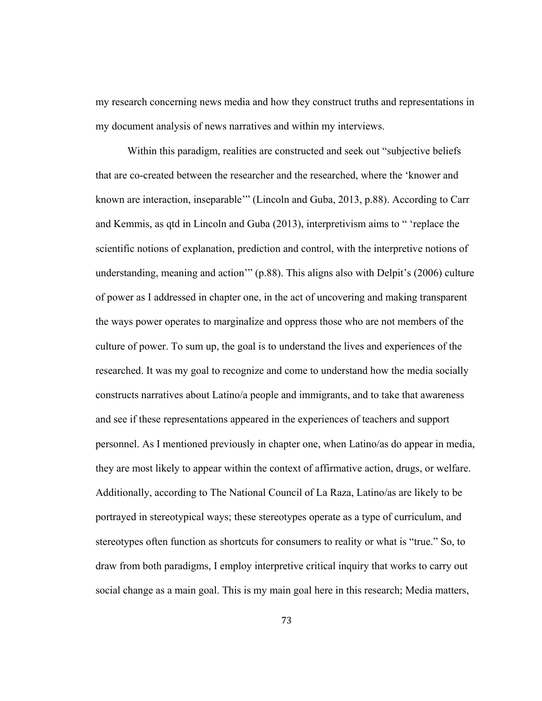my research concerning news media and how they construct truths and representations in my document analysis of news narratives and within my interviews.

Within this paradigm, realities are constructed and seek out "subjective beliefs that are co-created between the researcher and the researched, where the 'knower and known are interaction, inseparable'" (Lincoln and Guba, 2013, p.88). According to Carr and Kemmis, as qtd in Lincoln and Guba (2013), interpretivism aims to " 'replace the scientific notions of explanation, prediction and control, with the interpretive notions of understanding, meaning and action'" (p.88). This aligns also with Delpit's (2006) culture of power as I addressed in chapter one, in the act of uncovering and making transparent the ways power operates to marginalize and oppress those who are not members of the culture of power. To sum up, the goal is to understand the lives and experiences of the researched. It was my goal to recognize and come to understand how the media socially constructs narratives about Latino/a people and immigrants, and to take that awareness and see if these representations appeared in the experiences of teachers and support personnel. As I mentioned previously in chapter one, when Latino/as do appear in media, they are most likely to appear within the context of affirmative action, drugs, or welfare. Additionally, according to The National Council of La Raza, Latino/as are likely to be portrayed in stereotypical ways; these stereotypes operate as a type of curriculum, and stereotypes often function as shortcuts for consumers to reality or what is "true." So, to draw from both paradigms, I employ interpretive critical inquiry that works to carry out social change as a main goal. This is my main goal here in this research; Media matters,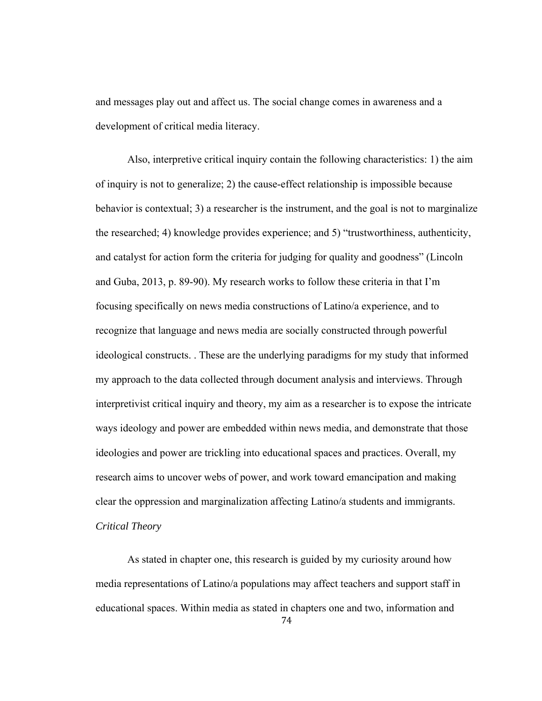and messages play out and affect us. The social change comes in awareness and a development of critical media literacy.

 Also, interpretive critical inquiry contain the following characteristics: 1) the aim of inquiry is not to generalize; 2) the cause-effect relationship is impossible because behavior is contextual; 3) a researcher is the instrument, and the goal is not to marginalize the researched; 4) knowledge provides experience; and 5) "trustworthiness, authenticity, and catalyst for action form the criteria for judging for quality and goodness" (Lincoln and Guba, 2013, p. 89-90). My research works to follow these criteria in that I'm focusing specifically on news media constructions of Latino/a experience, and to recognize that language and news media are socially constructed through powerful ideological constructs. . These are the underlying paradigms for my study that informed my approach to the data collected through document analysis and interviews. Through interpretivist critical inquiry and theory, my aim as a researcher is to expose the intricate ways ideology and power are embedded within news media, and demonstrate that those ideologies and power are trickling into educational spaces and practices. Overall, my research aims to uncover webs of power, and work toward emancipation and making clear the oppression and marginalization affecting Latino/a students and immigrants. *Critical Theory*

74 As stated in chapter one, this research is guided by my curiosity around how media representations of Latino/a populations may affect teachers and support staff in educational spaces. Within media as stated in chapters one and two, information and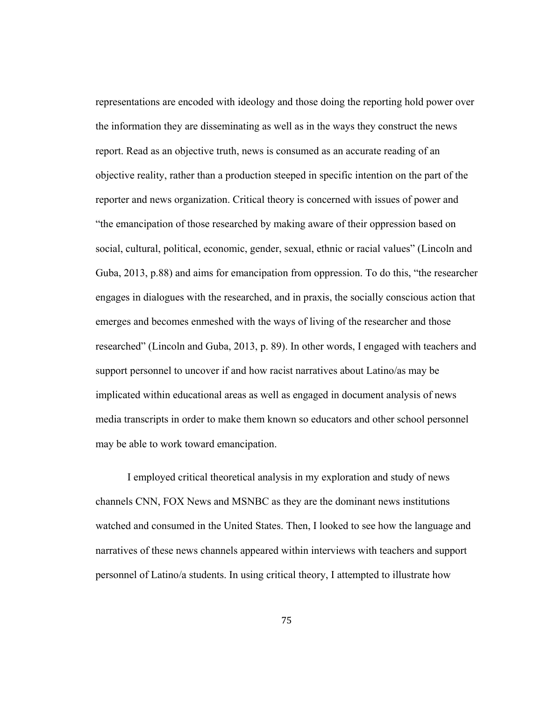representations are encoded with ideology and those doing the reporting hold power over the information they are disseminating as well as in the ways they construct the news report. Read as an objective truth, news is consumed as an accurate reading of an objective reality, rather than a production steeped in specific intention on the part of the reporter and news organization. Critical theory is concerned with issues of power and "the emancipation of those researched by making aware of their oppression based on social, cultural, political, economic, gender, sexual, ethnic or racial values" (Lincoln and Guba, 2013, p.88) and aims for emancipation from oppression. To do this, "the researcher engages in dialogues with the researched, and in praxis, the socially conscious action that emerges and becomes enmeshed with the ways of living of the researcher and those researched" (Lincoln and Guba, 2013, p. 89). In other words, I engaged with teachers and support personnel to uncover if and how racist narratives about Latino/as may be implicated within educational areas as well as engaged in document analysis of news media transcripts in order to make them known so educators and other school personnel may be able to work toward emancipation.

 I employed critical theoretical analysis in my exploration and study of news channels CNN, FOX News and MSNBC as they are the dominant news institutions watched and consumed in the United States. Then, I looked to see how the language and narratives of these news channels appeared within interviews with teachers and support personnel of Latino/a students. In using critical theory, I attempted to illustrate how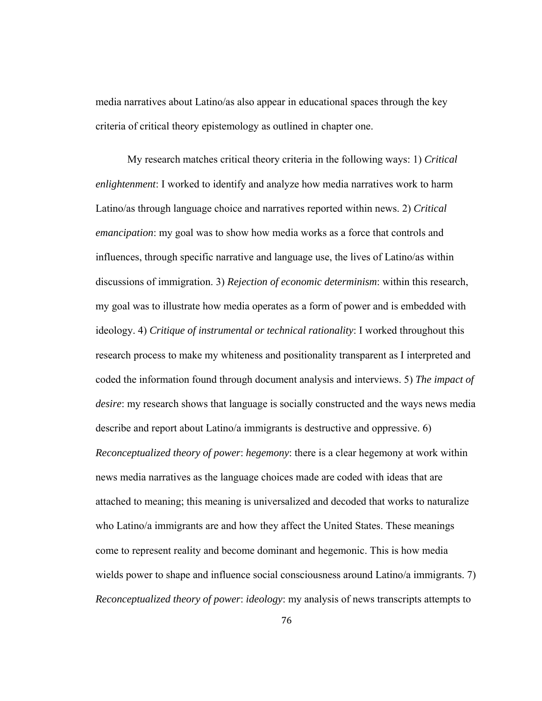media narratives about Latino/as also appear in educational spaces through the key criteria of critical theory epistemology as outlined in chapter one.

 My research matches critical theory criteria in the following ways: 1) *Critical enlightenment*: I worked to identify and analyze how media narratives work to harm Latino/as through language choice and narratives reported within news. 2) *Critical emancipation*: my goal was to show how media works as a force that controls and influences, through specific narrative and language use, the lives of Latino/as within discussions of immigration. 3) *Rejection of economic determinism*: within this research, my goal was to illustrate how media operates as a form of power and is embedded with ideology. 4) *Critique of instrumental or technical rationality*: I worked throughout this research process to make my whiteness and positionality transparent as I interpreted and coded the information found through document analysis and interviews. 5) *The impact of desire*: my research shows that language is socially constructed and the ways news media describe and report about Latino/a immigrants is destructive and oppressive. 6) *Reconceptualized theory of power*: *hegemony*: there is a clear hegemony at work within news media narratives as the language choices made are coded with ideas that are attached to meaning; this meaning is universalized and decoded that works to naturalize who Latino/a immigrants are and how they affect the United States. These meanings come to represent reality and become dominant and hegemonic. This is how media wields power to shape and influence social consciousness around Latino/a immigrants. 7) *Reconceptualized theory of power*: *ideology*: my analysis of news transcripts attempts to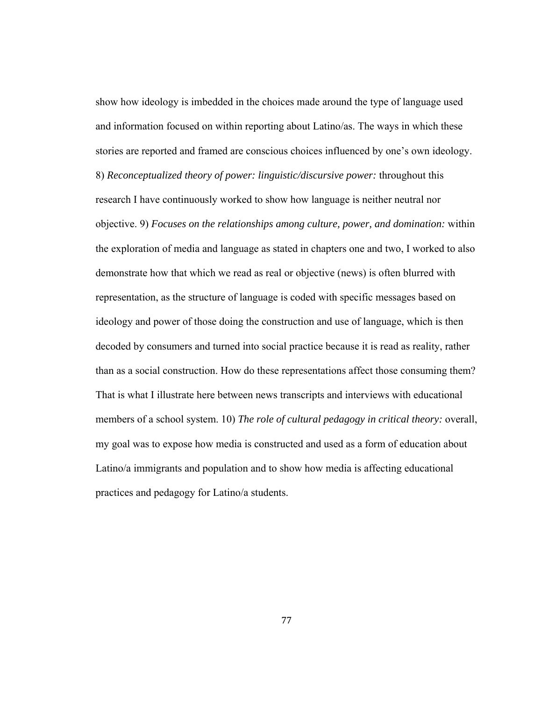show how ideology is imbedded in the choices made around the type of language used and information focused on within reporting about Latino/as. The ways in which these stories are reported and framed are conscious choices influenced by one's own ideology. 8) *Reconceptualized theory of power: linguistic/discursive power:* throughout this research I have continuously worked to show how language is neither neutral nor objective. 9) *Focuses on the relationships among culture, power, and domination:* within the exploration of media and language as stated in chapters one and two, I worked to also demonstrate how that which we read as real or objective (news) is often blurred with representation, as the structure of language is coded with specific messages based on ideology and power of those doing the construction and use of language, which is then decoded by consumers and turned into social practice because it is read as reality, rather than as a social construction. How do these representations affect those consuming them? That is what I illustrate here between news transcripts and interviews with educational members of a school system. 10) *The role of cultural pedagogy in critical theory:* overall, my goal was to expose how media is constructed and used as a form of education about Latino/a immigrants and population and to show how media is affecting educational practices and pedagogy for Latino/a students.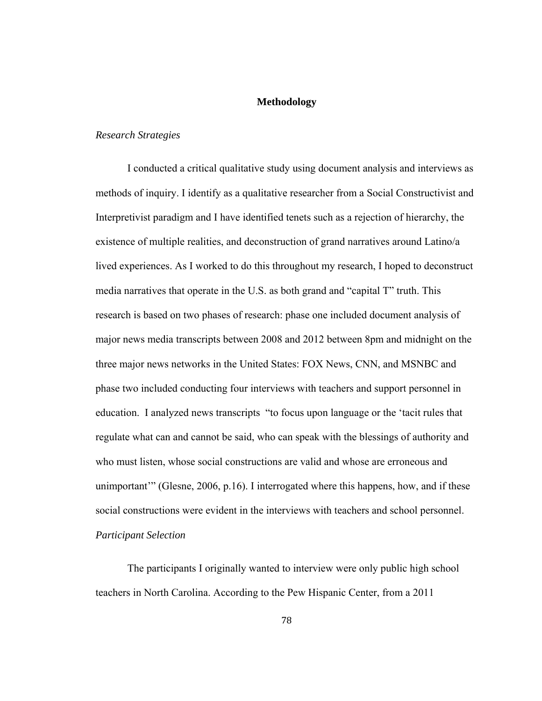## **Methodology**

#### *Research Strategies*

I conducted a critical qualitative study using document analysis and interviews as methods of inquiry. I identify as a qualitative researcher from a Social Constructivist and Interpretivist paradigm and I have identified tenets such as a rejection of hierarchy, the existence of multiple realities, and deconstruction of grand narratives around Latino/a lived experiences. As I worked to do this throughout my research, I hoped to deconstruct media narratives that operate in the U.S. as both grand and "capital T" truth. This research is based on two phases of research: phase one included document analysis of major news media transcripts between 2008 and 2012 between 8pm and midnight on the three major news networks in the United States: FOX News, CNN, and MSNBC and phase two included conducting four interviews with teachers and support personnel in education. I analyzed news transcripts "to focus upon language or the 'tacit rules that regulate what can and cannot be said, who can speak with the blessings of authority and who must listen, whose social constructions are valid and whose are erroneous and unimportant'" (Glesne, 2006, p.16). I interrogated where this happens, how, and if these social constructions were evident in the interviews with teachers and school personnel. *Participant Selection*

The participants I originally wanted to interview were only public high school teachers in North Carolina. According to the Pew Hispanic Center, from a 2011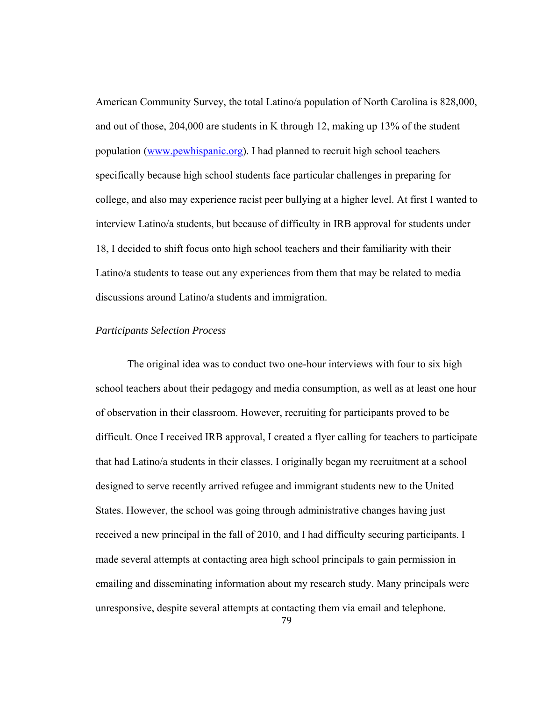American Community Survey, the total Latino/a population of North Carolina is 828,000, and out of those, 204,000 are students in K through 12, making up 13% of the student population (www.pewhispanic.org). I had planned to recruit high school teachers specifically because high school students face particular challenges in preparing for college, and also may experience racist peer bullying at a higher level. At first I wanted to interview Latino/a students, but because of difficulty in IRB approval for students under 18, I decided to shift focus onto high school teachers and their familiarity with their Latino/a students to tease out any experiences from them that may be related to media discussions around Latino/a students and immigration.

## *Participants Selection Process*

The original idea was to conduct two one-hour interviews with four to six high school teachers about their pedagogy and media consumption, as well as at least one hour of observation in their classroom. However, recruiting for participants proved to be difficult. Once I received IRB approval, I created a flyer calling for teachers to participate that had Latino/a students in their classes. I originally began my recruitment at a school designed to serve recently arrived refugee and immigrant students new to the United States. However, the school was going through administrative changes having just received a new principal in the fall of 2010, and I had difficulty securing participants. I made several attempts at contacting area high school principals to gain permission in emailing and disseminating information about my research study. Many principals were unresponsive, despite several attempts at contacting them via email and telephone.

79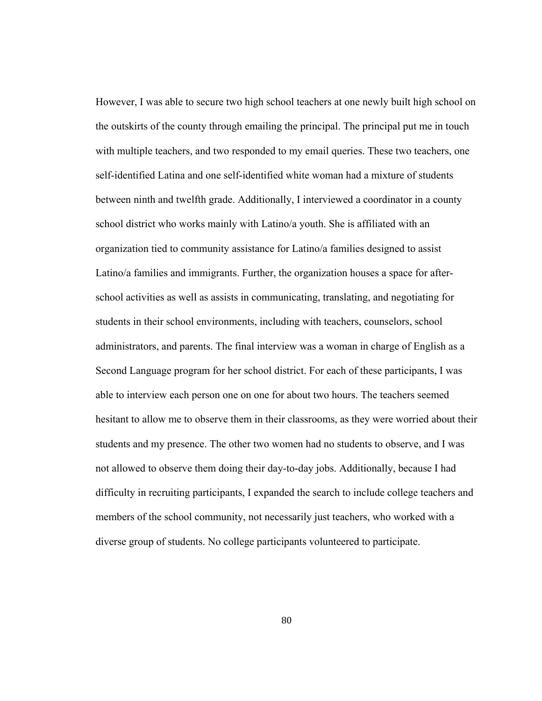However, I was able to secure two high school teachers at one newly built high school on the outskirts of the county through emailing the principal. The principal put me in touch with multiple teachers, and two responded to my email queries. These two teachers, one self-identified Latina and one self-identified white woman had a mixture of students between ninth and twelfth grade. Additionally, I interviewed a coordinator in a county school district who works mainly with Latino/a youth. She is affiliated with an organization tied to community assistance for Latino/a families designed to assist Latino/a families and immigrants. Further, the organization houses a space for afterschool activities as well as assists in communicating, translating, and negotiating for students in their school environments, including with teachers, counselors, school administrators, and parents. The final interview was a woman in charge of English as a Second Language program for her school district. For each of these participants, I was able to interview each person one on one for about two hours. The teachers seemed hesitant to allow me to observe them in their classrooms, as they were worried about their students and my presence. The other two women had no students to observe, and I was not allowed to observe them doing their day-to-day jobs. Additionally, because I had difficulty in recruiting participants, I expanded the search to include college teachers and members of the school community, not necessarily just teachers, who worked with a diverse group of students. No college participants volunteered to participate.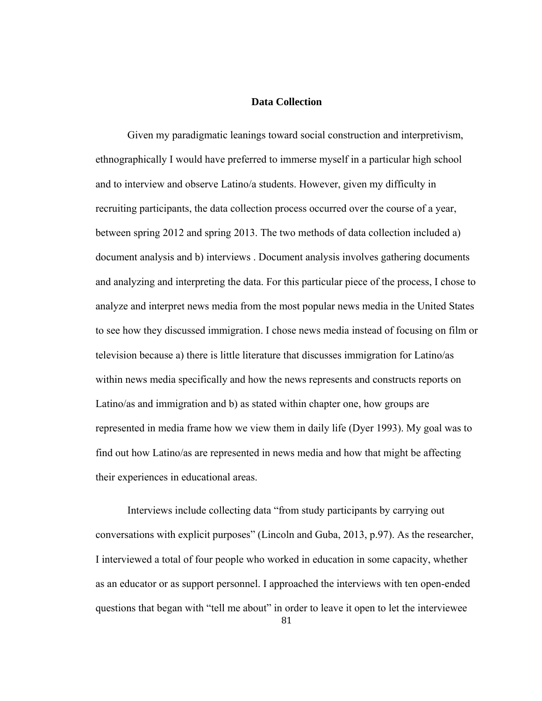# **Data Collection**

Given my paradigmatic leanings toward social construction and interpretivism, ethnographically I would have preferred to immerse myself in a particular high school and to interview and observe Latino/a students. However, given my difficulty in recruiting participants, the data collection process occurred over the course of a year, between spring 2012 and spring 2013. The two methods of data collection included a) document analysis and b) interviews . Document analysis involves gathering documents and analyzing and interpreting the data. For this particular piece of the process, I chose to analyze and interpret news media from the most popular news media in the United States to see how they discussed immigration. I chose news media instead of focusing on film or television because a) there is little literature that discusses immigration for Latino/as within news media specifically and how the news represents and constructs reports on Latino/as and immigration and b) as stated within chapter one, how groups are represented in media frame how we view them in daily life (Dyer 1993). My goal was to find out how Latino/as are represented in news media and how that might be affecting their experiences in educational areas.

81 Interviews include collecting data "from study participants by carrying out conversations with explicit purposes" (Lincoln and Guba, 2013, p.97). As the researcher, I interviewed a total of four people who worked in education in some capacity, whether as an educator or as support personnel. I approached the interviews with ten open-ended questions that began with "tell me about" in order to leave it open to let the interviewee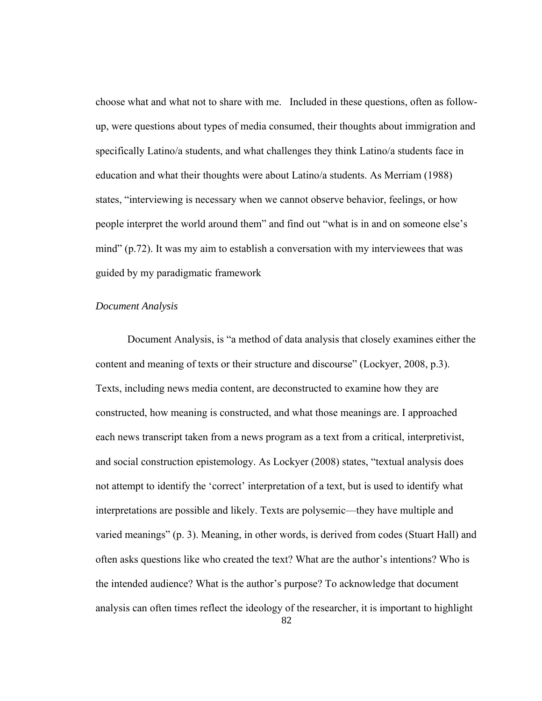choose what and what not to share with me. Included in these questions, often as followup, were questions about types of media consumed, their thoughts about immigration and specifically Latino/a students, and what challenges they think Latino/a students face in education and what their thoughts were about Latino/a students. As Merriam (1988) states, "interviewing is necessary when we cannot observe behavior, feelings, or how people interpret the world around them" and find out "what is in and on someone else's mind" (p.72). It was my aim to establish a conversation with my interviewees that was guided by my paradigmatic framework

## *Document Analysis*

82 Document Analysis, is "a method of data analysis that closely examines either the content and meaning of texts or their structure and discourse" (Lockyer, 2008, p.3). Texts, including news media content, are deconstructed to examine how they are constructed, how meaning is constructed, and what those meanings are. I approached each news transcript taken from a news program as a text from a critical, interpretivist, and social construction epistemology. As Lockyer (2008) states, "textual analysis does not attempt to identify the 'correct' interpretation of a text, but is used to identify what interpretations are possible and likely. Texts are polysemic—they have multiple and varied meanings" (p. 3). Meaning, in other words, is derived from codes (Stuart Hall) and often asks questions like who created the text? What are the author's intentions? Who is the intended audience? What is the author's purpose? To acknowledge that document analysis can often times reflect the ideology of the researcher, it is important to highlight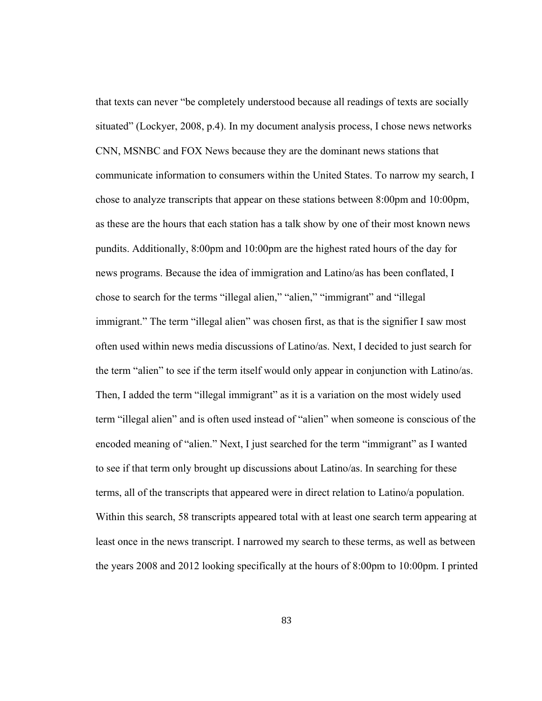that texts can never "be completely understood because all readings of texts are socially situated" (Lockyer, 2008, p.4). In my document analysis process, I chose news networks CNN, MSNBC and FOX News because they are the dominant news stations that communicate information to consumers within the United States. To narrow my search, I chose to analyze transcripts that appear on these stations between 8:00pm and 10:00pm, as these are the hours that each station has a talk show by one of their most known news pundits. Additionally, 8:00pm and 10:00pm are the highest rated hours of the day for news programs. Because the idea of immigration and Latino/as has been conflated, I chose to search for the terms "illegal alien," "alien," "immigrant" and "illegal immigrant." The term "illegal alien" was chosen first, as that is the signifier I saw most often used within news media discussions of Latino/as. Next, I decided to just search for the term "alien" to see if the term itself would only appear in conjunction with Latino/as. Then, I added the term "illegal immigrant" as it is a variation on the most widely used term "illegal alien" and is often used instead of "alien" when someone is conscious of the encoded meaning of "alien." Next, I just searched for the term "immigrant" as I wanted to see if that term only brought up discussions about Latino/as. In searching for these terms, all of the transcripts that appeared were in direct relation to Latino/a population. Within this search, 58 transcripts appeared total with at least one search term appearing at least once in the news transcript. I narrowed my search to these terms, as well as between the years 2008 and 2012 looking specifically at the hours of 8:00pm to 10:00pm. I printed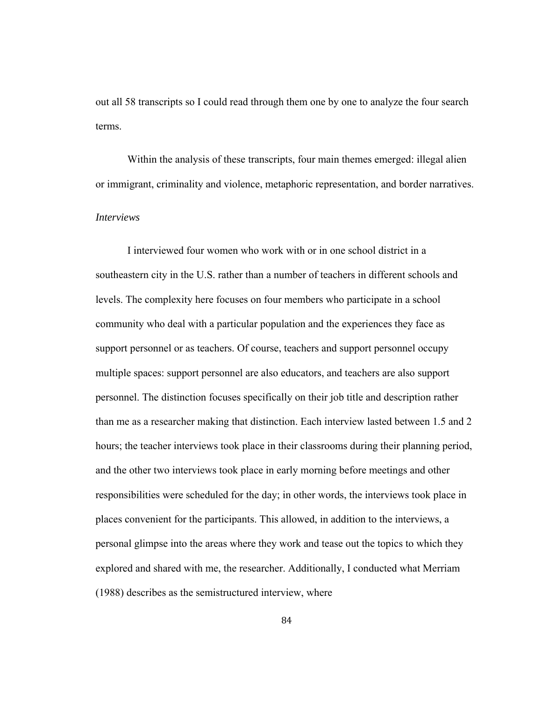out all 58 transcripts so I could read through them one by one to analyze the four search terms.

Within the analysis of these transcripts, four main themes emerged: illegal alien or immigrant, criminality and violence, metaphoric representation, and border narratives.

# *Interviews*

I interviewed four women who work with or in one school district in a southeastern city in the U.S. rather than a number of teachers in different schools and levels. The complexity here focuses on four members who participate in a school community who deal with a particular population and the experiences they face as support personnel or as teachers. Of course, teachers and support personnel occupy multiple spaces: support personnel are also educators, and teachers are also support personnel. The distinction focuses specifically on their job title and description rather than me as a researcher making that distinction. Each interview lasted between 1.5 and 2 hours; the teacher interviews took place in their classrooms during their planning period, and the other two interviews took place in early morning before meetings and other responsibilities were scheduled for the day; in other words, the interviews took place in places convenient for the participants. This allowed, in addition to the interviews, a personal glimpse into the areas where they work and tease out the topics to which they explored and shared with me, the researcher. Additionally, I conducted what Merriam (1988) describes as the semistructured interview, where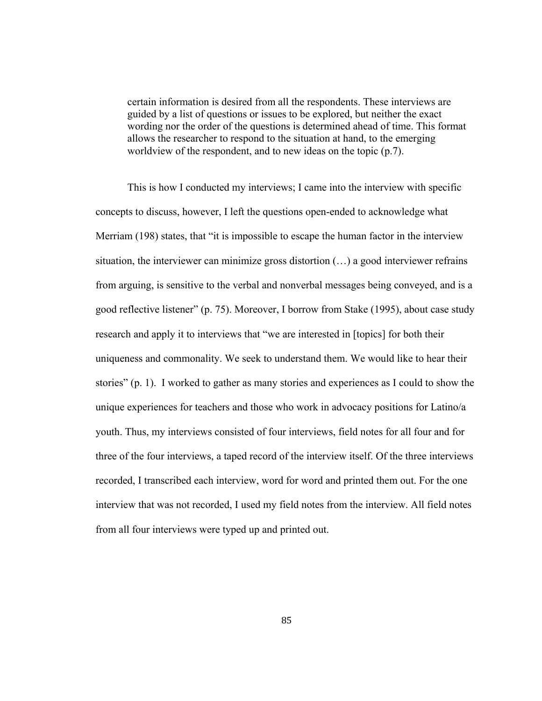certain information is desired from all the respondents. These interviews are guided by a list of questions or issues to be explored, but neither the exact wording nor the order of the questions is determined ahead of time. This format allows the researcher to respond to the situation at hand, to the emerging worldview of the respondent, and to new ideas on the topic (p.7).

This is how I conducted my interviews; I came into the interview with specific concepts to discuss, however, I left the questions open-ended to acknowledge what Merriam (198) states, that "it is impossible to escape the human factor in the interview situation, the interviewer can minimize gross distortion  $(\ldots)$  a good interviewer refrains from arguing, is sensitive to the verbal and nonverbal messages being conveyed, and is a good reflective listener" (p. 75). Moreover, I borrow from Stake (1995), about case study research and apply it to interviews that "we are interested in [topics] for both their uniqueness and commonality. We seek to understand them. We would like to hear their stories" (p. 1). I worked to gather as many stories and experiences as I could to show the unique experiences for teachers and those who work in advocacy positions for Latino/a youth. Thus, my interviews consisted of four interviews, field notes for all four and for three of the four interviews, a taped record of the interview itself. Of the three interviews recorded, I transcribed each interview, word for word and printed them out. For the one interview that was not recorded, I used my field notes from the interview. All field notes from all four interviews were typed up and printed out.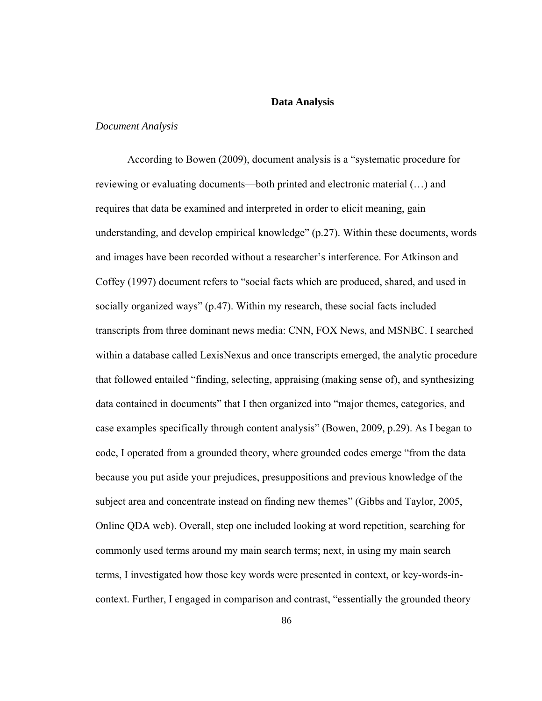#### **Data Analysis**

### *Document Analysis*

According to Bowen (2009), document analysis is a "systematic procedure for reviewing or evaluating documents—both printed and electronic material (…) and requires that data be examined and interpreted in order to elicit meaning, gain understanding, and develop empirical knowledge" (p.27). Within these documents, words and images have been recorded without a researcher's interference. For Atkinson and Coffey (1997) document refers to "social facts which are produced, shared, and used in socially organized ways" (p.47). Within my research, these social facts included transcripts from three dominant news media: CNN, FOX News, and MSNBC. I searched within a database called LexisNexus and once transcripts emerged, the analytic procedure that followed entailed "finding, selecting, appraising (making sense of), and synthesizing data contained in documents" that I then organized into "major themes, categories, and case examples specifically through content analysis" (Bowen, 2009, p.29). As I began to code, I operated from a grounded theory, where grounded codes emerge "from the data because you put aside your prejudices, presuppositions and previous knowledge of the subject area and concentrate instead on finding new themes" (Gibbs and Taylor, 2005, Online QDA web). Overall, step one included looking at word repetition, searching for commonly used terms around my main search terms; next, in using my main search terms, I investigated how those key words were presented in context, or key-words-incontext. Further, I engaged in comparison and contrast, "essentially the grounded theory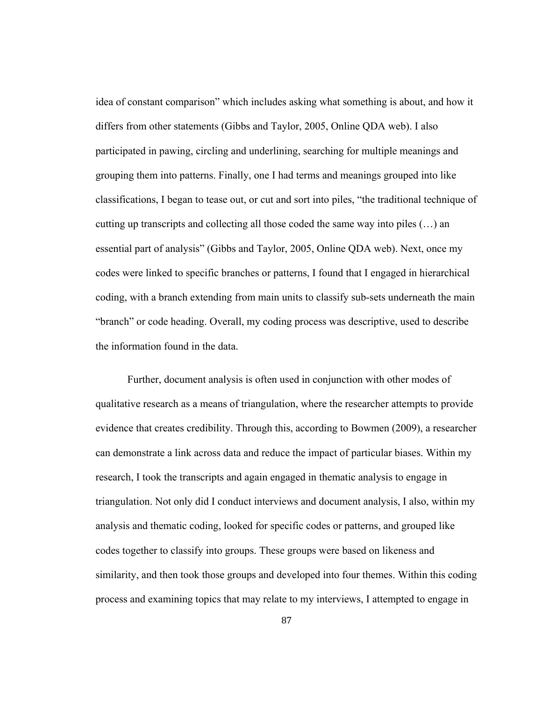idea of constant comparison" which includes asking what something is about, and how it differs from other statements (Gibbs and Taylor, 2005, Online QDA web). I also participated in pawing, circling and underlining, searching for multiple meanings and grouping them into patterns. Finally, one I had terms and meanings grouped into like classifications, I began to tease out, or cut and sort into piles, "the traditional technique of cutting up transcripts and collecting all those coded the same way into piles (…) an essential part of analysis" (Gibbs and Taylor, 2005, Online QDA web). Next, once my codes were linked to specific branches or patterns, I found that I engaged in hierarchical coding, with a branch extending from main units to classify sub-sets underneath the main "branch" or code heading. Overall, my coding process was descriptive, used to describe the information found in the data.

Further, document analysis is often used in conjunction with other modes of qualitative research as a means of triangulation, where the researcher attempts to provide evidence that creates credibility. Through this, according to Bowmen (2009), a researcher can demonstrate a link across data and reduce the impact of particular biases. Within my research, I took the transcripts and again engaged in thematic analysis to engage in triangulation. Not only did I conduct interviews and document analysis, I also, within my analysis and thematic coding, looked for specific codes or patterns, and grouped like codes together to classify into groups. These groups were based on likeness and similarity, and then took those groups and developed into four themes. Within this coding process and examining topics that may relate to my interviews, I attempted to engage in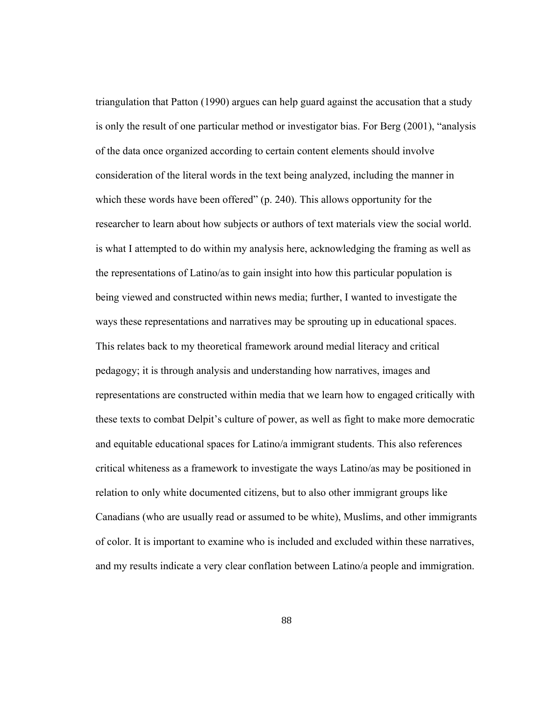triangulation that Patton (1990) argues can help guard against the accusation that a study is only the result of one particular method or investigator bias. For Berg (2001), "analysis of the data once organized according to certain content elements should involve consideration of the literal words in the text being analyzed, including the manner in which these words have been offered" (p. 240). This allows opportunity for the researcher to learn about how subjects or authors of text materials view the social world. is what I attempted to do within my analysis here, acknowledging the framing as well as the representations of Latino/as to gain insight into how this particular population is being viewed and constructed within news media; further, I wanted to investigate the ways these representations and narratives may be sprouting up in educational spaces. This relates back to my theoretical framework around medial literacy and critical pedagogy; it is through analysis and understanding how narratives, images and representations are constructed within media that we learn how to engaged critically with these texts to combat Delpit's culture of power, as well as fight to make more democratic and equitable educational spaces for Latino/a immigrant students. This also references critical whiteness as a framework to investigate the ways Latino/as may be positioned in relation to only white documented citizens, but to also other immigrant groups like Canadians (who are usually read or assumed to be white), Muslims, and other immigrants of color. It is important to examine who is included and excluded within these narratives, and my results indicate a very clear conflation between Latino/a people and immigration.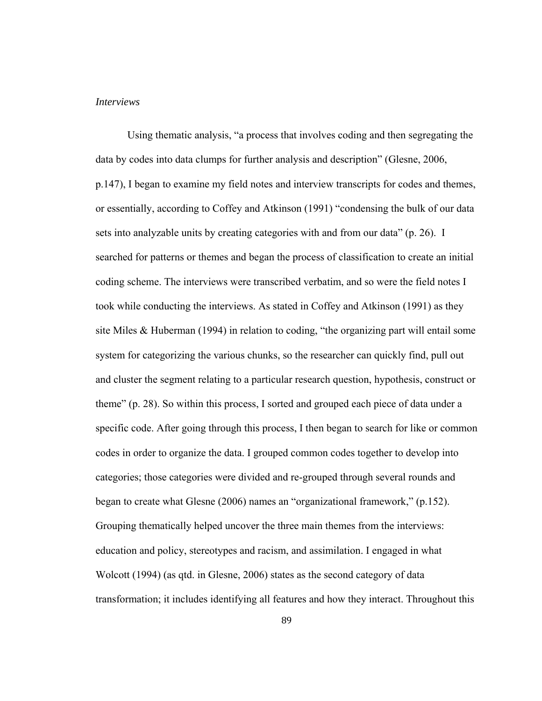#### *Interviews*

Using thematic analysis, "a process that involves coding and then segregating the data by codes into data clumps for further analysis and description" (Glesne, 2006, p.147), I began to examine my field notes and interview transcripts for codes and themes, or essentially, according to Coffey and Atkinson (1991) "condensing the bulk of our data sets into analyzable units by creating categories with and from our data" (p. 26). I searched for patterns or themes and began the process of classification to create an initial coding scheme. The interviews were transcribed verbatim, and so were the field notes I took while conducting the interviews. As stated in Coffey and Atkinson (1991) as they site Miles & Huberman (1994) in relation to coding, "the organizing part will entail some system for categorizing the various chunks, so the researcher can quickly find, pull out and cluster the segment relating to a particular research question, hypothesis, construct or theme" (p. 28). So within this process, I sorted and grouped each piece of data under a specific code. After going through this process, I then began to search for like or common codes in order to organize the data. I grouped common codes together to develop into categories; those categories were divided and re-grouped through several rounds and began to create what Glesne (2006) names an "organizational framework," (p.152). Grouping thematically helped uncover the three main themes from the interviews: education and policy, stereotypes and racism, and assimilation. I engaged in what Wolcott (1994) (as qtd. in Glesne, 2006) states as the second category of data transformation; it includes identifying all features and how they interact. Throughout this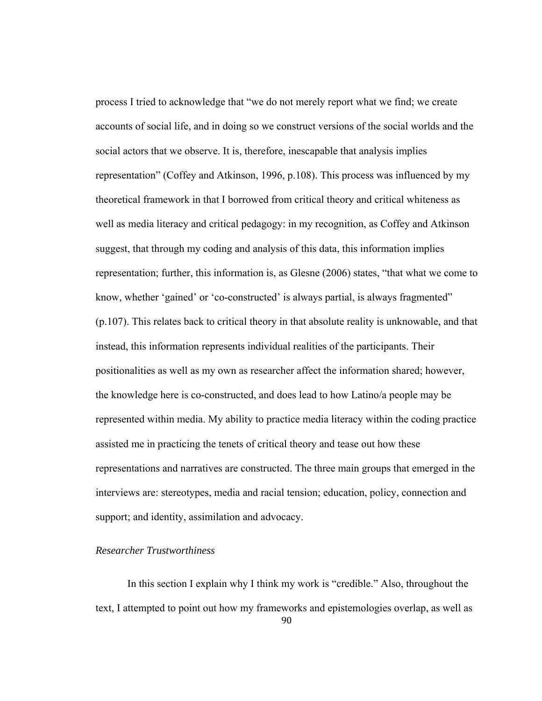process I tried to acknowledge that "we do not merely report what we find; we create accounts of social life, and in doing so we construct versions of the social worlds and the social actors that we observe. It is, therefore, inescapable that analysis implies representation" (Coffey and Atkinson, 1996, p.108). This process was influenced by my theoretical framework in that I borrowed from critical theory and critical whiteness as well as media literacy and critical pedagogy: in my recognition, as Coffey and Atkinson suggest, that through my coding and analysis of this data, this information implies representation; further, this information is, as Glesne (2006) states, "that what we come to know, whether 'gained' or 'co-constructed' is always partial, is always fragmented" (p.107). This relates back to critical theory in that absolute reality is unknowable, and that instead, this information represents individual realities of the participants. Their positionalities as well as my own as researcher affect the information shared; however, the knowledge here is co-constructed, and does lead to how Latino/a people may be represented within media. My ability to practice media literacy within the coding practice assisted me in practicing the tenets of critical theory and tease out how these representations and narratives are constructed. The three main groups that emerged in the interviews are: stereotypes, media and racial tension; education, policy, connection and support; and identity, assimilation and advocacy.

# *Researcher Trustworthiness*

90 In this section I explain why I think my work is "credible." Also, throughout the text, I attempted to point out how my frameworks and epistemologies overlap, as well as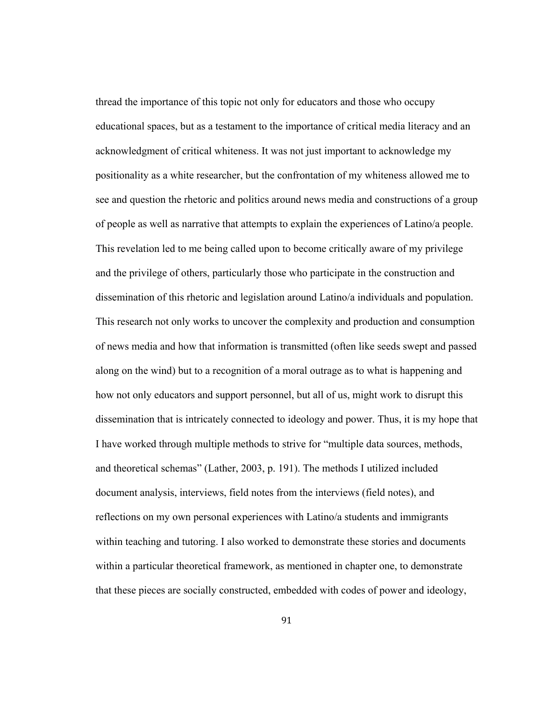thread the importance of this topic not only for educators and those who occupy educational spaces, but as a testament to the importance of critical media literacy and an acknowledgment of critical whiteness. It was not just important to acknowledge my positionality as a white researcher, but the confrontation of my whiteness allowed me to see and question the rhetoric and politics around news media and constructions of a group of people as well as narrative that attempts to explain the experiences of Latino/a people. This revelation led to me being called upon to become critically aware of my privilege and the privilege of others, particularly those who participate in the construction and dissemination of this rhetoric and legislation around Latino/a individuals and population. This research not only works to uncover the complexity and production and consumption of news media and how that information is transmitted (often like seeds swept and passed along on the wind) but to a recognition of a moral outrage as to what is happening and how not only educators and support personnel, but all of us, might work to disrupt this dissemination that is intricately connected to ideology and power. Thus, it is my hope that I have worked through multiple methods to strive for "multiple data sources, methods, and theoretical schemas" (Lather, 2003, p. 191). The methods I utilized included document analysis, interviews, field notes from the interviews (field notes), and reflections on my own personal experiences with Latino/a students and immigrants within teaching and tutoring. I also worked to demonstrate these stories and documents within a particular theoretical framework, as mentioned in chapter one, to demonstrate that these pieces are socially constructed, embedded with codes of power and ideology,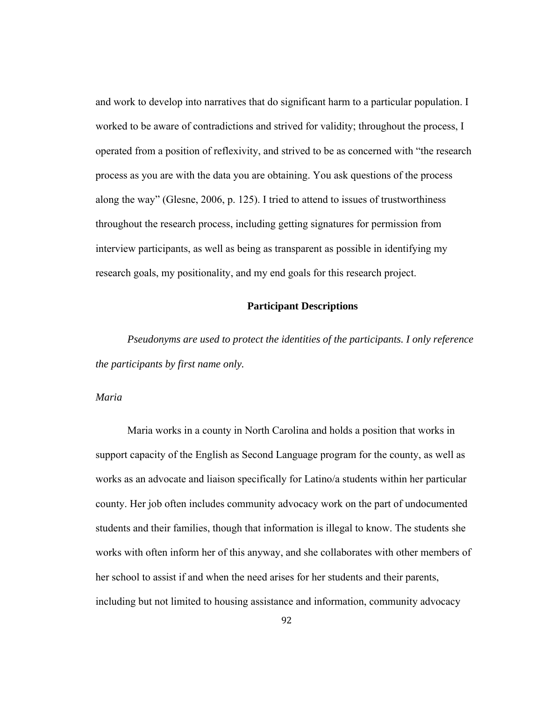and work to develop into narratives that do significant harm to a particular population. I worked to be aware of contradictions and strived for validity; throughout the process, I operated from a position of reflexivity, and strived to be as concerned with "the research process as you are with the data you are obtaining. You ask questions of the process along the way" (Glesne, 2006, p. 125). I tried to attend to issues of trustworthiness throughout the research process, including getting signatures for permission from interview participants, as well as being as transparent as possible in identifying my research goals, my positionality, and my end goals for this research project.

# **Participant Descriptions**

*Pseudonyms are used to protect the identities of the participants. I only reference the participants by first name only.* 

### *Maria*

Maria works in a county in North Carolina and holds a position that works in support capacity of the English as Second Language program for the county, as well as works as an advocate and liaison specifically for Latino/a students within her particular county. Her job often includes community advocacy work on the part of undocumented students and their families, though that information is illegal to know. The students she works with often inform her of this anyway, and she collaborates with other members of her school to assist if and when the need arises for her students and their parents, including but not limited to housing assistance and information, community advocacy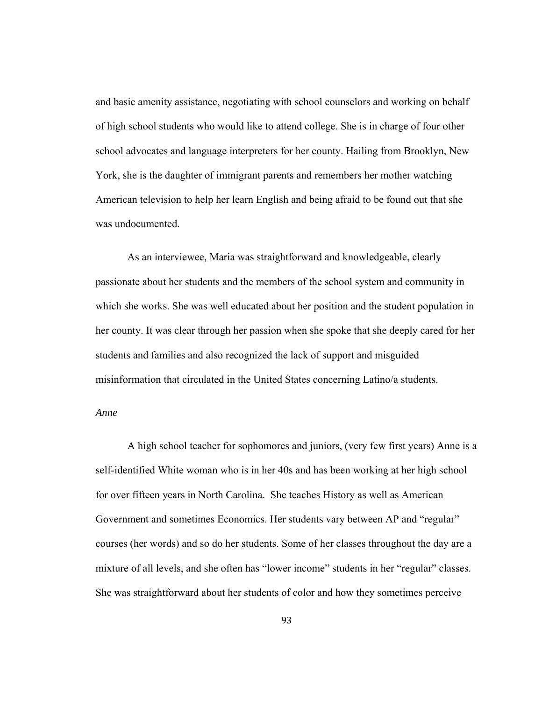and basic amenity assistance, negotiating with school counselors and working on behalf of high school students who would like to attend college. She is in charge of four other school advocates and language interpreters for her county. Hailing from Brooklyn, New York, she is the daughter of immigrant parents and remembers her mother watching American television to help her learn English and being afraid to be found out that she was undocumented.

As an interviewee, Maria was straightforward and knowledgeable, clearly passionate about her students and the members of the school system and community in which she works. She was well educated about her position and the student population in her county. It was clear through her passion when she spoke that she deeply cared for her students and families and also recognized the lack of support and misguided misinformation that circulated in the United States concerning Latino/a students.

#### *Anne*

A high school teacher for sophomores and juniors, (very few first years) Anne is a self-identified White woman who is in her 40s and has been working at her high school for over fifteen years in North Carolina. She teaches History as well as American Government and sometimes Economics. Her students vary between AP and "regular" courses (her words) and so do her students. Some of her classes throughout the day are a mixture of all levels, and she often has "lower income" students in her "regular" classes. She was straightforward about her students of color and how they sometimes perceive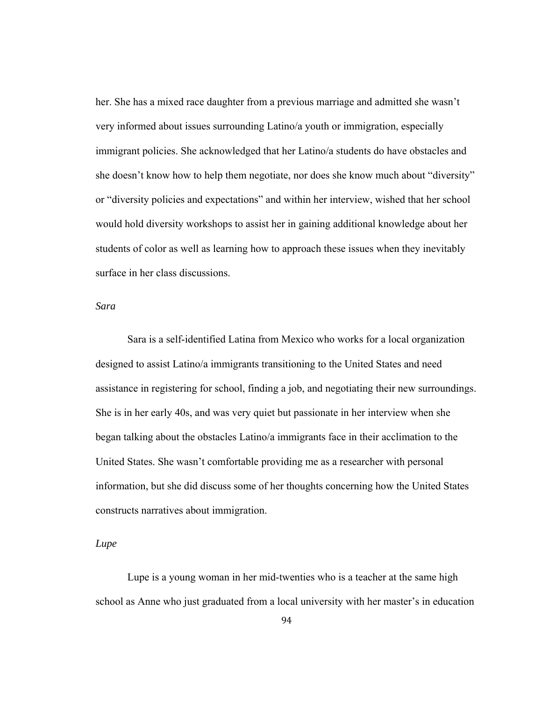her. She has a mixed race daughter from a previous marriage and admitted she wasn't very informed about issues surrounding Latino/a youth or immigration, especially immigrant policies. She acknowledged that her Latino/a students do have obstacles and she doesn't know how to help them negotiate, nor does she know much about "diversity" or "diversity policies and expectations" and within her interview, wished that her school would hold diversity workshops to assist her in gaining additional knowledge about her students of color as well as learning how to approach these issues when they inevitably surface in her class discussions.

# *Sara*

Sara is a self-identified Latina from Mexico who works for a local organization designed to assist Latino/a immigrants transitioning to the United States and need assistance in registering for school, finding a job, and negotiating their new surroundings. She is in her early 40s, and was very quiet but passionate in her interview when she began talking about the obstacles Latino/a immigrants face in their acclimation to the United States. She wasn't comfortable providing me as a researcher with personal information, but she did discuss some of her thoughts concerning how the United States constructs narratives about immigration.

#### *Lupe*

Lupe is a young woman in her mid-twenties who is a teacher at the same high school as Anne who just graduated from a local university with her master's in education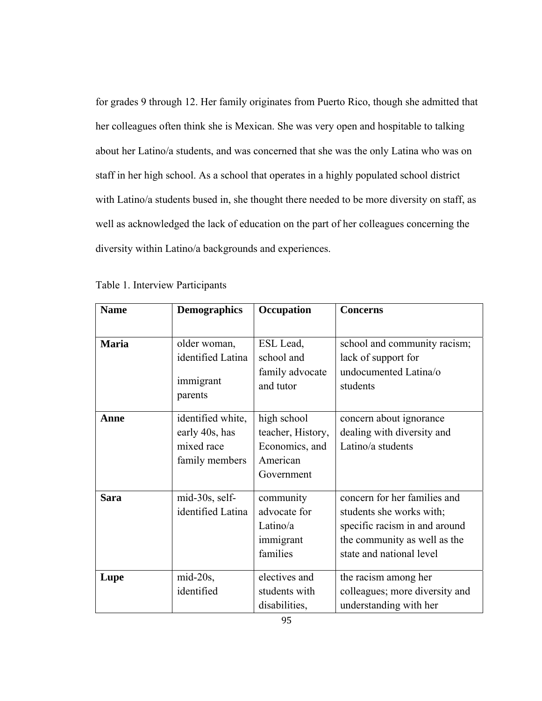for grades 9 through 12. Her family originates from Puerto Rico, though she admitted that her colleagues often think she is Mexican. She was very open and hospitable to talking about her Latino/a students, and was concerned that she was the only Latina who was on staff in her high school. As a school that operates in a highly populated school district with Latino/a students bused in, she thought there needed to be more diversity on staff, as well as acknowledged the lack of education on the part of her colleagues concerning the diversity within Latino/a backgrounds and experiences.

| <b>Name</b>  | <b>Demographics</b>                                                 | Occupation                                                                   | Concerns                                                                                                                                              |
|--------------|---------------------------------------------------------------------|------------------------------------------------------------------------------|-------------------------------------------------------------------------------------------------------------------------------------------------------|
|              |                                                                     |                                                                              |                                                                                                                                                       |
| <b>Maria</b> | older woman,<br>identified Latina<br>immigrant                      | ESL Lead,<br>school and<br>family advocate<br>and tutor                      | school and community racism;<br>lack of support for<br>undocumented Latina/o<br>students                                                              |
|              | parents                                                             |                                                                              |                                                                                                                                                       |
| Anne         | identified white,<br>early 40s, has<br>mixed race<br>family members | high school<br>teacher, History,<br>Economics, and<br>American<br>Government | concern about ignorance<br>dealing with diversity and<br>Latino/a students                                                                            |
| <b>Sara</b>  | mid-30s, self-<br>identified Latina                                 | community<br>advocate for<br>Latino/a<br>immigrant<br>families               | concern for her families and<br>students she works with;<br>specific racism in and around<br>the community as well as the<br>state and national level |
| Lupe         | $mid-20s$ ,<br>identified                                           | electives and<br>students with<br>disabilities,                              | the racism among her<br>colleagues; more diversity and<br>understanding with her                                                                      |

Table 1. Interview Participants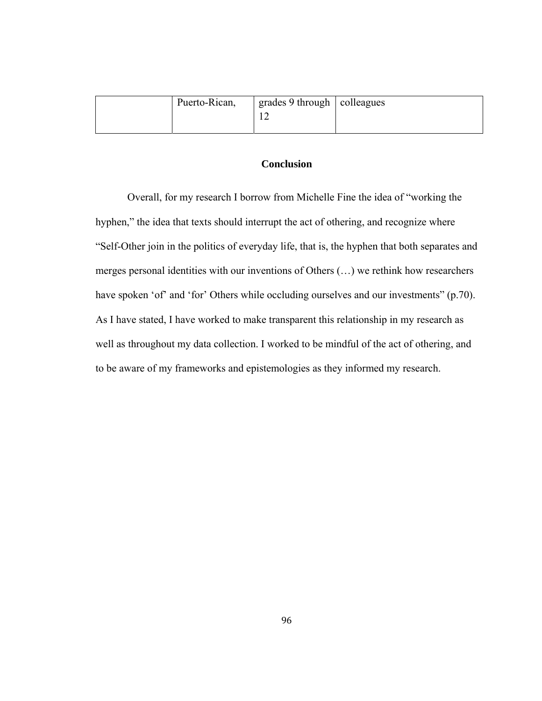| Puerto-Rican, | $\frac{1}{2}$ grades 9 through $\frac{1}{2}$ colleagues |  |
|---------------|---------------------------------------------------------|--|
|               |                                                         |  |
|               |                                                         |  |

# **Conclusion**

Overall, for my research I borrow from Michelle Fine the idea of "working the hyphen," the idea that texts should interrupt the act of othering, and recognize where "Self-Other join in the politics of everyday life, that is, the hyphen that both separates and merges personal identities with our inventions of Others (…) we rethink how researchers have spoken 'of' and 'for' Others while occluding ourselves and our investments" (p.70). As I have stated, I have worked to make transparent this relationship in my research as well as throughout my data collection. I worked to be mindful of the act of othering, and to be aware of my frameworks and epistemologies as they informed my research.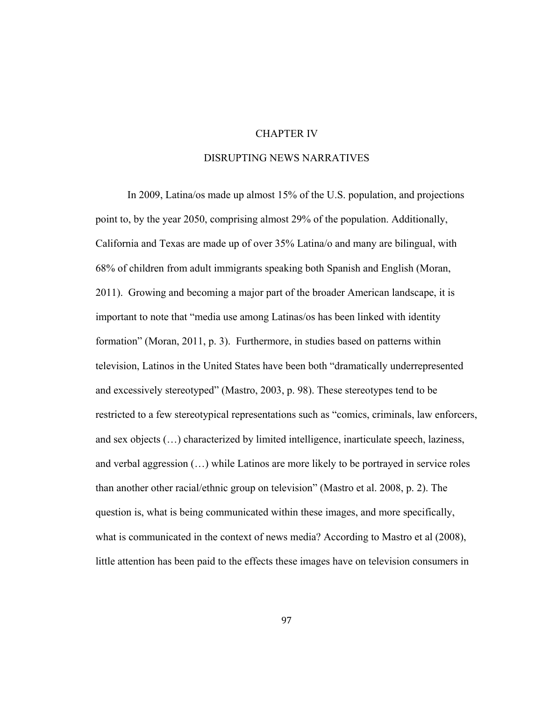## CHAPTER IV

# DISRUPTING NEWS NARRATIVES

 In 2009, Latina/os made up almost 15% of the U.S. population, and projections point to, by the year 2050, comprising almost 29% of the population. Additionally, California and Texas are made up of over 35% Latina/o and many are bilingual, with 68% of children from adult immigrants speaking both Spanish and English (Moran, 2011). Growing and becoming a major part of the broader American landscape, it is important to note that "media use among Latinas/os has been linked with identity formation" (Moran, 2011, p. 3). Furthermore, in studies based on patterns within television, Latinos in the United States have been both "dramatically underrepresented and excessively stereotyped" (Mastro, 2003, p. 98). These stereotypes tend to be restricted to a few stereotypical representations such as "comics, criminals, law enforcers, and sex objects (…) characterized by limited intelligence, inarticulate speech, laziness, and verbal aggression (…) while Latinos are more likely to be portrayed in service roles than another other racial/ethnic group on television" (Mastro et al. 2008, p. 2). The question is, what is being communicated within these images, and more specifically, what is communicated in the context of news media? According to Mastro et al (2008), little attention has been paid to the effects these images have on television consumers in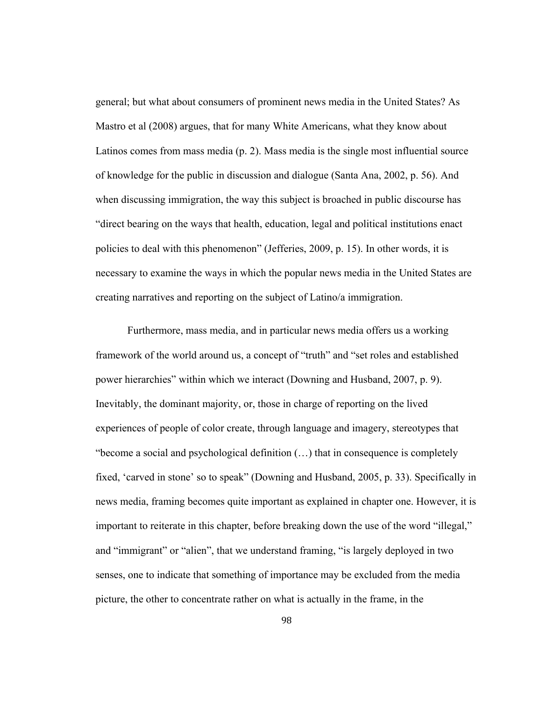general; but what about consumers of prominent news media in the United States? As Mastro et al (2008) argues, that for many White Americans, what they know about Latinos comes from mass media (p. 2). Mass media is the single most influential source of knowledge for the public in discussion and dialogue (Santa Ana, 2002, p. 56). And when discussing immigration, the way this subject is broached in public discourse has "direct bearing on the ways that health, education, legal and political institutions enact policies to deal with this phenomenon" (Jefferies, 2009, p. 15). In other words, it is necessary to examine the ways in which the popular news media in the United States are creating narratives and reporting on the subject of Latino/a immigration.

 Furthermore, mass media, and in particular news media offers us a working framework of the world around us, a concept of "truth" and "set roles and established power hierarchies" within which we interact (Downing and Husband, 2007, p. 9). Inevitably, the dominant majority, or, those in charge of reporting on the lived experiences of people of color create, through language and imagery, stereotypes that "become a social and psychological definition (…) that in consequence is completely fixed, 'carved in stone' so to speak" (Downing and Husband, 2005, p. 33). Specifically in news media, framing becomes quite important as explained in chapter one. However, it is important to reiterate in this chapter, before breaking down the use of the word "illegal," and "immigrant" or "alien", that we understand framing, "is largely deployed in two senses, one to indicate that something of importance may be excluded from the media picture, the other to concentrate rather on what is actually in the frame, in the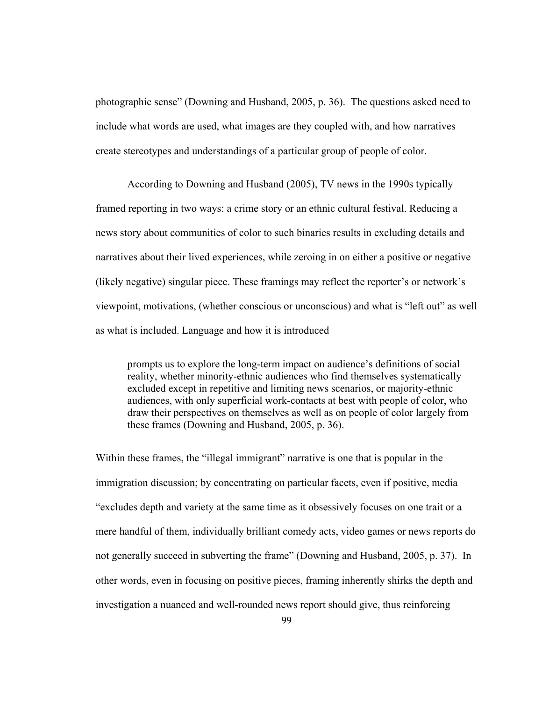photographic sense" (Downing and Husband, 2005, p. 36). The questions asked need to include what words are used, what images are they coupled with, and how narratives create stereotypes and understandings of a particular group of people of color.

 According to Downing and Husband (2005), TV news in the 1990s typically framed reporting in two ways: a crime story or an ethnic cultural festival. Reducing a news story about communities of color to such binaries results in excluding details and narratives about their lived experiences, while zeroing in on either a positive or negative (likely negative) singular piece. These framings may reflect the reporter's or network's viewpoint, motivations, (whether conscious or unconscious) and what is "left out" as well as what is included. Language and how it is introduced

prompts us to explore the long-term impact on audience's definitions of social reality, whether minority-ethnic audiences who find themselves systematically excluded except in repetitive and limiting news scenarios, or majority-ethnic audiences, with only superficial work-contacts at best with people of color, who draw their perspectives on themselves as well as on people of color largely from these frames (Downing and Husband, 2005, p. 36).

Within these frames, the "illegal immigrant" narrative is one that is popular in the immigration discussion; by concentrating on particular facets, even if positive, media "excludes depth and variety at the same time as it obsessively focuses on one trait or a mere handful of them, individually brilliant comedy acts, video games or news reports do not generally succeed in subverting the frame" (Downing and Husband, 2005, p. 37). In other words, even in focusing on positive pieces, framing inherently shirks the depth and investigation a nuanced and well-rounded news report should give, thus reinforcing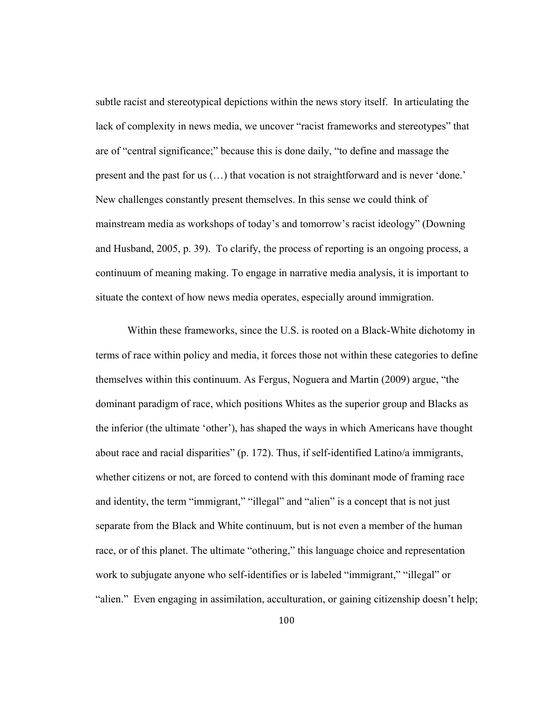subtle racist and stereotypical depictions within the news story itself. In articulating the lack of complexity in news media, we uncover "racist frameworks and stereotypes" that are of "central significance;" because this is done daily, "to define and massage the present and the past for us (…) that vocation is not straightforward and is never 'done.' New challenges constantly present themselves. In this sense we could think of mainstream media as workshops of today's and tomorrow's racist ideology" (Downing and Husband, 2005, p. 39). To clarify, the process of reporting is an ongoing process, a continuum of meaning making. To engage in narrative media analysis, it is important to situate the context of how news media operates, especially around immigration.

 Within these frameworks, since the U.S. is rooted on a Black-White dichotomy in terms of race within policy and media, it forces those not within these categories to define themselves within this continuum. As Fergus, Noguera and Martin (2009) argue, "the dominant paradigm of race, which positions Whites as the superior group and Blacks as the inferior (the ultimate 'other'), has shaped the ways in which Americans have thought about race and racial disparities" (p. 172). Thus, if self-identified Latino/a immigrants, whether citizens or not, are forced to contend with this dominant mode of framing race and identity, the term "immigrant," "illegal" and "alien" is a concept that is not just separate from the Black and White continuum, but is not even a member of the human race, or of this planet. The ultimate "othering," this language choice and representation work to subjugate anyone who self-identifies or is labeled "immigrant," "illegal" or "alien." Even engaging in assimilation, acculturation, or gaining citizenship doesn't help;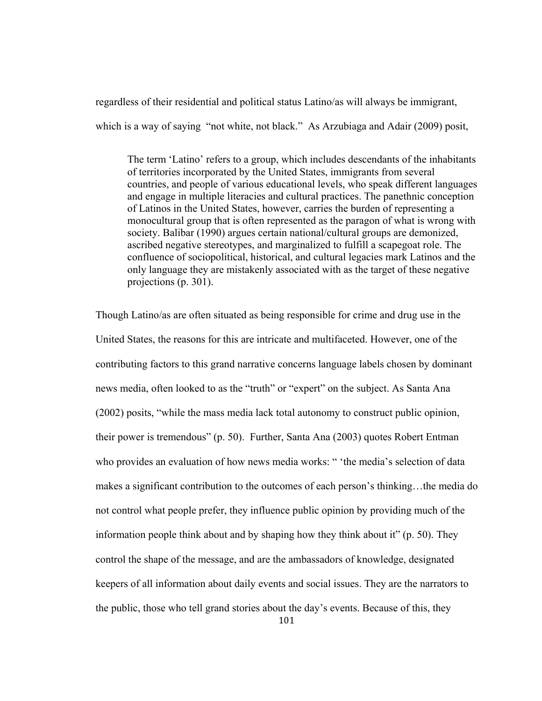regardless of their residential and political status Latino/as will always be immigrant,

which is a way of saying "not white, not black." As Arzubiaga and Adair (2009) posit,

The term 'Latino' refers to a group, which includes descendants of the inhabitants of territories incorporated by the United States, immigrants from several countries, and people of various educational levels, who speak different languages and engage in multiple literacies and cultural practices. The panethnic conception of Latinos in the United States, however, carries the burden of representing a monocultural group that is often represented as the paragon of what is wrong with society. Balibar (1990) argues certain national/cultural groups are demonized, ascribed negative stereotypes, and marginalized to fulfill a scapegoat role. The confluence of sociopolitical, historical, and cultural legacies mark Latinos and the only language they are mistakenly associated with as the target of these negative projections (p. 301).

101 Though Latino/as are often situated as being responsible for crime and drug use in the United States, the reasons for this are intricate and multifaceted. However, one of the contributing factors to this grand narrative concerns language labels chosen by dominant news media, often looked to as the "truth" or "expert" on the subject. As Santa Ana (2002) posits, "while the mass media lack total autonomy to construct public opinion, their power is tremendous" (p. 50). Further, Santa Ana (2003) quotes Robert Entman who provides an evaluation of how news media works: " 'the media's selection of data makes a significant contribution to the outcomes of each person's thinking…the media do not control what people prefer, they influence public opinion by providing much of the information people think about and by shaping how they think about it" (p. 50). They control the shape of the message, and are the ambassadors of knowledge, designated keepers of all information about daily events and social issues. They are the narrators to the public, those who tell grand stories about the day's events. Because of this, they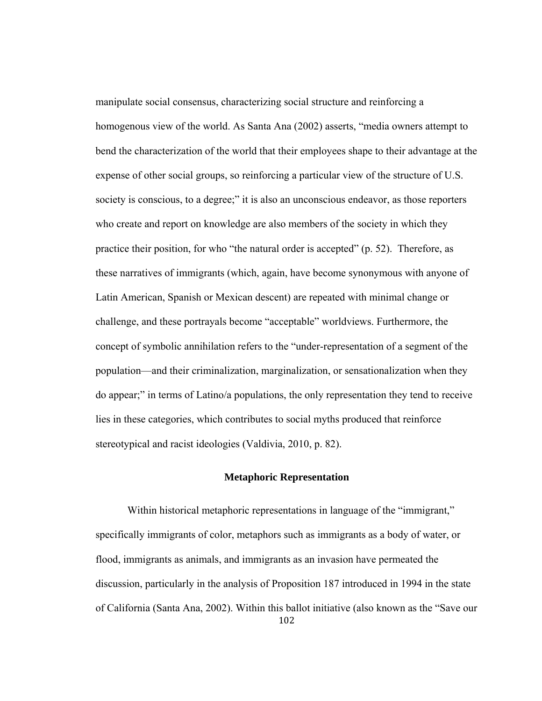manipulate social consensus, characterizing social structure and reinforcing a homogenous view of the world. As Santa Ana (2002) asserts, "media owners attempt to bend the characterization of the world that their employees shape to their advantage at the expense of other social groups, so reinforcing a particular view of the structure of U.S. society is conscious, to a degree;" it is also an unconscious endeavor, as those reporters who create and report on knowledge are also members of the society in which they practice their position, for who "the natural order is accepted" (p. 52). Therefore, as these narratives of immigrants (which, again, have become synonymous with anyone of Latin American, Spanish or Mexican descent) are repeated with minimal change or challenge, and these portrayals become "acceptable" worldviews. Furthermore, the concept of symbolic annihilation refers to the "under-representation of a segment of the population—and their criminalization, marginalization, or sensationalization when they do appear;" in terms of Latino/a populations, the only representation they tend to receive lies in these categories, which contributes to social myths produced that reinforce stereotypical and racist ideologies (Valdivia, 2010, p. 82).

# **Metaphoric Representation**

102 Within historical metaphoric representations in language of the "immigrant," specifically immigrants of color, metaphors such as immigrants as a body of water, or flood, immigrants as animals, and immigrants as an invasion have permeated the discussion, particularly in the analysis of Proposition 187 introduced in 1994 in the state of California (Santa Ana, 2002). Within this ballot initiative (also known as the "Save our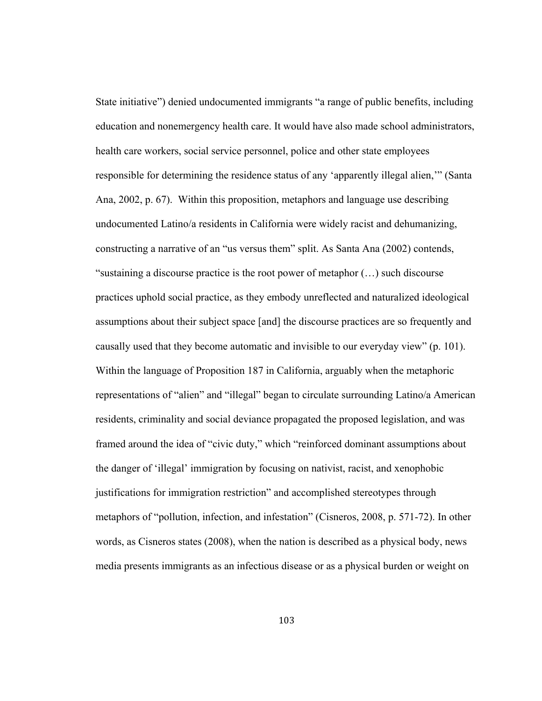State initiative") denied undocumented immigrants "a range of public benefits, including education and nonemergency health care. It would have also made school administrators, health care workers, social service personnel, police and other state employees responsible for determining the residence status of any 'apparently illegal alien,'" (Santa Ana, 2002, p. 67). Within this proposition, metaphors and language use describing undocumented Latino/a residents in California were widely racist and dehumanizing, constructing a narrative of an "us versus them" split. As Santa Ana (2002) contends, "sustaining a discourse practice is the root power of metaphor (…) such discourse practices uphold social practice, as they embody unreflected and naturalized ideological assumptions about their subject space [and] the discourse practices are so frequently and causally used that they become automatic and invisible to our everyday view" (p. 101). Within the language of Proposition 187 in California, arguably when the metaphoric representations of "alien" and "illegal" began to circulate surrounding Latino/a American residents, criminality and social deviance propagated the proposed legislation, and was framed around the idea of "civic duty," which "reinforced dominant assumptions about the danger of 'illegal' immigration by focusing on nativist, racist, and xenophobic justifications for immigration restriction" and accomplished stereotypes through metaphors of "pollution, infection, and infestation" (Cisneros, 2008, p. 571-72). In other words, as Cisneros states (2008), when the nation is described as a physical body, news media presents immigrants as an infectious disease or as a physical burden or weight on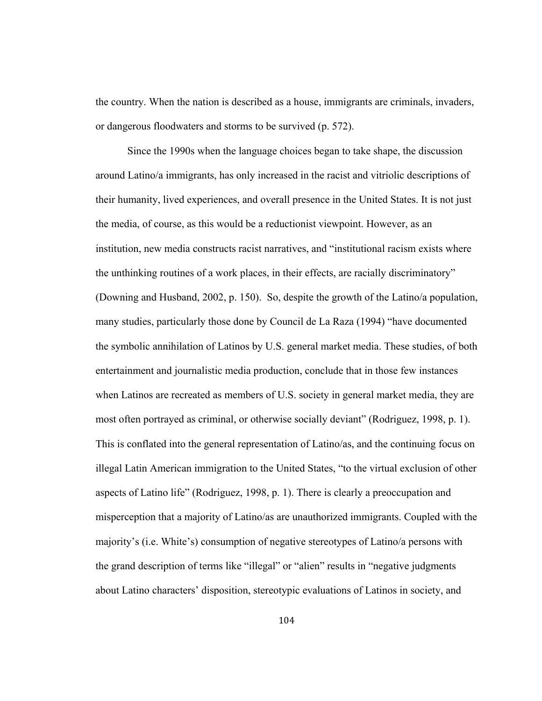the country. When the nation is described as a house, immigrants are criminals, invaders, or dangerous floodwaters and storms to be survived (p. 572).

 Since the 1990s when the language choices began to take shape, the discussion around Latino/a immigrants, has only increased in the racist and vitriolic descriptions of their humanity, lived experiences, and overall presence in the United States. It is not just the media, of course, as this would be a reductionist viewpoint. However, as an institution, new media constructs racist narratives, and "institutional racism exists where the unthinking routines of a work places, in their effects, are racially discriminatory" (Downing and Husband, 2002, p. 150). So, despite the growth of the Latino/a population, many studies, particularly those done by Council de La Raza (1994) "have documented the symbolic annihilation of Latinos by U.S. general market media. These studies, of both entertainment and journalistic media production, conclude that in those few instances when Latinos are recreated as members of U.S. society in general market media, they are most often portrayed as criminal, or otherwise socially deviant" (Rodriguez, 1998, p. 1). This is conflated into the general representation of Latino/as, and the continuing focus on illegal Latin American immigration to the United States, "to the virtual exclusion of other aspects of Latino life" (Rodriguez, 1998, p. 1). There is clearly a preoccupation and misperception that a majority of Latino/as are unauthorized immigrants. Coupled with the majority's (i.e. White's) consumption of negative stereotypes of Latino/a persons with the grand description of terms like "illegal" or "alien" results in "negative judgments about Latino characters' disposition, stereotypic evaluations of Latinos in society, and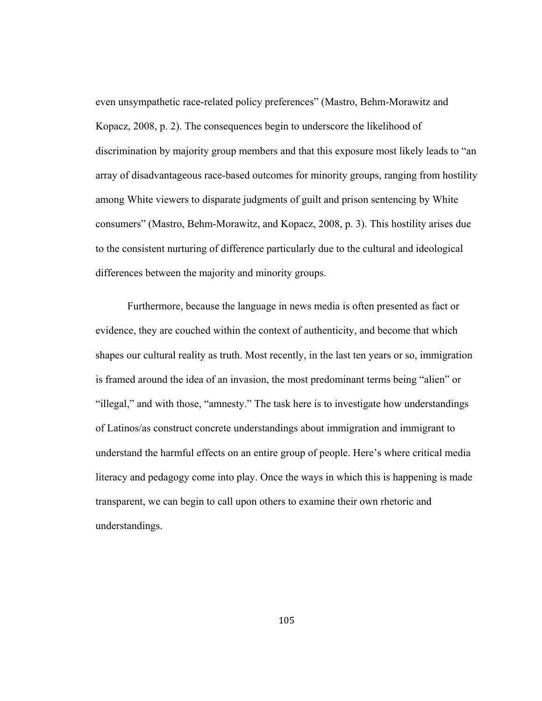even unsympathetic race-related policy preferences" (Mastro, Behm-Morawitz and Kopacz, 2008, p. 2). The consequences begin to underscore the likelihood of discrimination by majority group members and that this exposure most likely leads to "an array of disadvantageous race-based outcomes for minority groups, ranging from hostility among White viewers to disparate judgments of guilt and prison sentencing by White consumers" (Mastro, Behm-Morawitz, and Kopacz, 2008, p. 3). This hostility arises due to the consistent nurturing of difference particularly due to the cultural and ideological differences between the majority and minority groups.

 Furthermore, because the language in news media is often presented as fact or evidence, they are couched within the context of authenticity, and become that which shapes our cultural reality as truth. Most recently, in the last ten years or so, immigration is framed around the idea of an invasion, the most predominant terms being "alien" or "illegal," and with those, "amnesty." The task here is to investigate how understandings of Latinos/as construct concrete understandings about immigration and immigrant to understand the harmful effects on an entire group of people. Here's where critical media literacy and pedagogy come into play. Once the ways in which this is happening is made transparent, we can begin to call upon others to examine their own rhetoric and understandings.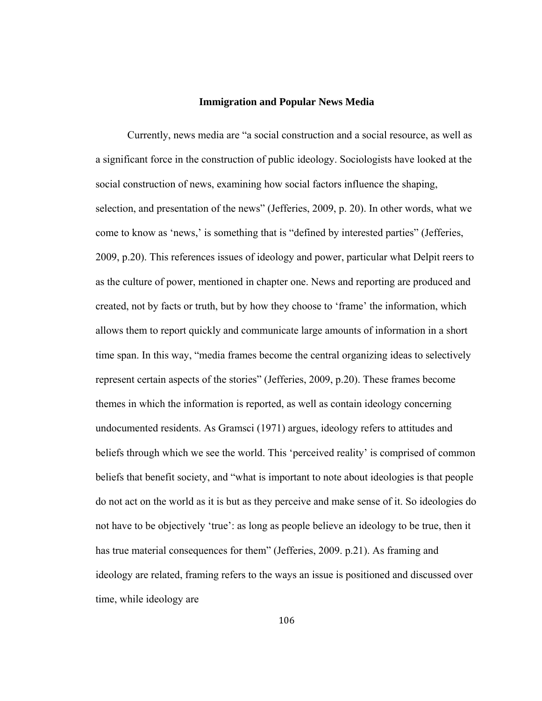#### **Immigration and Popular News Media**

Currently, news media are "a social construction and a social resource, as well as a significant force in the construction of public ideology. Sociologists have looked at the social construction of news, examining how social factors influence the shaping, selection, and presentation of the news" (Jefferies, 2009, p. 20). In other words, what we come to know as 'news,' is something that is "defined by interested parties" (Jefferies, 2009, p.20). This references issues of ideology and power, particular what Delpit reers to as the culture of power, mentioned in chapter one. News and reporting are produced and created, not by facts or truth, but by how they choose to 'frame' the information, which allows them to report quickly and communicate large amounts of information in a short time span. In this way, "media frames become the central organizing ideas to selectively represent certain aspects of the stories" (Jefferies, 2009, p.20). These frames become themes in which the information is reported, as well as contain ideology concerning undocumented residents. As Gramsci (1971) argues, ideology refers to attitudes and beliefs through which we see the world. This 'perceived reality' is comprised of common beliefs that benefit society, and "what is important to note about ideologies is that people do not act on the world as it is but as they perceive and make sense of it. So ideologies do not have to be objectively 'true': as long as people believe an ideology to be true, then it has true material consequences for them" (Jefferies, 2009. p.21). As framing and ideology are related, framing refers to the ways an issue is positioned and discussed over time, while ideology are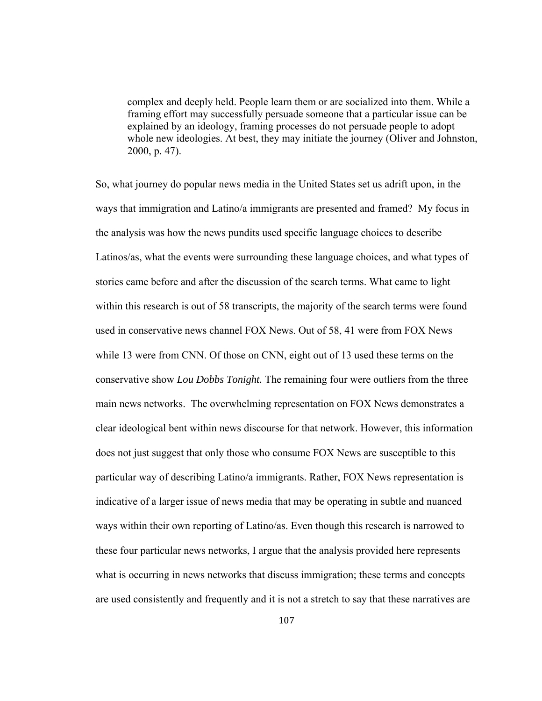complex and deeply held. People learn them or are socialized into them. While a framing effort may successfully persuade someone that a particular issue can be explained by an ideology, framing processes do not persuade people to adopt whole new ideologies. At best, they may initiate the journey (Oliver and Johnston, 2000, p. 47).

So, what journey do popular news media in the United States set us adrift upon, in the ways that immigration and Latino/a immigrants are presented and framed? My focus in the analysis was how the news pundits used specific language choices to describe Latinos/as, what the events were surrounding these language choices, and what types of stories came before and after the discussion of the search terms. What came to light within this research is out of 58 transcripts, the majority of the search terms were found used in conservative news channel FOX News. Out of 58, 41 were from FOX News while 13 were from CNN. Of those on CNN, eight out of 13 used these terms on the conservative show *Lou Dobbs Tonight.* The remaining four were outliers from the three main news networks. The overwhelming representation on FOX News demonstrates a clear ideological bent within news discourse for that network. However, this information does not just suggest that only those who consume FOX News are susceptible to this particular way of describing Latino/a immigrants. Rather, FOX News representation is indicative of a larger issue of news media that may be operating in subtle and nuanced ways within their own reporting of Latino/as. Even though this research is narrowed to these four particular news networks, I argue that the analysis provided here represents what is occurring in news networks that discuss immigration; these terms and concepts are used consistently and frequently and it is not a stretch to say that these narratives are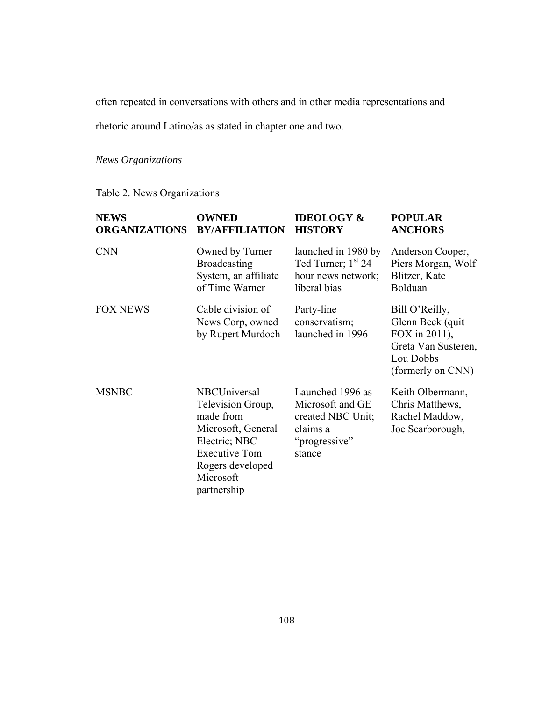often repeated in conversations with others and in other media representations and

rhetoric around Latino/as as stated in chapter one and two.

*News Organizations* 

| <b>NEWS</b>          | <b>OWNED</b>                                                                                                                                                  | <b>IDEOLOGY &amp;</b>                                                                            | <b>POPULAR</b>                                                                                                |
|----------------------|---------------------------------------------------------------------------------------------------------------------------------------------------------------|--------------------------------------------------------------------------------------------------|---------------------------------------------------------------------------------------------------------------|
| <b>ORGANIZATIONS</b> | <b>BY/AFFILIATION</b>                                                                                                                                         | <b>HISTORY</b>                                                                                   | <b>ANCHORS</b>                                                                                                |
| <b>CNN</b>           | Owned by Turner                                                                                                                                               | launched in 1980 by                                                                              | Anderson Cooper,                                                                                              |
|                      | <b>Broadcasting</b>                                                                                                                                           | Ted Turner; 1 <sup>st</sup> 24                                                                   | Piers Morgan, Wolf                                                                                            |
|                      | System, an affiliate                                                                                                                                          | hour news network;                                                                               | Blitzer, Kate                                                                                                 |
|                      | of Time Warner                                                                                                                                                | liberal bias                                                                                     | Bolduan                                                                                                       |
| <b>FOX NEWS</b>      | Cable division of<br>News Corp, owned<br>by Rupert Murdoch                                                                                                    | Party-line<br>conservatism;<br>launched in 1996                                                  | Bill O'Reilly,<br>Glenn Beck (quit)<br>FOX in 2011),<br>Greta Van Susteren,<br>Lou Dobbs<br>(formerly on CNN) |
| <b>MSNBC</b>         | NBCUniversal<br>Television Group,<br>made from<br>Microsoft, General<br>Electric; NBC<br><b>Executive Tom</b><br>Rogers developed<br>Microsoft<br>partnership | Launched 1996 as<br>Microsoft and GE<br>created NBC Unit;<br>claims a<br>"progressive"<br>stance | Keith Olbermann,<br>Chris Matthews,<br>Rachel Maddow,<br>Joe Scarborough,                                     |

Table 2. News Organizations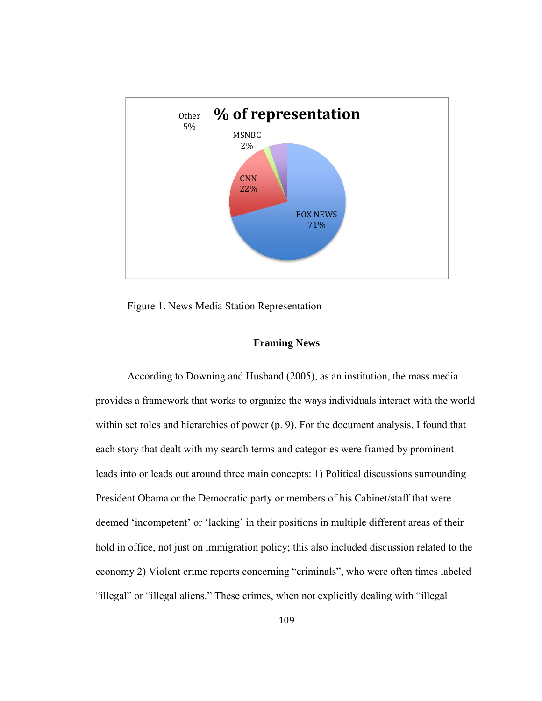

Figure 1. News Media Station Representation

# **Framing News**

According to Downing and Husband (2005), as an institution, the mass media provides a framework that works to organize the ways individuals interact with the world within set roles and hierarchies of power (p. 9). For the document analysis, I found that each story that dealt with my search terms and categories were framed by prominent leads into or leads out around three main concepts: 1) Political discussions surrounding President Obama or the Democratic party or members of his Cabinet/staff that were deemed 'incompetent' or 'lacking' in their positions in multiple different areas of their hold in office, not just on immigration policy; this also included discussion related to the economy 2) Violent crime reports concerning "criminals", who were often times labeled "illegal" or "illegal aliens." These crimes, when not explicitly dealing with "illegal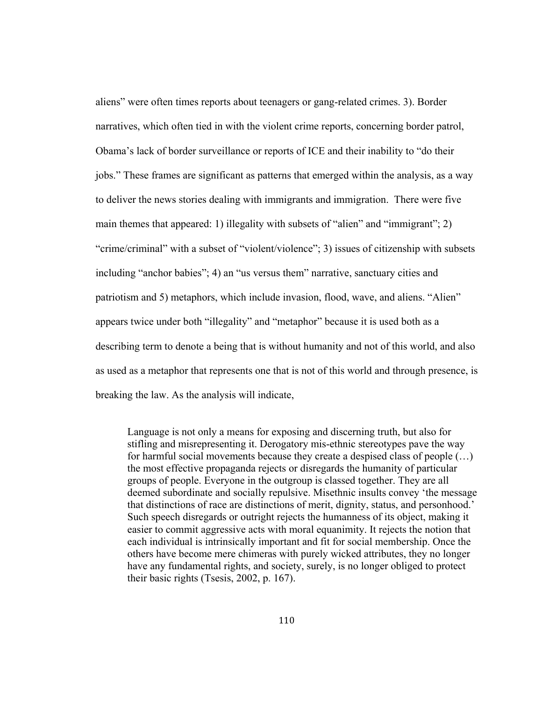aliens" were often times reports about teenagers or gang-related crimes. 3). Border narratives, which often tied in with the violent crime reports, concerning border patrol, Obama's lack of border surveillance or reports of ICE and their inability to "do their jobs." These frames are significant as patterns that emerged within the analysis, as a way to deliver the news stories dealing with immigrants and immigration. There were five main themes that appeared: 1) illegality with subsets of "alien" and "immigrant"; 2) "crime/criminal" with a subset of "violent/violence"; 3) issues of citizenship with subsets including "anchor babies"; 4) an "us versus them" narrative, sanctuary cities and patriotism and 5) metaphors, which include invasion, flood, wave, and aliens. "Alien" appears twice under both "illegality" and "metaphor" because it is used both as a describing term to denote a being that is without humanity and not of this world, and also as used as a metaphor that represents one that is not of this world and through presence, is breaking the law. As the analysis will indicate,

Language is not only a means for exposing and discerning truth, but also for stifling and misrepresenting it. Derogatory mis-ethnic stereotypes pave the way for harmful social movements because they create a despised class of people (…) the most effective propaganda rejects or disregards the humanity of particular groups of people. Everyone in the outgroup is classed together. They are all deemed subordinate and socially repulsive. Misethnic insults convey 'the message that distinctions of race are distinctions of merit, dignity, status, and personhood.' Such speech disregards or outright rejects the humanness of its object, making it easier to commit aggressive acts with moral equanimity. It rejects the notion that each individual is intrinsically important and fit for social membership. Once the others have become mere chimeras with purely wicked attributes, they no longer have any fundamental rights, and society, surely, is no longer obliged to protect their basic rights (Tsesis, 2002, p. 167).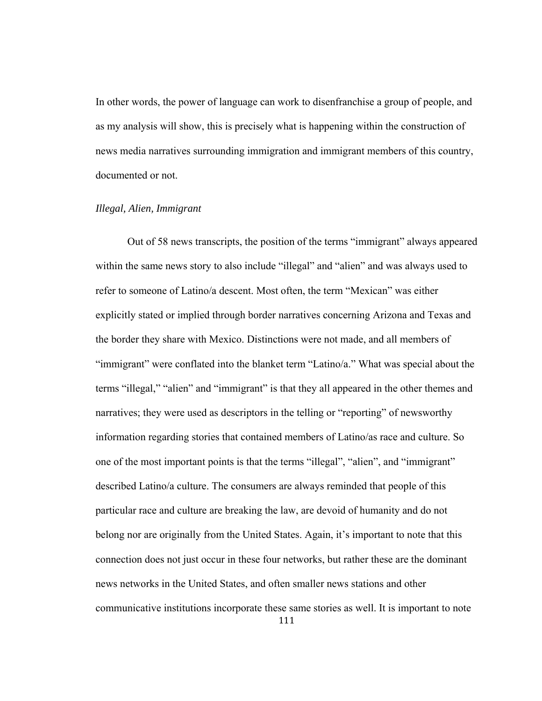In other words, the power of language can work to disenfranchise a group of people, and as my analysis will show, this is precisely what is happening within the construction of news media narratives surrounding immigration and immigrant members of this country, documented or not.

## *Illegal, Alien, Immigrant*

 Out of 58 news transcripts, the position of the terms "immigrant" always appeared within the same news story to also include "illegal" and "alien" and was always used to refer to someone of Latino/a descent. Most often, the term "Mexican" was either explicitly stated or implied through border narratives concerning Arizona and Texas and the border they share with Mexico. Distinctions were not made, and all members of "immigrant" were conflated into the blanket term "Latino/a." What was special about the terms "illegal," "alien" and "immigrant" is that they all appeared in the other themes and narratives; they were used as descriptors in the telling or "reporting" of newsworthy information regarding stories that contained members of Latino/as race and culture. So one of the most important points is that the terms "illegal", "alien", and "immigrant" described Latino/a culture. The consumers are always reminded that people of this particular race and culture are breaking the law, are devoid of humanity and do not belong nor are originally from the United States. Again, it's important to note that this connection does not just occur in these four networks, but rather these are the dominant news networks in the United States, and often smaller news stations and other communicative institutions incorporate these same stories as well. It is important to note

111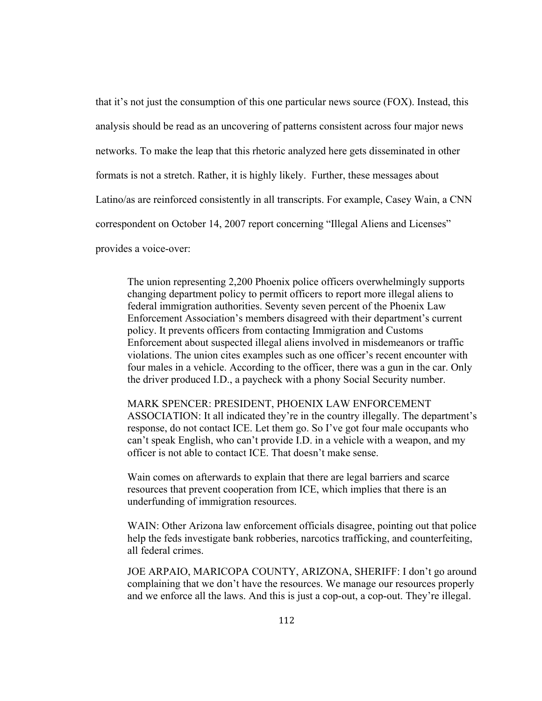that it's not just the consumption of this one particular news source (FOX). Instead, this analysis should be read as an uncovering of patterns consistent across four major news networks. To make the leap that this rhetoric analyzed here gets disseminated in other formats is not a stretch. Rather, it is highly likely. Further, these messages about Latino/as are reinforced consistently in all transcripts. For example, Casey Wain, a CNN correspondent on October 14, 2007 report concerning "Illegal Aliens and Licenses" provides a voice-over:

The union representing 2,200 Phoenix police officers overwhelmingly supports changing department policy to permit officers to report more illegal aliens to federal immigration authorities. Seventy seven percent of the Phoenix Law Enforcement Association's members disagreed with their department's current policy. It prevents officers from contacting Immigration and Customs Enforcement about suspected illegal aliens involved in misdemeanors or traffic violations. The union cites examples such as one officer's recent encounter with four males in a vehicle. According to the officer, there was a gun in the car. Only the driver produced I.D., a paycheck with a phony Social Security number.

MARK SPENCER: PRESIDENT, PHOENIX LAW ENFORCEMENT ASSOCIATION: It all indicated they're in the country illegally. The department's response, do not contact ICE. Let them go. So I've got four male occupants who can't speak English, who can't provide I.D. in a vehicle with a weapon, and my officer is not able to contact ICE. That doesn't make sense.

Wain comes on afterwards to explain that there are legal barriers and scarce resources that prevent cooperation from ICE, which implies that there is an underfunding of immigration resources.

WAIN: Other Arizona law enforcement officials disagree, pointing out that police help the feds investigate bank robberies, narcotics trafficking, and counterfeiting, all federal crimes.

JOE ARPAIO, MARICOPA COUNTY, ARIZONA, SHERIFF: I don't go around complaining that we don't have the resources. We manage our resources properly and we enforce all the laws. And this is just a cop-out, a cop-out. They're illegal.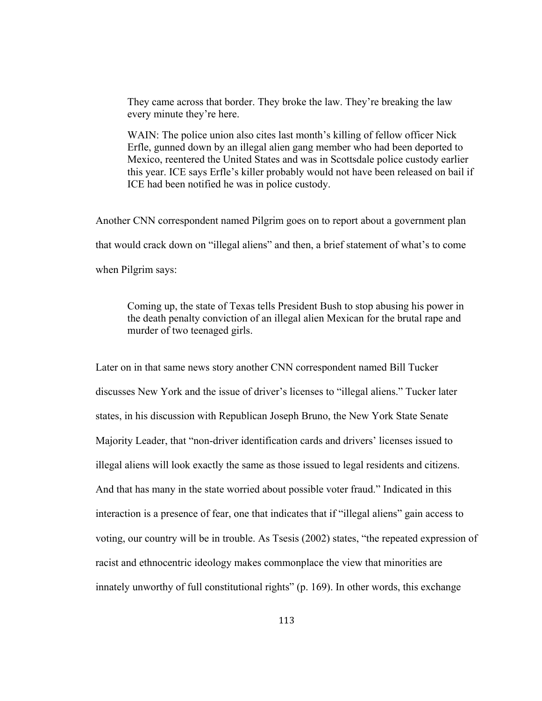They came across that border. They broke the law. They're breaking the law every minute they're here.

WAIN: The police union also cites last month's killing of fellow officer Nick Erfle, gunned down by an illegal alien gang member who had been deported to Mexico, reentered the United States and was in Scottsdale police custody earlier this year. ICE says Erfle's killer probably would not have been released on bail if ICE had been notified he was in police custody.

Another CNN correspondent named Pilgrim goes on to report about a government plan that would crack down on "illegal aliens" and then, a brief statement of what's to come when Pilgrim says:

 Coming up, the state of Texas tells President Bush to stop abusing his power in the death penalty conviction of an illegal alien Mexican for the brutal rape and murder of two teenaged girls.

Later on in that same news story another CNN correspondent named Bill Tucker discusses New York and the issue of driver's licenses to "illegal aliens." Tucker later states, in his discussion with Republican Joseph Bruno, the New York State Senate Majority Leader, that "non-driver identification cards and drivers' licenses issued to illegal aliens will look exactly the same as those issued to legal residents and citizens. And that has many in the state worried about possible voter fraud." Indicated in this interaction is a presence of fear, one that indicates that if "illegal aliens" gain access to voting, our country will be in trouble. As Tsesis (2002) states, "the repeated expression of racist and ethnocentric ideology makes commonplace the view that minorities are innately unworthy of full constitutional rights" (p. 169). In other words, this exchange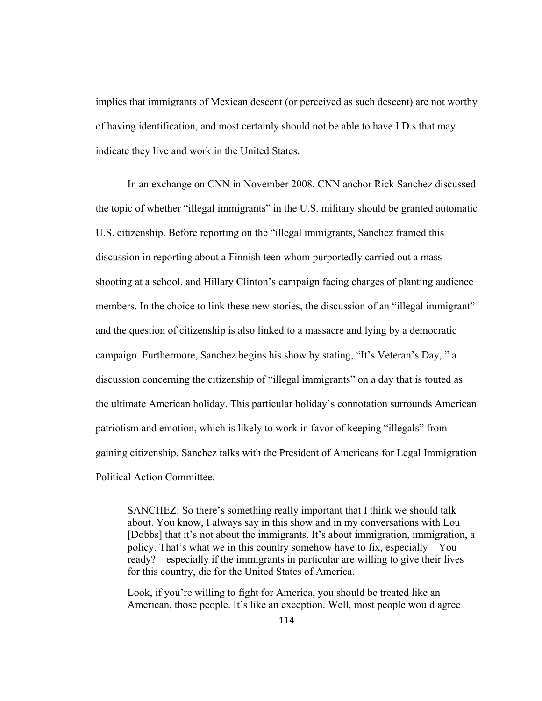implies that immigrants of Mexican descent (or perceived as such descent) are not worthy of having identification, and most certainly should not be able to have I.D.s that may indicate they live and work in the United States.

 In an exchange on CNN in November 2008, CNN anchor Rick Sanchez discussed the topic of whether "illegal immigrants" in the U.S. military should be granted automatic U.S. citizenship. Before reporting on the "illegal immigrants, Sanchez framed this discussion in reporting about a Finnish teen whom purportedly carried out a mass shooting at a school, and Hillary Clinton's campaign facing charges of planting audience members. In the choice to link these new stories, the discussion of an "illegal immigrant" and the question of citizenship is also linked to a massacre and lying by a democratic campaign. Furthermore, Sanchez begins his show by stating, "It's Veteran's Day, " a discussion concerning the citizenship of "illegal immigrants" on a day that is touted as the ultimate American holiday. This particular holiday's connotation surrounds American patriotism and emotion, which is likely to work in favor of keeping "illegals" from gaining citizenship. Sanchez talks with the President of Americans for Legal Immigration Political Action Committee.

SANCHEZ: So there's something really important that I think we should talk about. You know, I always say in this show and in my conversations with Lou [Dobbs] that it's not about the immigrants. It's about immigration, immigration, a policy. That's what we in this country somehow have to fix, especially—You ready?—especially if the immigrants in particular are willing to give their lives for this country, die for the United States of America.

Look, if you're willing to fight for America, you should be treated like an American, those people. It's like an exception. Well, most people would agree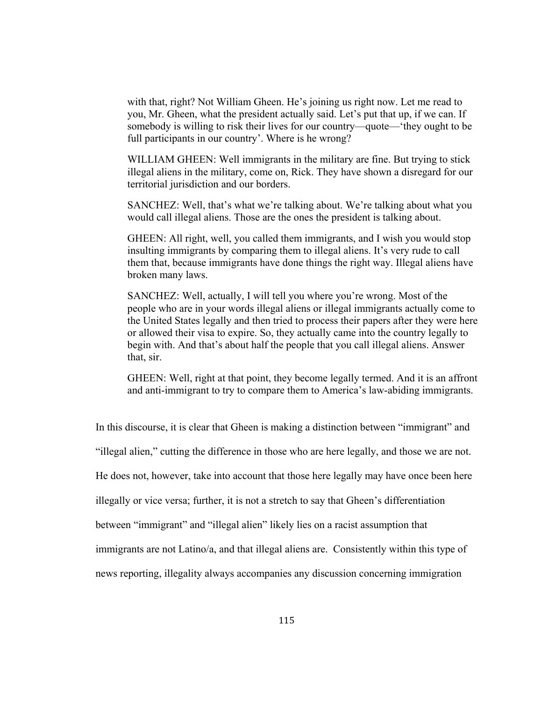with that, right? Not William Gheen. He's joining us right now. Let me read to you, Mr. Gheen, what the president actually said. Let's put that up, if we can. If somebody is willing to risk their lives for our country—quote—'they ought to be full participants in our country'. Where is he wrong?

WILLIAM GHEEN: Well immigrants in the military are fine. But trying to stick illegal aliens in the military, come on, Rick. They have shown a disregard for our territorial jurisdiction and our borders.

SANCHEZ: Well, that's what we're talking about. We're talking about what you would call illegal aliens. Those are the ones the president is talking about.

GHEEN: All right, well, you called them immigrants, and I wish you would stop insulting immigrants by comparing them to illegal aliens. It's very rude to call them that, because immigrants have done things the right way. Illegal aliens have broken many laws.

SANCHEZ: Well, actually, I will tell you where you're wrong. Most of the people who are in your words illegal aliens or illegal immigrants actually come to the United States legally and then tried to process their papers after they were here or allowed their visa to expire. So, they actually came into the country legally to begin with. And that's about half the people that you call illegal aliens. Answer that, sir.

GHEEN: Well, right at that point, they become legally termed. And it is an affront and anti-immigrant to try to compare them to America's law-abiding immigrants.

In this discourse, it is clear that Gheen is making a distinction between "immigrant" and

"illegal alien," cutting the difference in those who are here legally, and those we are not.

He does not, however, take into account that those here legally may have once been here

illegally or vice versa; further, it is not a stretch to say that Gheen's differentiation

between "immigrant" and "illegal alien" likely lies on a racist assumption that

immigrants are not Latino/a, and that illegal aliens are. Consistently within this type of

news reporting, illegality always accompanies any discussion concerning immigration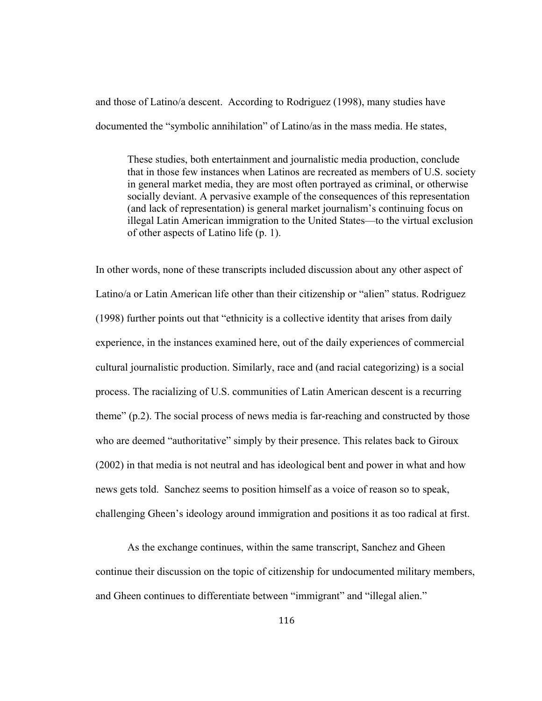and those of Latino/a descent. According to Rodriguez (1998), many studies have documented the "symbolic annihilation" of Latino/as in the mass media. He states,

These studies, both entertainment and journalistic media production, conclude that in those few instances when Latinos are recreated as members of U.S. society in general market media, they are most often portrayed as criminal, or otherwise socially deviant. A pervasive example of the consequences of this representation (and lack of representation) is general market journalism's continuing focus on illegal Latin American immigration to the United States—to the virtual exclusion of other aspects of Latino life (p. 1).

In other words, none of these transcripts included discussion about any other aspect of Latino/a or Latin American life other than their citizenship or "alien" status. Rodriguez (1998) further points out that "ethnicity is a collective identity that arises from daily experience, in the instances examined here, out of the daily experiences of commercial cultural journalistic production. Similarly, race and (and racial categorizing) is a social process. The racializing of U.S. communities of Latin American descent is a recurring theme" (p.2). The social process of news media is far-reaching and constructed by those who are deemed "authoritative" simply by their presence. This relates back to Giroux (2002) in that media is not neutral and has ideological bent and power in what and how news gets told. Sanchez seems to position himself as a voice of reason so to speak, challenging Gheen's ideology around immigration and positions it as too radical at first.

 As the exchange continues, within the same transcript, Sanchez and Gheen continue their discussion on the topic of citizenship for undocumented military members, and Gheen continues to differentiate between "immigrant" and "illegal alien."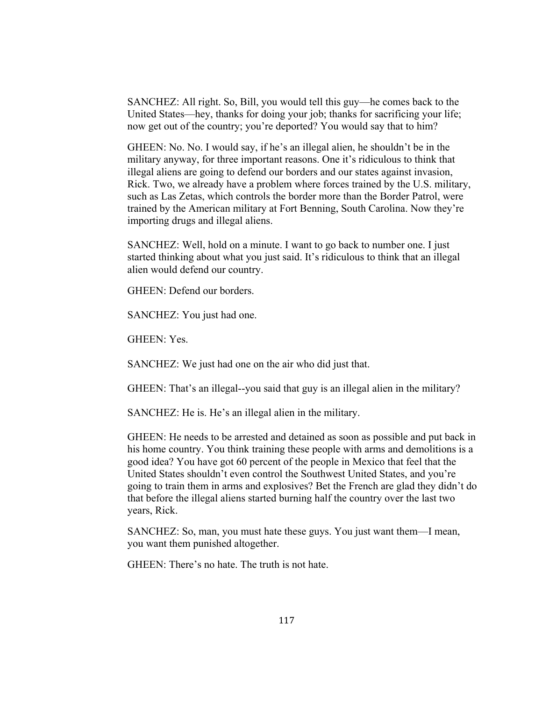SANCHEZ: All right. So, Bill, you would tell this guy—he comes back to the United States—hey, thanks for doing your job; thanks for sacrificing your life; now get out of the country; you're deported? You would say that to him?

GHEEN: No. No. I would say, if he's an illegal alien, he shouldn't be in the military anyway, for three important reasons. One it's ridiculous to think that illegal aliens are going to defend our borders and our states against invasion, Rick. Two, we already have a problem where forces trained by the U.S. military, such as Las Zetas, which controls the border more than the Border Patrol, were trained by the American military at Fort Benning, South Carolina. Now they're importing drugs and illegal aliens.

SANCHEZ: Well, hold on a minute. I want to go back to number one. I just started thinking about what you just said. It's ridiculous to think that an illegal alien would defend our country.

GHEEN: Defend our borders.

SANCHEZ: You just had one.

GHEEN: Yes.

SANCHEZ: We just had one on the air who did just that.

GHEEN: That's an illegal--you said that guy is an illegal alien in the military?

SANCHEZ: He is. He's an illegal alien in the military.

GHEEN: He needs to be arrested and detained as soon as possible and put back in his home country. You think training these people with arms and demolitions is a good idea? You have got 60 percent of the people in Mexico that feel that the United States shouldn't even control the Southwest United States, and you're going to train them in arms and explosives? Bet the French are glad they didn't do that before the illegal aliens started burning half the country over the last two years, Rick.

SANCHEZ: So, man, you must hate these guys. You just want them—I mean, you want them punished altogether.

GHEEN: There's no hate. The truth is not hate.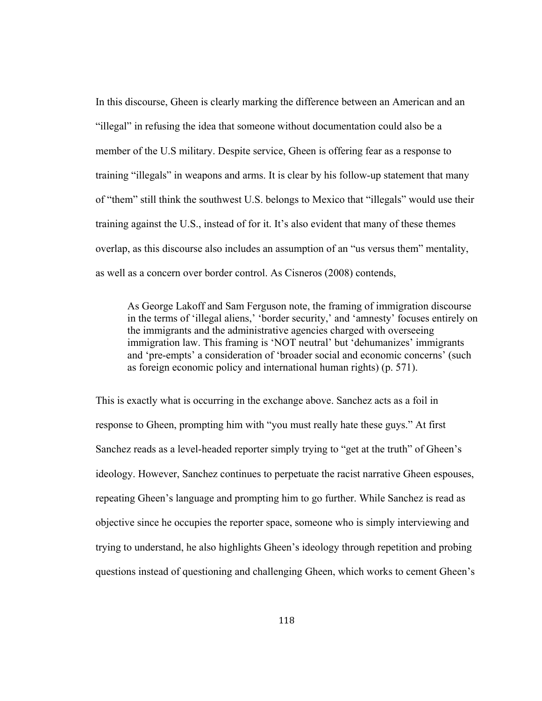In this discourse, Gheen is clearly marking the difference between an American and an "illegal" in refusing the idea that someone without documentation could also be a member of the U.S military. Despite service, Gheen is offering fear as a response to training "illegals" in weapons and arms. It is clear by his follow-up statement that many of "them" still think the southwest U.S. belongs to Mexico that "illegals" would use their training against the U.S., instead of for it. It's also evident that many of these themes overlap, as this discourse also includes an assumption of an "us versus them" mentality, as well as a concern over border control. As Cisneros (2008) contends,

As George Lakoff and Sam Ferguson note, the framing of immigration discourse in the terms of 'illegal aliens,' 'border security,' and 'amnesty' focuses entirely on the immigrants and the administrative agencies charged with overseeing immigration law. This framing is 'NOT neutral' but 'dehumanizes' immigrants and 'pre-empts' a consideration of 'broader social and economic concerns' (such as foreign economic policy and international human rights) (p. 571).

This is exactly what is occurring in the exchange above. Sanchez acts as a foil in response to Gheen, prompting him with "you must really hate these guys." At first Sanchez reads as a level-headed reporter simply trying to "get at the truth" of Gheen's ideology. However, Sanchez continues to perpetuate the racist narrative Gheen espouses, repeating Gheen's language and prompting him to go further. While Sanchez is read as objective since he occupies the reporter space, someone who is simply interviewing and trying to understand, he also highlights Gheen's ideology through repetition and probing questions instead of questioning and challenging Gheen, which works to cement Gheen's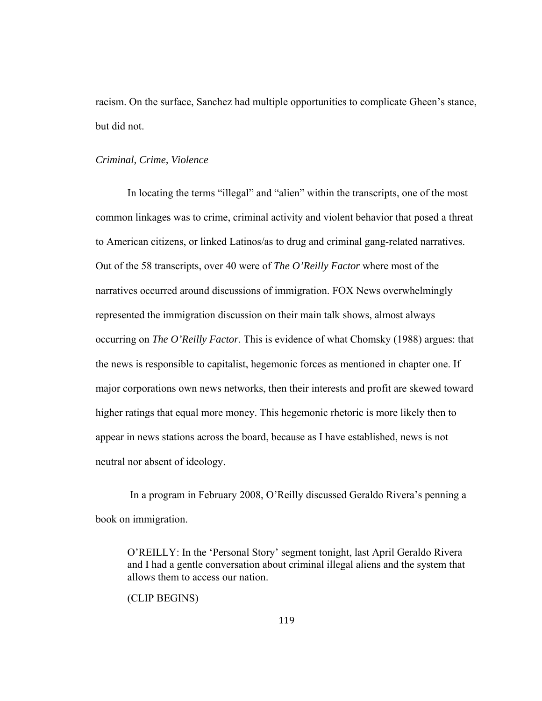racism. On the surface, Sanchez had multiple opportunities to complicate Gheen's stance, but did not.

#### *Criminal, Crime, Violence*

In locating the terms "illegal" and "alien" within the transcripts, one of the most common linkages was to crime, criminal activity and violent behavior that posed a threat to American citizens, or linked Latinos/as to drug and criminal gang-related narratives. Out of the 58 transcripts, over 40 were of *The O'Reilly Factor* where most of the narratives occurred around discussions of immigration. FOX News overwhelmingly represented the immigration discussion on their main talk shows, almost always occurring on *The O'Reilly Factor*. This is evidence of what Chomsky (1988) argues: that the news is responsible to capitalist, hegemonic forces as mentioned in chapter one. If major corporations own news networks, then their interests and profit are skewed toward higher ratings that equal more money. This hegemonic rhetoric is more likely then to appear in news stations across the board, because as I have established, news is not neutral nor absent of ideology.

 In a program in February 2008, O'Reilly discussed Geraldo Rivera's penning a book on immigration.

O'REILLY: In the 'Personal Story' segment tonight, last April Geraldo Rivera and I had a gentle conversation about criminal illegal aliens and the system that allows them to access our nation.

(CLIP BEGINS)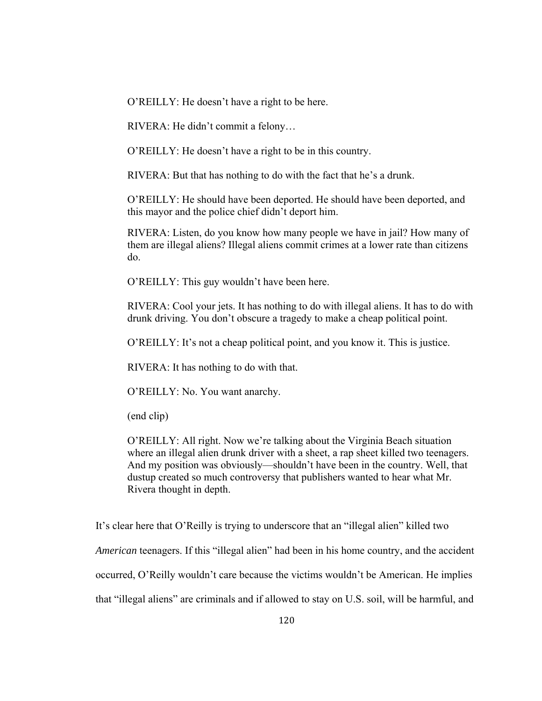O'REILLY: He doesn't have a right to be here.

RIVERA: He didn't commit a felony…

O'REILLY: He doesn't have a right to be in this country.

RIVERA: But that has nothing to do with the fact that he's a drunk.

O'REILLY: He should have been deported. He should have been deported, and this mayor and the police chief didn't deport him.

RIVERA: Listen, do you know how many people we have in jail? How many of them are illegal aliens? Illegal aliens commit crimes at a lower rate than citizens do.

O'REILLY: This guy wouldn't have been here.

RIVERA: Cool your jets. It has nothing to do with illegal aliens. It has to do with drunk driving. You don't obscure a tragedy to make a cheap political point.

O'REILLY: It's not a cheap political point, and you know it. This is justice.

RIVERA: It has nothing to do with that.

O'REILLY: No. You want anarchy.

(end clip)

O'REILLY: All right. Now we're talking about the Virginia Beach situation where an illegal alien drunk driver with a sheet, a rap sheet killed two teenagers. And my position was obviously—shouldn't have been in the country. Well, that dustup created so much controversy that publishers wanted to hear what Mr. Rivera thought in depth.

It's clear here that O'Reilly is trying to underscore that an "illegal alien" killed two

*American teenagers.* If this "illegal alien" had been in his home country, and the accident

occurred, O'Reilly wouldn't care because the victims wouldn't be American. He implies

that "illegal aliens" are criminals and if allowed to stay on U.S. soil, will be harmful, and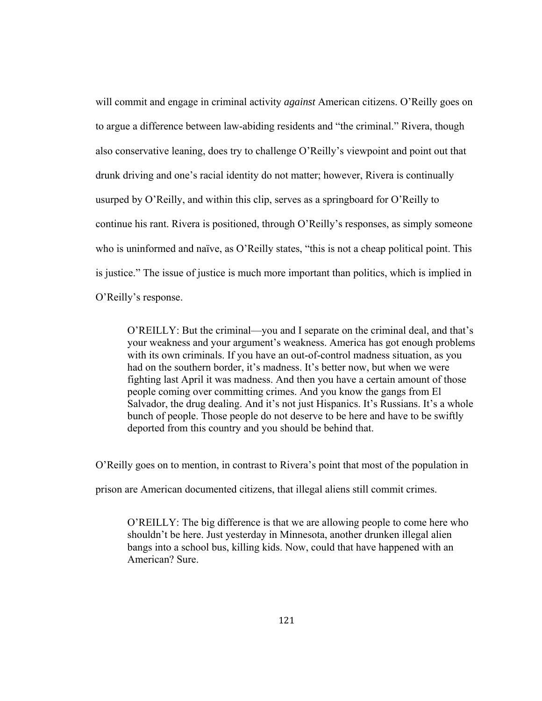will commit and engage in criminal activity *against* American citizens. O'Reilly goes on to argue a difference between law-abiding residents and "the criminal." Rivera, though also conservative leaning, does try to challenge O'Reilly's viewpoint and point out that drunk driving and one's racial identity do not matter; however, Rivera is continually usurped by O'Reilly, and within this clip, serves as a springboard for O'Reilly to continue his rant. Rivera is positioned, through O'Reilly's responses, as simply someone who is uninformed and naïve, as O'Reilly states, "this is not a cheap political point. This is justice." The issue of justice is much more important than politics, which is implied in O'Reilly's response.

O'REILLY: But the criminal—you and I separate on the criminal deal, and that's your weakness and your argument's weakness. America has got enough problems with its own criminals. If you have an out-of-control madness situation, as you had on the southern border, it's madness. It's better now, but when we were fighting last April it was madness. And then you have a certain amount of those people coming over committing crimes. And you know the gangs from El Salvador, the drug dealing. And it's not just Hispanics. It's Russians. It's a whole bunch of people. Those people do not deserve to be here and have to be swiftly deported from this country and you should be behind that.

O'Reilly goes on to mention, in contrast to Rivera's point that most of the population in

prison are American documented citizens, that illegal aliens still commit crimes.

O'REILLY: The big difference is that we are allowing people to come here who shouldn't be here. Just yesterday in Minnesota, another drunken illegal alien bangs into a school bus, killing kids. Now, could that have happened with an American? Sure.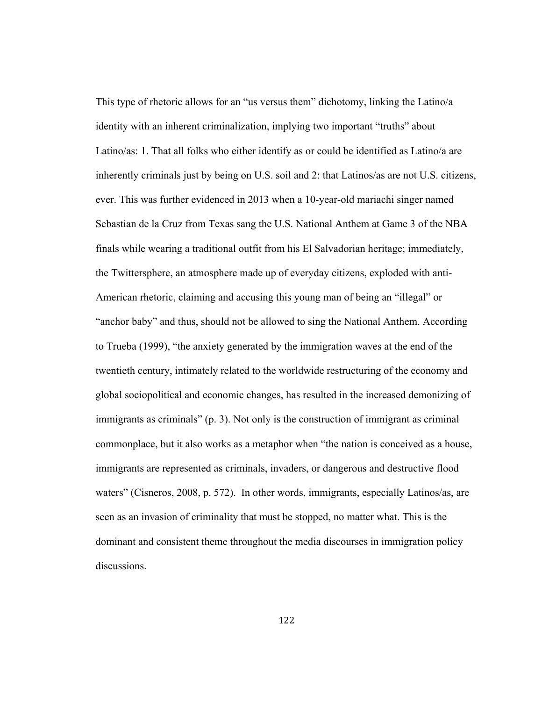This type of rhetoric allows for an "us versus them" dichotomy, linking the Latino/a identity with an inherent criminalization, implying two important "truths" about Latino/as: 1. That all folks who either identify as or could be identified as Latino/a are inherently criminals just by being on U.S. soil and 2: that Latinos/as are not U.S. citizens, ever. This was further evidenced in 2013 when a 10-year-old mariachi singer named Sebastian de la Cruz from Texas sang the U.S. National Anthem at Game 3 of the NBA finals while wearing a traditional outfit from his El Salvadorian heritage; immediately, the Twittersphere, an atmosphere made up of everyday citizens, exploded with anti-American rhetoric, claiming and accusing this young man of being an "illegal" or "anchor baby" and thus, should not be allowed to sing the National Anthem. According to Trueba (1999), "the anxiety generated by the immigration waves at the end of the twentieth century, intimately related to the worldwide restructuring of the economy and global sociopolitical and economic changes, has resulted in the increased demonizing of immigrants as criminals" (p. 3). Not only is the construction of immigrant as criminal commonplace, but it also works as a metaphor when "the nation is conceived as a house, immigrants are represented as criminals, invaders, or dangerous and destructive flood waters" (Cisneros, 2008, p. 572). In other words, immigrants, especially Latinos/as, are seen as an invasion of criminality that must be stopped, no matter what. This is the dominant and consistent theme throughout the media discourses in immigration policy discussions.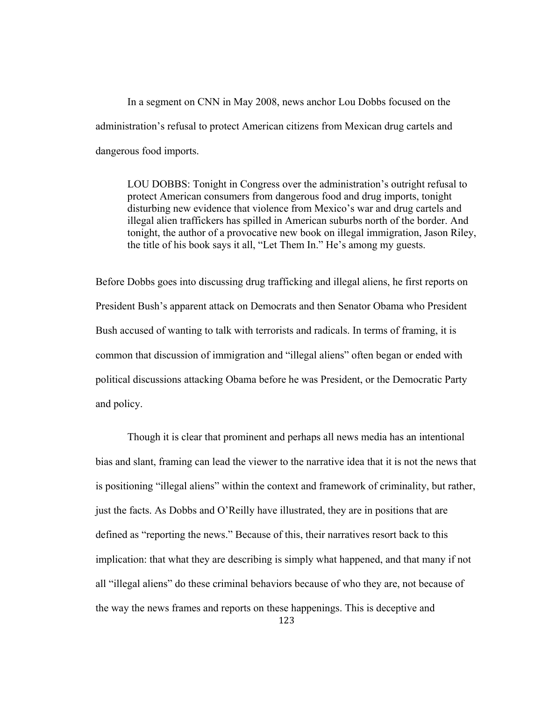In a segment on CNN in May 2008, news anchor Lou Dobbs focused on the administration's refusal to protect American citizens from Mexican drug cartels and dangerous food imports.

LOU DOBBS: Tonight in Congress over the administration's outright refusal to protect American consumers from dangerous food and drug imports, tonight disturbing new evidence that violence from Mexico's war and drug cartels and illegal alien traffickers has spilled in American suburbs north of the border. And tonight, the author of a provocative new book on illegal immigration, Jason Riley, the title of his book says it all, "Let Them In." He's among my guests.

Before Dobbs goes into discussing drug trafficking and illegal aliens, he first reports on President Bush's apparent attack on Democrats and then Senator Obama who President Bush accused of wanting to talk with terrorists and radicals. In terms of framing, it is common that discussion of immigration and "illegal aliens" often began or ended with political discussions attacking Obama before he was President, or the Democratic Party and policy.

Though it is clear that prominent and perhaps all news media has an intentional bias and slant, framing can lead the viewer to the narrative idea that it is not the news that is positioning "illegal aliens" within the context and framework of criminality, but rather, just the facts. As Dobbs and O'Reilly have illustrated, they are in positions that are defined as "reporting the news." Because of this, their narratives resort back to this implication: that what they are describing is simply what happened, and that many if not all "illegal aliens" do these criminal behaviors because of who they are, not because of the way the news frames and reports on these happenings. This is deceptive and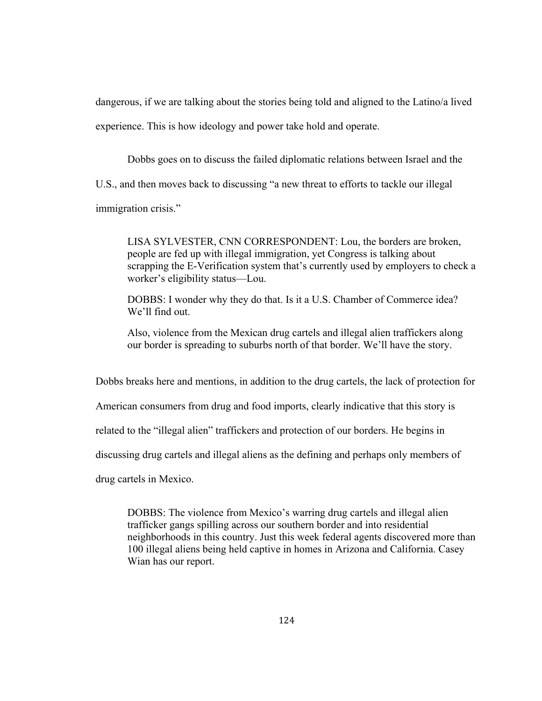dangerous, if we are talking about the stories being told and aligned to the Latino/a lived experience. This is how ideology and power take hold and operate.

Dobbs goes on to discuss the failed diplomatic relations between Israel and the

U.S., and then moves back to discussing "a new threat to efforts to tackle our illegal

immigration crisis."

LISA SYLVESTER, CNN CORRESPONDENT: Lou, the borders are broken, people are fed up with illegal immigration, yet Congress is talking about scrapping the E-Verification system that's currently used by employers to check a worker's eligibility status—Lou.

DOBBS: I wonder why they do that. Is it a U.S. Chamber of Commerce idea? We'll find out.

Also, violence from the Mexican drug cartels and illegal alien traffickers along our border is spreading to suburbs north of that border. We'll have the story.

Dobbs breaks here and mentions, in addition to the drug cartels, the lack of protection for

American consumers from drug and food imports, clearly indicative that this story is

related to the "illegal alien" traffickers and protection of our borders. He begins in

discussing drug cartels and illegal aliens as the defining and perhaps only members of

drug cartels in Mexico.

DOBBS: The violence from Mexico's warring drug cartels and illegal alien trafficker gangs spilling across our southern border and into residential neighborhoods in this country. Just this week federal agents discovered more than 100 illegal aliens being held captive in homes in Arizona and California. Casey Wian has our report.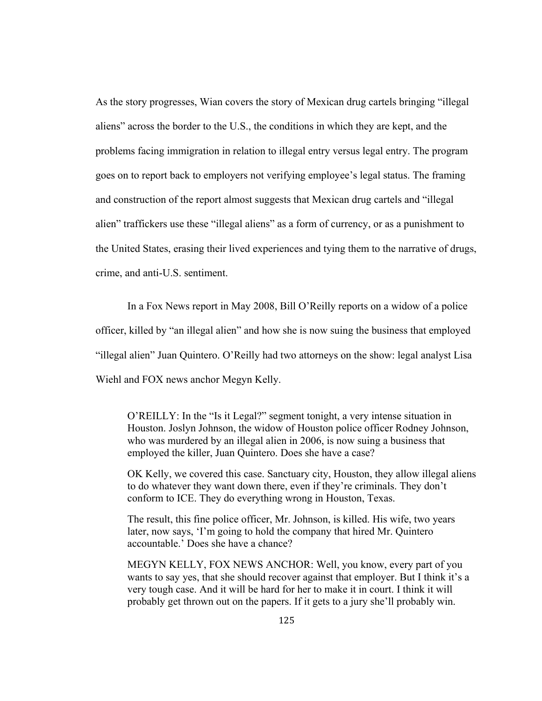As the story progresses, Wian covers the story of Mexican drug cartels bringing "illegal aliens" across the border to the U.S., the conditions in which they are kept, and the problems facing immigration in relation to illegal entry versus legal entry. The program goes on to report back to employers not verifying employee's legal status. The framing and construction of the report almost suggests that Mexican drug cartels and "illegal alien" traffickers use these "illegal aliens" as a form of currency, or as a punishment to the United States, erasing their lived experiences and tying them to the narrative of drugs, crime, and anti-U.S. sentiment.

 In a Fox News report in May 2008, Bill O'Reilly reports on a widow of a police officer, killed by "an illegal alien" and how she is now suing the business that employed "illegal alien" Juan Quintero. O'Reilly had two attorneys on the show: legal analyst Lisa Wiehl and FOX news anchor Megyn Kelly.

O'REILLY: In the "Is it Legal?" segment tonight, a very intense situation in Houston. Joslyn Johnson, the widow of Houston police officer Rodney Johnson, who was murdered by an illegal alien in 2006, is now suing a business that employed the killer, Juan Quintero. Does she have a case?

OK Kelly, we covered this case. Sanctuary city, Houston, they allow illegal aliens to do whatever they want down there, even if they're criminals. They don't conform to ICE. They do everything wrong in Houston, Texas.

The result, this fine police officer, Mr. Johnson, is killed. His wife, two years later, now says, 'I'm going to hold the company that hired Mr. Quintero accountable.' Does she have a chance?

MEGYN KELLY, FOX NEWS ANCHOR: Well, you know, every part of you wants to say yes, that she should recover against that employer. But I think it's a very tough case. And it will be hard for her to make it in court. I think it will probably get thrown out on the papers. If it gets to a jury she'll probably win.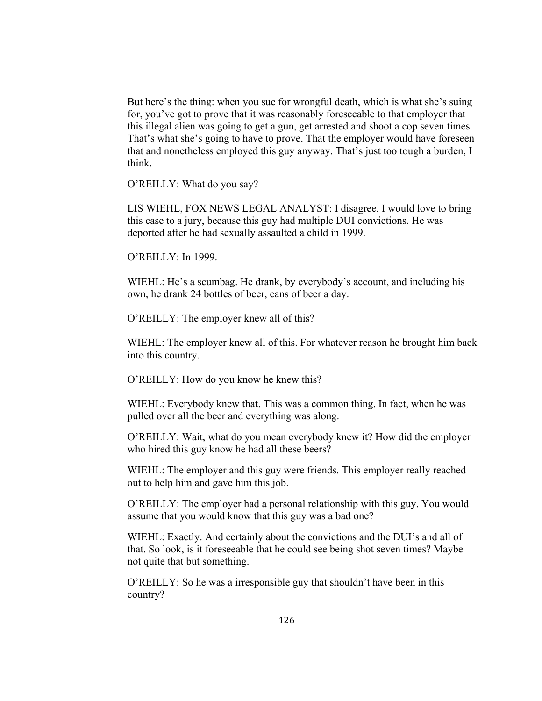But here's the thing: when you sue for wrongful death, which is what she's suing for, you've got to prove that it was reasonably foreseeable to that employer that this illegal alien was going to get a gun, get arrested and shoot a cop seven times. That's what she's going to have to prove. That the employer would have foreseen that and nonetheless employed this guy anyway. That's just too tough a burden, I think.

O'REILLY: What do you say?

LIS WIEHL, FOX NEWS LEGAL ANALYST: I disagree. I would love to bring this case to a jury, because this guy had multiple DUI convictions. He was deported after he had sexually assaulted a child in 1999.

O'REILLY: In 1999.

WIEHL: He's a scumbag. He drank, by everybody's account, and including his own, he drank 24 bottles of beer, cans of beer a day.

O'REILLY: The employer knew all of this?

WIEHL: The employer knew all of this. For whatever reason he brought him back into this country.

O'REILLY: How do you know he knew this?

WIEHL: Everybody knew that. This was a common thing. In fact, when he was pulled over all the beer and everything was along.

O'REILLY: Wait, what do you mean everybody knew it? How did the employer who hired this guy know he had all these beers?

WIEHL: The employer and this guy were friends. This employer really reached out to help him and gave him this job.

O'REILLY: The employer had a personal relationship with this guy. You would assume that you would know that this guy was a bad one?

WIEHL: Exactly. And certainly about the convictions and the DUI's and all of that. So look, is it foreseeable that he could see being shot seven times? Maybe not quite that but something.

O'REILLY: So he was a irresponsible guy that shouldn't have been in this country?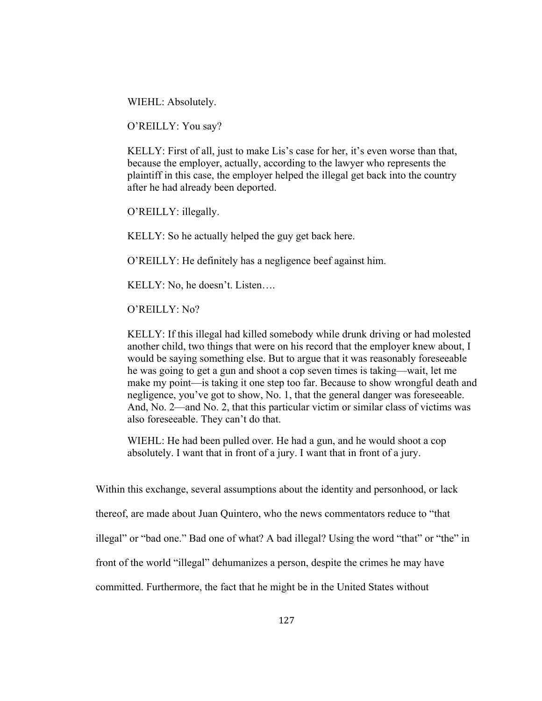WIEHL: Absolutely.

O'REILLY: You say?

KELLY: First of all, just to make Lis's case for her, it's even worse than that, because the employer, actually, according to the lawyer who represents the plaintiff in this case, the employer helped the illegal get back into the country after he had already been deported.

O'REILLY: illegally.

KELLY: So he actually helped the guy get back here.

O'REILLY: He definitely has a negligence beef against him.

KELLY: No, he doesn't. Listen….

O'REILLY: No?

KELLY: If this illegal had killed somebody while drunk driving or had molested another child, two things that were on his record that the employer knew about, I would be saying something else. But to argue that it was reasonably foreseeable he was going to get a gun and shoot a cop seven times is taking—wait, let me make my point—is taking it one step too far. Because to show wrongful death and negligence, you've got to show, No. 1, that the general danger was foreseeable. And, No. 2—and No. 2, that this particular victim or similar class of victims was also foreseeable. They can't do that.

WIEHL: He had been pulled over. He had a gun, and he would shoot a cop absolutely. I want that in front of a jury. I want that in front of a jury.

Within this exchange, several assumptions about the identity and personhood, or lack

thereof, are made about Juan Quintero, who the news commentators reduce to "that

illegal" or "bad one." Bad one of what? A bad illegal? Using the word "that" or "the" in

front of the world "illegal" dehumanizes a person, despite the crimes he may have

committed. Furthermore, the fact that he might be in the United States without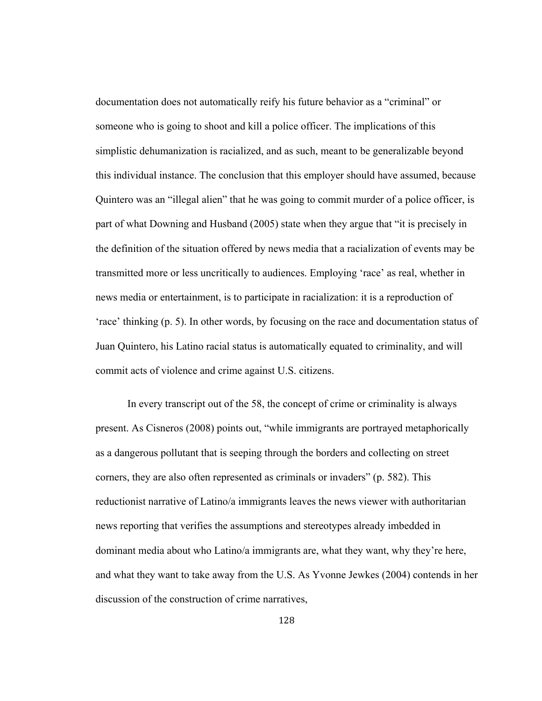documentation does not automatically reify his future behavior as a "criminal" or someone who is going to shoot and kill a police officer. The implications of this simplistic dehumanization is racialized, and as such, meant to be generalizable beyond this individual instance. The conclusion that this employer should have assumed, because Quintero was an "illegal alien" that he was going to commit murder of a police officer, is part of what Downing and Husband (2005) state when they argue that "it is precisely in the definition of the situation offered by news media that a racialization of events may be transmitted more or less uncritically to audiences. Employing 'race' as real, whether in news media or entertainment, is to participate in racialization: it is a reproduction of 'race' thinking (p. 5). In other words, by focusing on the race and documentation status of Juan Quintero, his Latino racial status is automatically equated to criminality, and will commit acts of violence and crime against U.S. citizens.

In every transcript out of the 58, the concept of crime or criminality is always present. As Cisneros (2008) points out, "while immigrants are portrayed metaphorically as a dangerous pollutant that is seeping through the borders and collecting on street corners, they are also often represented as criminals or invaders" (p. 582). This reductionist narrative of Latino/a immigrants leaves the news viewer with authoritarian news reporting that verifies the assumptions and stereotypes already imbedded in dominant media about who Latino/a immigrants are, what they want, why they're here, and what they want to take away from the U.S. As Yvonne Jewkes (2004) contends in her discussion of the construction of crime narratives,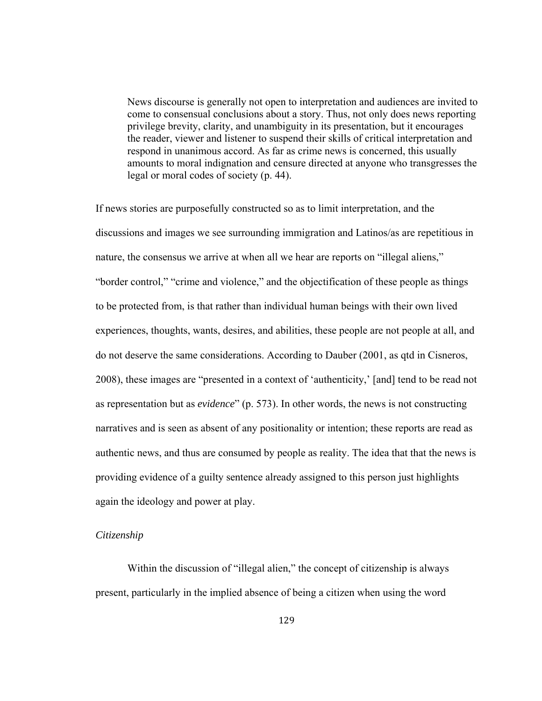News discourse is generally not open to interpretation and audiences are invited to come to consensual conclusions about a story. Thus, not only does news reporting privilege brevity, clarity, and unambiguity in its presentation, but it encourages the reader, viewer and listener to suspend their skills of critical interpretation and respond in unanimous accord. As far as crime news is concerned, this usually amounts to moral indignation and censure directed at anyone who transgresses the legal or moral codes of society (p. 44).

If news stories are purposefully constructed so as to limit interpretation, and the discussions and images we see surrounding immigration and Latinos/as are repetitious in nature, the consensus we arrive at when all we hear are reports on "illegal aliens," "border control," "crime and violence," and the objectification of these people as things to be protected from, is that rather than individual human beings with their own lived experiences, thoughts, wants, desires, and abilities, these people are not people at all, and do not deserve the same considerations. According to Dauber (2001, as qtd in Cisneros, 2008), these images are "presented in a context of 'authenticity,' [and] tend to be read not as representation but as *evidence*" (p. 573). In other words, the news is not constructing narratives and is seen as absent of any positionality or intention; these reports are read as authentic news, and thus are consumed by people as reality. The idea that that the news is providing evidence of a guilty sentence already assigned to this person just highlights again the ideology and power at play.

# *Citizenship*

Within the discussion of "illegal alien," the concept of citizenship is always present, particularly in the implied absence of being a citizen when using the word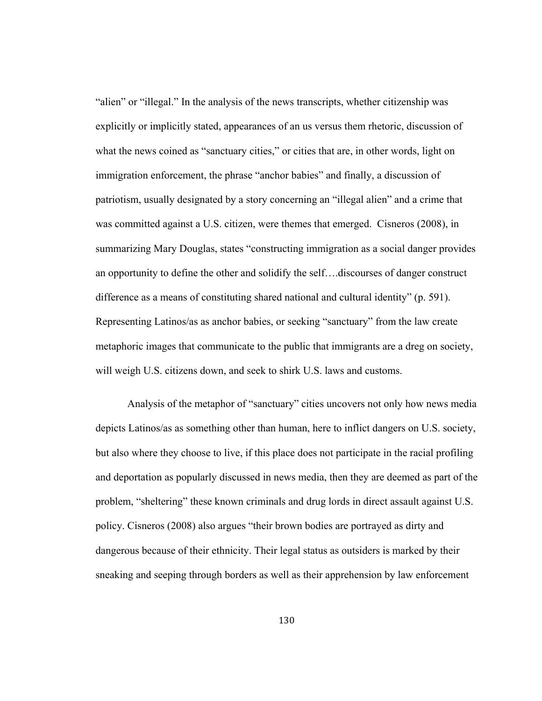"alien" or "illegal." In the analysis of the news transcripts, whether citizenship was explicitly or implicitly stated, appearances of an us versus them rhetoric, discussion of what the news coined as "sanctuary cities," or cities that are, in other words, light on immigration enforcement, the phrase "anchor babies" and finally, a discussion of patriotism, usually designated by a story concerning an "illegal alien" and a crime that was committed against a U.S. citizen, were themes that emerged. Cisneros (2008), in summarizing Mary Douglas, states "constructing immigration as a social danger provides an opportunity to define the other and solidify the self….discourses of danger construct difference as a means of constituting shared national and cultural identity" (p. 591). Representing Latinos/as as anchor babies, or seeking "sanctuary" from the law create metaphoric images that communicate to the public that immigrants are a dreg on society, will weigh U.S. citizens down, and seek to shirk U.S. laws and customs.

Analysis of the metaphor of "sanctuary" cities uncovers not only how news media depicts Latinos/as as something other than human, here to inflict dangers on U.S. society, but also where they choose to live, if this place does not participate in the racial profiling and deportation as popularly discussed in news media, then they are deemed as part of the problem, "sheltering" these known criminals and drug lords in direct assault against U.S. policy. Cisneros (2008) also argues "their brown bodies are portrayed as dirty and dangerous because of their ethnicity. Their legal status as outsiders is marked by their sneaking and seeping through borders as well as their apprehension by law enforcement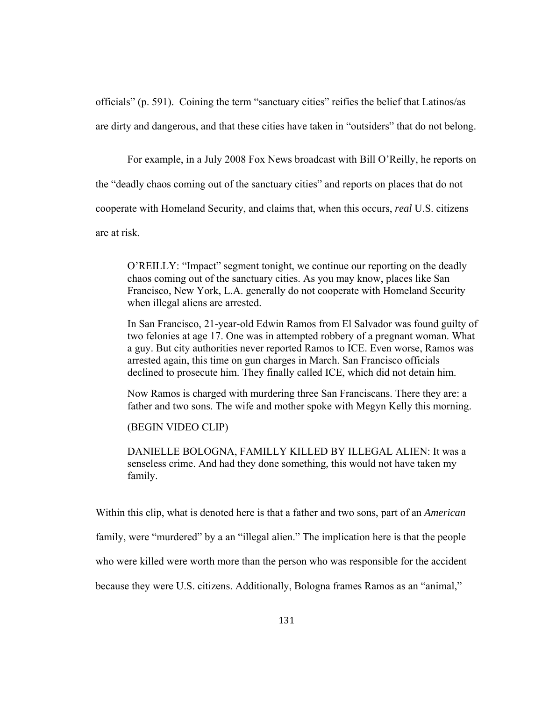officials" (p. 591). Coining the term "sanctuary cities" reifies the belief that Latinos/as are dirty and dangerous, and that these cities have taken in "outsiders" that do not belong.

For example, in a July 2008 Fox News broadcast with Bill O'Reilly, he reports on

the "deadly chaos coming out of the sanctuary cities" and reports on places that do not

cooperate with Homeland Security, and claims that, when this occurs, *real* U.S. citizens

are at risk.

O'REILLY: "Impact" segment tonight, we continue our reporting on the deadly chaos coming out of the sanctuary cities. As you may know, places like San Francisco, New York, L.A. generally do not cooperate with Homeland Security when illegal aliens are arrested.

In San Francisco, 21-year-old Edwin Ramos from El Salvador was found guilty of two felonies at age 17. One was in attempted robbery of a pregnant woman. What a guy. But city authorities never reported Ramos to ICE. Even worse, Ramos was arrested again, this time on gun charges in March. San Francisco officials declined to prosecute him. They finally called ICE, which did not detain him.

Now Ramos is charged with murdering three San Franciscans. There they are: a father and two sons. The wife and mother spoke with Megyn Kelly this morning.

(BEGIN VIDEO CLIP)

DANIELLE BOLOGNA, FAMILLY KILLED BY ILLEGAL ALIEN: It was a senseless crime. And had they done something, this would not have taken my family.

Within this clip, what is denoted here is that a father and two sons, part of an *American*

family, were "murdered" by a an "illegal alien." The implication here is that the people

who were killed were worth more than the person who was responsible for the accident

because they were U.S. citizens. Additionally, Bologna frames Ramos as an "animal,"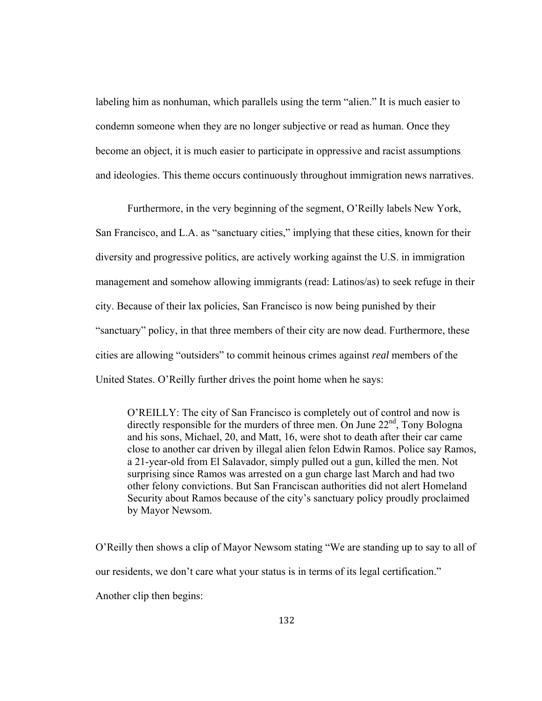labeling him as nonhuman, which parallels using the term "alien." It is much easier to condemn someone when they are no longer subjective or read as human. Once they become an object, it is much easier to participate in oppressive and racist assumptions and ideologies. This theme occurs continuously throughout immigration news narratives.

Furthermore, in the very beginning of the segment, O'Reilly labels New York, San Francisco, and L.A. as "sanctuary cities," implying that these cities, known for their diversity and progressive politics, are actively working against the U.S. in immigration management and somehow allowing immigrants (read: Latinos/as) to seek refuge in their city. Because of their lax policies, San Francisco is now being punished by their "sanctuary" policy, in that three members of their city are now dead. Furthermore, these cities are allowing "outsiders" to commit heinous crimes against *real* members of the United States. O'Reilly further drives the point home when he says:

O'REILLY: The city of San Francisco is completely out of control and now is directly responsible for the murders of three men. On June  $22<sup>nd</sup>$ , Tony Bologna and his sons, Michael, 20, and Matt, 16, were shot to death after their car came close to another car driven by illegal alien felon Edwin Ramos. Police say Ramos, a 21-year-old from El Salavador, simply pulled out a gun, killed the men. Not surprising since Ramos was arrested on a gun charge last March and had two other felony convictions. But San Franciscan authorities did not alert Homeland Security about Ramos because of the city's sanctuary policy proudly proclaimed by Mayor Newsom.

O'Reilly then shows a clip of Mayor Newsom stating "We are standing up to say to all of our residents, we don't care what your status is in terms of its legal certification." Another clip then begins: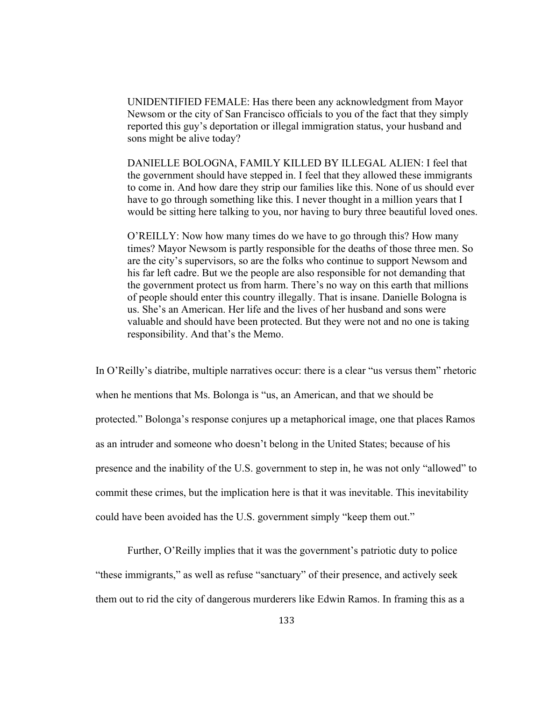UNIDENTIFIED FEMALE: Has there been any acknowledgment from Mayor Newsom or the city of San Francisco officials to you of the fact that they simply reported this guy's deportation or illegal immigration status, your husband and sons might be alive today?

DANIELLE BOLOGNA, FAMILY KILLED BY ILLEGAL ALIEN: I feel that the government should have stepped in. I feel that they allowed these immigrants to come in. And how dare they strip our families like this. None of us should ever have to go through something like this. I never thought in a million years that I would be sitting here talking to you, nor having to bury three beautiful loved ones.

O'REILLY: Now how many times do we have to go through this? How many times? Mayor Newsom is partly responsible for the deaths of those three men. So are the city's supervisors, so are the folks who continue to support Newsom and his far left cadre. But we the people are also responsible for not demanding that the government protect us from harm. There's no way on this earth that millions of people should enter this country illegally. That is insane. Danielle Bologna is us. She's an American. Her life and the lives of her husband and sons were valuable and should have been protected. But they were not and no one is taking responsibility. And that's the Memo.

In O'Reilly's diatribe, multiple narratives occur: there is a clear "us versus them" rhetoric when he mentions that Ms. Bolonga is "us, an American, and that we should be protected." Bolonga's response conjures up a metaphorical image, one that places Ramos as an intruder and someone who doesn't belong in the United States; because of his presence and the inability of the U.S. government to step in, he was not only "allowed" to commit these crimes, but the implication here is that it was inevitable. This inevitability could have been avoided has the U.S. government simply "keep them out."

Further, O'Reilly implies that it was the government's patriotic duty to police "these immigrants," as well as refuse "sanctuary" of their presence, and actively seek them out to rid the city of dangerous murderers like Edwin Ramos. In framing this as a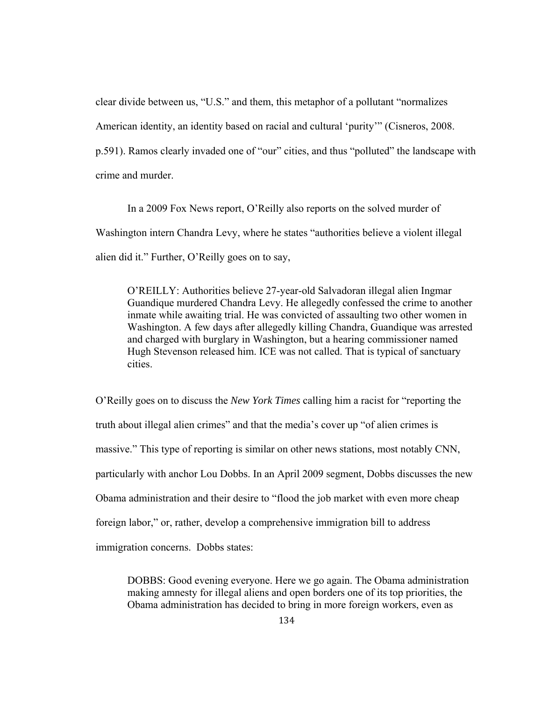clear divide between us, "U.S." and them, this metaphor of a pollutant "normalizes American identity, an identity based on racial and cultural 'purity'" (Cisneros, 2008. p.591). Ramos clearly invaded one of "our" cities, and thus "polluted" the landscape with crime and murder.

 In a 2009 Fox News report, O'Reilly also reports on the solved murder of Washington intern Chandra Levy, where he states "authorities believe a violent illegal alien did it." Further, O'Reilly goes on to say,

O'REILLY: Authorities believe 27-year-old Salvadoran illegal alien Ingmar Guandique murdered Chandra Levy. He allegedly confessed the crime to another inmate while awaiting trial. He was convicted of assaulting two other women in Washington. A few days after allegedly killing Chandra, Guandique was arrested and charged with burglary in Washington, but a hearing commissioner named Hugh Stevenson released him. ICE was not called. That is typical of sanctuary cities.

O'Reilly goes on to discuss the *New York Times* calling him a racist for "reporting the truth about illegal alien crimes" and that the media's cover up "of alien crimes is massive." This type of reporting is similar on other news stations, most notably CNN, particularly with anchor Lou Dobbs. In an April 2009 segment, Dobbs discusses the new Obama administration and their desire to "flood the job market with even more cheap foreign labor," or, rather, develop a comprehensive immigration bill to address immigration concerns. Dobbs states:

DOBBS: Good evening everyone. Here we go again. The Obama administration making amnesty for illegal aliens and open borders one of its top priorities, the Obama administration has decided to bring in more foreign workers, even as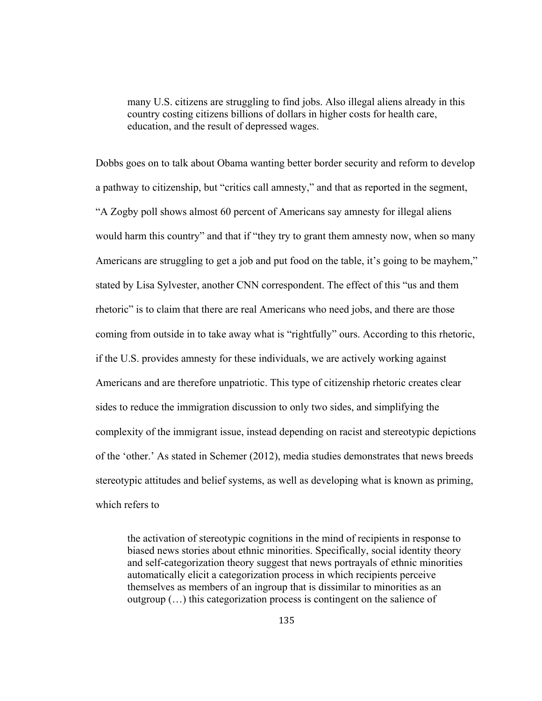many U.S. citizens are struggling to find jobs. Also illegal aliens already in this country costing citizens billions of dollars in higher costs for health care, education, and the result of depressed wages.

Dobbs goes on to talk about Obama wanting better border security and reform to develop a pathway to citizenship, but "critics call amnesty," and that as reported in the segment, "A Zogby poll shows almost 60 percent of Americans say amnesty for illegal aliens would harm this country" and that if "they try to grant them amnesty now, when so many Americans are struggling to get a job and put food on the table, it's going to be mayhem," stated by Lisa Sylvester, another CNN correspondent. The effect of this "us and them rhetoric" is to claim that there are real Americans who need jobs, and there are those coming from outside in to take away what is "rightfully" ours. According to this rhetoric, if the U.S. provides amnesty for these individuals, we are actively working against Americans and are therefore unpatriotic. This type of citizenship rhetoric creates clear sides to reduce the immigration discussion to only two sides, and simplifying the complexity of the immigrant issue, instead depending on racist and stereotypic depictions of the 'other.' As stated in Schemer (2012), media studies demonstrates that news breeds stereotypic attitudes and belief systems, as well as developing what is known as priming, which refers to

the activation of stereotypic cognitions in the mind of recipients in response to biased news stories about ethnic minorities. Specifically, social identity theory and self-categorization theory suggest that news portrayals of ethnic minorities automatically elicit a categorization process in which recipients perceive themselves as members of an ingroup that is dissimilar to minorities as an outgroup (…) this categorization process is contingent on the salience of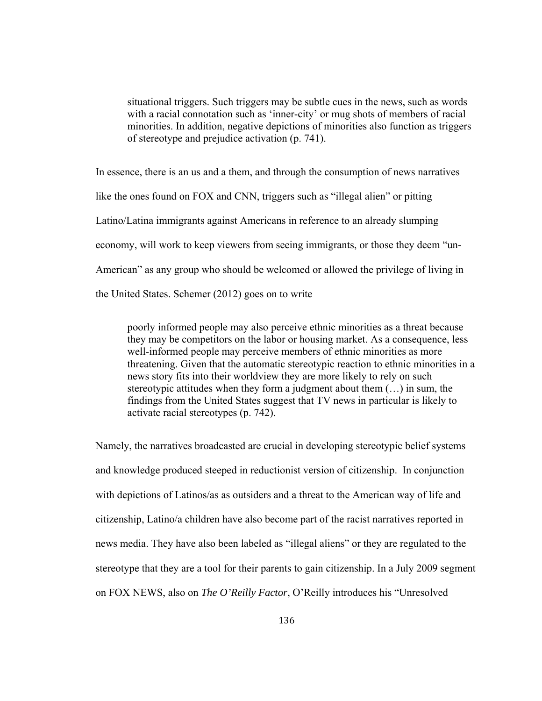situational triggers. Such triggers may be subtle cues in the news, such as words with a racial connotation such as 'inner-city' or mug shots of members of racial minorities. In addition, negative depictions of minorities also function as triggers of stereotype and prejudice activation (p. 741).

In essence, there is an us and a them, and through the consumption of news narratives like the ones found on FOX and CNN, triggers such as "illegal alien" or pitting Latino/Latina immigrants against Americans in reference to an already slumping economy, will work to keep viewers from seeing immigrants, or those they deem "un-American" as any group who should be welcomed or allowed the privilege of living in the United States. Schemer (2012) goes on to write

poorly informed people may also perceive ethnic minorities as a threat because they may be competitors on the labor or housing market. As a consequence, less well-informed people may perceive members of ethnic minorities as more threatening. Given that the automatic stereotypic reaction to ethnic minorities in a news story fits into their worldview they are more likely to rely on such stereotypic attitudes when they form a judgment about them (…) in sum, the findings from the United States suggest that TV news in particular is likely to activate racial stereotypes (p. 742).

Namely, the narratives broadcasted are crucial in developing stereotypic belief systems and knowledge produced steeped in reductionist version of citizenship. In conjunction with depictions of Latinos/as as outsiders and a threat to the American way of life and citizenship, Latino/a children have also become part of the racist narratives reported in news media. They have also been labeled as "illegal aliens" or they are regulated to the stereotype that they are a tool for their parents to gain citizenship. In a July 2009 segment on FOX NEWS, also on *The O'Reilly Factor*, O'Reilly introduces his "Unresolved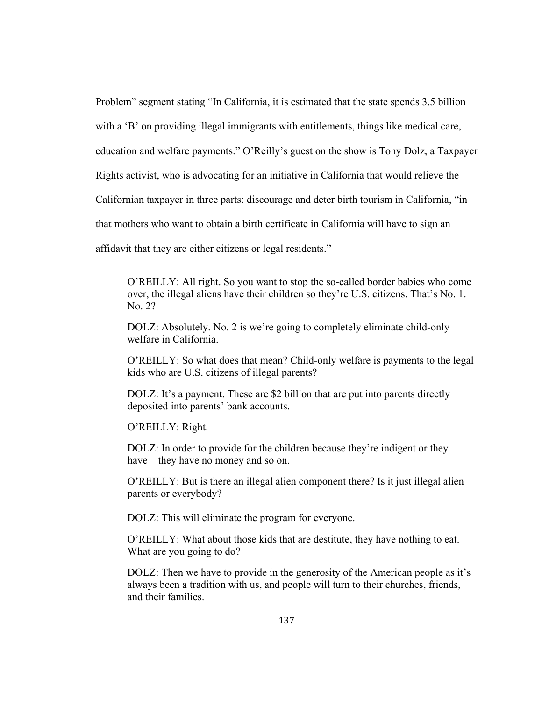Problem" segment stating "In California, it is estimated that the state spends 3.5 billion with a 'B' on providing illegal immigrants with entitlements, things like medical care, education and welfare payments." O'Reilly's guest on the show is Tony Dolz, a Taxpayer Rights activist, who is advocating for an initiative in California that would relieve the Californian taxpayer in three parts: discourage and deter birth tourism in California, "in that mothers who want to obtain a birth certificate in California will have to sign an affidavit that they are either citizens or legal residents."

O'REILLY: All right. So you want to stop the so-called border babies who come over, the illegal aliens have their children so they're U.S. citizens. That's No. 1. No. 2?

DOLZ: Absolutely. No. 2 is we're going to completely eliminate child-only welfare in California.

O'REILLY: So what does that mean? Child-only welfare is payments to the legal kids who are U.S. citizens of illegal parents?

DOLZ: It's a payment. These are \$2 billion that are put into parents directly deposited into parents' bank accounts.

O'REILLY: Right.

DOLZ: In order to provide for the children because they're indigent or they have—they have no money and so on.

O'REILLY: But is there an illegal alien component there? Is it just illegal alien parents or everybody?

DOLZ: This will eliminate the program for everyone.

O'REILLY: What about those kids that are destitute, they have nothing to eat. What are you going to do?

DOLZ: Then we have to provide in the generosity of the American people as it's always been a tradition with us, and people will turn to their churches, friends, and their families.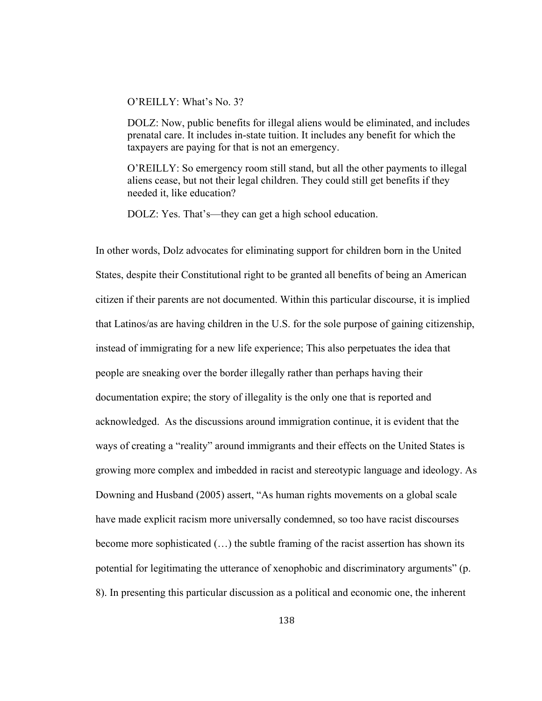# O'REILLY: What's No. 3?

DOLZ: Now, public benefits for illegal aliens would be eliminated, and includes prenatal care. It includes in-state tuition. It includes any benefit for which the taxpayers are paying for that is not an emergency.

O'REILLY: So emergency room still stand, but all the other payments to illegal aliens cease, but not their legal children. They could still get benefits if they needed it, like education?

DOLZ: Yes. That's—they can get a high school education.

In other words, Dolz advocates for eliminating support for children born in the United States, despite their Constitutional right to be granted all benefits of being an American citizen if their parents are not documented. Within this particular discourse, it is implied that Latinos/as are having children in the U.S. for the sole purpose of gaining citizenship, instead of immigrating for a new life experience; This also perpetuates the idea that people are sneaking over the border illegally rather than perhaps having their documentation expire; the story of illegality is the only one that is reported and acknowledged. As the discussions around immigration continue, it is evident that the ways of creating a "reality" around immigrants and their effects on the United States is growing more complex and imbedded in racist and stereotypic language and ideology. As Downing and Husband (2005) assert, "As human rights movements on a global scale have made explicit racism more universally condemned, so too have racist discourses become more sophisticated (…) the subtle framing of the racist assertion has shown its potential for legitimating the utterance of xenophobic and discriminatory arguments" (p. 8). In presenting this particular discussion as a political and economic one, the inherent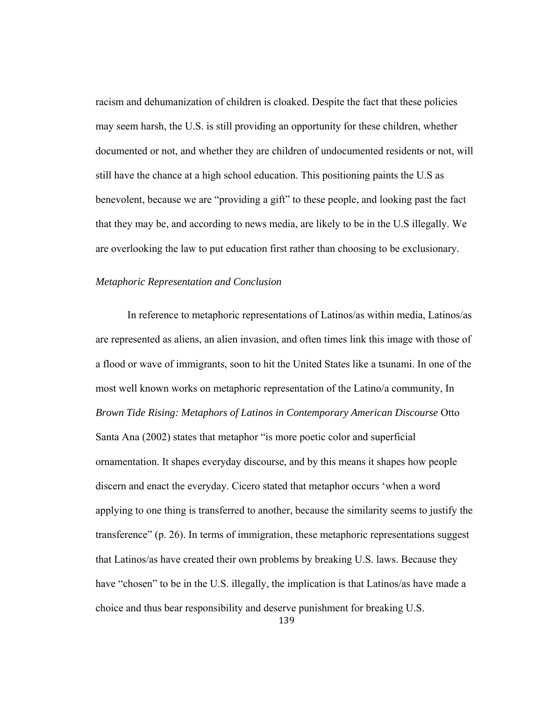racism and dehumanization of children is cloaked. Despite the fact that these policies may seem harsh, the U.S. is still providing an opportunity for these children, whether documented or not, and whether they are children of undocumented residents or not, will still have the chance at a high school education. This positioning paints the U.S as benevolent, because we are "providing a gift" to these people, and looking past the fact that they may be, and according to news media, are likely to be in the U.S illegally. We are overlooking the law to put education first rather than choosing to be exclusionary.

### *Metaphoric Representation and Conclusion*

 In reference to metaphoric representations of Latinos/as within media, Latinos/as are represented as aliens, an alien invasion, and often times link this image with those of a flood or wave of immigrants, soon to hit the United States like a tsunami. In one of the most well known works on metaphoric representation of the Latino/a community, In *Brown Tide Rising: Metaphors of Latinos in Contemporary American Discourse* Otto Santa Ana (2002) states that metaphor "is more poetic color and superficial ornamentation. It shapes everyday discourse, and by this means it shapes how people discern and enact the everyday. Cicero stated that metaphor occurs 'when a word applying to one thing is transferred to another, because the similarity seems to justify the transference" (p. 26). In terms of immigration, these metaphoric representations suggest that Latinos/as have created their own problems by breaking U.S. laws. Because they have "chosen" to be in the U.S. illegally, the implication is that Latinos/as have made a choice and thus bear responsibility and deserve punishment for breaking U.S.

139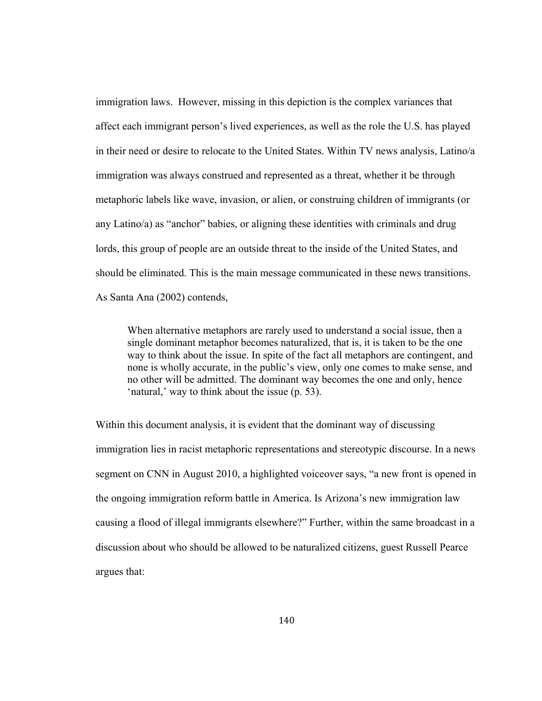immigration laws. However, missing in this depiction is the complex variances that affect each immigrant person's lived experiences, as well as the role the U.S. has played in their need or desire to relocate to the United States. Within TV news analysis, Latino/a immigration was always construed and represented as a threat, whether it be through metaphoric labels like wave, invasion, or alien, or construing children of immigrants (or any Latino/a) as "anchor" babies, or aligning these identities with criminals and drug lords, this group of people are an outside threat to the inside of the United States, and should be eliminated. This is the main message communicated in these news transitions. As Santa Ana (2002) contends,

When alternative metaphors are rarely used to understand a social issue, then a single dominant metaphor becomes naturalized, that is, it is taken to be the one way to think about the issue. In spite of the fact all metaphors are contingent, and none is wholly accurate, in the public's view, only one comes to make sense, and no other will be admitted. The dominant way becomes the one and only, hence 'natural,' way to think about the issue (p. 53).

Within this document analysis, it is evident that the dominant way of discussing immigration lies in racist metaphoric representations and stereotypic discourse. In a news segment on CNN in August 2010, a highlighted voiceover says, "a new front is opened in the ongoing immigration reform battle in America. Is Arizona's new immigration law causing a flood of illegal immigrants elsewhere?" Further, within the same broadcast in a discussion about who should be allowed to be naturalized citizens, guest Russell Pearce argues that: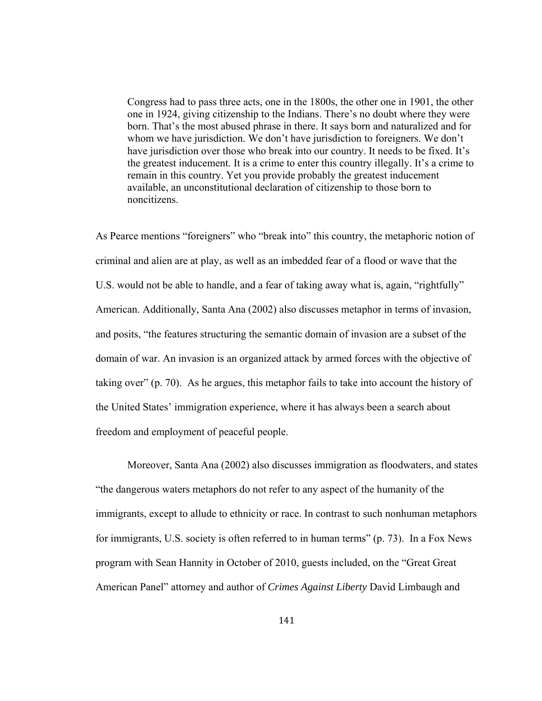Congress had to pass three acts, one in the 1800s, the other one in 1901, the other one in 1924, giving citizenship to the Indians. There's no doubt where they were born. That's the most abused phrase in there. It says born and naturalized and for whom we have jurisdiction. We don't have jurisdiction to foreigners. We don't have jurisdiction over those who break into our country. It needs to be fixed. It's the greatest inducement. It is a crime to enter this country illegally. It's a crime to remain in this country. Yet you provide probably the greatest inducement available, an unconstitutional declaration of citizenship to those born to noncitizens.

As Pearce mentions "foreigners" who "break into" this country, the metaphoric notion of criminal and alien are at play, as well as an imbedded fear of a flood or wave that the U.S. would not be able to handle, and a fear of taking away what is, again, "rightfully" American. Additionally, Santa Ana (2002) also discusses metaphor in terms of invasion, and posits, "the features structuring the semantic domain of invasion are a subset of the domain of war. An invasion is an organized attack by armed forces with the objective of taking over" (p. 70). As he argues, this metaphor fails to take into account the history of the United States' immigration experience, where it has always been a search about freedom and employment of peaceful people.

 Moreover, Santa Ana (2002) also discusses immigration as floodwaters, and states "the dangerous waters metaphors do not refer to any aspect of the humanity of the immigrants, except to allude to ethnicity or race. In contrast to such nonhuman metaphors for immigrants, U.S. society is often referred to in human terms" (p. 73). In a Fox News program with Sean Hannity in October of 2010, guests included, on the "Great Great American Panel" attorney and author of *Crimes Against Liberty* David Limbaugh and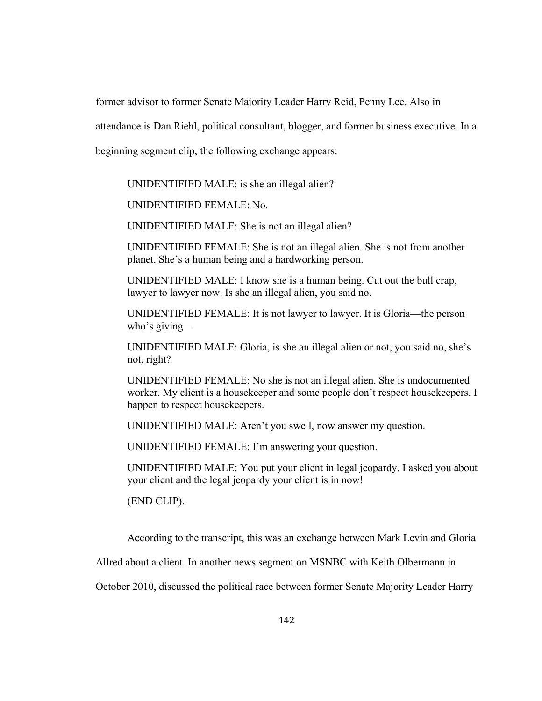former advisor to former Senate Majority Leader Harry Reid, Penny Lee. Also in

attendance is Dan Riehl, political consultant, blogger, and former business executive. In a

beginning segment clip, the following exchange appears:

UNIDENTIFIED MALE: is she an illegal alien?

UNIDENTIFIED FEMALE: No.

UNIDENTIFIED MALE: She is not an illegal alien?

UNIDENTIFIED FEMALE: She is not an illegal alien. She is not from another planet. She's a human being and a hardworking person.

UNIDENTIFIED MALE: I know she is a human being. Cut out the bull crap, lawyer to lawyer now. Is she an illegal alien, you said no.

UNIDENTIFIED FEMALE: It is not lawyer to lawyer. It is Gloria—the person who's giving—

UNIDENTIFIED MALE: Gloria, is she an illegal alien or not, you said no, she's not, right?

UNIDENTIFIED FEMALE: No she is not an illegal alien. She is undocumented worker. My client is a housekeeper and some people don't respect housekeepers. I happen to respect housekeepers.

UNIDENTIFIED MALE: Aren't you swell, now answer my question.

UNIDENTIFIED FEMALE: I'm answering your question.

UNIDENTIFIED MALE: You put your client in legal jeopardy. I asked you about your client and the legal jeopardy your client is in now!

(END CLIP).

According to the transcript, this was an exchange between Mark Levin and Gloria

Allred about a client. In another news segment on MSNBC with Keith Olbermann in

October 2010, discussed the political race between former Senate Majority Leader Harry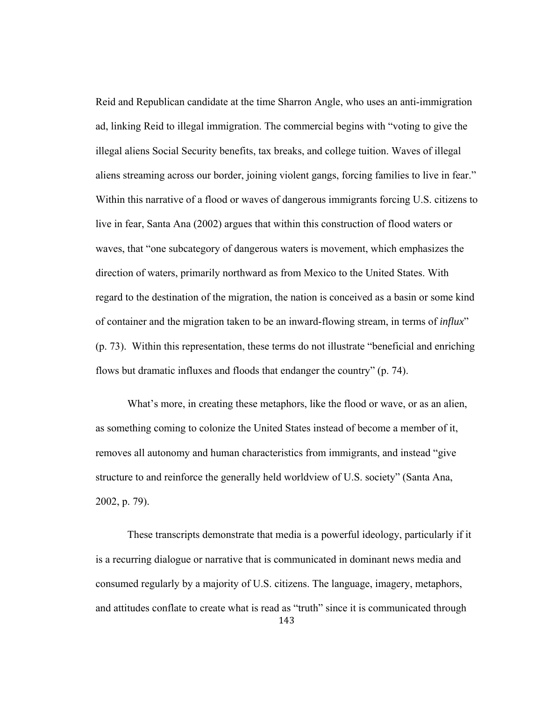Reid and Republican candidate at the time Sharron Angle, who uses an anti-immigration ad, linking Reid to illegal immigration. The commercial begins with "voting to give the illegal aliens Social Security benefits, tax breaks, and college tuition. Waves of illegal aliens streaming across our border, joining violent gangs, forcing families to live in fear." Within this narrative of a flood or waves of dangerous immigrants forcing U.S. citizens to live in fear, Santa Ana (2002) argues that within this construction of flood waters or waves, that "one subcategory of dangerous waters is movement, which emphasizes the direction of waters, primarily northward as from Mexico to the United States. With regard to the destination of the migration, the nation is conceived as a basin or some kind of container and the migration taken to be an inward-flowing stream, in terms of *influx*" (p. 73). Within this representation, these terms do not illustrate "beneficial and enriching flows but dramatic influxes and floods that endanger the country" (p. 74).

What's more, in creating these metaphors, like the flood or wave, or as an alien, as something coming to colonize the United States instead of become a member of it, removes all autonomy and human characteristics from immigrants, and instead "give structure to and reinforce the generally held worldview of U.S. society" (Santa Ana, 2002, p. 79).

143 These transcripts demonstrate that media is a powerful ideology, particularly if it is a recurring dialogue or narrative that is communicated in dominant news media and consumed regularly by a majority of U.S. citizens. The language, imagery, metaphors, and attitudes conflate to create what is read as "truth" since it is communicated through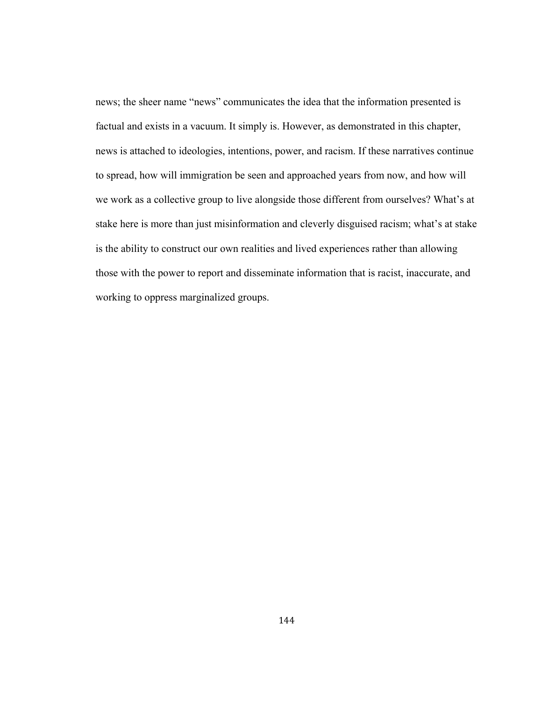news; the sheer name "news" communicates the idea that the information presented is factual and exists in a vacuum. It simply is. However, as demonstrated in this chapter, news is attached to ideologies, intentions, power, and racism. If these narratives continue to spread, how will immigration be seen and approached years from now, and how will we work as a collective group to live alongside those different from ourselves? What's at stake here is more than just misinformation and cleverly disguised racism; what's at stake is the ability to construct our own realities and lived experiences rather than allowing those with the power to report and disseminate information that is racist, inaccurate, and working to oppress marginalized groups.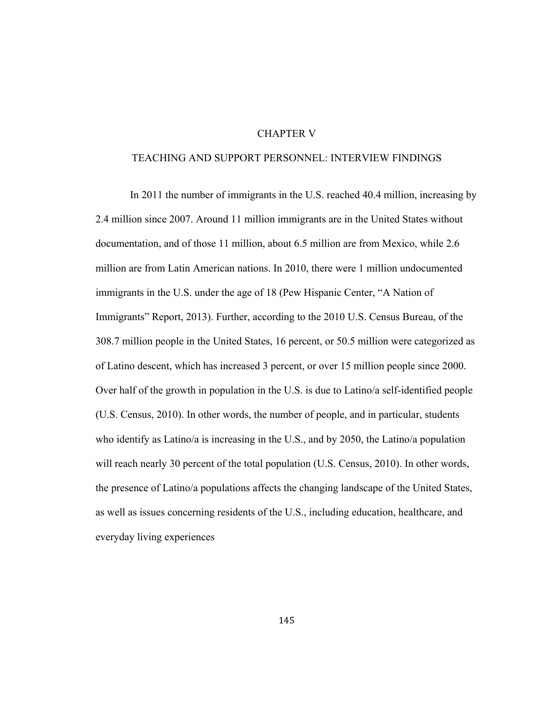# CHAPTER V

# TEACHING AND SUPPORT PERSONNEL: INTERVIEW FINDINGS

 In 2011 the number of immigrants in the U.S. reached 40.4 million, increasing by 2.4 million since 2007. Around 11 million immigrants are in the United States without documentation, and of those 11 million, about 6.5 million are from Mexico, while 2.6 million are from Latin American nations. In 2010, there were 1 million undocumented immigrants in the U.S. under the age of 18 (Pew Hispanic Center, "A Nation of Immigrants" Report, 2013). Further, according to the 2010 U.S. Census Bureau, of the 308.7 million people in the United States, 16 percent, or 50.5 million were categorized as of Latino descent, which has increased 3 percent, or over 15 million people since 2000. Over half of the growth in population in the U.S. is due to Latino/a self-identified people (U.S. Census, 2010). In other words, the number of people, and in particular, students who identify as Latino/a is increasing in the U.S., and by 2050, the Latino/a population will reach nearly 30 percent of the total population (U.S. Census, 2010). In other words, the presence of Latino/a populations affects the changing landscape of the United States, as well as issues concerning residents of the U.S., including education, healthcare, and everyday living experiences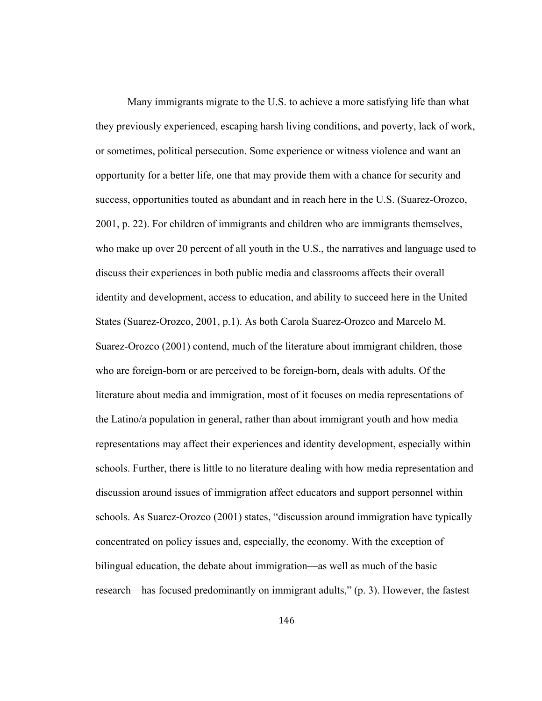Many immigrants migrate to the U.S. to achieve a more satisfying life than what they previously experienced, escaping harsh living conditions, and poverty, lack of work, or sometimes, political persecution. Some experience or witness violence and want an opportunity for a better life, one that may provide them with a chance for security and success, opportunities touted as abundant and in reach here in the U.S. (Suarez-Orozco, 2001, p. 22). For children of immigrants and children who are immigrants themselves, who make up over 20 percent of all youth in the U.S., the narratives and language used to discuss their experiences in both public media and classrooms affects their overall identity and development, access to education, and ability to succeed here in the United States (Suarez-Orozco, 2001, p.1). As both Carola Suarez-Orozco and Marcelo M. Suarez-Orozco (2001) contend, much of the literature about immigrant children, those who are foreign-born or are perceived to be foreign-born, deals with adults. Of the literature about media and immigration, most of it focuses on media representations of the Latino/a population in general, rather than about immigrant youth and how media representations may affect their experiences and identity development, especially within schools. Further, there is little to no literature dealing with how media representation and discussion around issues of immigration affect educators and support personnel within schools. As Suarez-Orozco (2001) states, "discussion around immigration have typically concentrated on policy issues and, especially, the economy. With the exception of bilingual education, the debate about immigration—as well as much of the basic research—has focused predominantly on immigrant adults," (p. 3). However, the fastest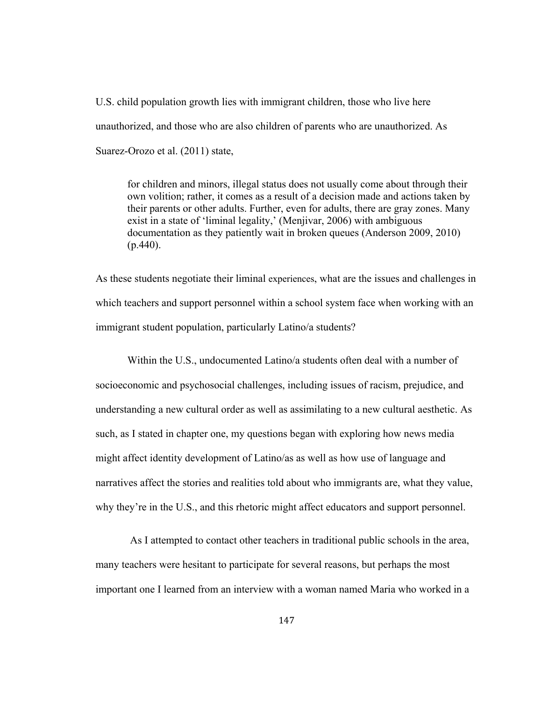U.S. child population growth lies with immigrant children, those who live here unauthorized, and those who are also children of parents who are unauthorized. As Suarez-Orozo et al. (2011) state,

for children and minors, illegal status does not usually come about through their own volition; rather, it comes as a result of a decision made and actions taken by their parents or other adults. Further, even for adults, there are gray zones. Many exist in a state of 'liminal legality,' (Menjivar, 2006) with ambiguous documentation as they patiently wait in broken queues (Anderson 2009, 2010)  $(p.440)$ .

As these students negotiate their liminal experiences, what are the issues and challenges in which teachers and support personnel within a school system face when working with an immigrant student population, particularly Latino/a students?

Within the U.S., undocumented Latino/a students often deal with a number of socioeconomic and psychosocial challenges, including issues of racism, prejudice, and understanding a new cultural order as well as assimilating to a new cultural aesthetic. As such, as I stated in chapter one, my questions began with exploring how news media might affect identity development of Latino/as as well as how use of language and narratives affect the stories and realities told about who immigrants are, what they value, why they're in the U.S., and this rhetoric might affect educators and support personnel.

 As I attempted to contact other teachers in traditional public schools in the area, many teachers were hesitant to participate for several reasons, but perhaps the most important one I learned from an interview with a woman named Maria who worked in a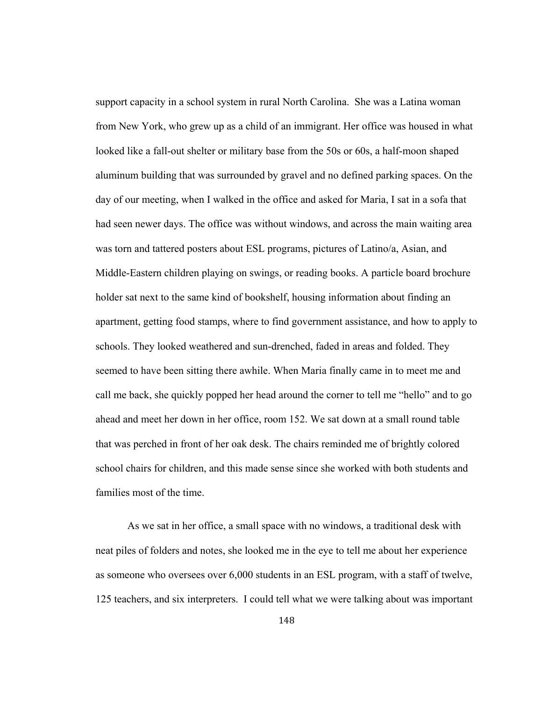support capacity in a school system in rural North Carolina. She was a Latina woman from New York, who grew up as a child of an immigrant. Her office was housed in what looked like a fall-out shelter or military base from the 50s or 60s, a half-moon shaped aluminum building that was surrounded by gravel and no defined parking spaces. On the day of our meeting, when I walked in the office and asked for Maria, I sat in a sofa that had seen newer days. The office was without windows, and across the main waiting area was torn and tattered posters about ESL programs, pictures of Latino/a, Asian, and Middle-Eastern children playing on swings, or reading books. A particle board brochure holder sat next to the same kind of bookshelf, housing information about finding an apartment, getting food stamps, where to find government assistance, and how to apply to schools. They looked weathered and sun-drenched, faded in areas and folded. They seemed to have been sitting there awhile. When Maria finally came in to meet me and call me back, she quickly popped her head around the corner to tell me "hello" and to go ahead and meet her down in her office, room 152. We sat down at a small round table that was perched in front of her oak desk. The chairs reminded me of brightly colored school chairs for children, and this made sense since she worked with both students and families most of the time.

As we sat in her office, a small space with no windows, a traditional desk with neat piles of folders and notes, she looked me in the eye to tell me about her experience as someone who oversees over 6,000 students in an ESL program, with a staff of twelve, 125 teachers, and six interpreters. I could tell what we were talking about was important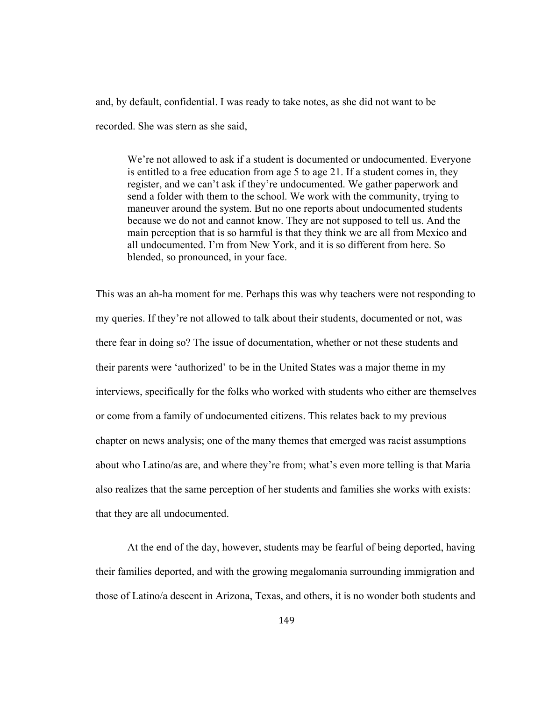and, by default, confidential. I was ready to take notes, as she did not want to be recorded. She was stern as she said,

We're not allowed to ask if a student is documented or undocumented. Everyone is entitled to a free education from age 5 to age 21. If a student comes in, they register, and we can't ask if they're undocumented. We gather paperwork and send a folder with them to the school. We work with the community, trying to maneuver around the system. But no one reports about undocumented students because we do not and cannot know. They are not supposed to tell us. And the main perception that is so harmful is that they think we are all from Mexico and all undocumented. I'm from New York, and it is so different from here. So blended, so pronounced, in your face.

This was an ah-ha moment for me. Perhaps this was why teachers were not responding to my queries. If they're not allowed to talk about their students, documented or not, was there fear in doing so? The issue of documentation, whether or not these students and their parents were 'authorized' to be in the United States was a major theme in my interviews, specifically for the folks who worked with students who either are themselves or come from a family of undocumented citizens. This relates back to my previous chapter on news analysis; one of the many themes that emerged was racist assumptions about who Latino/as are, and where they're from; what's even more telling is that Maria also realizes that the same perception of her students and families she works with exists: that they are all undocumented.

 At the end of the day, however, students may be fearful of being deported, having their families deported, and with the growing megalomania surrounding immigration and those of Latino/a descent in Arizona, Texas, and others, it is no wonder both students and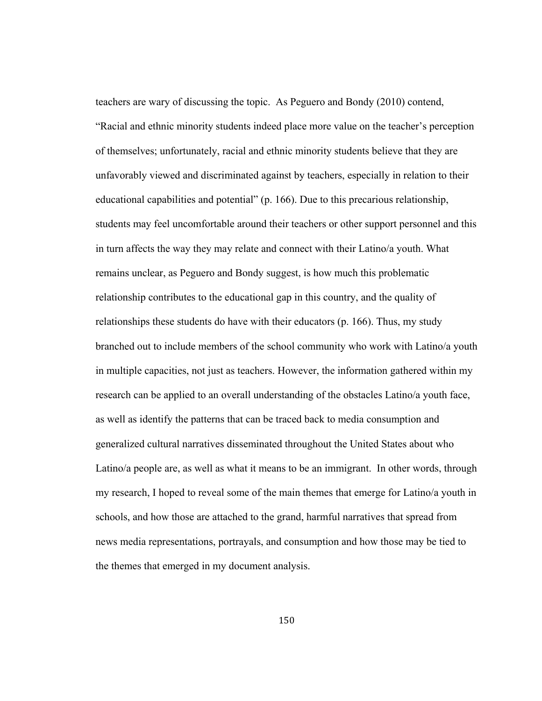teachers are wary of discussing the topic. As Peguero and Bondy (2010) contend, "Racial and ethnic minority students indeed place more value on the teacher's perception of themselves; unfortunately, racial and ethnic minority students believe that they are unfavorably viewed and discriminated against by teachers, especially in relation to their educational capabilities and potential" (p. 166). Due to this precarious relationship, students may feel uncomfortable around their teachers or other support personnel and this in turn affects the way they may relate and connect with their Latino/a youth. What remains unclear, as Peguero and Bondy suggest, is how much this problematic relationship contributes to the educational gap in this country, and the quality of relationships these students do have with their educators (p. 166). Thus, my study branched out to include members of the school community who work with Latino/a youth in multiple capacities, not just as teachers. However, the information gathered within my research can be applied to an overall understanding of the obstacles Latino/a youth face, as well as identify the patterns that can be traced back to media consumption and generalized cultural narratives disseminated throughout the United States about who Latino/a people are, as well as what it means to be an immigrant. In other words, through my research, I hoped to reveal some of the main themes that emerge for Latino/a youth in schools, and how those are attached to the grand, harmful narratives that spread from news media representations, portrayals, and consumption and how those may be tied to the themes that emerged in my document analysis.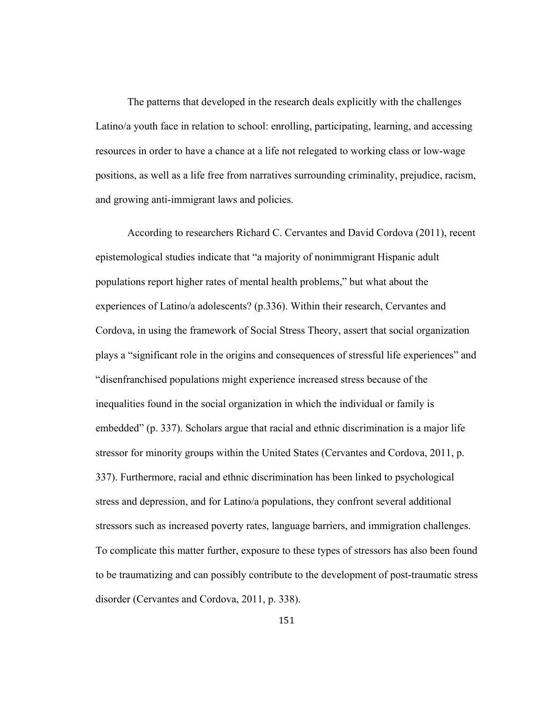The patterns that developed in the research deals explicitly with the challenges Latino/a youth face in relation to school: enrolling, participating, learning, and accessing resources in order to have a chance at a life not relegated to working class or low-wage positions, as well as a life free from narratives surrounding criminality, prejudice, racism, and growing anti-immigrant laws and policies.

 According to researchers Richard C. Cervantes and David Cordova (2011), recent epistemological studies indicate that "a majority of nonimmigrant Hispanic adult populations report higher rates of mental health problems," but what about the experiences of Latino/a adolescents? (p.336). Within their research, Cervantes and Cordova, in using the framework of Social Stress Theory, assert that social organization plays a "significant role in the origins and consequences of stressful life experiences" and "disenfranchised populations might experience increased stress because of the inequalities found in the social organization in which the individual or family is embedded" (p. 337). Scholars argue that racial and ethnic discrimination is a major life stressor for minority groups within the United States (Cervantes and Cordova, 2011, p. 337). Furthermore, racial and ethnic discrimination has been linked to psychological stress and depression, and for Latino/a populations, they confront several additional stressors such as increased poverty rates, language barriers, and immigration challenges. To complicate this matter further, exposure to these types of stressors has also been found to be traumatizing and can possibly contribute to the development of post-traumatic stress disorder (Cervantes and Cordova, 2011, p. 338).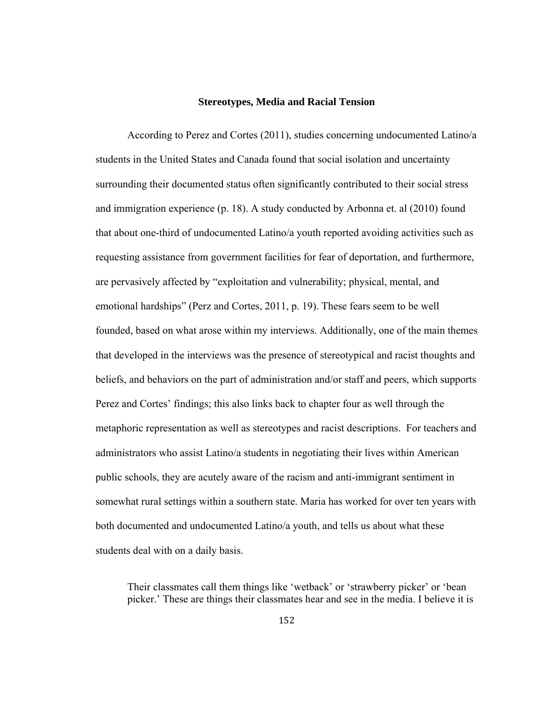#### **Stereotypes, Media and Racial Tension**

According to Perez and Cortes (2011), studies concerning undocumented Latino/a students in the United States and Canada found that social isolation and uncertainty surrounding their documented status often significantly contributed to their social stress and immigration experience (p. 18). A study conducted by Arbonna et. al (2010) found that about one-third of undocumented Latino/a youth reported avoiding activities such as requesting assistance from government facilities for fear of deportation, and furthermore, are pervasively affected by "exploitation and vulnerability; physical, mental, and emotional hardships" (Perz and Cortes, 2011, p. 19). These fears seem to be well founded, based on what arose within my interviews. Additionally, one of the main themes that developed in the interviews was the presence of stereotypical and racist thoughts and beliefs, and behaviors on the part of administration and/or staff and peers, which supports Perez and Cortes' findings; this also links back to chapter four as well through the metaphoric representation as well as stereotypes and racist descriptions. For teachers and administrators who assist Latino/a students in negotiating their lives within American public schools, they are acutely aware of the racism and anti-immigrant sentiment in somewhat rural settings within a southern state. Maria has worked for over ten years with both documented and undocumented Latino/a youth, and tells us about what these students deal with on a daily basis.

Their classmates call them things like 'wetback' or 'strawberry picker' or 'bean picker.' These are things their classmates hear and see in the media. I believe it is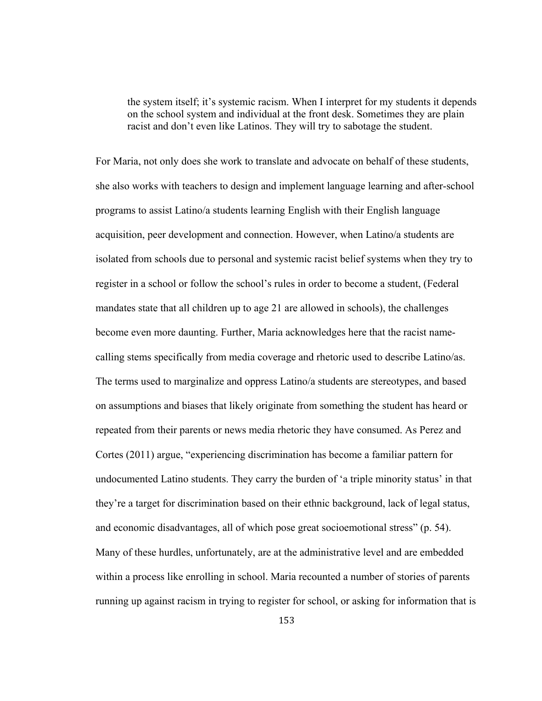the system itself; it's systemic racism. When I interpret for my students it depends on the school system and individual at the front desk. Sometimes they are plain racist and don't even like Latinos. They will try to sabotage the student.

For Maria, not only does she work to translate and advocate on behalf of these students, she also works with teachers to design and implement language learning and after-school programs to assist Latino/a students learning English with their English language acquisition, peer development and connection. However, when Latino/a students are isolated from schools due to personal and systemic racist belief systems when they try to register in a school or follow the school's rules in order to become a student, (Federal mandates state that all children up to age 21 are allowed in schools), the challenges become even more daunting. Further, Maria acknowledges here that the racist namecalling stems specifically from media coverage and rhetoric used to describe Latino/as. The terms used to marginalize and oppress Latino/a students are stereotypes, and based on assumptions and biases that likely originate from something the student has heard or repeated from their parents or news media rhetoric they have consumed. As Perez and Cortes (2011) argue, "experiencing discrimination has become a familiar pattern for undocumented Latino students. They carry the burden of 'a triple minority status' in that they're a target for discrimination based on their ethnic background, lack of legal status, and economic disadvantages, all of which pose great socioemotional stress" (p. 54). Many of these hurdles, unfortunately, are at the administrative level and are embedded within a process like enrolling in school. Maria recounted a number of stories of parents running up against racism in trying to register for school, or asking for information that is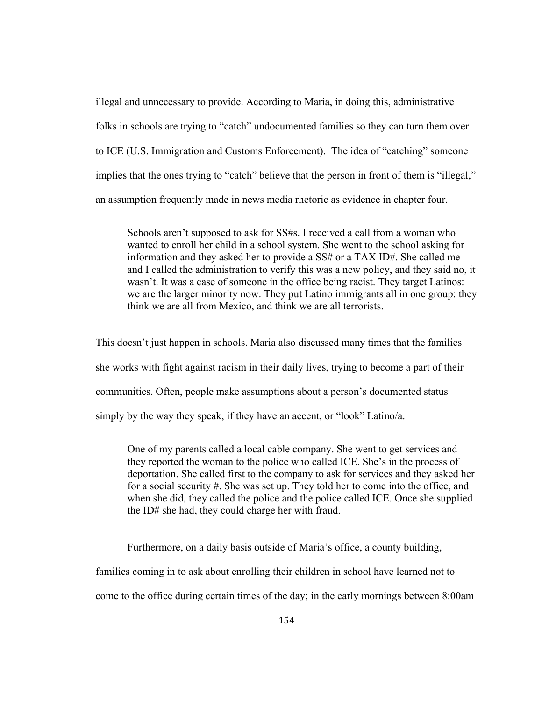illegal and unnecessary to provide. According to Maria, in doing this, administrative folks in schools are trying to "catch" undocumented families so they can turn them over to ICE (U.S. Immigration and Customs Enforcement). The idea of "catching" someone implies that the ones trying to "catch" believe that the person in front of them is "illegal," an assumption frequently made in news media rhetoric as evidence in chapter four.

Schools aren't supposed to ask for SS#s. I received a call from a woman who wanted to enroll her child in a school system. She went to the school asking for information and they asked her to provide a SS# or a TAX ID#. She called me and I called the administration to verify this was a new policy, and they said no, it wasn't. It was a case of someone in the office being racist. They target Latinos: we are the larger minority now. They put Latino immigrants all in one group: they think we are all from Mexico, and think we are all terrorists.

This doesn't just happen in schools. Maria also discussed many times that the families she works with fight against racism in their daily lives, trying to become a part of their communities. Often, people make assumptions about a person's documented status simply by the way they speak, if they have an accent, or "look" Latino/a.

One of my parents called a local cable company. She went to get services and they reported the woman to the police who called ICE. She's in the process of deportation. She called first to the company to ask for services and they asked her for a social security #. She was set up. They told her to come into the office, and when she did, they called the police and the police called ICE. Once she supplied the ID# she had, they could charge her with fraud.

Furthermore, on a daily basis outside of Maria's office, a county building,

families coming in to ask about enrolling their children in school have learned not to

come to the office during certain times of the day; in the early mornings between 8:00am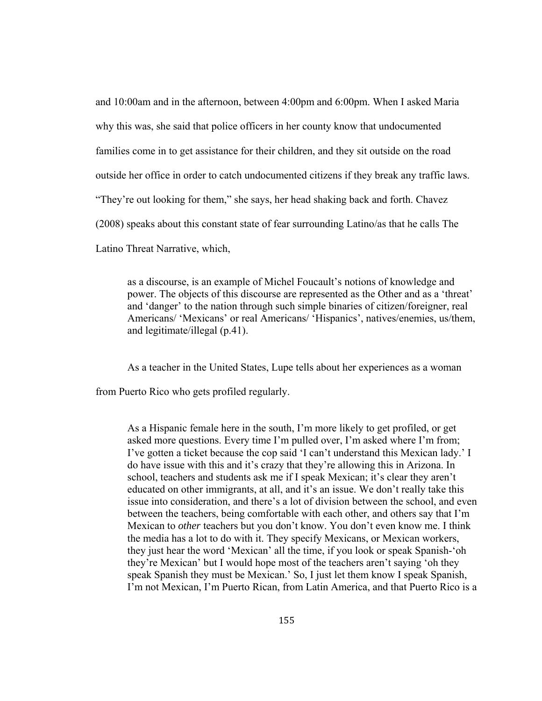and 10:00am and in the afternoon, between 4:00pm and 6:00pm. When I asked Maria why this was, she said that police officers in her county know that undocumented families come in to get assistance for their children, and they sit outside on the road outside her office in order to catch undocumented citizens if they break any traffic laws. "They're out looking for them," she says, her head shaking back and forth. Chavez (2008) speaks about this constant state of fear surrounding Latino/as that he calls The Latino Threat Narrative, which,

as a discourse, is an example of Michel Foucault's notions of knowledge and power. The objects of this discourse are represented as the Other and as a 'threat' and 'danger' to the nation through such simple binaries of citizen/foreigner, real Americans/ 'Mexicans' or real Americans/ 'Hispanics', natives/enemies, us/them, and legitimate/illegal (p.41).

As a teacher in the United States, Lupe tells about her experiences as a woman

from Puerto Rico who gets profiled regularly.

As a Hispanic female here in the south, I'm more likely to get profiled, or get asked more questions. Every time I'm pulled over, I'm asked where I'm from; I've gotten a ticket because the cop said 'I can't understand this Mexican lady.' I do have issue with this and it's crazy that they're allowing this in Arizona. In school, teachers and students ask me if I speak Mexican; it's clear they aren't educated on other immigrants, at all, and it's an issue. We don't really take this issue into consideration, and there's a lot of division between the school, and even between the teachers, being comfortable with each other, and others say that I'm Mexican to *other* teachers but you don't know. You don't even know me. I think the media has a lot to do with it. They specify Mexicans, or Mexican workers, they just hear the word 'Mexican' all the time, if you look or speak Spanish-'oh they're Mexican' but I would hope most of the teachers aren't saying 'oh they speak Spanish they must be Mexican.' So, I just let them know I speak Spanish, I'm not Mexican, I'm Puerto Rican, from Latin America, and that Puerto Rico is a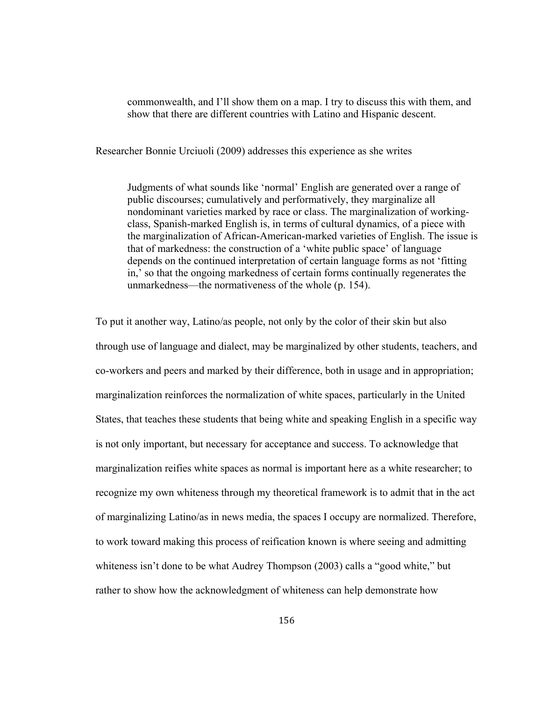commonwealth, and I'll show them on a map. I try to discuss this with them, and show that there are different countries with Latino and Hispanic descent.

Researcher Bonnie Urciuoli (2009) addresses this experience as she writes

Judgments of what sounds like 'normal' English are generated over a range of public discourses; cumulatively and performatively, they marginalize all nondominant varieties marked by race or class. The marginalization of workingclass, Spanish-marked English is, in terms of cultural dynamics, of a piece with the marginalization of African-American-marked varieties of English. The issue is that of markedness: the construction of a 'white public space' of language depends on the continued interpretation of certain language forms as not 'fitting in,' so that the ongoing markedness of certain forms continually regenerates the unmarkedness—the normativeness of the whole (p. 154).

To put it another way, Latino/as people, not only by the color of their skin but also through use of language and dialect, may be marginalized by other students, teachers, and co-workers and peers and marked by their difference, both in usage and in appropriation; marginalization reinforces the normalization of white spaces, particularly in the United States, that teaches these students that being white and speaking English in a specific way is not only important, but necessary for acceptance and success. To acknowledge that marginalization reifies white spaces as normal is important here as a white researcher; to recognize my own whiteness through my theoretical framework is to admit that in the act of marginalizing Latino/as in news media, the spaces I occupy are normalized. Therefore, to work toward making this process of reification known is where seeing and admitting whiteness isn't done to be what Audrey Thompson (2003) calls a "good white," but rather to show how the acknowledgment of whiteness can help demonstrate how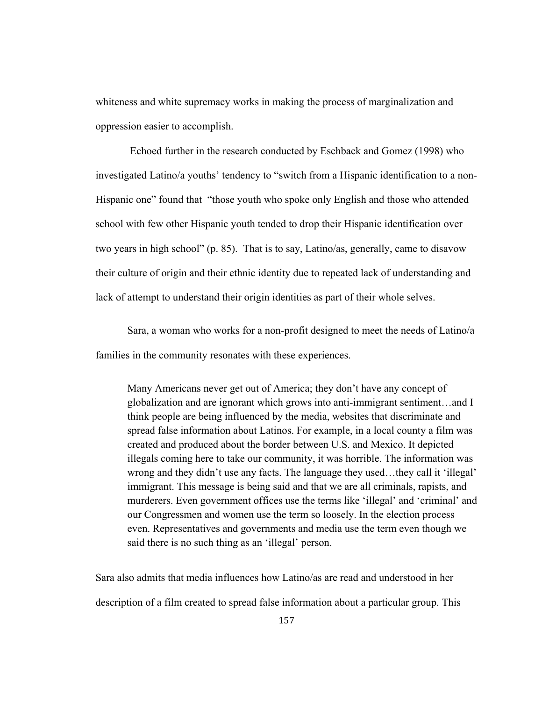whiteness and white supremacy works in making the process of marginalization and oppression easier to accomplish.

 Echoed further in the research conducted by Eschback and Gomez (1998) who investigated Latino/a youths' tendency to "switch from a Hispanic identification to a non-Hispanic one" found that "those youth who spoke only English and those who attended school with few other Hispanic youth tended to drop their Hispanic identification over two years in high school" (p. 85). That is to say, Latino/as, generally, came to disavow their culture of origin and their ethnic identity due to repeated lack of understanding and lack of attempt to understand their origin identities as part of their whole selves.

Sara, a woman who works for a non-profit designed to meet the needs of Latino/a families in the community resonates with these experiences.

Many Americans never get out of America; they don't have any concept of globalization and are ignorant which grows into anti-immigrant sentiment…and I think people are being influenced by the media, websites that discriminate and spread false information about Latinos. For example, in a local county a film was created and produced about the border between U.S. and Mexico. It depicted illegals coming here to take our community, it was horrible. The information was wrong and they didn't use any facts. The language they used…they call it 'illegal' immigrant. This message is being said and that we are all criminals, rapists, and murderers. Even government offices use the terms like 'illegal' and 'criminal' and our Congressmen and women use the term so loosely. In the election process even. Representatives and governments and media use the term even though we said there is no such thing as an 'illegal' person.

Sara also admits that media influences how Latino/as are read and understood in her description of a film created to spread false information about a particular group. This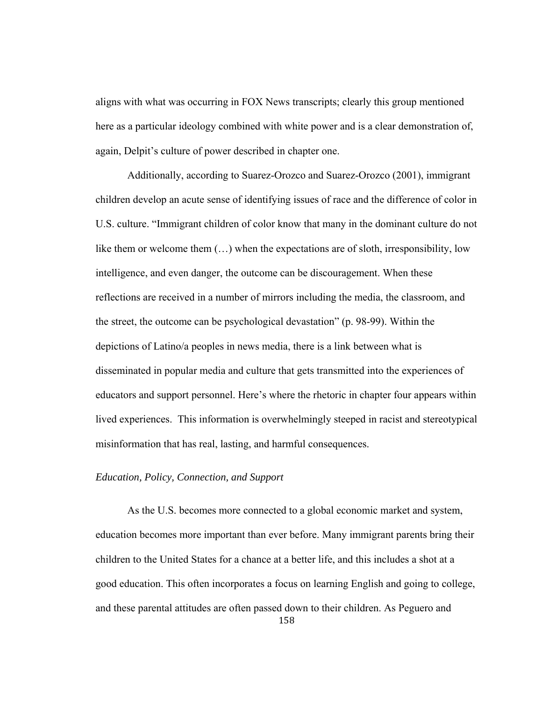aligns with what was occurring in FOX News transcripts; clearly this group mentioned here as a particular ideology combined with white power and is a clear demonstration of, again, Delpit's culture of power described in chapter one.

 Additionally, according to Suarez-Orozco and Suarez-Orozco (2001), immigrant children develop an acute sense of identifying issues of race and the difference of color in U.S. culture. "Immigrant children of color know that many in the dominant culture do not like them or welcome them (…) when the expectations are of sloth, irresponsibility, low intelligence, and even danger, the outcome can be discouragement. When these reflections are received in a number of mirrors including the media, the classroom, and the street, the outcome can be psychological devastation" (p. 98-99). Within the depictions of Latino/a peoples in news media, there is a link between what is disseminated in popular media and culture that gets transmitted into the experiences of educators and support personnel. Here's where the rhetoric in chapter four appears within lived experiences. This information is overwhelmingly steeped in racist and stereotypical misinformation that has real, lasting, and harmful consequences.

# *Education, Policy, Connection, and Support*

158 As the U.S. becomes more connected to a global economic market and system, education becomes more important than ever before. Many immigrant parents bring their children to the United States for a chance at a better life, and this includes a shot at a good education. This often incorporates a focus on learning English and going to college, and these parental attitudes are often passed down to their children. As Peguero and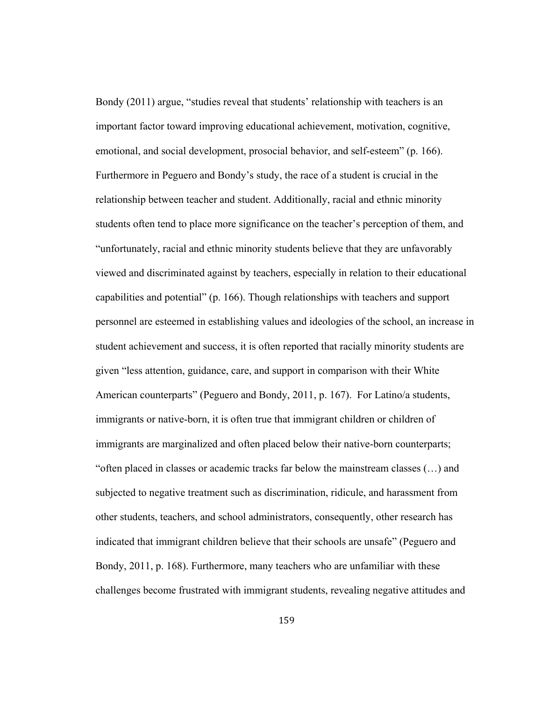Bondy (2011) argue, "studies reveal that students' relationship with teachers is an important factor toward improving educational achievement, motivation, cognitive, emotional, and social development, prosocial behavior, and self-esteem" (p. 166). Furthermore in Peguero and Bondy's study, the race of a student is crucial in the relationship between teacher and student. Additionally, racial and ethnic minority students often tend to place more significance on the teacher's perception of them, and "unfortunately, racial and ethnic minority students believe that they are unfavorably viewed and discriminated against by teachers, especially in relation to their educational capabilities and potential" (p. 166). Though relationships with teachers and support personnel are esteemed in establishing values and ideologies of the school, an increase in student achievement and success, it is often reported that racially minority students are given "less attention, guidance, care, and support in comparison with their White American counterparts" (Peguero and Bondy, 2011, p. 167). For Latino/a students, immigrants or native-born, it is often true that immigrant children or children of immigrants are marginalized and often placed below their native-born counterparts; "often placed in classes or academic tracks far below the mainstream classes (…) and subjected to negative treatment such as discrimination, ridicule, and harassment from other students, teachers, and school administrators, consequently, other research has indicated that immigrant children believe that their schools are unsafe" (Peguero and Bondy, 2011, p. 168). Furthermore, many teachers who are unfamiliar with these challenges become frustrated with immigrant students, revealing negative attitudes and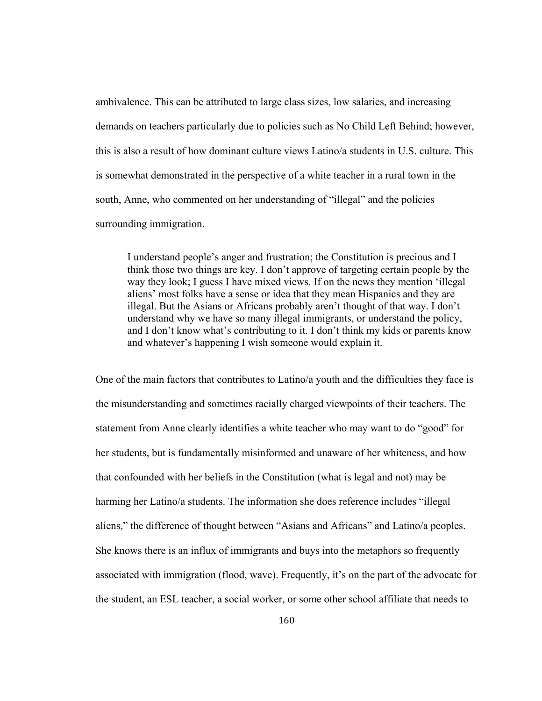ambivalence. This can be attributed to large class sizes, low salaries, and increasing demands on teachers particularly due to policies such as No Child Left Behind; however, this is also a result of how dominant culture views Latino/a students in U.S. culture. This is somewhat demonstrated in the perspective of a white teacher in a rural town in the south, Anne, who commented on her understanding of "illegal" and the policies surrounding immigration.

I understand people's anger and frustration; the Constitution is precious and I think those two things are key. I don't approve of targeting certain people by the way they look; I guess I have mixed views. If on the news they mention 'illegal aliens' most folks have a sense or idea that they mean Hispanics and they are illegal. But the Asians or Africans probably aren't thought of that way. I don't understand why we have so many illegal immigrants, or understand the policy, and I don't know what's contributing to it. I don't think my kids or parents know and whatever's happening I wish someone would explain it.

One of the main factors that contributes to Latino/a youth and the difficulties they face is the misunderstanding and sometimes racially charged viewpoints of their teachers. The statement from Anne clearly identifies a white teacher who may want to do "good" for her students, but is fundamentally misinformed and unaware of her whiteness, and how that confounded with her beliefs in the Constitution (what is legal and not) may be harming her Latino/a students. The information she does reference includes "illegal aliens," the difference of thought between "Asians and Africans" and Latino/a peoples. She knows there is an influx of immigrants and buys into the metaphors so frequently associated with immigration (flood, wave). Frequently, it's on the part of the advocate for the student, an ESL teacher, a social worker, or some other school affiliate that needs to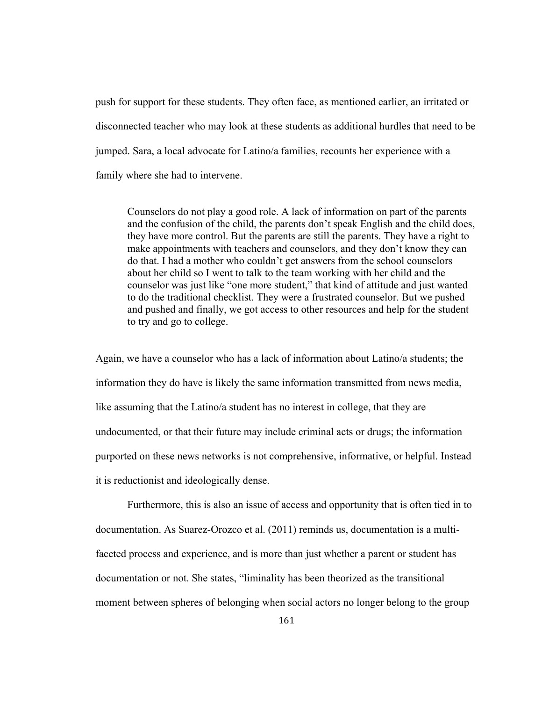push for support for these students. They often face, as mentioned earlier, an irritated or disconnected teacher who may look at these students as additional hurdles that need to be jumped. Sara, a local advocate for Latino/a families, recounts her experience with a family where she had to intervene.

Counselors do not play a good role. A lack of information on part of the parents and the confusion of the child, the parents don't speak English and the child does, they have more control. But the parents are still the parents. They have a right to make appointments with teachers and counselors, and they don't know they can do that. I had a mother who couldn't get answers from the school counselors about her child so I went to talk to the team working with her child and the counselor was just like "one more student," that kind of attitude and just wanted to do the traditional checklist. They were a frustrated counselor. But we pushed and pushed and finally, we got access to other resources and help for the student to try and go to college.

Again, we have a counselor who has a lack of information about Latino/a students; the information they do have is likely the same information transmitted from news media, like assuming that the Latino/a student has no interest in college, that they are undocumented, or that their future may include criminal acts or drugs; the information purported on these news networks is not comprehensive, informative, or helpful. Instead it is reductionist and ideologically dense.

 Furthermore, this is also an issue of access and opportunity that is often tied in to documentation. As Suarez-Orozco et al. (2011) reminds us, documentation is a multifaceted process and experience, and is more than just whether a parent or student has documentation or not. She states, "liminality has been theorized as the transitional moment between spheres of belonging when social actors no longer belong to the group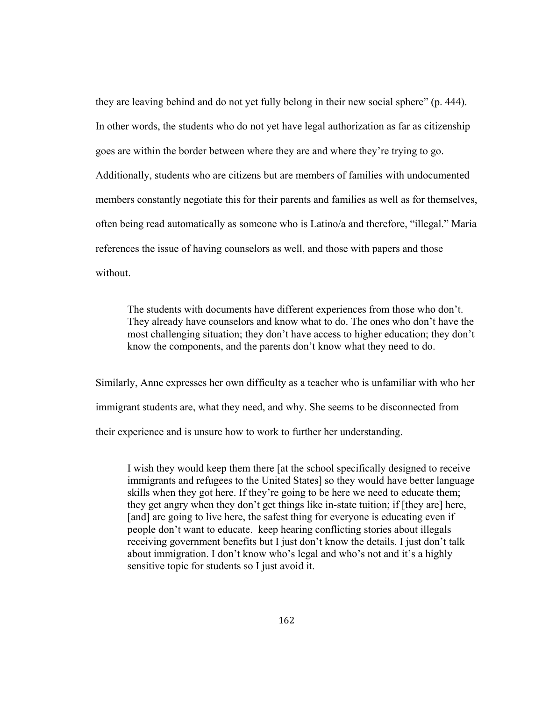they are leaving behind and do not yet fully belong in their new social sphere" (p. 444). In other words, the students who do not yet have legal authorization as far as citizenship goes are within the border between where they are and where they're trying to go. Additionally, students who are citizens but are members of families with undocumented members constantly negotiate this for their parents and families as well as for themselves, often being read automatically as someone who is Latino/a and therefore, "illegal." Maria references the issue of having counselors as well, and those with papers and those without.

The students with documents have different experiences from those who don't. They already have counselors and know what to do. The ones who don't have the most challenging situation; they don't have access to higher education; they don't know the components, and the parents don't know what they need to do.

Similarly, Anne expresses her own difficulty as a teacher who is unfamiliar with who her immigrant students are, what they need, and why. She seems to be disconnected from their experience and is unsure how to work to further her understanding.

I wish they would keep them there [at the school specifically designed to receive immigrants and refugees to the United States] so they would have better language skills when they got here. If they're going to be here we need to educate them; they get angry when they don't get things like in-state tuition; if [they are] here, [and] are going to live here, the safest thing for everyone is educating even if people don't want to educate. keep hearing conflicting stories about illegals receiving government benefits but I just don't know the details. I just don't talk about immigration. I don't know who's legal and who's not and it's a highly sensitive topic for students so I just avoid it.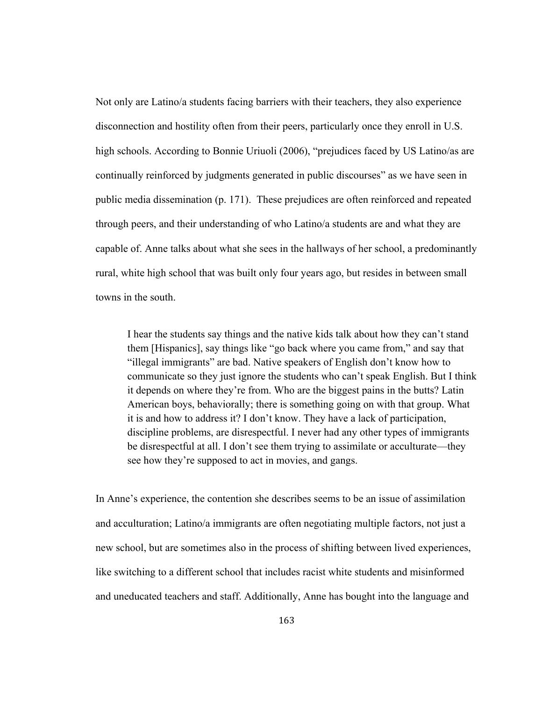Not only are Latino/a students facing barriers with their teachers, they also experience disconnection and hostility often from their peers, particularly once they enroll in U.S. high schools. According to Bonnie Uriuoli (2006), "prejudices faced by US Latino/as are continually reinforced by judgments generated in public discourses" as we have seen in public media dissemination (p. 171). These prejudices are often reinforced and repeated through peers, and their understanding of who Latino/a students are and what they are capable of. Anne talks about what she sees in the hallways of her school, a predominantly rural, white high school that was built only four years ago, but resides in between small towns in the south.

I hear the students say things and the native kids talk about how they can't stand them [Hispanics], say things like "go back where you came from," and say that "illegal immigrants" are bad. Native speakers of English don't know how to communicate so they just ignore the students who can't speak English. But I think it depends on where they're from. Who are the biggest pains in the butts? Latin American boys, behaviorally; there is something going on with that group. What it is and how to address it? I don't know. They have a lack of participation, discipline problems, are disrespectful. I never had any other types of immigrants be disrespectful at all. I don't see them trying to assimilate or acculturate—they see how they're supposed to act in movies, and gangs.

In Anne's experience, the contention she describes seems to be an issue of assimilation and acculturation; Latino/a immigrants are often negotiating multiple factors, not just a new school, but are sometimes also in the process of shifting between lived experiences, like switching to a different school that includes racist white students and misinformed and uneducated teachers and staff. Additionally, Anne has bought into the language and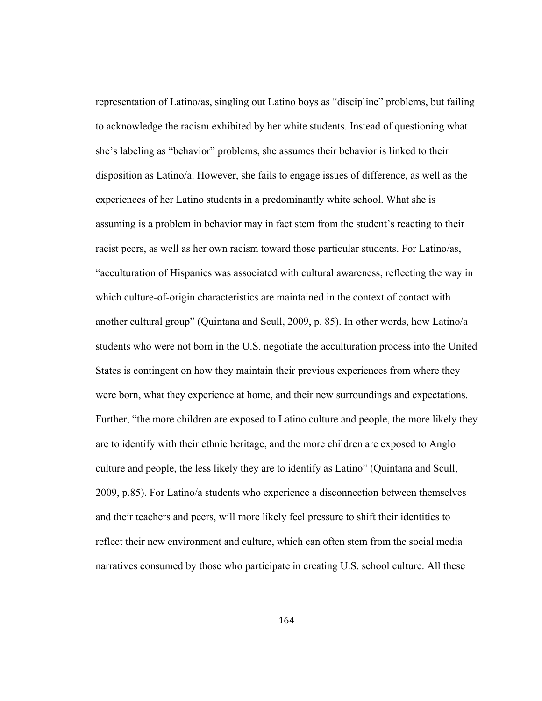representation of Latino/as, singling out Latino boys as "discipline" problems, but failing to acknowledge the racism exhibited by her white students. Instead of questioning what she's labeling as "behavior" problems, she assumes their behavior is linked to their disposition as Latino/a. However, she fails to engage issues of difference, as well as the experiences of her Latino students in a predominantly white school. What she is assuming is a problem in behavior may in fact stem from the student's reacting to their racist peers, as well as her own racism toward those particular students. For Latino/as, "acculturation of Hispanics was associated with cultural awareness, reflecting the way in which culture-of-origin characteristics are maintained in the context of contact with another cultural group" (Quintana and Scull, 2009, p. 85). In other words, how Latino/a students who were not born in the U.S. negotiate the acculturation process into the United States is contingent on how they maintain their previous experiences from where they were born, what they experience at home, and their new surroundings and expectations. Further, "the more children are exposed to Latino culture and people, the more likely they are to identify with their ethnic heritage, and the more children are exposed to Anglo culture and people, the less likely they are to identify as Latino" (Quintana and Scull, 2009, p.85). For Latino/a students who experience a disconnection between themselves and their teachers and peers, will more likely feel pressure to shift their identities to reflect their new environment and culture, which can often stem from the social media narratives consumed by those who participate in creating U.S. school culture. All these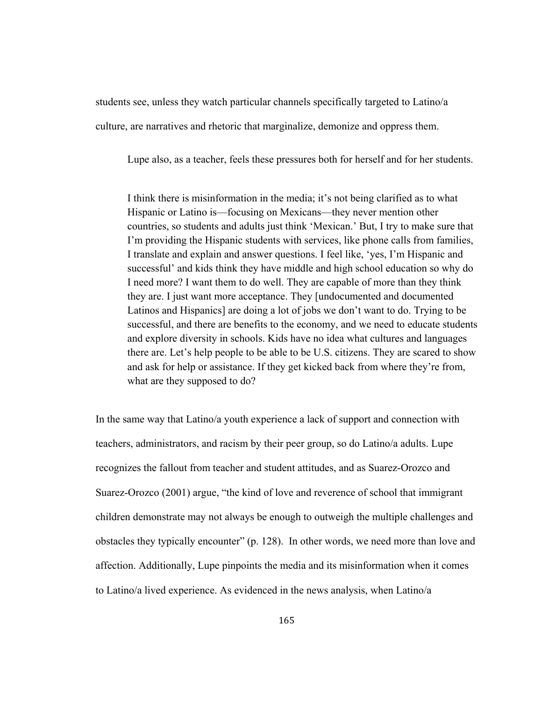students see, unless they watch particular channels specifically targeted to Latino/a culture, are narratives and rhetoric that marginalize, demonize and oppress them.

Lupe also, as a teacher, feels these pressures both for herself and for her students.

I think there is misinformation in the media; it's not being clarified as to what Hispanic or Latino is—focusing on Mexicans—they never mention other countries, so students and adults just think 'Mexican.' But, I try to make sure that I'm providing the Hispanic students with services, like phone calls from families, I translate and explain and answer questions. I feel like, 'yes, I'm Hispanic and successful' and kids think they have middle and high school education so why do I need more? I want them to do well. They are capable of more than they think they are. I just want more acceptance. They [undocumented and documented Latinos and Hispanics] are doing a lot of jobs we don't want to do. Trying to be successful, and there are benefits to the economy, and we need to educate students and explore diversity in schools. Kids have no idea what cultures and languages there are. Let's help people to be able to be U.S. citizens. They are scared to show and ask for help or assistance. If they get kicked back from where they're from, what are they supposed to do?

In the same way that Latino/a youth experience a lack of support and connection with teachers, administrators, and racism by their peer group, so do Latino/a adults. Lupe recognizes the fallout from teacher and student attitudes, and as Suarez-Orozco and Suarez-Orozco (2001) argue, "the kind of love and reverence of school that immigrant children demonstrate may not always be enough to outweigh the multiple challenges and obstacles they typically encounter" (p. 128). In other words, we need more than love and affection. Additionally, Lupe pinpoints the media and its misinformation when it comes to Latino/a lived experience. As evidenced in the news analysis, when Latino/a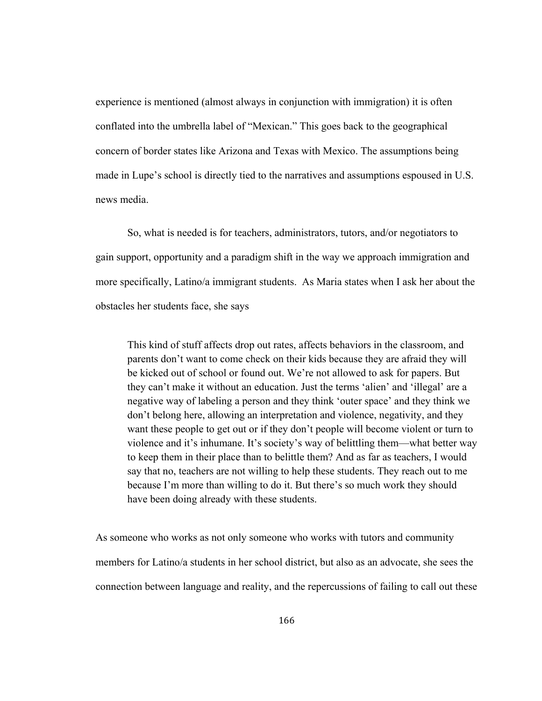experience is mentioned (almost always in conjunction with immigration) it is often conflated into the umbrella label of "Mexican." This goes back to the geographical concern of border states like Arizona and Texas with Mexico. The assumptions being made in Lupe's school is directly tied to the narratives and assumptions espoused in U.S. news media.

So, what is needed is for teachers, administrators, tutors, and/or negotiators to gain support, opportunity and a paradigm shift in the way we approach immigration and more specifically, Latino/a immigrant students. As Maria states when I ask her about the obstacles her students face, she says

This kind of stuff affects drop out rates, affects behaviors in the classroom, and parents don't want to come check on their kids because they are afraid they will be kicked out of school or found out. We're not allowed to ask for papers. But they can't make it without an education. Just the terms 'alien' and 'illegal' are a negative way of labeling a person and they think 'outer space' and they think we don't belong here, allowing an interpretation and violence, negativity, and they want these people to get out or if they don't people will become violent or turn to violence and it's inhumane. It's society's way of belittling them—what better way to keep them in their place than to belittle them? And as far as teachers, I would say that no, teachers are not willing to help these students. They reach out to me because I'm more than willing to do it. But there's so much work they should have been doing already with these students.

As someone who works as not only someone who works with tutors and community members for Latino/a students in her school district, but also as an advocate, she sees the connection between language and reality, and the repercussions of failing to call out these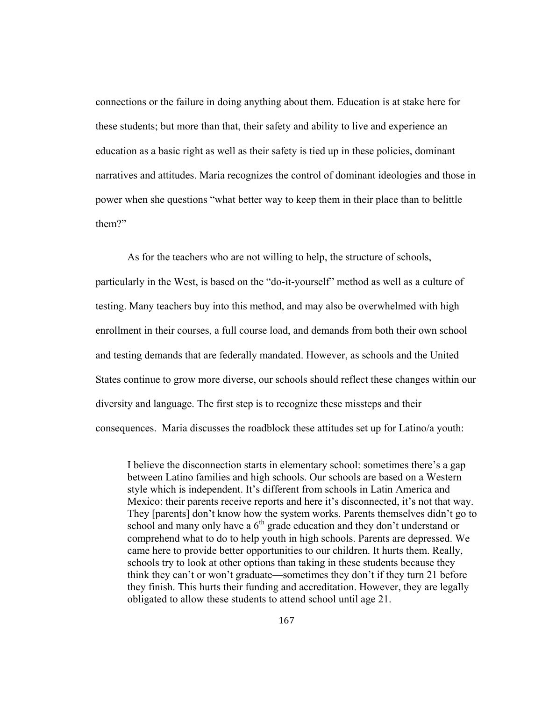connections or the failure in doing anything about them. Education is at stake here for these students; but more than that, their safety and ability to live and experience an education as a basic right as well as their safety is tied up in these policies, dominant narratives and attitudes. Maria recognizes the control of dominant ideologies and those in power when she questions "what better way to keep them in their place than to belittle them?"

As for the teachers who are not willing to help, the structure of schools, particularly in the West, is based on the "do-it-yourself" method as well as a culture of testing. Many teachers buy into this method, and may also be overwhelmed with high enrollment in their courses, a full course load, and demands from both their own school and testing demands that are federally mandated. However, as schools and the United States continue to grow more diverse, our schools should reflect these changes within our diversity and language. The first step is to recognize these missteps and their consequences. Maria discusses the roadblock these attitudes set up for Latino/a youth:

I believe the disconnection starts in elementary school: sometimes there's a gap between Latino families and high schools. Our schools are based on a Western style which is independent. It's different from schools in Latin America and Mexico: their parents receive reports and here it's disconnected, it's not that way. They [parents] don't know how the system works. Parents themselves didn't go to school and many only have a  $6<sup>th</sup>$  grade education and they don't understand or comprehend what to do to help youth in high schools. Parents are depressed. We came here to provide better opportunities to our children. It hurts them. Really, schools try to look at other options than taking in these students because they think they can't or won't graduate—sometimes they don't if they turn 21 before they finish. This hurts their funding and accreditation. However, they are legally obligated to allow these students to attend school until age 21.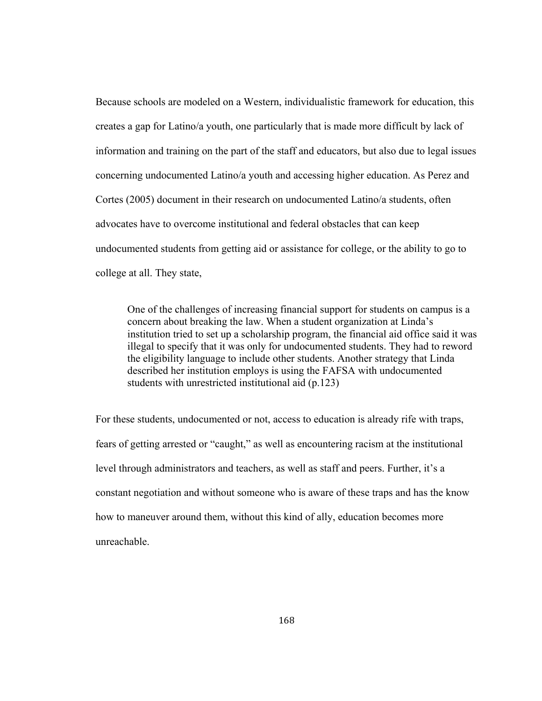Because schools are modeled on a Western, individualistic framework for education, this creates a gap for Latino/a youth, one particularly that is made more difficult by lack of information and training on the part of the staff and educators, but also due to legal issues concerning undocumented Latino/a youth and accessing higher education. As Perez and Cortes (2005) document in their research on undocumented Latino/a students, often advocates have to overcome institutional and federal obstacles that can keep undocumented students from getting aid or assistance for college, or the ability to go to college at all. They state,

One of the challenges of increasing financial support for students on campus is a concern about breaking the law. When a student organization at Linda's institution tried to set up a scholarship program, the financial aid office said it was illegal to specify that it was only for undocumented students. They had to reword the eligibility language to include other students. Another strategy that Linda described her institution employs is using the FAFSA with undocumented students with unrestricted institutional aid (p.123)

For these students, undocumented or not, access to education is already rife with traps, fears of getting arrested or "caught," as well as encountering racism at the institutional level through administrators and teachers, as well as staff and peers. Further, it's a constant negotiation and without someone who is aware of these traps and has the know how to maneuver around them, without this kind of ally, education becomes more unreachable.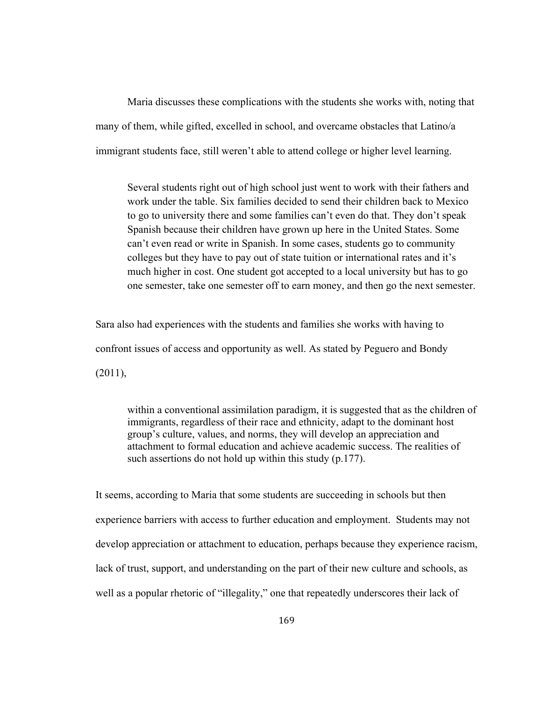Maria discusses these complications with the students she works with, noting that many of them, while gifted, excelled in school, and overcame obstacles that Latino/a immigrant students face, still weren't able to attend college or higher level learning.

Several students right out of high school just went to work with their fathers and work under the table. Six families decided to send their children back to Mexico to go to university there and some families can't even do that. They don't speak Spanish because their children have grown up here in the United States. Some can't even read or write in Spanish. In some cases, students go to community colleges but they have to pay out of state tuition or international rates and it's much higher in cost. One student got accepted to a local university but has to go one semester, take one semester off to earn money, and then go the next semester.

Sara also had experiences with the students and families she works with having to confront issues of access and opportunity as well. As stated by Peguero and Bondy  $(2011)$ ,

within a conventional assimilation paradigm, it is suggested that as the children of immigrants, regardless of their race and ethnicity, adapt to the dominant host group's culture, values, and norms, they will develop an appreciation and attachment to formal education and achieve academic success. The realities of such assertions do not hold up within this study (p.177).

It seems, according to Maria that some students are succeeding in schools but then experience barriers with access to further education and employment. Students may not develop appreciation or attachment to education, perhaps because they experience racism, lack of trust, support, and understanding on the part of their new culture and schools, as well as a popular rhetoric of "illegality," one that repeatedly underscores their lack of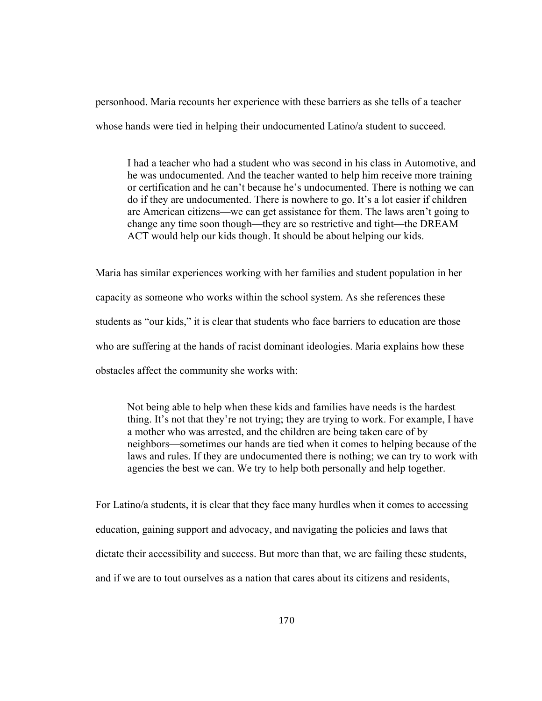personhood. Maria recounts her experience with these barriers as she tells of a teacher whose hands were tied in helping their undocumented Latino/a student to succeed.

I had a teacher who had a student who was second in his class in Automotive, and he was undocumented. And the teacher wanted to help him receive more training or certification and he can't because he's undocumented. There is nothing we can do if they are undocumented. There is nowhere to go. It's a lot easier if children are American citizens—we can get assistance for them. The laws aren't going to change any time soon though—they are so restrictive and tight—the DREAM ACT would help our kids though. It should be about helping our kids.

Maria has similar experiences working with her families and student population in her capacity as someone who works within the school system. As she references these students as "our kids," it is clear that students who face barriers to education are those who are suffering at the hands of racist dominant ideologies. Maria explains how these obstacles affect the community she works with:

Not being able to help when these kids and families have needs is the hardest thing. It's not that they're not trying; they are trying to work. For example, I have a mother who was arrested, and the children are being taken care of by neighbors—sometimes our hands are tied when it comes to helping because of the laws and rules. If they are undocumented there is nothing; we can try to work with agencies the best we can. We try to help both personally and help together.

For Latino/a students, it is clear that they face many hurdles when it comes to accessing education, gaining support and advocacy, and navigating the policies and laws that dictate their accessibility and success. But more than that, we are failing these students, and if we are to tout ourselves as a nation that cares about its citizens and residents,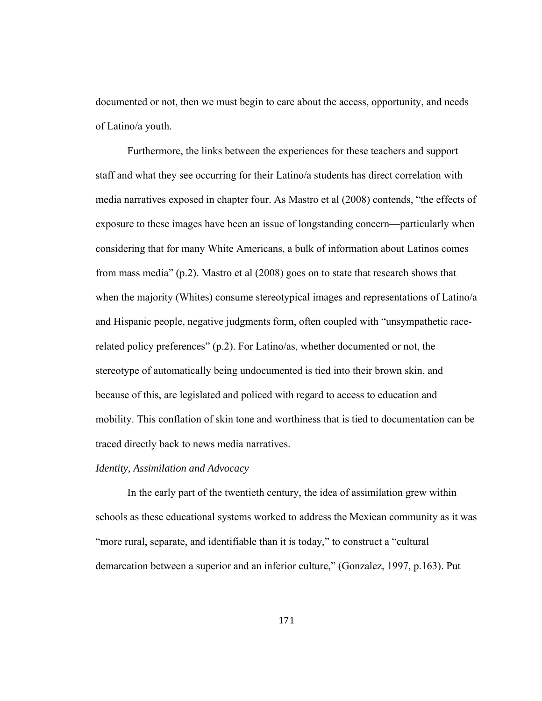documented or not, then we must begin to care about the access, opportunity, and needs of Latino/a youth.

 Furthermore, the links between the experiences for these teachers and support staff and what they see occurring for their Latino/a students has direct correlation with media narratives exposed in chapter four. As Mastro et al (2008) contends, "the effects of exposure to these images have been an issue of longstanding concern—particularly when considering that for many White Americans, a bulk of information about Latinos comes from mass media" (p.2). Mastro et al (2008) goes on to state that research shows that when the majority (Whites) consume stereotypical images and representations of Latino/a and Hispanic people, negative judgments form, often coupled with "unsympathetic racerelated policy preferences" (p.2). For Latino/as, whether documented or not, the stereotype of automatically being undocumented is tied into their brown skin, and because of this, are legislated and policed with regard to access to education and mobility. This conflation of skin tone and worthiness that is tied to documentation can be traced directly back to news media narratives.

# *Identity, Assimilation and Advocacy*

 In the early part of the twentieth century, the idea of assimilation grew within schools as these educational systems worked to address the Mexican community as it was "more rural, separate, and identifiable than it is today," to construct a "cultural demarcation between a superior and an inferior culture," (Gonzalez, 1997, p.163). Put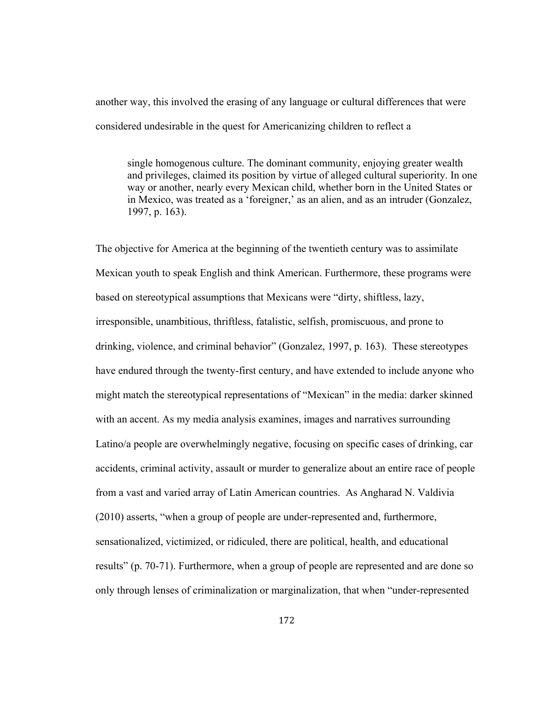another way, this involved the erasing of any language or cultural differences that were considered undesirable in the quest for Americanizing children to reflect a

single homogenous culture. The dominant community, enjoying greater wealth and privileges, claimed its position by virtue of alleged cultural superiority. In one way or another, nearly every Mexican child, whether born in the United States or in Mexico, was treated as a 'foreigner,' as an alien, and as an intruder (Gonzalez, 1997, p. 163).

The objective for America at the beginning of the twentieth century was to assimilate Mexican youth to speak English and think American. Furthermore, these programs were based on stereotypical assumptions that Mexicans were "dirty, shiftless, lazy, irresponsible, unambitious, thriftless, fatalistic, selfish, promiscuous, and prone to drinking, violence, and criminal behavior" (Gonzalez, 1997, p. 163). These stereotypes have endured through the twenty-first century, and have extended to include anyone who might match the stereotypical representations of "Mexican" in the media: darker skinned with an accent. As my media analysis examines, images and narratives surrounding Latino/a people are overwhelmingly negative, focusing on specific cases of drinking, car accidents, criminal activity, assault or murder to generalize about an entire race of people from a vast and varied array of Latin American countries. As Angharad N. Valdivia (2010) asserts, "when a group of people are under-represented and, furthermore, sensationalized, victimized, or ridiculed, there are political, health, and educational results" (p. 70-71). Furthermore, when a group of people are represented and are done so only through lenses of criminalization or marginalization, that when "under-represented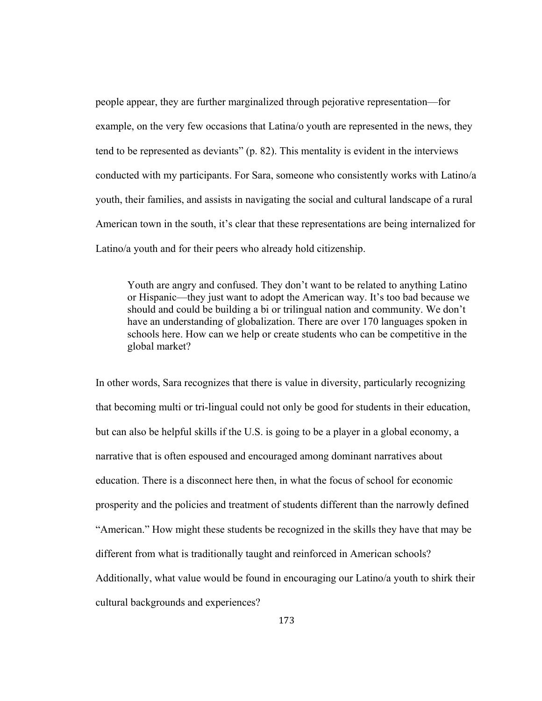people appear, they are further marginalized through pejorative representation—for example, on the very few occasions that Latina/o youth are represented in the news, they tend to be represented as deviants" (p. 82). This mentality is evident in the interviews conducted with my participants. For Sara, someone who consistently works with Latino/a youth, their families, and assists in navigating the social and cultural landscape of a rural American town in the south, it's clear that these representations are being internalized for Latino/a youth and for their peers who already hold citizenship.

Youth are angry and confused. They don't want to be related to anything Latino or Hispanic—they just want to adopt the American way. It's too bad because we should and could be building a bi or trilingual nation and community. We don't have an understanding of globalization. There are over 170 languages spoken in schools here. How can we help or create students who can be competitive in the global market?

In other words, Sara recognizes that there is value in diversity, particularly recognizing that becoming multi or tri-lingual could not only be good for students in their education, but can also be helpful skills if the U.S. is going to be a player in a global economy, a narrative that is often espoused and encouraged among dominant narratives about education. There is a disconnect here then, in what the focus of school for economic prosperity and the policies and treatment of students different than the narrowly defined "American." How might these students be recognized in the skills they have that may be different from what is traditionally taught and reinforced in American schools? Additionally, what value would be found in encouraging our Latino/a youth to shirk their cultural backgrounds and experiences?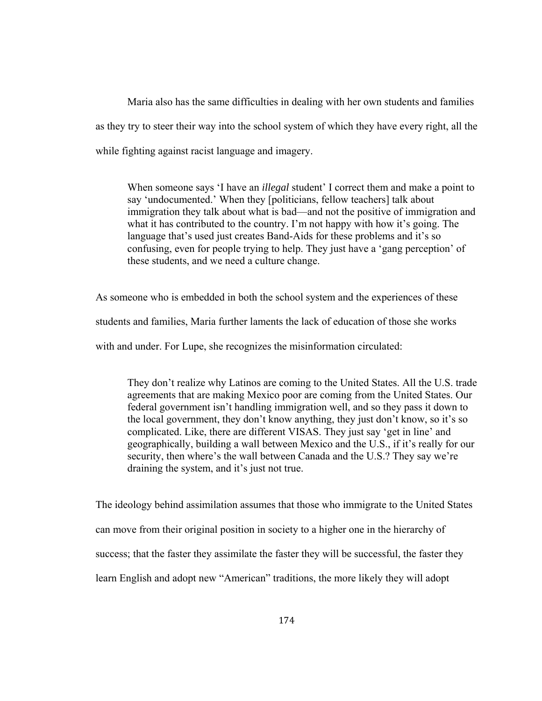Maria also has the same difficulties in dealing with her own students and families as they try to steer their way into the school system of which they have every right, all the while fighting against racist language and imagery.

When someone says 'I have an *illegal* student' I correct them and make a point to say 'undocumented.' When they [politicians, fellow teachers] talk about immigration they talk about what is bad—and not the positive of immigration and what it has contributed to the country. I'm not happy with how it's going. The language that's used just creates Band-Aids for these problems and it's so confusing, even for people trying to help. They just have a 'gang perception' of these students, and we need a culture change.

As someone who is embedded in both the school system and the experiences of these students and families, Maria further laments the lack of education of those she works with and under. For Lupe, she recognizes the misinformation circulated:

They don't realize why Latinos are coming to the United States. All the U.S. trade agreements that are making Mexico poor are coming from the United States. Our federal government isn't handling immigration well, and so they pass it down to the local government, they don't know anything, they just don't know, so it's so complicated. Like, there are different VISAS. They just say 'get in line' and geographically, building a wall between Mexico and the U.S., if it's really for our security, then where's the wall between Canada and the U.S.? They say we're draining the system, and it's just not true.

The ideology behind assimilation assumes that those who immigrate to the United States can move from their original position in society to a higher one in the hierarchy of success; that the faster they assimilate the faster they will be successful, the faster they learn English and adopt new "American" traditions, the more likely they will adopt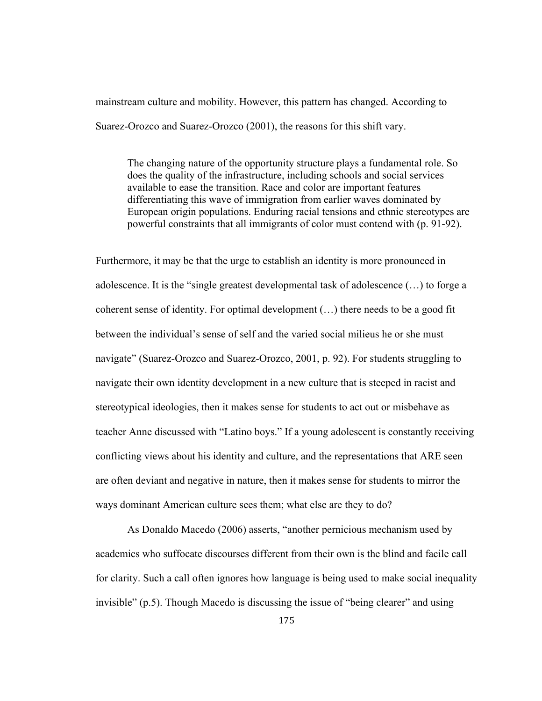mainstream culture and mobility. However, this pattern has changed. According to Suarez-Orozco and Suarez-Orozco (2001), the reasons for this shift vary.

The changing nature of the opportunity structure plays a fundamental role. So does the quality of the infrastructure, including schools and social services available to ease the transition. Race and color are important features differentiating this wave of immigration from earlier waves dominated by European origin populations. Enduring racial tensions and ethnic stereotypes are powerful constraints that all immigrants of color must contend with (p. 91-92).

Furthermore, it may be that the urge to establish an identity is more pronounced in adolescence. It is the "single greatest developmental task of adolescence (…) to forge a coherent sense of identity. For optimal development (…) there needs to be a good fit between the individual's sense of self and the varied social milieus he or she must navigate" (Suarez-Orozco and Suarez-Orozco, 2001, p. 92). For students struggling to navigate their own identity development in a new culture that is steeped in racist and stereotypical ideologies, then it makes sense for students to act out or misbehave as teacher Anne discussed with "Latino boys." If a young adolescent is constantly receiving conflicting views about his identity and culture, and the representations that ARE seen are often deviant and negative in nature, then it makes sense for students to mirror the ways dominant American culture sees them; what else are they to do?

As Donaldo Macedo (2006) asserts, "another pernicious mechanism used by academics who suffocate discourses different from their own is the blind and facile call for clarity. Such a call often ignores how language is being used to make social inequality invisible" (p.5). Though Macedo is discussing the issue of "being clearer" and using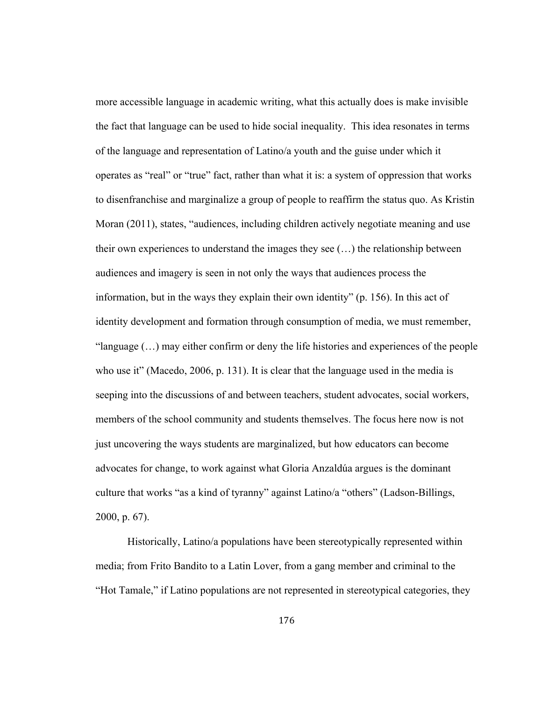more accessible language in academic writing, what this actually does is make invisible the fact that language can be used to hide social inequality. This idea resonates in terms of the language and representation of Latino/a youth and the guise under which it operates as "real" or "true" fact, rather than what it is: a system of oppression that works to disenfranchise and marginalize a group of people to reaffirm the status quo. As Kristin Moran (2011), states, "audiences, including children actively negotiate meaning and use their own experiences to understand the images they see (…) the relationship between audiences and imagery is seen in not only the ways that audiences process the information, but in the ways they explain their own identity" (p. 156). In this act of identity development and formation through consumption of media, we must remember, "language (…) may either confirm or deny the life histories and experiences of the people who use it" (Macedo, 2006, p. 131). It is clear that the language used in the media is seeping into the discussions of and between teachers, student advocates, social workers, members of the school community and students themselves. The focus here now is not just uncovering the ways students are marginalized, but how educators can become advocates for change, to work against what Gloria Anzaldúa argues is the dominant culture that works "as a kind of tyranny" against Latino/a "others" (Ladson-Billings, 2000, p. 67).

Historically, Latino/a populations have been stereotypically represented within media; from Frito Bandito to a Latin Lover, from a gang member and criminal to the "Hot Tamale," if Latino populations are not represented in stereotypical categories, they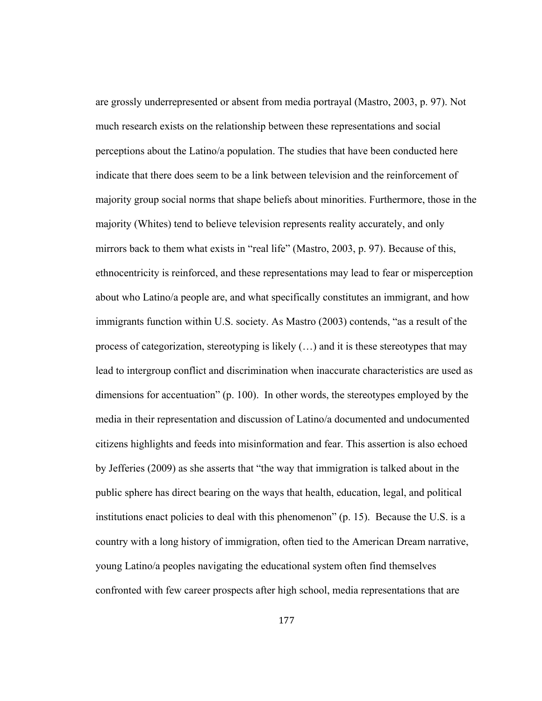are grossly underrepresented or absent from media portrayal (Mastro, 2003, p. 97). Not much research exists on the relationship between these representations and social perceptions about the Latino/a population. The studies that have been conducted here indicate that there does seem to be a link between television and the reinforcement of majority group social norms that shape beliefs about minorities. Furthermore, those in the majority (Whites) tend to believe television represents reality accurately, and only mirrors back to them what exists in "real life" (Mastro, 2003, p. 97). Because of this, ethnocentricity is reinforced, and these representations may lead to fear or misperception about who Latino/a people are, and what specifically constitutes an immigrant, and how immigrants function within U.S. society. As Mastro (2003) contends, "as a result of the process of categorization, stereotyping is likely (…) and it is these stereotypes that may lead to intergroup conflict and discrimination when inaccurate characteristics are used as dimensions for accentuation" (p. 100). In other words, the stereotypes employed by the media in their representation and discussion of Latino/a documented and undocumented citizens highlights and feeds into misinformation and fear. This assertion is also echoed by Jefferies (2009) as she asserts that "the way that immigration is talked about in the public sphere has direct bearing on the ways that health, education, legal, and political institutions enact policies to deal with this phenomenon" (p. 15). Because the U.S. is a country with a long history of immigration, often tied to the American Dream narrative, young Latino/a peoples navigating the educational system often find themselves confronted with few career prospects after high school, media representations that are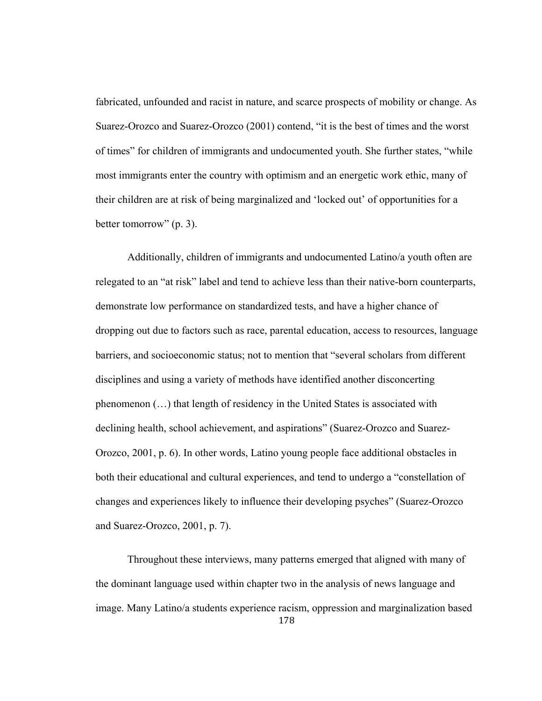fabricated, unfounded and racist in nature, and scarce prospects of mobility or change. As Suarez-Orozco and Suarez-Orozco (2001) contend, "it is the best of times and the worst of times" for children of immigrants and undocumented youth. She further states, "while most immigrants enter the country with optimism and an energetic work ethic, many of their children are at risk of being marginalized and 'locked out' of opportunities for a better tomorrow" (p. 3).

Additionally, children of immigrants and undocumented Latino/a youth often are relegated to an "at risk" label and tend to achieve less than their native-born counterparts, demonstrate low performance on standardized tests, and have a higher chance of dropping out due to factors such as race, parental education, access to resources, language barriers, and socioeconomic status; not to mention that "several scholars from different disciplines and using a variety of methods have identified another disconcerting phenomenon (…) that length of residency in the United States is associated with declining health, school achievement, and aspirations" (Suarez-Orozco and Suarez-Orozco, 2001, p. 6). In other words, Latino young people face additional obstacles in both their educational and cultural experiences, and tend to undergo a "constellation of changes and experiences likely to influence their developing psyches" (Suarez-Orozco and Suarez-Orozco, 2001, p. 7).

178 Throughout these interviews, many patterns emerged that aligned with many of the dominant language used within chapter two in the analysis of news language and image. Many Latino/a students experience racism, oppression and marginalization based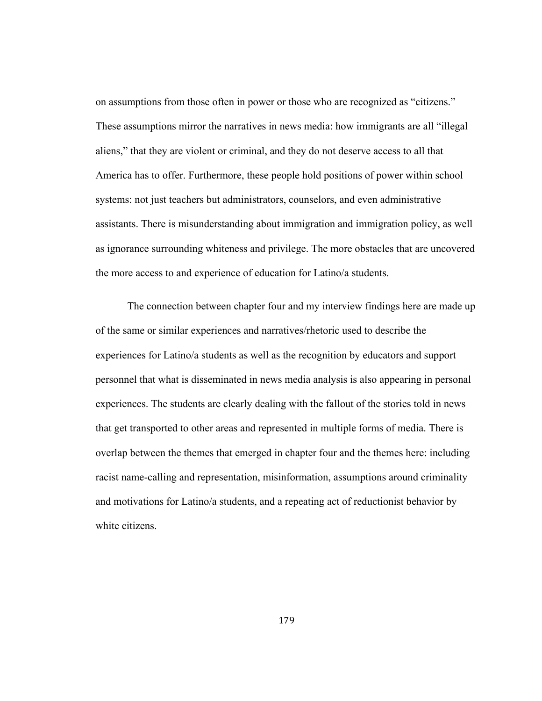on assumptions from those often in power or those who are recognized as "citizens." These assumptions mirror the narratives in news media: how immigrants are all "illegal aliens," that they are violent or criminal, and they do not deserve access to all that America has to offer. Furthermore, these people hold positions of power within school systems: not just teachers but administrators, counselors, and even administrative assistants. There is misunderstanding about immigration and immigration policy, as well as ignorance surrounding whiteness and privilege. The more obstacles that are uncovered the more access to and experience of education for Latino/a students.

The connection between chapter four and my interview findings here are made up of the same or similar experiences and narratives/rhetoric used to describe the experiences for Latino/a students as well as the recognition by educators and support personnel that what is disseminated in news media analysis is also appearing in personal experiences. The students are clearly dealing with the fallout of the stories told in news that get transported to other areas and represented in multiple forms of media. There is overlap between the themes that emerged in chapter four and the themes here: including racist name-calling and representation, misinformation, assumptions around criminality and motivations for Latino/a students, and a repeating act of reductionist behavior by white citizens.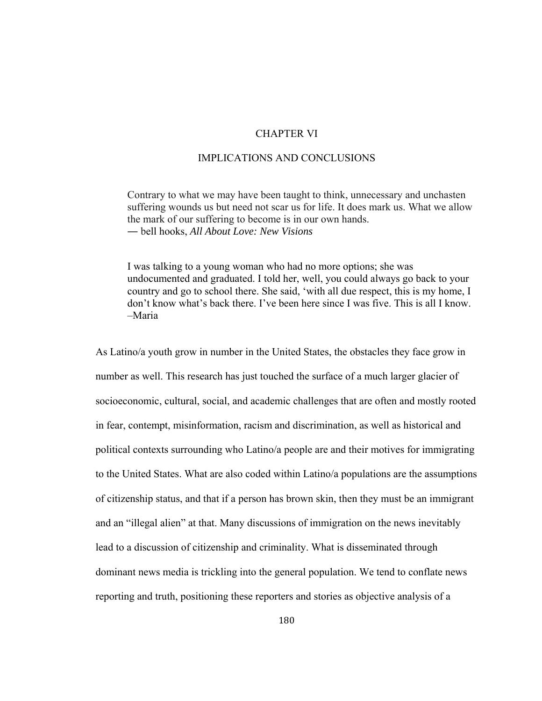# CHAPTER VI

# IMPLICATIONS AND CONCLUSIONS

Contrary to what we may have been taught to think, unnecessary and unchasten suffering wounds us but need not scar us for life. It does mark us. What we allow the mark of our suffering to become is in our own hands. ― bell hooks, *All About Love: New Visions*

I was talking to a young woman who had no more options; she was undocumented and graduated. I told her, well, you could always go back to your country and go to school there. She said, 'with all due respect, this is my home, I don't know what's back there. I've been here since I was five. This is all I know. –Maria

As Latino/a youth grow in number in the United States, the obstacles they face grow in number as well. This research has just touched the surface of a much larger glacier of socioeconomic, cultural, social, and academic challenges that are often and mostly rooted in fear, contempt, misinformation, racism and discrimination, as well as historical and political contexts surrounding who Latino/a people are and their motives for immigrating to the United States. What are also coded within Latino/a populations are the assumptions of citizenship status, and that if a person has brown skin, then they must be an immigrant and an "illegal alien" at that. Many discussions of immigration on the news inevitably lead to a discussion of citizenship and criminality. What is disseminated through dominant news media is trickling into the general population. We tend to conflate news reporting and truth, positioning these reporters and stories as objective analysis of a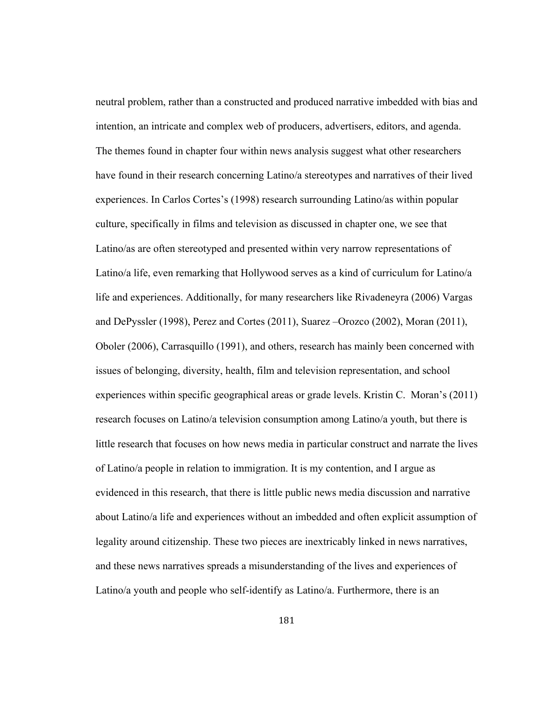neutral problem, rather than a constructed and produced narrative imbedded with bias and intention, an intricate and complex web of producers, advertisers, editors, and agenda. The themes found in chapter four within news analysis suggest what other researchers have found in their research concerning Latino/a stereotypes and narratives of their lived experiences. In Carlos Cortes's (1998) research surrounding Latino/as within popular culture, specifically in films and television as discussed in chapter one, we see that Latino/as are often stereotyped and presented within very narrow representations of Latino/a life, even remarking that Hollywood serves as a kind of curriculum for Latino/a life and experiences. Additionally, for many researchers like Rivadeneyra (2006) Vargas and DePyssler (1998), Perez and Cortes (2011), Suarez –Orozco (2002), Moran (2011), Oboler (2006), Carrasquillo (1991), and others, research has mainly been concerned with issues of belonging, diversity, health, film and television representation, and school experiences within specific geographical areas or grade levels. Kristin C. Moran's (2011) research focuses on Latino/a television consumption among Latino/a youth, but there is little research that focuses on how news media in particular construct and narrate the lives of Latino/a people in relation to immigration. It is my contention, and I argue as evidenced in this research, that there is little public news media discussion and narrative about Latino/a life and experiences without an imbedded and often explicit assumption of legality around citizenship. These two pieces are inextricably linked in news narratives, and these news narratives spreads a misunderstanding of the lives and experiences of Latino/a youth and people who self-identify as Latino/a. Furthermore, there is an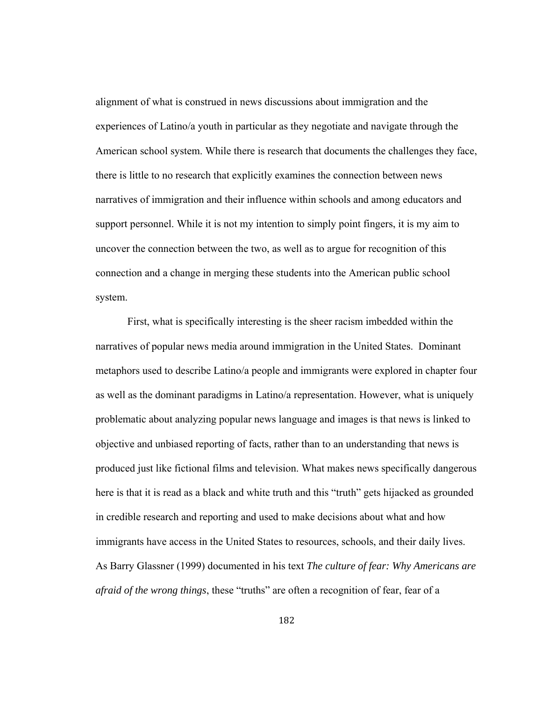alignment of what is construed in news discussions about immigration and the experiences of Latino/a youth in particular as they negotiate and navigate through the American school system. While there is research that documents the challenges they face, there is little to no research that explicitly examines the connection between news narratives of immigration and their influence within schools and among educators and support personnel. While it is not my intention to simply point fingers, it is my aim to uncover the connection between the two, as well as to argue for recognition of this connection and a change in merging these students into the American public school system.

First, what is specifically interesting is the sheer racism imbedded within the narratives of popular news media around immigration in the United States. Dominant metaphors used to describe Latino/a people and immigrants were explored in chapter four as well as the dominant paradigms in Latino/a representation. However, what is uniquely problematic about analyzing popular news language and images is that news is linked to objective and unbiased reporting of facts, rather than to an understanding that news is produced just like fictional films and television. What makes news specifically dangerous here is that it is read as a black and white truth and this "truth" gets hijacked as grounded in credible research and reporting and used to make decisions about what and how immigrants have access in the United States to resources, schools, and their daily lives. As Barry Glassner (1999) documented in his text *The culture of fear: Why Americans are afraid of the wrong things*, these "truths" are often a recognition of fear, fear of a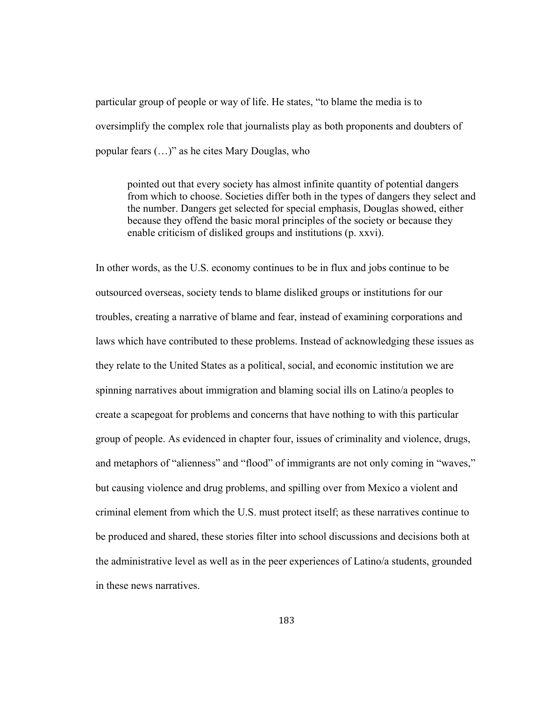particular group of people or way of life. He states, "to blame the media is to oversimplify the complex role that journalists play as both proponents and doubters of popular fears (…)" as he cites Mary Douglas, who

pointed out that every society has almost infinite quantity of potential dangers from which to choose. Societies differ both in the types of dangers they select and the number. Dangers get selected for special emphasis, Douglas showed, either because they offend the basic moral principles of the society or because they enable criticism of disliked groups and institutions (p. xxvi).

In other words, as the U.S. economy continues to be in flux and jobs continue to be outsourced overseas, society tends to blame disliked groups or institutions for our troubles, creating a narrative of blame and fear, instead of examining corporations and laws which have contributed to these problems. Instead of acknowledging these issues as they relate to the United States as a political, social, and economic institution we are spinning narratives about immigration and blaming social ills on Latino/a peoples to create a scapegoat for problems and concerns that have nothing to with this particular group of people. As evidenced in chapter four, issues of criminality and violence, drugs, and metaphors of "alienness" and "flood" of immigrants are not only coming in "waves," but causing violence and drug problems, and spilling over from Mexico a violent and criminal element from which the U.S. must protect itself; as these narratives continue to be produced and shared, these stories filter into school discussions and decisions both at the administrative level as well as in the peer experiences of Latino/a students, grounded in these news narratives.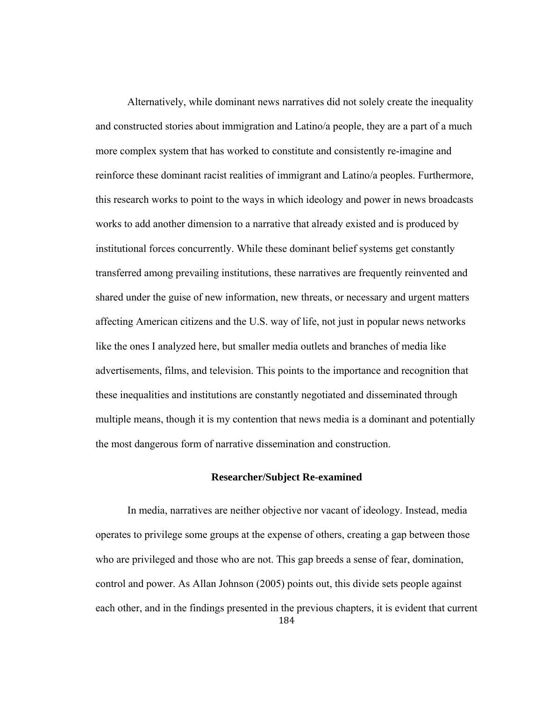Alternatively, while dominant news narratives did not solely create the inequality and constructed stories about immigration and Latino/a people, they are a part of a much more complex system that has worked to constitute and consistently re-imagine and reinforce these dominant racist realities of immigrant and Latino/a peoples. Furthermore, this research works to point to the ways in which ideology and power in news broadcasts works to add another dimension to a narrative that already existed and is produced by institutional forces concurrently. While these dominant belief systems get constantly transferred among prevailing institutions, these narratives are frequently reinvented and shared under the guise of new information, new threats, or necessary and urgent matters affecting American citizens and the U.S. way of life, not just in popular news networks like the ones I analyzed here, but smaller media outlets and branches of media like advertisements, films, and television. This points to the importance and recognition that these inequalities and institutions are constantly negotiated and disseminated through multiple means, though it is my contention that news media is a dominant and potentially the most dangerous form of narrative dissemination and construction.

## **Researcher/Subject Re-examined**

184 In media, narratives are neither objective nor vacant of ideology. Instead, media operates to privilege some groups at the expense of others, creating a gap between those who are privileged and those who are not. This gap breeds a sense of fear, domination, control and power. As Allan Johnson (2005) points out, this divide sets people against each other, and in the findings presented in the previous chapters, it is evident that current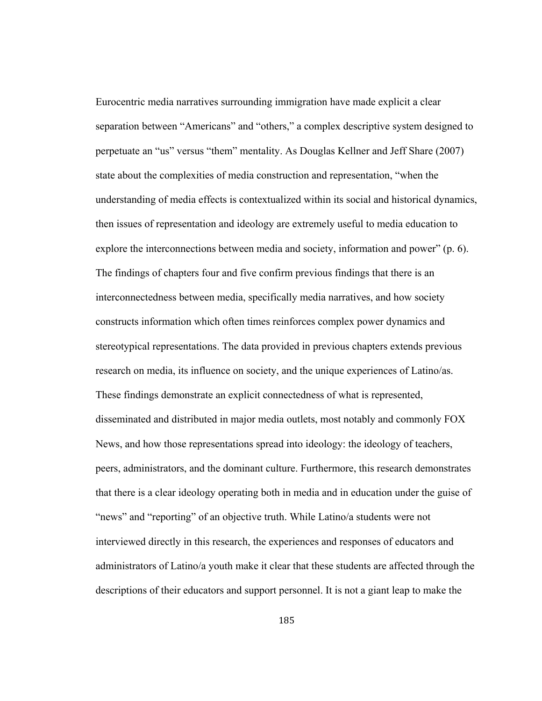Eurocentric media narratives surrounding immigration have made explicit a clear separation between "Americans" and "others," a complex descriptive system designed to perpetuate an "us" versus "them" mentality. As Douglas Kellner and Jeff Share (2007) state about the complexities of media construction and representation, "when the understanding of media effects is contextualized within its social and historical dynamics, then issues of representation and ideology are extremely useful to media education to explore the interconnections between media and society, information and power" (p. 6). The findings of chapters four and five confirm previous findings that there is an interconnectedness between media, specifically media narratives, and how society constructs information which often times reinforces complex power dynamics and stereotypical representations. The data provided in previous chapters extends previous research on media, its influence on society, and the unique experiences of Latino/as. These findings demonstrate an explicit connectedness of what is represented, disseminated and distributed in major media outlets, most notably and commonly FOX News, and how those representations spread into ideology: the ideology of teachers, peers, administrators, and the dominant culture. Furthermore, this research demonstrates that there is a clear ideology operating both in media and in education under the guise of "news" and "reporting" of an objective truth. While Latino/a students were not interviewed directly in this research, the experiences and responses of educators and administrators of Latino/a youth make it clear that these students are affected through the descriptions of their educators and support personnel. It is not a giant leap to make the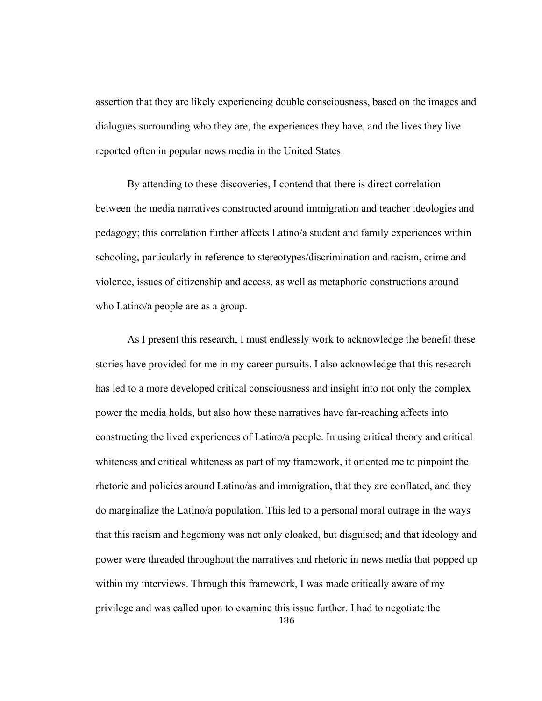assertion that they are likely experiencing double consciousness, based on the images and dialogues surrounding who they are, the experiences they have, and the lives they live reported often in popular news media in the United States.

By attending to these discoveries, I contend that there is direct correlation between the media narratives constructed around immigration and teacher ideologies and pedagogy; this correlation further affects Latino/a student and family experiences within schooling, particularly in reference to stereotypes/discrimination and racism, crime and violence, issues of citizenship and access, as well as metaphoric constructions around who Latino/a people are as a group.

186 As I present this research, I must endlessly work to acknowledge the benefit these stories have provided for me in my career pursuits. I also acknowledge that this research has led to a more developed critical consciousness and insight into not only the complex power the media holds, but also how these narratives have far-reaching affects into constructing the lived experiences of Latino/a people. In using critical theory and critical whiteness and critical whiteness as part of my framework, it oriented me to pinpoint the rhetoric and policies around Latino/as and immigration, that they are conflated, and they do marginalize the Latino/a population. This led to a personal moral outrage in the ways that this racism and hegemony was not only cloaked, but disguised; and that ideology and power were threaded throughout the narratives and rhetoric in news media that popped up within my interviews. Through this framework, I was made critically aware of my privilege and was called upon to examine this issue further. I had to negotiate the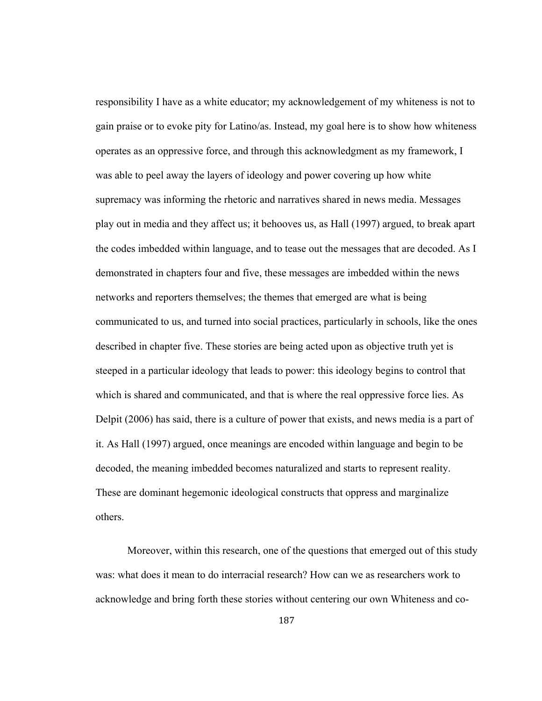responsibility I have as a white educator; my acknowledgement of my whiteness is not to gain praise or to evoke pity for Latino/as. Instead, my goal here is to show how whiteness operates as an oppressive force, and through this acknowledgment as my framework, I was able to peel away the layers of ideology and power covering up how white supremacy was informing the rhetoric and narratives shared in news media. Messages play out in media and they affect us; it behooves us, as Hall (1997) argued, to break apart the codes imbedded within language, and to tease out the messages that are decoded. As I demonstrated in chapters four and five, these messages are imbedded within the news networks and reporters themselves; the themes that emerged are what is being communicated to us, and turned into social practices, particularly in schools, like the ones described in chapter five. These stories are being acted upon as objective truth yet is steeped in a particular ideology that leads to power: this ideology begins to control that which is shared and communicated, and that is where the real oppressive force lies. As Delpit (2006) has said, there is a culture of power that exists, and news media is a part of it. As Hall (1997) argued, once meanings are encoded within language and begin to be decoded, the meaning imbedded becomes naturalized and starts to represent reality. These are dominant hegemonic ideological constructs that oppress and marginalize others.

Moreover, within this research, one of the questions that emerged out of this study was: what does it mean to do interracial research? How can we as researchers work to acknowledge and bring forth these stories without centering our own Whiteness and co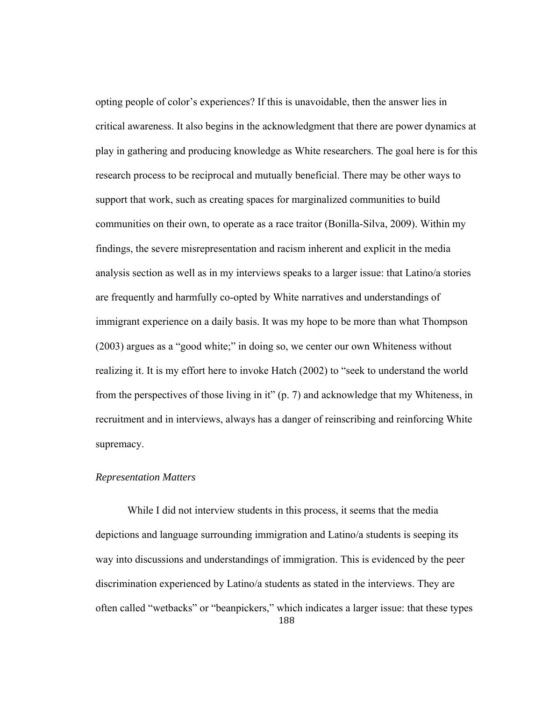opting people of color's experiences? If this is unavoidable, then the answer lies in critical awareness. It also begins in the acknowledgment that there are power dynamics at play in gathering and producing knowledge as White researchers. The goal here is for this research process to be reciprocal and mutually beneficial. There may be other ways to support that work, such as creating spaces for marginalized communities to build communities on their own, to operate as a race traitor (Bonilla-Silva, 2009). Within my findings, the severe misrepresentation and racism inherent and explicit in the media analysis section as well as in my interviews speaks to a larger issue: that Latino/a stories are frequently and harmfully co-opted by White narratives and understandings of immigrant experience on a daily basis. It was my hope to be more than what Thompson (2003) argues as a "good white;" in doing so, we center our own Whiteness without realizing it. It is my effort here to invoke Hatch (2002) to "seek to understand the world from the perspectives of those living in it" (p. 7) and acknowledge that my Whiteness, in recruitment and in interviews, always has a danger of reinscribing and reinforcing White supremacy.

## *Representation Matters*

188 While I did not interview students in this process, it seems that the media depictions and language surrounding immigration and Latino/a students is seeping its way into discussions and understandings of immigration. This is evidenced by the peer discrimination experienced by Latino/a students as stated in the interviews. They are often called "wetbacks" or "beanpickers," which indicates a larger issue: that these types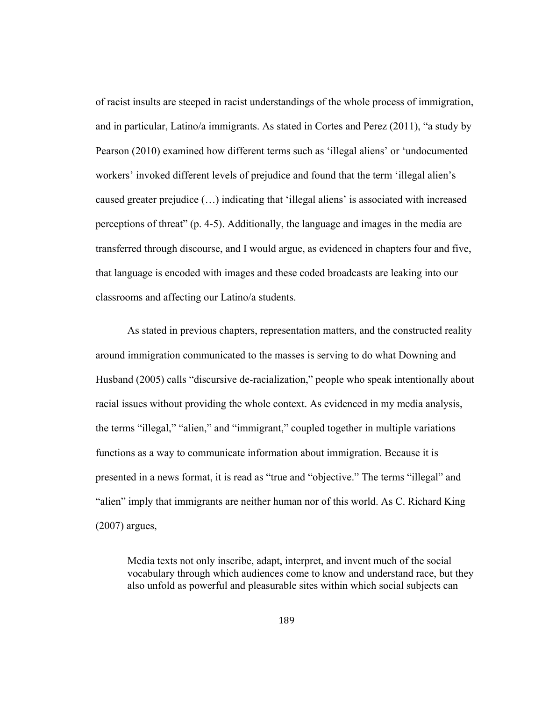of racist insults are steeped in racist understandings of the whole process of immigration, and in particular, Latino/a immigrants. As stated in Cortes and Perez (2011), "a study by Pearson (2010) examined how different terms such as 'illegal aliens' or 'undocumented workers' invoked different levels of prejudice and found that the term 'illegal alien's caused greater prejudice (…) indicating that 'illegal aliens' is associated with increased perceptions of threat" (p. 4-5). Additionally, the language and images in the media are transferred through discourse, and I would argue, as evidenced in chapters four and five, that language is encoded with images and these coded broadcasts are leaking into our classrooms and affecting our Latino/a students.

 As stated in previous chapters, representation matters, and the constructed reality around immigration communicated to the masses is serving to do what Downing and Husband (2005) calls "discursive de-racialization," people who speak intentionally about racial issues without providing the whole context. As evidenced in my media analysis, the terms "illegal," "alien," and "immigrant," coupled together in multiple variations functions as a way to communicate information about immigration. Because it is presented in a news format, it is read as "true and "objective." The terms "illegal" and "alien" imply that immigrants are neither human nor of this world. As C. Richard King (2007) argues,

Media texts not only inscribe, adapt, interpret, and invent much of the social vocabulary through which audiences come to know and understand race, but they also unfold as powerful and pleasurable sites within which social subjects can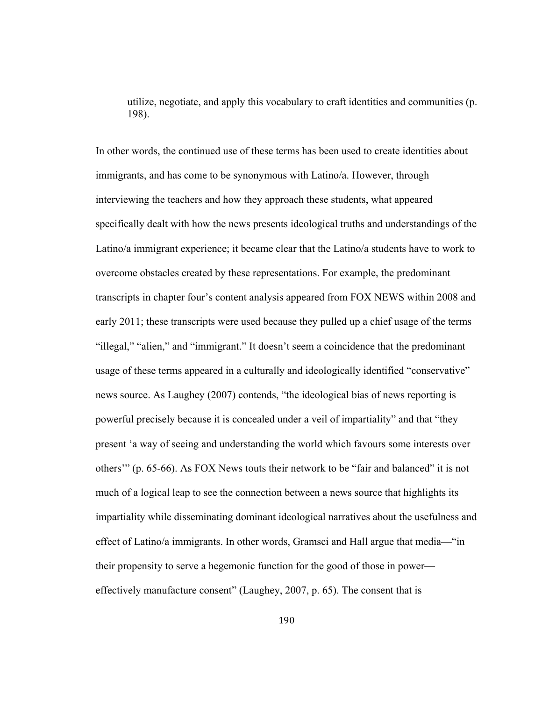utilize, negotiate, and apply this vocabulary to craft identities and communities (p. 198).

In other words, the continued use of these terms has been used to create identities about immigrants, and has come to be synonymous with Latino/a. However, through interviewing the teachers and how they approach these students, what appeared specifically dealt with how the news presents ideological truths and understandings of the Latino/a immigrant experience; it became clear that the Latino/a students have to work to overcome obstacles created by these representations. For example, the predominant transcripts in chapter four's content analysis appeared from FOX NEWS within 2008 and early 2011; these transcripts were used because they pulled up a chief usage of the terms "illegal," "alien," and "immigrant." It doesn't seem a coincidence that the predominant usage of these terms appeared in a culturally and ideologically identified "conservative" news source. As Laughey (2007) contends, "the ideological bias of news reporting is powerful precisely because it is concealed under a veil of impartiality" and that "they present 'a way of seeing and understanding the world which favours some interests over others'" (p. 65-66). As FOX News touts their network to be "fair and balanced" it is not much of a logical leap to see the connection between a news source that highlights its impartiality while disseminating dominant ideological narratives about the usefulness and effect of Latino/a immigrants. In other words, Gramsci and Hall argue that media—"in their propensity to serve a hegemonic function for the good of those in power effectively manufacture consent" (Laughey, 2007, p. 65). The consent that is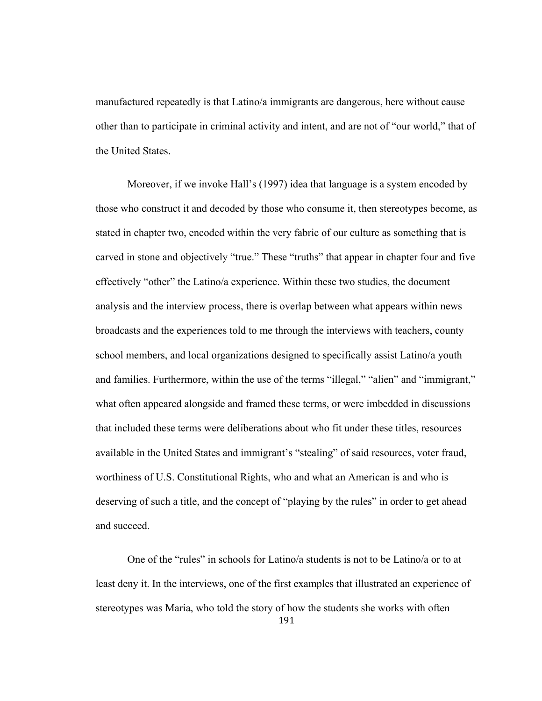manufactured repeatedly is that Latino/a immigrants are dangerous, here without cause other than to participate in criminal activity and intent, and are not of "our world," that of the United States.

 Moreover, if we invoke Hall's (1997) idea that language is a system encoded by those who construct it and decoded by those who consume it, then stereotypes become, as stated in chapter two, encoded within the very fabric of our culture as something that is carved in stone and objectively "true." These "truths" that appear in chapter four and five effectively "other" the Latino/a experience. Within these two studies, the document analysis and the interview process, there is overlap between what appears within news broadcasts and the experiences told to me through the interviews with teachers, county school members, and local organizations designed to specifically assist Latino/a youth and families. Furthermore, within the use of the terms "illegal," "alien" and "immigrant," what often appeared alongside and framed these terms, or were imbedded in discussions that included these terms were deliberations about who fit under these titles, resources available in the United States and immigrant's "stealing" of said resources, voter fraud, worthiness of U.S. Constitutional Rights, who and what an American is and who is deserving of such a title, and the concept of "playing by the rules" in order to get ahead and succeed.

191 One of the "rules" in schools for Latino/a students is not to be Latino/a or to at least deny it. In the interviews, one of the first examples that illustrated an experience of stereotypes was Maria, who told the story of how the students she works with often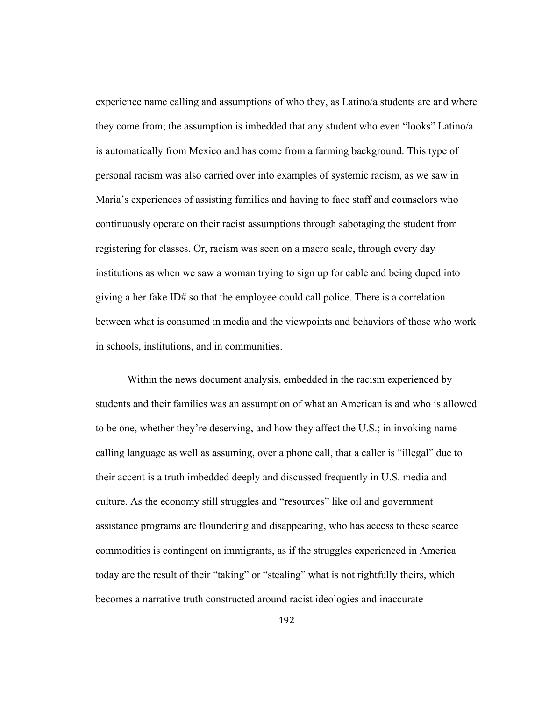experience name calling and assumptions of who they, as Latino/a students are and where they come from; the assumption is imbedded that any student who even "looks" Latino/a is automatically from Mexico and has come from a farming background. This type of personal racism was also carried over into examples of systemic racism, as we saw in Maria's experiences of assisting families and having to face staff and counselors who continuously operate on their racist assumptions through sabotaging the student from registering for classes. Or, racism was seen on a macro scale, through every day institutions as when we saw a woman trying to sign up for cable and being duped into giving a her fake ID# so that the employee could call police. There is a correlation between what is consumed in media and the viewpoints and behaviors of those who work in schools, institutions, and in communities.

 Within the news document analysis, embedded in the racism experienced by students and their families was an assumption of what an American is and who is allowed to be one, whether they're deserving, and how they affect the U.S.; in invoking namecalling language as well as assuming, over a phone call, that a caller is "illegal" due to their accent is a truth imbedded deeply and discussed frequently in U.S. media and culture. As the economy still struggles and "resources" like oil and government assistance programs are floundering and disappearing, who has access to these scarce commodities is contingent on immigrants, as if the struggles experienced in America today are the result of their "taking" or "stealing" what is not rightfully theirs, which becomes a narrative truth constructed around racist ideologies and inaccurate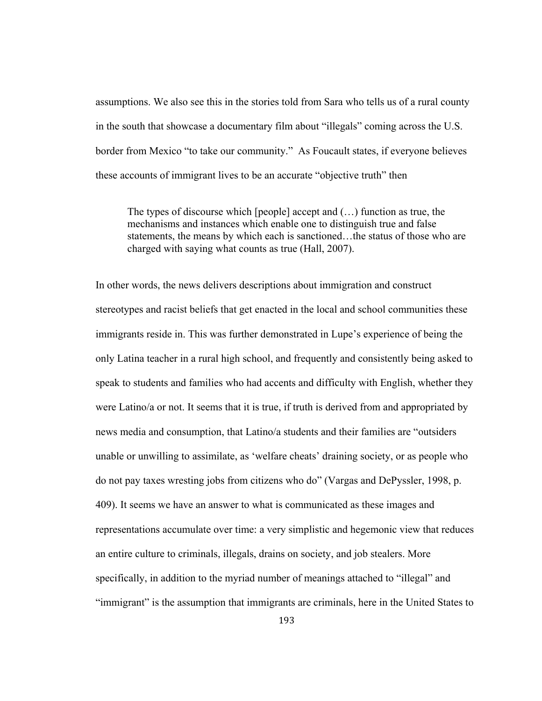assumptions. We also see this in the stories told from Sara who tells us of a rural county in the south that showcase a documentary film about "illegals" coming across the U.S. border from Mexico "to take our community." As Foucault states, if everyone believes these accounts of immigrant lives to be an accurate "objective truth" then

The types of discourse which [people] accept and (…) function as true, the mechanisms and instances which enable one to distinguish true and false statements, the means by which each is sanctioned…the status of those who are charged with saying what counts as true (Hall, 2007).

In other words, the news delivers descriptions about immigration and construct stereotypes and racist beliefs that get enacted in the local and school communities these immigrants reside in. This was further demonstrated in Lupe's experience of being the only Latina teacher in a rural high school, and frequently and consistently being asked to speak to students and families who had accents and difficulty with English, whether they were Latino/a or not. It seems that it is true, if truth is derived from and appropriated by news media and consumption, that Latino/a students and their families are "outsiders unable or unwilling to assimilate, as 'welfare cheats' draining society, or as people who do not pay taxes wresting jobs from citizens who do" (Vargas and DePyssler, 1998, p. 409). It seems we have an answer to what is communicated as these images and representations accumulate over time: a very simplistic and hegemonic view that reduces an entire culture to criminals, illegals, drains on society, and job stealers. More specifically, in addition to the myriad number of meanings attached to "illegal" and "immigrant" is the assumption that immigrants are criminals, here in the United States to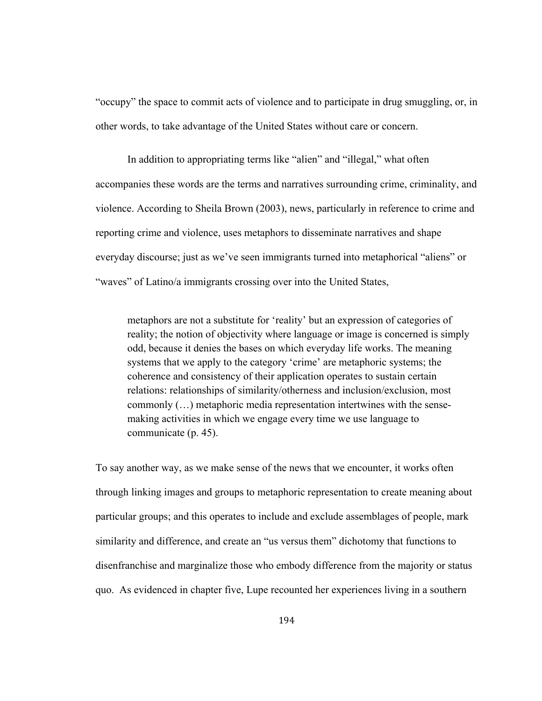"occupy" the space to commit acts of violence and to participate in drug smuggling, or, in other words, to take advantage of the United States without care or concern.

 In addition to appropriating terms like "alien" and "illegal," what often accompanies these words are the terms and narratives surrounding crime, criminality, and violence. According to Sheila Brown (2003), news, particularly in reference to crime and reporting crime and violence, uses metaphors to disseminate narratives and shape everyday discourse; just as we've seen immigrants turned into metaphorical "aliens" or "waves" of Latino/a immigrants crossing over into the United States,

metaphors are not a substitute for 'reality' but an expression of categories of reality; the notion of objectivity where language or image is concerned is simply odd, because it denies the bases on which everyday life works. The meaning systems that we apply to the category 'crime' are metaphoric systems; the coherence and consistency of their application operates to sustain certain relations: relationships of similarity/otherness and inclusion/exclusion, most commonly (…) metaphoric media representation intertwines with the sensemaking activities in which we engage every time we use language to communicate (p. 45).

To say another way, as we make sense of the news that we encounter, it works often through linking images and groups to metaphoric representation to create meaning about particular groups; and this operates to include and exclude assemblages of people, mark similarity and difference, and create an "us versus them" dichotomy that functions to disenfranchise and marginalize those who embody difference from the majority or status quo. As evidenced in chapter five, Lupe recounted her experiences living in a southern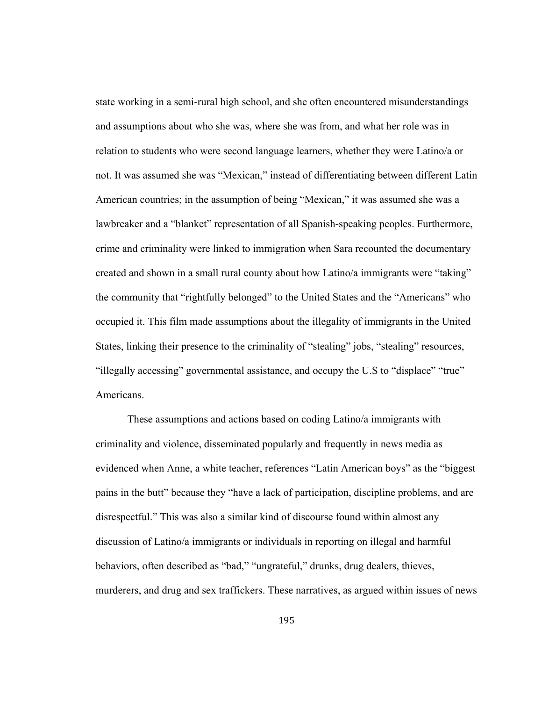state working in a semi-rural high school, and she often encountered misunderstandings and assumptions about who she was, where she was from, and what her role was in relation to students who were second language learners, whether they were Latino/a or not. It was assumed she was "Mexican," instead of differentiating between different Latin American countries; in the assumption of being "Mexican," it was assumed she was a lawbreaker and a "blanket" representation of all Spanish-speaking peoples. Furthermore, crime and criminality were linked to immigration when Sara recounted the documentary created and shown in a small rural county about how Latino/a immigrants were "taking" the community that "rightfully belonged" to the United States and the "Americans" who occupied it. This film made assumptions about the illegality of immigrants in the United States, linking their presence to the criminality of "stealing" jobs, "stealing" resources, "illegally accessing" governmental assistance, and occupy the U.S to "displace" "true" Americans.

 These assumptions and actions based on coding Latino/a immigrants with criminality and violence, disseminated popularly and frequently in news media as evidenced when Anne, a white teacher, references "Latin American boys" as the "biggest pains in the butt" because they "have a lack of participation, discipline problems, and are disrespectful." This was also a similar kind of discourse found within almost any discussion of Latino/a immigrants or individuals in reporting on illegal and harmful behaviors, often described as "bad," "ungrateful," drunks, drug dealers, thieves, murderers, and drug and sex traffickers. These narratives, as argued within issues of news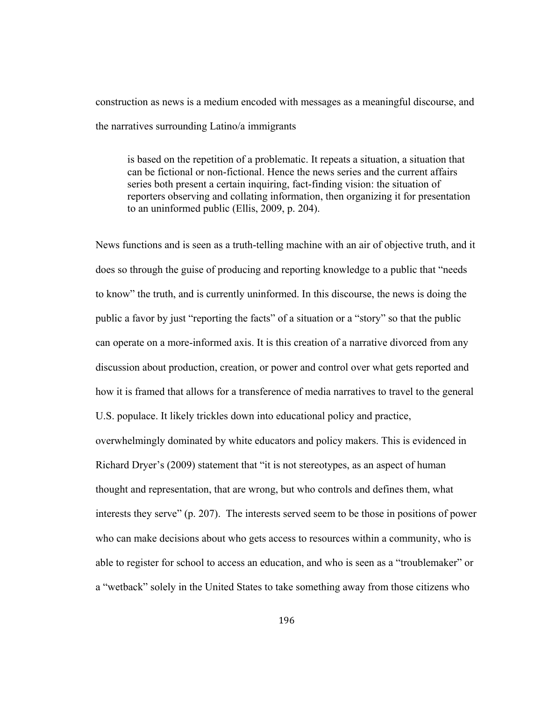construction as news is a medium encoded with messages as a meaningful discourse, and the narratives surrounding Latino/a immigrants

is based on the repetition of a problematic. It repeats a situation, a situation that can be fictional or non-fictional. Hence the news series and the current affairs series both present a certain inquiring, fact-finding vision: the situation of reporters observing and collating information, then organizing it for presentation to an uninformed public (Ellis, 2009, p. 204).

News functions and is seen as a truth-telling machine with an air of objective truth, and it does so through the guise of producing and reporting knowledge to a public that "needs to know" the truth, and is currently uninformed. In this discourse, the news is doing the public a favor by just "reporting the facts" of a situation or a "story" so that the public can operate on a more-informed axis. It is this creation of a narrative divorced from any discussion about production, creation, or power and control over what gets reported and how it is framed that allows for a transference of media narratives to travel to the general U.S. populace. It likely trickles down into educational policy and practice, overwhelmingly dominated by white educators and policy makers. This is evidenced in Richard Dryer's (2009) statement that "it is not stereotypes, as an aspect of human thought and representation, that are wrong, but who controls and defines them, what interests they serve" (p. 207). The interests served seem to be those in positions of power who can make decisions about who gets access to resources within a community, who is able to register for school to access an education, and who is seen as a "troublemaker" or a "wetback" solely in the United States to take something away from those citizens who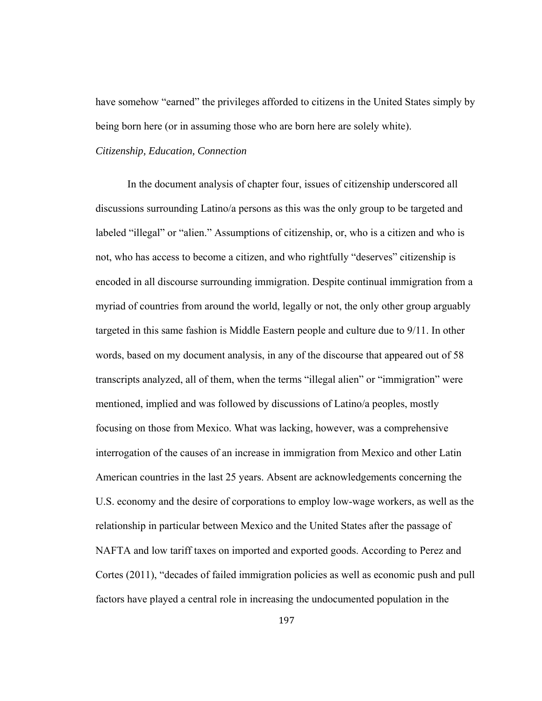have somehow "earned" the privileges afforded to citizens in the United States simply by being born here (or in assuming those who are born here are solely white).

## *Citizenship, Education, Connection*

 In the document analysis of chapter four, issues of citizenship underscored all discussions surrounding Latino/a persons as this was the only group to be targeted and labeled "illegal" or "alien." Assumptions of citizenship, or, who is a citizen and who is not, who has access to become a citizen, and who rightfully "deserves" citizenship is encoded in all discourse surrounding immigration. Despite continual immigration from a myriad of countries from around the world, legally or not, the only other group arguably targeted in this same fashion is Middle Eastern people and culture due to 9/11. In other words, based on my document analysis, in any of the discourse that appeared out of 58 transcripts analyzed, all of them, when the terms "illegal alien" or "immigration" were mentioned, implied and was followed by discussions of Latino/a peoples, mostly focusing on those from Mexico. What was lacking, however, was a comprehensive interrogation of the causes of an increase in immigration from Mexico and other Latin American countries in the last 25 years. Absent are acknowledgements concerning the U.S. economy and the desire of corporations to employ low-wage workers, as well as the relationship in particular between Mexico and the United States after the passage of NAFTA and low tariff taxes on imported and exported goods. According to Perez and Cortes (2011), "decades of failed immigration policies as well as economic push and pull factors have played a central role in increasing the undocumented population in the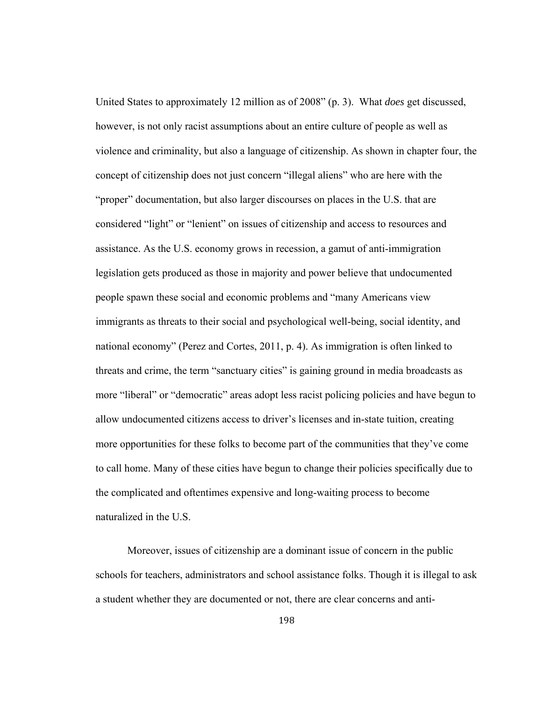United States to approximately 12 million as of 2008" (p. 3). What *does* get discussed, however, is not only racist assumptions about an entire culture of people as well as violence and criminality, but also a language of citizenship. As shown in chapter four, the concept of citizenship does not just concern "illegal aliens" who are here with the "proper" documentation, but also larger discourses on places in the U.S. that are considered "light" or "lenient" on issues of citizenship and access to resources and assistance. As the U.S. economy grows in recession, a gamut of anti-immigration legislation gets produced as those in majority and power believe that undocumented people spawn these social and economic problems and "many Americans view immigrants as threats to their social and psychological well-being, social identity, and national economy" (Perez and Cortes, 2011, p. 4). As immigration is often linked to threats and crime, the term "sanctuary cities" is gaining ground in media broadcasts as more "liberal" or "democratic" areas adopt less racist policing policies and have begun to allow undocumented citizens access to driver's licenses and in-state tuition, creating more opportunities for these folks to become part of the communities that they've come to call home. Many of these cities have begun to change their policies specifically due to the complicated and oftentimes expensive and long-waiting process to become naturalized in the U.S.

 Moreover, issues of citizenship are a dominant issue of concern in the public schools for teachers, administrators and school assistance folks. Though it is illegal to ask a student whether they are documented or not, there are clear concerns and anti-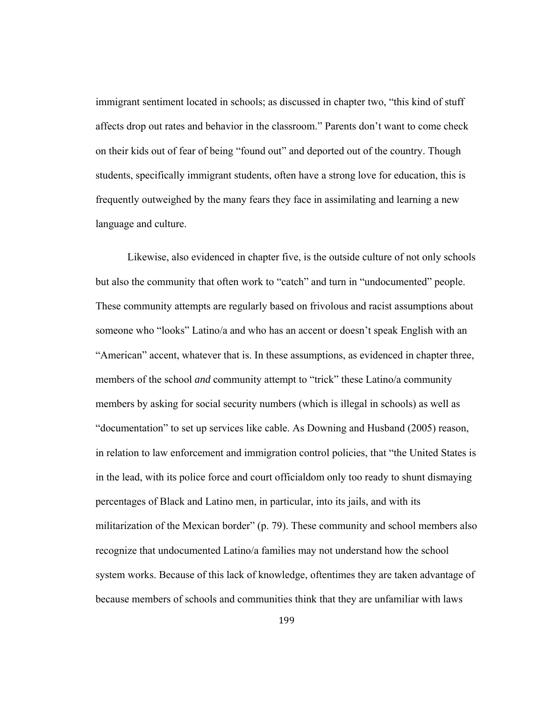immigrant sentiment located in schools; as discussed in chapter two, "this kind of stuff affects drop out rates and behavior in the classroom." Parents don't want to come check on their kids out of fear of being "found out" and deported out of the country. Though students, specifically immigrant students, often have a strong love for education, this is frequently outweighed by the many fears they face in assimilating and learning a new language and culture.

 Likewise, also evidenced in chapter five, is the outside culture of not only schools but also the community that often work to "catch" and turn in "undocumented" people. These community attempts are regularly based on frivolous and racist assumptions about someone who "looks" Latino/a and who has an accent or doesn't speak English with an "American" accent, whatever that is. In these assumptions, as evidenced in chapter three, members of the school *and* community attempt to "trick" these Latino/a community members by asking for social security numbers (which is illegal in schools) as well as "documentation" to set up services like cable. As Downing and Husband (2005) reason, in relation to law enforcement and immigration control policies, that "the United States is in the lead, with its police force and court officialdom only too ready to shunt dismaying percentages of Black and Latino men, in particular, into its jails, and with its militarization of the Mexican border" (p. 79). These community and school members also recognize that undocumented Latino/a families may not understand how the school system works. Because of this lack of knowledge, oftentimes they are taken advantage of because members of schools and communities think that they are unfamiliar with laws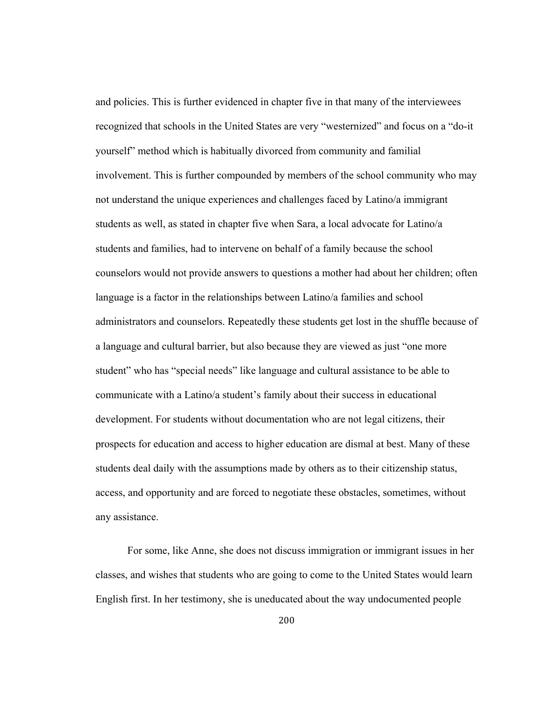and policies. This is further evidenced in chapter five in that many of the interviewees recognized that schools in the United States are very "westernized" and focus on a "do-it yourself" method which is habitually divorced from community and familial involvement. This is further compounded by members of the school community who may not understand the unique experiences and challenges faced by Latino/a immigrant students as well, as stated in chapter five when Sara, a local advocate for Latino/a students and families, had to intervene on behalf of a family because the school counselors would not provide answers to questions a mother had about her children; often language is a factor in the relationships between Latino/a families and school administrators and counselors. Repeatedly these students get lost in the shuffle because of a language and cultural barrier, but also because they are viewed as just "one more student" who has "special needs" like language and cultural assistance to be able to communicate with a Latino/a student's family about their success in educational development. For students without documentation who are not legal citizens, their prospects for education and access to higher education are dismal at best. Many of these students deal daily with the assumptions made by others as to their citizenship status, access, and opportunity and are forced to negotiate these obstacles, sometimes, without any assistance.

 For some, like Anne, she does not discuss immigration or immigrant issues in her classes, and wishes that students who are going to come to the United States would learn English first. In her testimony, she is uneducated about the way undocumented people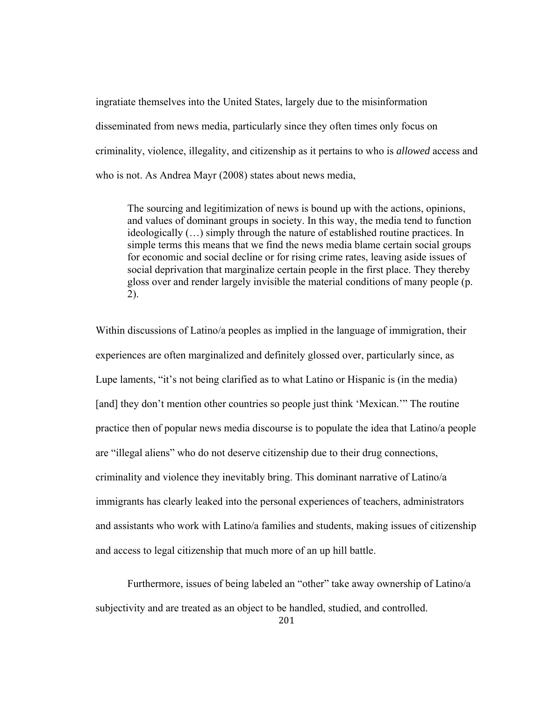ingratiate themselves into the United States, largely due to the misinformation disseminated from news media, particularly since they often times only focus on criminality, violence, illegality, and citizenship as it pertains to who is *allowed* access and who is not. As Andrea Mayr (2008) states about news media,

The sourcing and legitimization of news is bound up with the actions, opinions, and values of dominant groups in society. In this way, the media tend to function ideologically (…) simply through the nature of established routine practices. In simple terms this means that we find the news media blame certain social groups for economic and social decline or for rising crime rates, leaving aside issues of social deprivation that marginalize certain people in the first place. They thereby gloss over and render largely invisible the material conditions of many people (p. 2).

Within discussions of Latino/a peoples as implied in the language of immigration, their experiences are often marginalized and definitely glossed over, particularly since, as Lupe laments, "it's not being clarified as to what Latino or Hispanic is (in the media) [and] they don't mention other countries so people just think 'Mexican.'" The routine practice then of popular news media discourse is to populate the idea that Latino/a people are "illegal aliens" who do not deserve citizenship due to their drug connections, criminality and violence they inevitably bring. This dominant narrative of Latino/a immigrants has clearly leaked into the personal experiences of teachers, administrators and assistants who work with Latino/a families and students, making issues of citizenship and access to legal citizenship that much more of an up hill battle.

Furthermore, issues of being labeled an "other" take away ownership of Latino/a subjectivity and are treated as an object to be handled, studied, and controlled.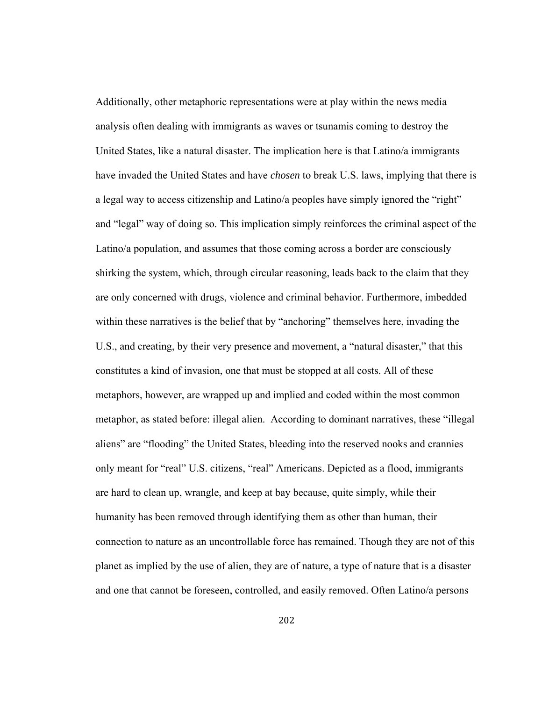Additionally, other metaphoric representations were at play within the news media analysis often dealing with immigrants as waves or tsunamis coming to destroy the United States, like a natural disaster. The implication here is that Latino/a immigrants have invaded the United States and have *chosen* to break U.S. laws, implying that there is a legal way to access citizenship and Latino/a peoples have simply ignored the "right" and "legal" way of doing so. This implication simply reinforces the criminal aspect of the Latino/a population, and assumes that those coming across a border are consciously shirking the system, which, through circular reasoning, leads back to the claim that they are only concerned with drugs, violence and criminal behavior. Furthermore, imbedded within these narratives is the belief that by "anchoring" themselves here, invading the U.S., and creating, by their very presence and movement, a "natural disaster," that this constitutes a kind of invasion, one that must be stopped at all costs. All of these metaphors, however, are wrapped up and implied and coded within the most common metaphor, as stated before: illegal alien. According to dominant narratives, these "illegal aliens" are "flooding" the United States, bleeding into the reserved nooks and crannies only meant for "real" U.S. citizens, "real" Americans. Depicted as a flood, immigrants are hard to clean up, wrangle, and keep at bay because, quite simply, while their humanity has been removed through identifying them as other than human, their connection to nature as an uncontrollable force has remained. Though they are not of this planet as implied by the use of alien, they are of nature, a type of nature that is a disaster and one that cannot be foreseen, controlled, and easily removed. Often Latino/a persons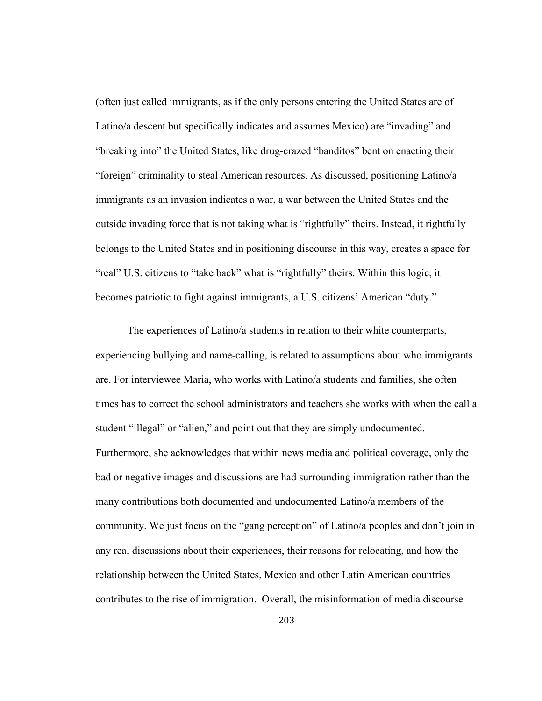(often just called immigrants, as if the only persons entering the United States are of Latino/a descent but specifically indicates and assumes Mexico) are "invading" and "breaking into" the United States, like drug-crazed "banditos" bent on enacting their "foreign" criminality to steal American resources. As discussed, positioning Latino/a immigrants as an invasion indicates a war, a war between the United States and the outside invading force that is not taking what is "rightfully" theirs. Instead, it rightfully belongs to the United States and in positioning discourse in this way, creates a space for "real" U.S. citizens to "take back" what is "rightfully" theirs. Within this logic, it becomes patriotic to fight against immigrants, a U.S. citizens' American "duty."

The experiences of Latino/a students in relation to their white counterparts, experiencing bullying and name-calling, is related to assumptions about who immigrants are. For interviewee Maria, who works with Latino/a students and families, she often times has to correct the school administrators and teachers she works with when the call a student "illegal" or "alien," and point out that they are simply undocumented. Furthermore, she acknowledges that within news media and political coverage, only the bad or negative images and discussions are had surrounding immigration rather than the many contributions both documented and undocumented Latino/a members of the community. We just focus on the "gang perception" of Latino/a peoples and don't join in any real discussions about their experiences, their reasons for relocating, and how the relationship between the United States, Mexico and other Latin American countries contributes to the rise of immigration. Overall, the misinformation of media discourse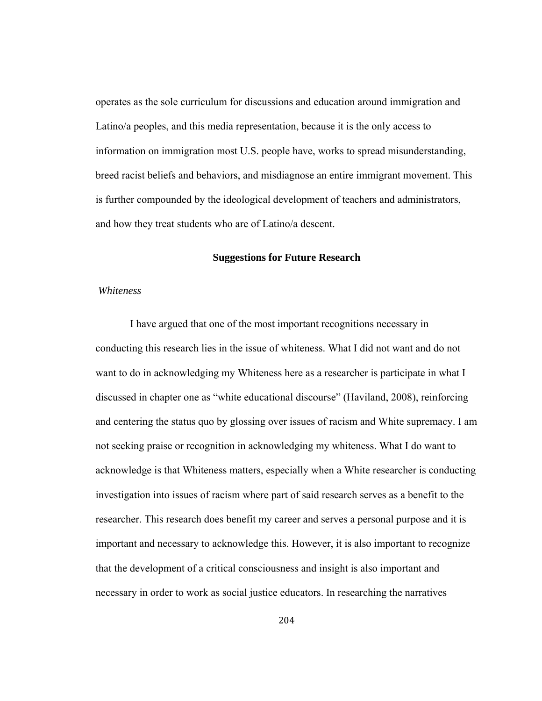operates as the sole curriculum for discussions and education around immigration and Latino/a peoples, and this media representation, because it is the only access to information on immigration most U.S. people have, works to spread misunderstanding, breed racist beliefs and behaviors, and misdiagnose an entire immigrant movement. This is further compounded by the ideological development of teachers and administrators, and how they treat students who are of Latino/a descent.

### **Suggestions for Future Research**

#### *Whiteness*

 I have argued that one of the most important recognitions necessary in conducting this research lies in the issue of whiteness. What I did not want and do not want to do in acknowledging my Whiteness here as a researcher is participate in what I discussed in chapter one as "white educational discourse" (Haviland, 2008), reinforcing and centering the status quo by glossing over issues of racism and White supremacy. I am not seeking praise or recognition in acknowledging my whiteness. What I do want to acknowledge is that Whiteness matters, especially when a White researcher is conducting investigation into issues of racism where part of said research serves as a benefit to the researcher. This research does benefit my career and serves a personal purpose and it is important and necessary to acknowledge this. However, it is also important to recognize that the development of a critical consciousness and insight is also important and necessary in order to work as social justice educators. In researching the narratives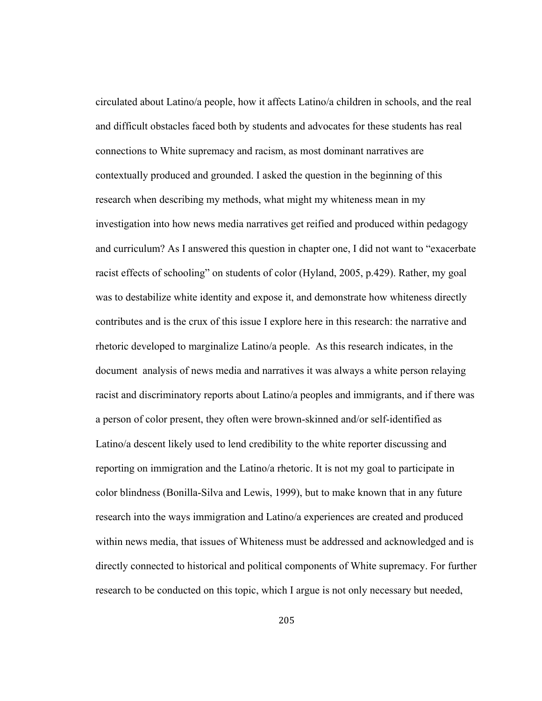circulated about Latino/a people, how it affects Latino/a children in schools, and the real and difficult obstacles faced both by students and advocates for these students has real connections to White supremacy and racism, as most dominant narratives are contextually produced and grounded. I asked the question in the beginning of this research when describing my methods, what might my whiteness mean in my investigation into how news media narratives get reified and produced within pedagogy and curriculum? As I answered this question in chapter one, I did not want to "exacerbate racist effects of schooling" on students of color (Hyland, 2005, p.429). Rather, my goal was to destabilize white identity and expose it, and demonstrate how whiteness directly contributes and is the crux of this issue I explore here in this research: the narrative and rhetoric developed to marginalize Latino/a people. As this research indicates, in the document analysis of news media and narratives it was always a white person relaying racist and discriminatory reports about Latino/a peoples and immigrants, and if there was a person of color present, they often were brown-skinned and/or self-identified as Latino/a descent likely used to lend credibility to the white reporter discussing and reporting on immigration and the Latino/a rhetoric. It is not my goal to participate in color blindness (Bonilla-Silva and Lewis, 1999), but to make known that in any future research into the ways immigration and Latino/a experiences are created and produced within news media, that issues of Whiteness must be addressed and acknowledged and is directly connected to historical and political components of White supremacy. For further research to be conducted on this topic, which I argue is not only necessary but needed,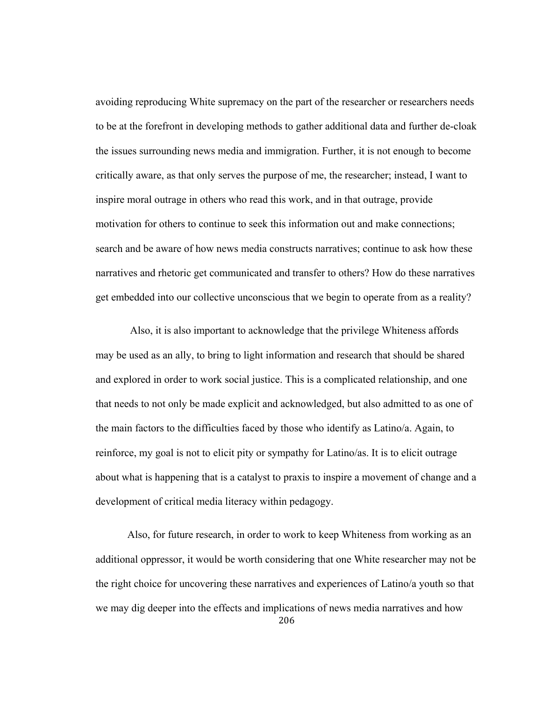avoiding reproducing White supremacy on the part of the researcher or researchers needs to be at the forefront in developing methods to gather additional data and further de-cloak the issues surrounding news media and immigration. Further, it is not enough to become critically aware, as that only serves the purpose of me, the researcher; instead, I want to inspire moral outrage in others who read this work, and in that outrage, provide motivation for others to continue to seek this information out and make connections; search and be aware of how news media constructs narratives; continue to ask how these narratives and rhetoric get communicated and transfer to others? How do these narratives get embedded into our collective unconscious that we begin to operate from as a reality?

 Also, it is also important to acknowledge that the privilege Whiteness affords may be used as an ally, to bring to light information and research that should be shared and explored in order to work social justice. This is a complicated relationship, and one that needs to not only be made explicit and acknowledged, but also admitted to as one of the main factors to the difficulties faced by those who identify as Latino/a. Again, to reinforce, my goal is not to elicit pity or sympathy for Latino/as. It is to elicit outrage about what is happening that is a catalyst to praxis to inspire a movement of change and a development of critical media literacy within pedagogy.

206 Also, for future research, in order to work to keep Whiteness from working as an additional oppressor, it would be worth considering that one White researcher may not be the right choice for uncovering these narratives and experiences of Latino/a youth so that we may dig deeper into the effects and implications of news media narratives and how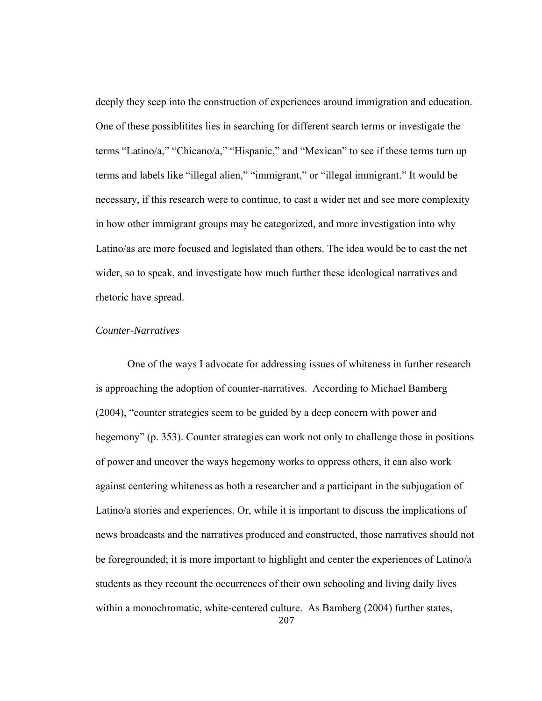deeply they seep into the construction of experiences around immigration and education. One of these possiblitites lies in searching for different search terms or investigate the terms "Latino/a," "Chicano/a," "Hispanic," and "Mexican" to see if these terms turn up terms and labels like "illegal alien," "immigrant," or "illegal immigrant." It would be necessary, if this research were to continue, to cast a wider net and see more complexity in how other immigrant groups may be categorized, and more investigation into why Latino/as are more focused and legislated than others. The idea would be to cast the net wider, so to speak, and investigate how much further these ideological narratives and rhetoric have spread.

### *Counter-Narratives*

 One of the ways I advocate for addressing issues of whiteness in further research is approaching the adoption of counter-narratives. According to Michael Bamberg (2004), "counter strategies seem to be guided by a deep concern with power and hegemony" (p. 353). Counter strategies can work not only to challenge those in positions of power and uncover the ways hegemony works to oppress others, it can also work against centering whiteness as both a researcher and a participant in the subjugation of Latino/a stories and experiences. Or, while it is important to discuss the implications of news broadcasts and the narratives produced and constructed, those narratives should not be foregrounded; it is more important to highlight and center the experiences of Latino/a students as they recount the occurrences of their own schooling and living daily lives within a monochromatic, white-centered culture. As Bamberg (2004) further states,

207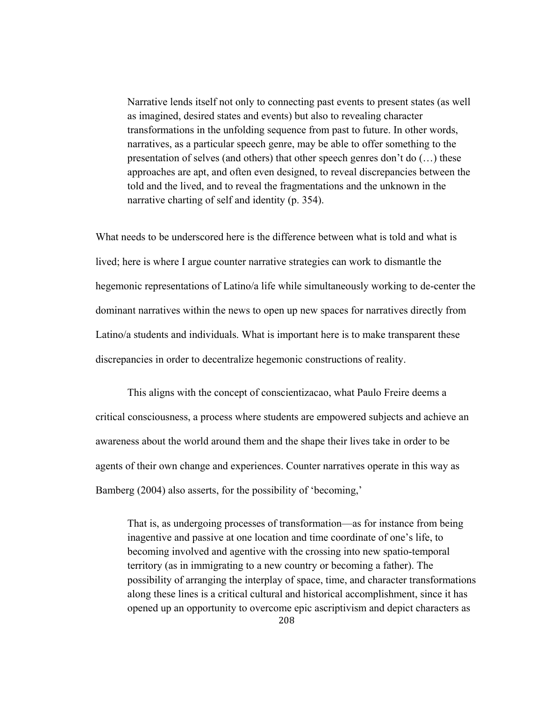Narrative lends itself not only to connecting past events to present states (as well as imagined, desired states and events) but also to revealing character transformations in the unfolding sequence from past to future. In other words, narratives, as a particular speech genre, may be able to offer something to the presentation of selves (and others) that other speech genres don't do (…) these approaches are apt, and often even designed, to reveal discrepancies between the told and the lived, and to reveal the fragmentations and the unknown in the narrative charting of self and identity (p. 354).

What needs to be underscored here is the difference between what is told and what is lived; here is where I argue counter narrative strategies can work to dismantle the hegemonic representations of Latino/a life while simultaneously working to de-center the dominant narratives within the news to open up new spaces for narratives directly from Latino/a students and individuals. What is important here is to make transparent these discrepancies in order to decentralize hegemonic constructions of reality.

 This aligns with the concept of conscientizacao, what Paulo Freire deems a critical consciousness, a process where students are empowered subjects and achieve an awareness about the world around them and the shape their lives take in order to be agents of their own change and experiences. Counter narratives operate in this way as Bamberg (2004) also asserts, for the possibility of 'becoming,'

That is, as undergoing processes of transformation—as for instance from being inagentive and passive at one location and time coordinate of one's life, to becoming involved and agentive with the crossing into new spatio-temporal territory (as in immigrating to a new country or becoming a father). The possibility of arranging the interplay of space, time, and character transformations along these lines is a critical cultural and historical accomplishment, since it has opened up an opportunity to overcome epic ascriptivism and depict characters as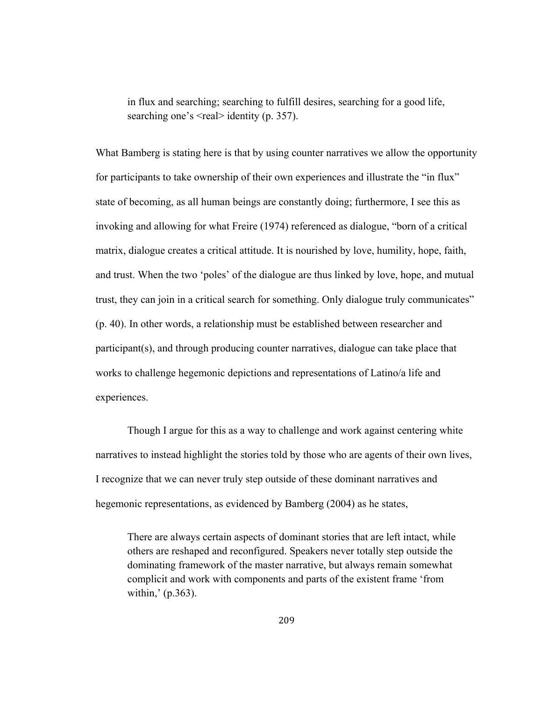in flux and searching; searching to fulfill desires, searching for a good life, searching one's  $\le$ real $>$  identity (p. 357).

What Bamberg is stating here is that by using counter narratives we allow the opportunity for participants to take ownership of their own experiences and illustrate the "in flux" state of becoming, as all human beings are constantly doing; furthermore, I see this as invoking and allowing for what Freire (1974) referenced as dialogue, "born of a critical matrix, dialogue creates a critical attitude. It is nourished by love, humility, hope, faith, and trust. When the two 'poles' of the dialogue are thus linked by love, hope, and mutual trust, they can join in a critical search for something. Only dialogue truly communicates" (p. 40). In other words, a relationship must be established between researcher and participant(s), and through producing counter narratives, dialogue can take place that works to challenge hegemonic depictions and representations of Latino/a life and experiences.

 Though I argue for this as a way to challenge and work against centering white narratives to instead highlight the stories told by those who are agents of their own lives, I recognize that we can never truly step outside of these dominant narratives and hegemonic representations, as evidenced by Bamberg (2004) as he states,

There are always certain aspects of dominant stories that are left intact, while others are reshaped and reconfigured. Speakers never totally step outside the dominating framework of the master narrative, but always remain somewhat complicit and work with components and parts of the existent frame 'from within,' (p.363).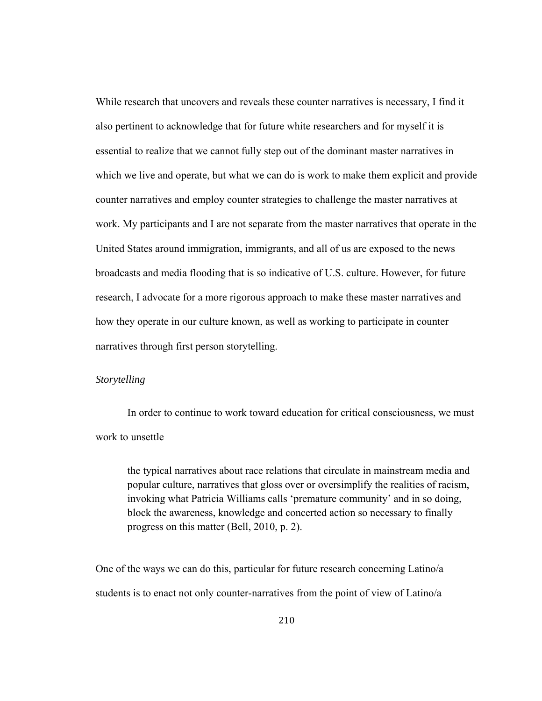While research that uncovers and reveals these counter narratives is necessary, I find it also pertinent to acknowledge that for future white researchers and for myself it is essential to realize that we cannot fully step out of the dominant master narratives in which we live and operate, but what we can do is work to make them explicit and provide counter narratives and employ counter strategies to challenge the master narratives at work. My participants and I are not separate from the master narratives that operate in the United States around immigration, immigrants, and all of us are exposed to the news broadcasts and media flooding that is so indicative of U.S. culture. However, for future research, I advocate for a more rigorous approach to make these master narratives and how they operate in our culture known, as well as working to participate in counter narratives through first person storytelling.

### *Storytelling*

 In order to continue to work toward education for critical consciousness, we must work to unsettle

the typical narratives about race relations that circulate in mainstream media and popular culture, narratives that gloss over or oversimplify the realities of racism, invoking what Patricia Williams calls 'premature community' and in so doing, block the awareness, knowledge and concerted action so necessary to finally progress on this matter (Bell, 2010, p. 2).

One of the ways we can do this, particular for future research concerning Latino/a students is to enact not only counter-narratives from the point of view of Latino/a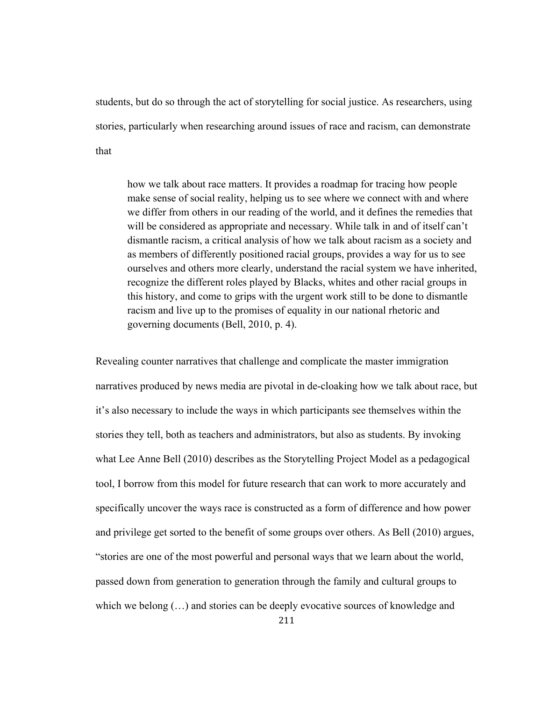students, but do so through the act of storytelling for social justice. As researchers, using stories, particularly when researching around issues of race and racism, can demonstrate that

how we talk about race matters. It provides a roadmap for tracing how people make sense of social reality, helping us to see where we connect with and where we differ from others in our reading of the world, and it defines the remedies that will be considered as appropriate and necessary. While talk in and of itself can't dismantle racism, a critical analysis of how we talk about racism as a society and as members of differently positioned racial groups, provides a way for us to see ourselves and others more clearly, understand the racial system we have inherited, recognize the different roles played by Blacks, whites and other racial groups in this history, and come to grips with the urgent work still to be done to dismantle racism and live up to the promises of equality in our national rhetoric and governing documents (Bell, 2010, p. 4).

Revealing counter narratives that challenge and complicate the master immigration narratives produced by news media are pivotal in de-cloaking how we talk about race, but it's also necessary to include the ways in which participants see themselves within the stories they tell, both as teachers and administrators, but also as students. By invoking what Lee Anne Bell (2010) describes as the Storytelling Project Model as a pedagogical tool, I borrow from this model for future research that can work to more accurately and specifically uncover the ways race is constructed as a form of difference and how power and privilege get sorted to the benefit of some groups over others. As Bell (2010) argues, "stories are one of the most powerful and personal ways that we learn about the world, passed down from generation to generation through the family and cultural groups to which we belong  $(...)$  and stories can be deeply evocative sources of knowledge and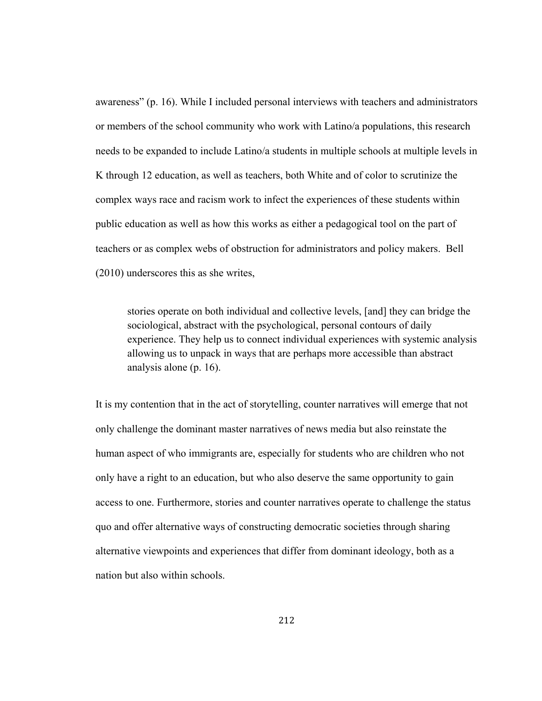awareness" (p. 16). While I included personal interviews with teachers and administrators or members of the school community who work with Latino/a populations, this research needs to be expanded to include Latino/a students in multiple schools at multiple levels in K through 12 education, as well as teachers, both White and of color to scrutinize the complex ways race and racism work to infect the experiences of these students within public education as well as how this works as either a pedagogical tool on the part of teachers or as complex webs of obstruction for administrators and policy makers. Bell (2010) underscores this as she writes,

stories operate on both individual and collective levels, [and] they can bridge the sociological, abstract with the psychological, personal contours of daily experience. They help us to connect individual experiences with systemic analysis allowing us to unpack in ways that are perhaps more accessible than abstract analysis alone (p. 16).

It is my contention that in the act of storytelling, counter narratives will emerge that not only challenge the dominant master narratives of news media but also reinstate the human aspect of who immigrants are, especially for students who are children who not only have a right to an education, but who also deserve the same opportunity to gain access to one. Furthermore, stories and counter narratives operate to challenge the status quo and offer alternative ways of constructing democratic societies through sharing alternative viewpoints and experiences that differ from dominant ideology, both as a nation but also within schools.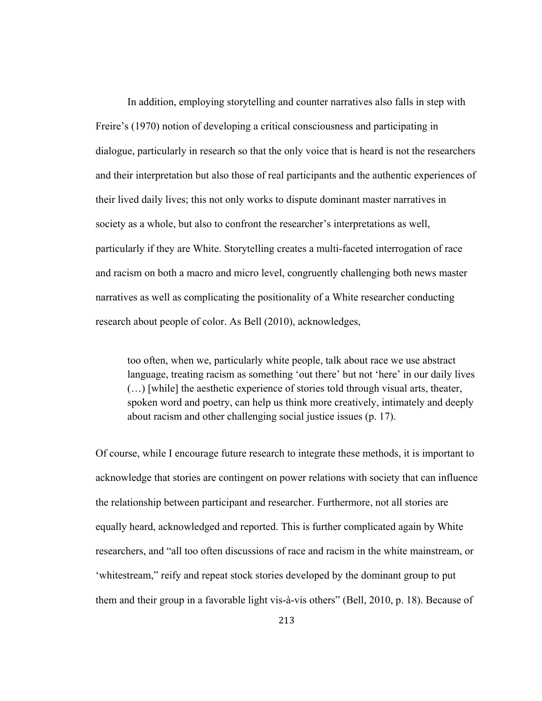In addition, employing storytelling and counter narratives also falls in step with Freire's (1970) notion of developing a critical consciousness and participating in dialogue, particularly in research so that the only voice that is heard is not the researchers and their interpretation but also those of real participants and the authentic experiences of their lived daily lives; this not only works to dispute dominant master narratives in society as a whole, but also to confront the researcher's interpretations as well, particularly if they are White. Storytelling creates a multi-faceted interrogation of race and racism on both a macro and micro level, congruently challenging both news master narratives as well as complicating the positionality of a White researcher conducting research about people of color. As Bell (2010), acknowledges,

too often, when we, particularly white people, talk about race we use abstract language, treating racism as something 'out there' but not 'here' in our daily lives (…) [while] the aesthetic experience of stories told through visual arts, theater, spoken word and poetry, can help us think more creatively, intimately and deeply about racism and other challenging social justice issues (p. 17).

Of course, while I encourage future research to integrate these methods, it is important to acknowledge that stories are contingent on power relations with society that can influence the relationship between participant and researcher. Furthermore, not all stories are equally heard, acknowledged and reported. This is further complicated again by White researchers, and "all too often discussions of race and racism in the white mainstream, or 'whitestream," reify and repeat stock stories developed by the dominant group to put them and their group in a favorable light vis-à-vis others" (Bell, 2010, p. 18). Because of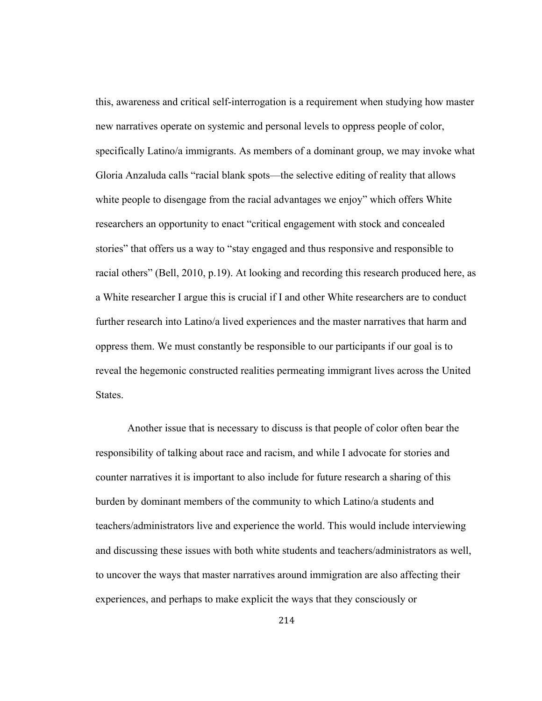this, awareness and critical self-interrogation is a requirement when studying how master new narratives operate on systemic and personal levels to oppress people of color, specifically Latino/a immigrants. As members of a dominant group, we may invoke what Gloria Anzaluda calls "racial blank spots—the selective editing of reality that allows white people to disengage from the racial advantages we enjoy" which offers White researchers an opportunity to enact "critical engagement with stock and concealed stories" that offers us a way to "stay engaged and thus responsive and responsible to racial others" (Bell, 2010, p.19). At looking and recording this research produced here, as a White researcher I argue this is crucial if I and other White researchers are to conduct further research into Latino/a lived experiences and the master narratives that harm and oppress them. We must constantly be responsible to our participants if our goal is to reveal the hegemonic constructed realities permeating immigrant lives across the United States.

 Another issue that is necessary to discuss is that people of color often bear the responsibility of talking about race and racism, and while I advocate for stories and counter narratives it is important to also include for future research a sharing of this burden by dominant members of the community to which Latino/a students and teachers/administrators live and experience the world. This would include interviewing and discussing these issues with both white students and teachers/administrators as well, to uncover the ways that master narratives around immigration are also affecting their experiences, and perhaps to make explicit the ways that they consciously or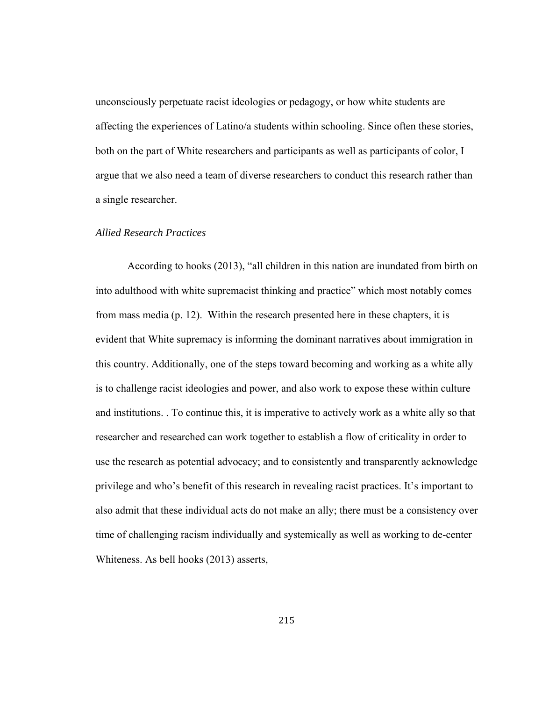unconsciously perpetuate racist ideologies or pedagogy, or how white students are affecting the experiences of Latino/a students within schooling. Since often these stories, both on the part of White researchers and participants as well as participants of color, I argue that we also need a team of diverse researchers to conduct this research rather than a single researcher.

### *Allied Research Practices*

According to hooks (2013), "all children in this nation are inundated from birth on into adulthood with white supremacist thinking and practice" which most notably comes from mass media (p. 12). Within the research presented here in these chapters, it is evident that White supremacy is informing the dominant narratives about immigration in this country. Additionally, one of the steps toward becoming and working as a white ally is to challenge racist ideologies and power, and also work to expose these within culture and institutions. . To continue this, it is imperative to actively work as a white ally so that researcher and researched can work together to establish a flow of criticality in order to use the research as potential advocacy; and to consistently and transparently acknowledge privilege and who's benefit of this research in revealing racist practices. It's important to also admit that these individual acts do not make an ally; there must be a consistency over time of challenging racism individually and systemically as well as working to de-center Whiteness. As bell hooks (2013) asserts,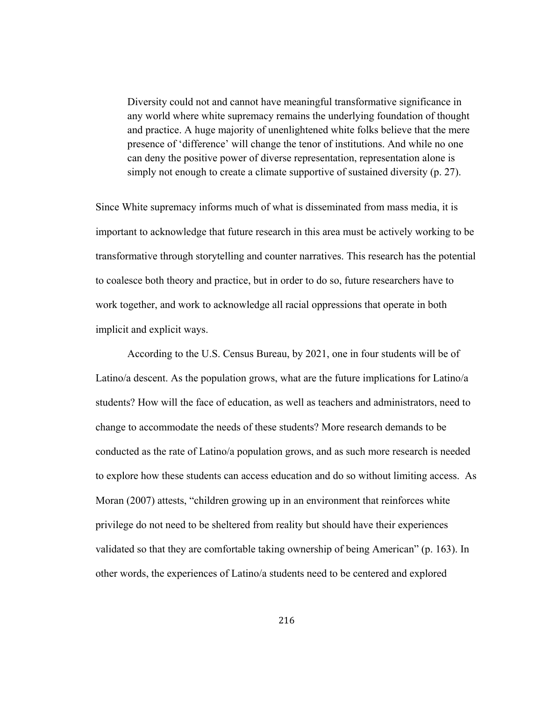Diversity could not and cannot have meaningful transformative significance in any world where white supremacy remains the underlying foundation of thought and practice. A huge majority of unenlightened white folks believe that the mere presence of 'difference' will change the tenor of institutions. And while no one can deny the positive power of diverse representation, representation alone is simply not enough to create a climate supportive of sustained diversity (p. 27).

Since White supremacy informs much of what is disseminated from mass media, it is important to acknowledge that future research in this area must be actively working to be transformative through storytelling and counter narratives. This research has the potential to coalesce both theory and practice, but in order to do so, future researchers have to work together, and work to acknowledge all racial oppressions that operate in both implicit and explicit ways.

 According to the U.S. Census Bureau, by 2021, one in four students will be of Latino/a descent. As the population grows, what are the future implications for Latino/a students? How will the face of education, as well as teachers and administrators, need to change to accommodate the needs of these students? More research demands to be conducted as the rate of Latino/a population grows, and as such more research is needed to explore how these students can access education and do so without limiting access. As Moran (2007) attests, "children growing up in an environment that reinforces white privilege do not need to be sheltered from reality but should have their experiences validated so that they are comfortable taking ownership of being American" (p. 163). In other words, the experiences of Latino/a students need to be centered and explored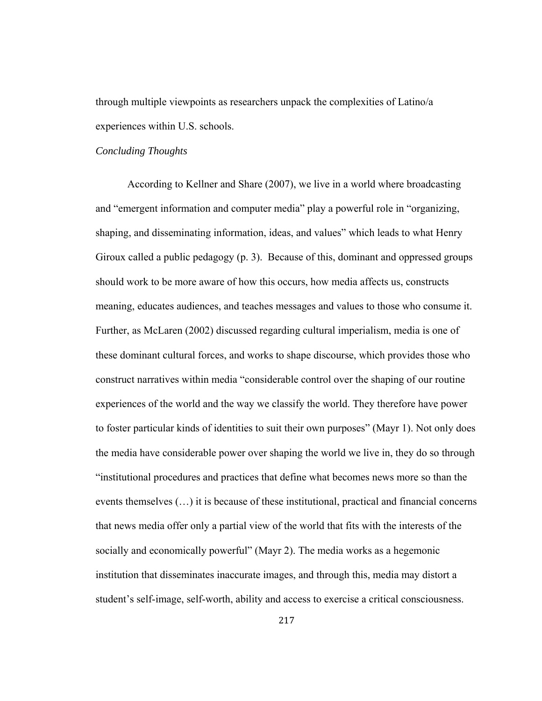through multiple viewpoints as researchers unpack the complexities of Latino/a experiences within U.S. schools.

### *Concluding Thoughts*

According to Kellner and Share (2007), we live in a world where broadcasting and "emergent information and computer media" play a powerful role in "organizing, shaping, and disseminating information, ideas, and values" which leads to what Henry Giroux called a public pedagogy (p. 3). Because of this, dominant and oppressed groups should work to be more aware of how this occurs, how media affects us, constructs meaning, educates audiences, and teaches messages and values to those who consume it. Further, as McLaren (2002) discussed regarding cultural imperialism, media is one of these dominant cultural forces, and works to shape discourse, which provides those who construct narratives within media "considerable control over the shaping of our routine experiences of the world and the way we classify the world. They therefore have power to foster particular kinds of identities to suit their own purposes" (Mayr 1). Not only does the media have considerable power over shaping the world we live in, they do so through "institutional procedures and practices that define what becomes news more so than the events themselves (…) it is because of these institutional, practical and financial concerns that news media offer only a partial view of the world that fits with the interests of the socially and economically powerful" (Mayr 2). The media works as a hegemonic institution that disseminates inaccurate images, and through this, media may distort a student's self-image, self-worth, ability and access to exercise a critical consciousness.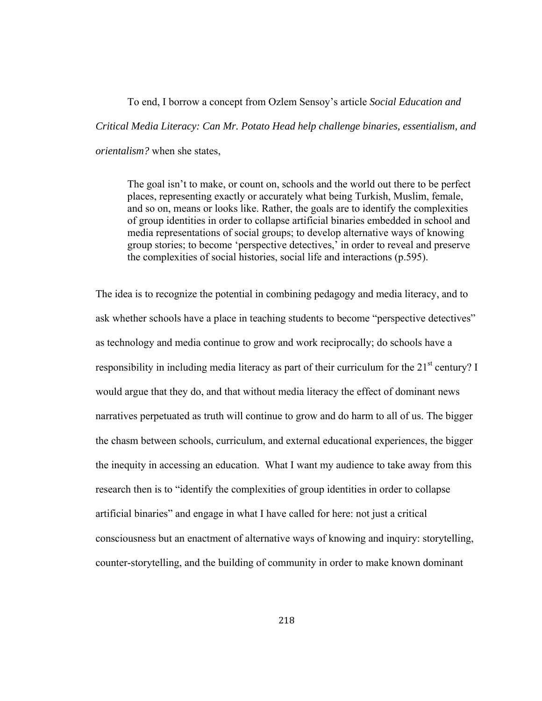To end, I borrow a concept from Ozlem Sensoy's article *Social Education and Critical Media Literacy: Can Mr. Potato Head help challenge binaries, essentialism, and orientalism?* when she states,

The goal isn't to make, or count on, schools and the world out there to be perfect places, representing exactly or accurately what being Turkish, Muslim, female, and so on, means or looks like. Rather, the goals are to identify the complexities of group identities in order to collapse artificial binaries embedded in school and media representations of social groups; to develop alternative ways of knowing group stories; to become 'perspective detectives,' in order to reveal and preserve the complexities of social histories, social life and interactions (p.595).

The idea is to recognize the potential in combining pedagogy and media literacy, and to ask whether schools have a place in teaching students to become "perspective detectives" as technology and media continue to grow and work reciprocally; do schools have a responsibility in including media literacy as part of their curriculum for the  $21<sup>st</sup>$  century? I would argue that they do, and that without media literacy the effect of dominant news narratives perpetuated as truth will continue to grow and do harm to all of us. The bigger the chasm between schools, curriculum, and external educational experiences, the bigger the inequity in accessing an education. What I want my audience to take away from this research then is to "identify the complexities of group identities in order to collapse artificial binaries" and engage in what I have called for here: not just a critical consciousness but an enactment of alternative ways of knowing and inquiry: storytelling, counter-storytelling, and the building of community in order to make known dominant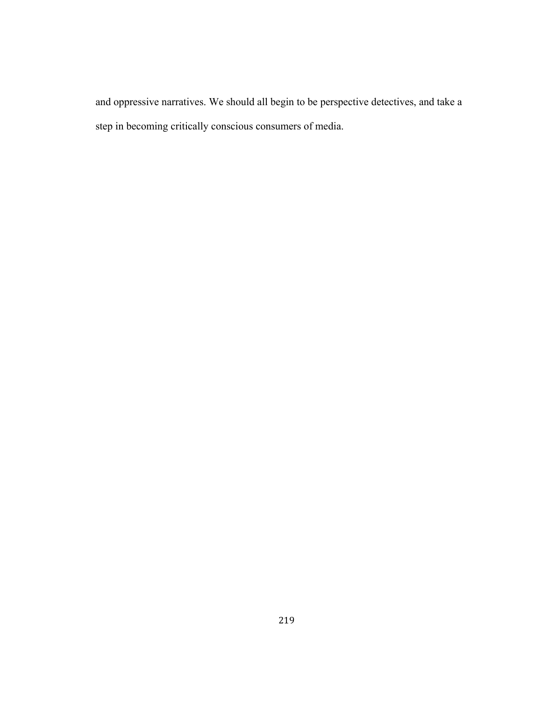and oppressive narratives. We should all begin to be perspective detectives, and take a step in becoming critically conscious consumers of media.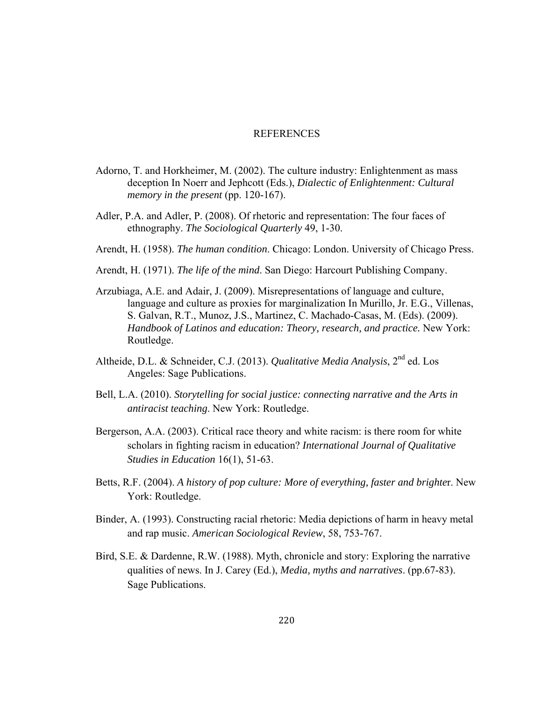## REFERENCES

- Adorno, T. and Horkheimer, M. (2002). The culture industry: Enlightenment as mass deception In Noerr and Jephcott (Eds.), *Dialectic of Enlightenment: Cultural memory in the present* (pp. 120-167).
- Adler, P.A. and Adler, P. (2008). Of rhetoric and representation: The four faces of ethnography. *The Sociological Quarterly* 49, 1-30.
- Arendt, H. (1958). *The human condition*. Chicago: London. University of Chicago Press.
- Arendt, H. (1971). *The life of the mind*. San Diego: Harcourt Publishing Company.
- Arzubiaga, A.E. and Adair, J. (2009). Misrepresentations of language and culture, language and culture as proxies for marginalization In Murillo, Jr. E.G., Villenas, S. Galvan, R.T., Munoz, J.S., Martinez, C. Machado-Casas, M. (Eds). (2009). *Handbook of Latinos and education: Theory, research, and practice.* New York: Routledge.
- Altheide, D.L. & Schneider, C.J. (2013). *Qualitative Media Analysis*, 2nd ed. Los Angeles: Sage Publications.
- Bell, L.A. (2010). *Storytelling for social justice: connecting narrative and the Arts in antiracist teaching*. New York: Routledge.
- Bergerson, A.A. (2003). Critical race theory and white racism: is there room for white scholars in fighting racism in education? *International Journal of Qualitative Studies in Education* 16(1), 51-63.
- Betts, R.F. (2004). *A history of pop culture: More of everything, faster and brighte*r. New York: Routledge.
- Binder, A. (1993). Constructing racial rhetoric: Media depictions of harm in heavy metal and rap music. *American Sociological Review*, 58, 753-767.
- Bird, S.E. & Dardenne, R.W. (1988). Myth, chronicle and story: Exploring the narrative qualities of news. In J. Carey (Ed.), *Media, myths and narratives*. (pp.67-83). Sage Publications.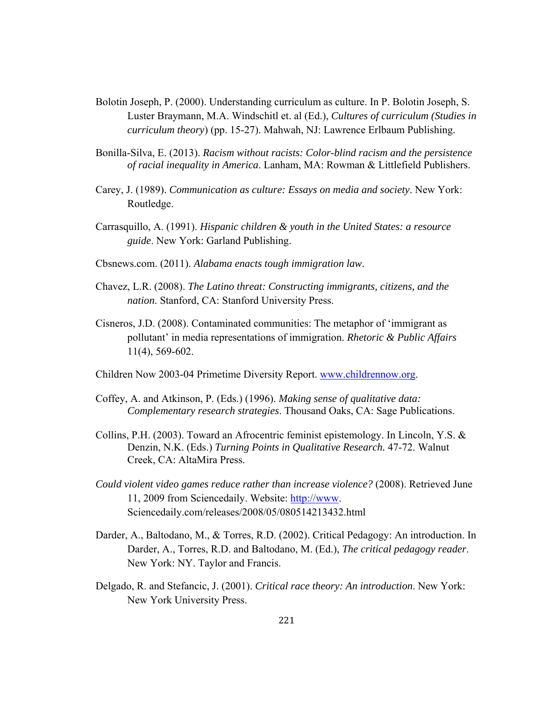- Bolotin Joseph, P. (2000). Understanding curriculum as culture. In P. Bolotin Joseph, S. Luster Braymann, M.A. Windschitl et. al (Ed.), *Cultures of curriculum (Studies in curriculum theory*) (pp. 15-27). Mahwah, NJ: Lawrence Erlbaum Publishing.
- Bonilla-Silva, E. (2013). *Racism without racists: Color-blind racism and the persistence of racial inequality in America*. Lanham, MA: Rowman & Littlefield Publishers.
- Carey, J. (1989). *Communication as culture: Essays on media and society*. New York: Routledge.
- Carrasquillo, A. (1991). *Hispanic children & youth in the United States: a resource guide*. New York: Garland Publishing.
- Cbsnews.com. (2011). *Alabama enacts tough immigration law*.
- Chavez, L.R. (2008). *The Latino threat: Constructing immigrants, citizens, and the nation*. Stanford, CA: Stanford University Press.
- Cisneros, J.D. (2008). Contaminated communities: The metaphor of 'immigrant as pollutant' in media representations of immigration. *Rhetoric & Public Affairs* 11(4), 569-602.
- Children Now 2003-04 Primetime Diversity Report. www.childrennow.org.
- Coffey, A. and Atkinson, P. (Eds.) (1996). *Making sense of qualitative data: Complementary research strategies*. Thousand Oaks, CA: Sage Publications.
- Collins, P.H. (2003). Toward an Afrocentric feminist epistemology. In Lincoln, Y.S.  $\&$  Denzin, N.K. (Eds.) *Turning Points in Qualitative Research.* 47-72. Walnut Creek, CA: AltaMira Press.
- *Could violent video games reduce rather than increase violence?* (2008). Retrieved June 11, 2009 from Sciencedaily. Website: http://www. Sciencedaily.com/releases/2008/05/080514213432.html
- Darder, A., Baltodano, M., & Torres, R.D. (2002). Critical Pedagogy: An introduction. In Darder, A., Torres, R.D. and Baltodano, M. (Ed.), *The critical pedagogy reader*. New York: NY. Taylor and Francis.
- Delgado, R. and Stefancic, J. (2001). *Critical race theory: An introduction*. New York: New York University Press.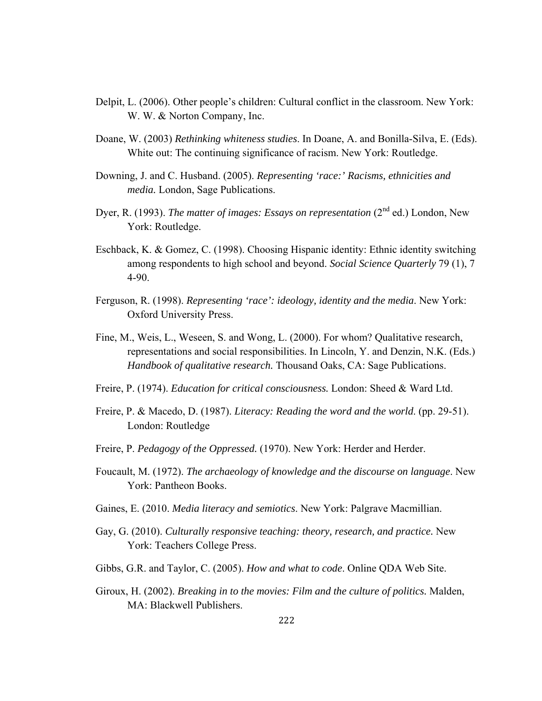- Delpit, L. (2006). Other people's children: Cultural conflict in the classroom. New York: W. W. & Norton Company, Inc.
- Doane, W. (2003) *Rethinking whiteness studies*. In Doane, A. and Bonilla-Silva, E. (Eds). White out: The continuing significance of racism. New York: Routledge.
- Downing, J. and C. Husband. (2005). *Representing 'race:' Racisms, ethnicities and media.* London, Sage Publications.
- Dyer, R. (1993). *The matter of images: Essays on representation* (2<sup>nd</sup> ed.) London, New York: Routledge.
- Eschback, K. & Gomez, C. (1998). Choosing Hispanic identity: Ethnic identity switching among respondents to high school and beyond. *Social Science Quarterly* 79 (1), 7 4-90.
- Ferguson, R. (1998). *Representing 'race': ideology, identity and the media*. New York: Oxford University Press.
- Fine, M., Weis, L., Weseen, S. and Wong, L. (2000). For whom? Qualitative research, representations and social responsibilities. In Lincoln, Y. and Denzin, N.K. (Eds.) *Handbook of qualitative research.* Thousand Oaks, CA: Sage Publications.
- Freire, P. (1974). *Education for critical consciousness.* London: Sheed & Ward Ltd.
- Freire, P. & Macedo, D. (1987). *Literacy: Reading the word and the world*. (pp. 29-51). London: Routledge
- Freire, P. *Pedagogy of the Oppressed.* (1970). New York: Herder and Herder.
- Foucault, M. (1972). *The archaeology of knowledge and the discourse on language*. New York: Pantheon Books.
- Gaines, E. (2010. *Media literacy and semiotics*. New York: Palgrave Macmillian.
- Gay, G. (2010). *Culturally responsive teaching: theory, research, and practice.* New York: Teachers College Press.
- Gibbs, G.R. and Taylor, C. (2005). *How and what to code*. Online QDA Web Site.
- Giroux, H. (2002). *Breaking in to the movies: Film and the culture of politics.* Malden, MA: Blackwell Publishers.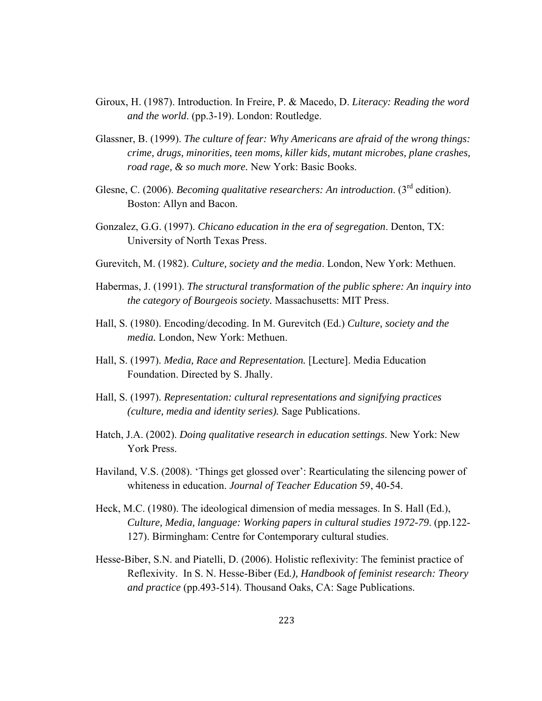- Giroux, H. (1987). Introduction. In Freire, P. & Macedo, D. *Literacy: Reading the word and the world*. (pp.3-19). London: Routledge.
- Glassner, B. (1999). *The culture of fear: Why Americans are afraid of the wrong things: crime, drugs, minorities, teen moms, killer kids, mutant microbes, plane crashes, road rage, & so much more.* New York: Basic Books.
- Glesne, C. (2006). *Becoming qualitative researchers: An introduction*. (3<sup>rd</sup> edition). Boston: Allyn and Bacon.
- Gonzalez, G.G. (1997). *Chicano education in the era of segregation*. Denton, TX: University of North Texas Press.
- Gurevitch, M. (1982). *Culture, society and the media*. London, New York: Methuen.
- Habermas, J. (1991). *The structural transformation of the public sphere: An inquiry into the category of Bourgeois society.* Massachusetts: MIT Press.
- Hall, S. (1980). Encoding/decoding. In M. Gurevitch (Ed.) *Culture, society and the media.* London, New York: Methuen.
- Hall, S. (1997). *Media, Race and Representation.* [Lecture]. Media Education Foundation. Directed by S. Jhally.
- Hall, S. (1997). *Representation: cultural representations and signifying practices (culture, media and identity series).* Sage Publications.
- Hatch, J.A. (2002). *Doing qualitative research in education settings*. New York: New York Press.
- Haviland, V.S. (2008). 'Things get glossed over': Rearticulating the silencing power of whiteness in education. *Journal of Teacher Education* 59, 40-54.
- Heck, M.C. (1980). The ideological dimension of media messages. In S. Hall (Ed.), *Culture, Media, language: Working papers in cultural studies 1972-79*. (pp.122- 127). Birmingham: Centre for Contemporary cultural studies.
- Hesse-Biber, S.N. and Piatelli, D. (2006). Holistic reflexivity: The feminist practice of Reflexivity. In S. N. Hesse-Biber (Ed*.), Handbook of feminist research: Theory and practice* (pp.493-514). Thousand Oaks, CA: Sage Publications.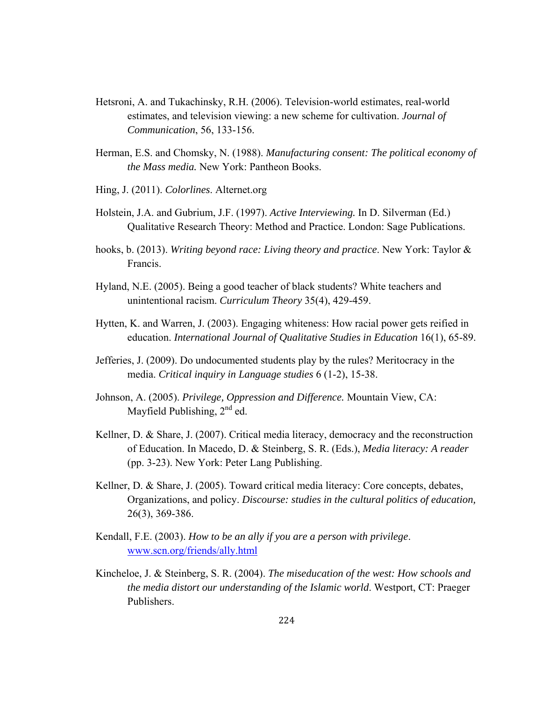- Hetsroni, A. and Tukachinsky, R.H. (2006). Television-world estimates, real-world estimates, and television viewing: a new scheme for cultivation. *Journal of Communication*, 56, 133-156.
- Herman, E.S. and Chomsky, N. (1988). *Manufacturing consent: The political economy of the Mass media.* New York: Pantheon Books.
- Hing, J. (2011). *Colorlines*. Alternet.org
- Holstein, J.A. and Gubrium, J.F. (1997). *Active Interviewing.* In D. Silverman (Ed.) Qualitative Research Theory: Method and Practice. London: Sage Publications.
- hooks, b. (2013). *Writing beyond race: Living theory and practice*. New York: Taylor & Francis.
- Hyland, N.E. (2005). Being a good teacher of black students? White teachers and unintentional racism. *Curriculum Theory* 35(4), 429-459.
- Hytten, K. and Warren, J. (2003). Engaging whiteness: How racial power gets reified in education. *International Journal of Qualitative Studies in Education* 16(1), 65-89.
- Jefferies, J. (2009). Do undocumented students play by the rules? Meritocracy in the media. *Critical inquiry in Language studies* 6 (1-2), 15-38.
- Johnson, A. (2005). *Privilege, Oppression and Difference.* Mountain View, CA: Mayfield Publishing,  $2<sup>nd</sup>$  ed.
- Kellner, D. & Share, J. (2007). Critical media literacy, democracy and the reconstruction of Education. In Macedo, D. & Steinberg, S. R. (Eds.), *Media literacy: A reader* (pp. 3-23). New York: Peter Lang Publishing.
- Kellner, D. & Share, J. (2005). Toward critical media literacy: Core concepts, debates, Organizations, and policy. *Discourse: studies in the cultural politics of education,* 26(3), 369-386.
- Kendall, F.E. (2003). *How to be an ally if you are a person with privilege*. www.scn.org/friends/ally.html
- Kincheloe, J. & Steinberg, S. R. (2004). *The miseducation of the west: How schools and the media distort our understanding of the Islamic world*. Westport, CT: Praeger Publishers.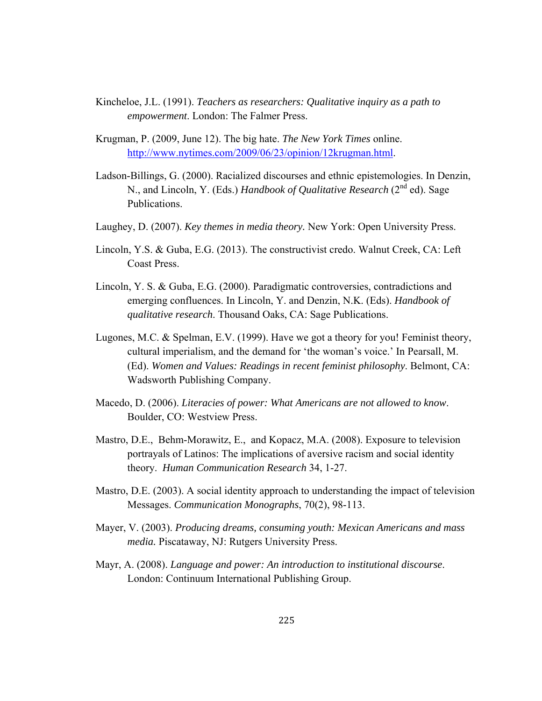- Kincheloe, J.L. (1991). *Teachers as researchers: Qualitative inquiry as a path to empowerment*. London: The Falmer Press.
- Krugman, P. (2009, June 12). The big hate. *The New York Times* online. http://www.nytimes.com/2009/06/23/opinion/12krugman.html.
- Ladson-Billings, G. (2000). Racialized discourses and ethnic epistemologies. In Denzin, N., and Lincoln, Y. (Eds.) *Handbook of Qualitative Research* (2<sup>nd</sup> ed). Sage Publications.
- Laughey, D. (2007). *Key themes in media theory.* New York: Open University Press.
- Lincoln, Y.S. & Guba, E.G. (2013). The constructivist credo. Walnut Creek, CA: Left Coast Press.
- Lincoln, Y. S. & Guba, E.G. (2000). Paradigmatic controversies, contradictions and emerging confluences. In Lincoln, Y. and Denzin, N.K. (Eds). *Handbook of qualitative research*. Thousand Oaks, CA: Sage Publications.
- Lugones, M.C. & Spelman, E.V. (1999). Have we got a theory for you! Feminist theory, cultural imperialism, and the demand for 'the woman's voice.' In Pearsall, M. (Ed). *Women and Values: Readings in recent feminist philosophy*. Belmont, CA: Wadsworth Publishing Company.
- Macedo, D. (2006). *Literacies of power: What Americans are not allowed to know*. Boulder, CO: Westview Press.
- Mastro, D.E., Behm-Morawitz, E., and Kopacz, M.A. (2008). Exposure to television portrayals of Latinos: The implications of aversive racism and social identity theory. *Human Communication Research* 34, 1-27.
- Mastro, D.E. (2003). A social identity approach to understanding the impact of television Messages. *Communication Monographs*, 70(2), 98-113.
- Mayer, V. (2003). *Producing dreams, consuming youth: Mexican Americans and mass media.* Piscataway, NJ: Rutgers University Press.
- Mayr, A. (2008). *Language and power: An introduction to institutional discourse*. London: Continuum International Publishing Group.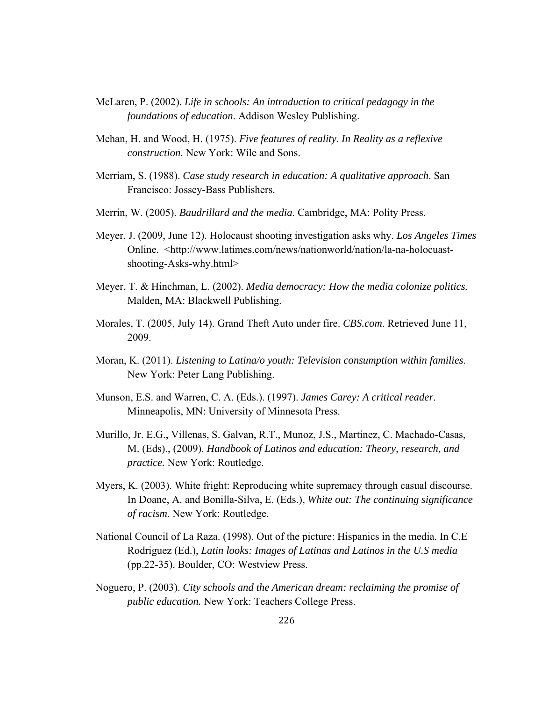- McLaren, P. (2002). *Life in schools: An introduction to critical pedagogy in the foundations of education*. Addison Wesley Publishing.
- Mehan, H. and Wood, H. (1975). *Five features of reality. In Reality as a reflexive construction*. New York: Wile and Sons.
- Merriam, S. (1988). *Case study research in education: A qualitative approach*. San Francisco: Jossey-Bass Publishers.
- Merrin, W. (2005). *Baudrillard and the media*. Cambridge, MA: Polity Press.
- Meyer, J. (2009, June 12). Holocaust shooting investigation asks why. *Los Angeles Times* Online. <http://www.latimes.com/news/nationworld/nation/la-na-holocuast shooting-Asks-why.html>
- Meyer, T. & Hinchman, L. (2002). *Media democracy: How the media colonize politics.* Malden, MA: Blackwell Publishing.
- Morales, T. (2005, July 14). Grand Theft Auto under fire. *CBS.com*. Retrieved June 11, 2009.
- Moran, K. (2011). *Listening to Latina/o youth: Television consumption within families*. New York: Peter Lang Publishing.
- Munson, E.S. and Warren, C. A. (Eds.). (1997). *James Carey: A critical reader*. Minneapolis, MN: University of Minnesota Press.
- Murillo, Jr. E.G., Villenas, S. Galvan, R.T., Munoz, J.S., Martinez, C. Machado-Casas, M. (Eds)., (2009). *Handbook of Latinos and education: Theory, research, and practice.* New York: Routledge.
- Myers, K. (2003). White fright: Reproducing white supremacy through casual discourse. In Doane, A. and Bonilla-Silva, E. (Eds.), *White out: The continuing significance of racism*. New York: Routledge.
- National Council of La Raza. (1998). Out of the picture: Hispanics in the media. In C.E Rodriguez (Ed.), *Latin looks: Images of Latinas and Latinos in the U.S media* (pp.22-35). Boulder, CO: Westview Press.
- Noguero, P. (2003). *City schools and the American dream: reclaiming the promise of public education.* New York: Teachers College Press.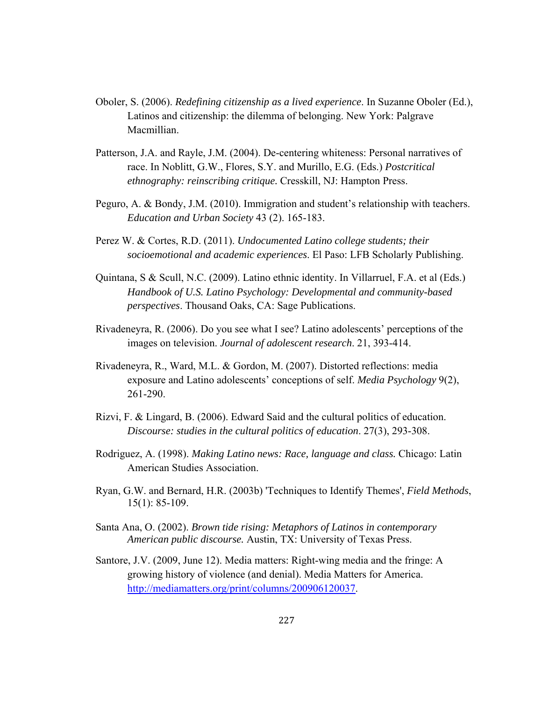- Oboler, S. (2006). *Redefining citizenship as a lived experience*. In Suzanne Oboler (Ed.), Latinos and citizenship: the dilemma of belonging. New York: Palgrave Macmillian.
- Patterson, J.A. and Rayle, J.M. (2004). De-centering whiteness: Personal narratives of race. In Noblitt, G.W., Flores, S.Y. and Murillo, E.G. (Eds.) *Postcritical ethnography: reinscribing critique.* Cresskill, NJ: Hampton Press.
- Peguro, A. & Bondy, J.M. (2010). Immigration and student's relationship with teachers. *Education and Urban Society* 43 (2). 165-183.
- Perez W. & Cortes, R.D. (2011). *Undocumented Latino college students; their socioemotional and academic experiences*. El Paso: LFB Scholarly Publishing.
- Quintana, S & Scull, N.C. (2009). Latino ethnic identity. In Villarruel, F.A. et al (Eds.) *Handbook of U.S. Latino Psychology: Developmental and community-based perspectives*. Thousand Oaks, CA: Sage Publications.
- Rivadeneyra, R. (2006). Do you see what I see? Latino adolescents' perceptions of the images on television. *Journal of adolescent research*. 21, 393-414.
- Rivadeneyra, R., Ward, M.L. & Gordon, M. (2007). Distorted reflections: media exposure and Latino adolescents' conceptions of self. *Media Psychology* 9(2), 261-290.
- Rizvi, F. & Lingard, B. (2006). Edward Said and the cultural politics of education. *Discourse: studies in the cultural politics of education*. 27(3), 293-308.
- Rodriguez, A. (1998). *Making Latino news: Race, language and class.* Chicago: Latin American Studies Association.
- Ryan, G.W. and Bernard, H.R. (2003b) 'Techniques to Identify Themes', *Field Methods*, 15(1): 85-109.
- Santa Ana, O. (2002). *Brown tide rising: Metaphors of Latinos in contemporary American public discourse.* Austin, TX: University of Texas Press.
- Santore, J.V. (2009, June 12). Media matters: Right-wing media and the fringe: A growing history of violence (and denial). Media Matters for America. http://mediamatters.org/print/columns/200906120037.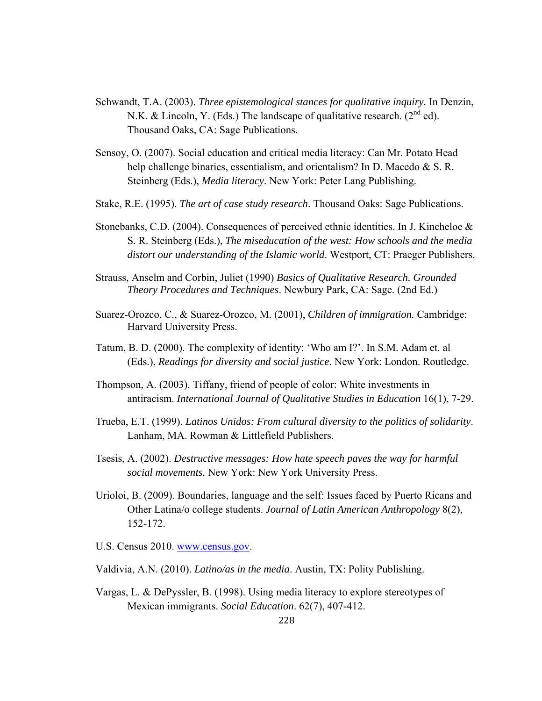- Schwandt, T.A. (2003). *Three epistemological stances for qualitative inquiry.* In Denzin, N.K. & Lincoln, Y. (Eds.) The landscape of qualitative research.  $(2^{nd}$  ed). Thousand Oaks, CA: Sage Publications.
- Sensoy, O. (2007). Social education and critical media literacy: Can Mr. Potato Head help challenge binaries, essentialism, and orientalism? In D. Macedo & S. R. Steinberg (Eds.), *Media literacy*. New York: Peter Lang Publishing.
- Stake, R.E. (1995). *The art of case study research*. Thousand Oaks: Sage Publications.
- Stonebanks, C.D. (2004). Consequences of perceived ethnic identities. In J. Kincheloe & S. R. Steinberg (Eds.), *The miseducation of the west: How schools and the media distort our understanding of the Islamic world*. Westport, CT: Praeger Publishers.
- Strauss, Anselm and Corbin, Juliet (1990) *Basics of Qualitative Research. Grounded Theory Procedures and Techniques*. Newbury Park, CA: Sage. (2nd Ed.)
- Suarez-Orozco, C., & Suarez-Orozco, M. (2001), *Children of immigration.* Cambridge: Harvard University Press.
- Tatum, B. D. (2000). The complexity of identity: 'Who am I?'. In S.M. Adam et. al (Eds.), *Readings for diversity and social justice*. New York: London. Routledge.
- Thompson, A. (2003). Tiffany, friend of people of color: White investments in antiracism. *International Journal of Qualitative Studies in Education* 16(1), 7-29.
- Trueba, E.T. (1999). *Latinos Unidos: From cultural diversity to the politics of solidarity*. Lanham, MA. Rowman & Littlefield Publishers.
- Tsesis, A. (2002). *Destructive messages: How hate speech paves the way for harmful social movements.* New York: New York University Press.
- Urioloi, B. (2009). Boundaries, language and the self: Issues faced by Puerto Ricans and Other Latina/o college students. *Journal of Latin American Anthropology* 8(2), 152-172.
- U.S. Census 2010. www.census.gov.
- Valdivia, A.N. (2010). *Latino/as in the media*. Austin, TX: Polity Publishing.
- Vargas, L. & DePyssler, B. (1998). Using media literacy to explore stereotypes of Mexican immigrants. *Social Education*. 62(7), 407-412.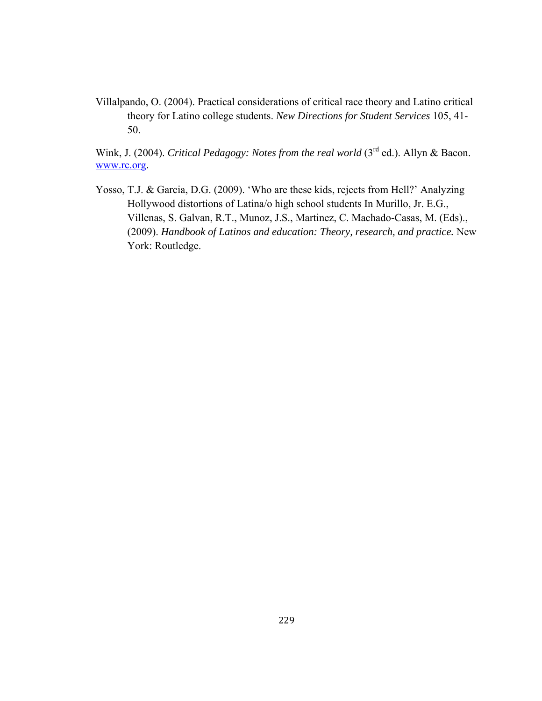Villalpando, O. (2004). Practical considerations of critical race theory and Latino critical theory for Latino college students. *New Directions for Student Services* 105, 41- 50.

Wink, J. (2004). *Critical Pedagogy: Notes from the real world* (3<sup>rd</sup> ed.). Allyn & Bacon. www.rc.org.

Yosso, T.J. & Garcia, D.G. (2009). 'Who are these kids, rejects from Hell?' Analyzing Hollywood distortions of Latina/o high school students In Murillo, Jr. E.G., Villenas, S. Galvan, R.T., Munoz, J.S., Martinez, C. Machado-Casas, M. (Eds)., (2009). *Handbook of Latinos and education: Theory, research, and practice.* New York: Routledge.